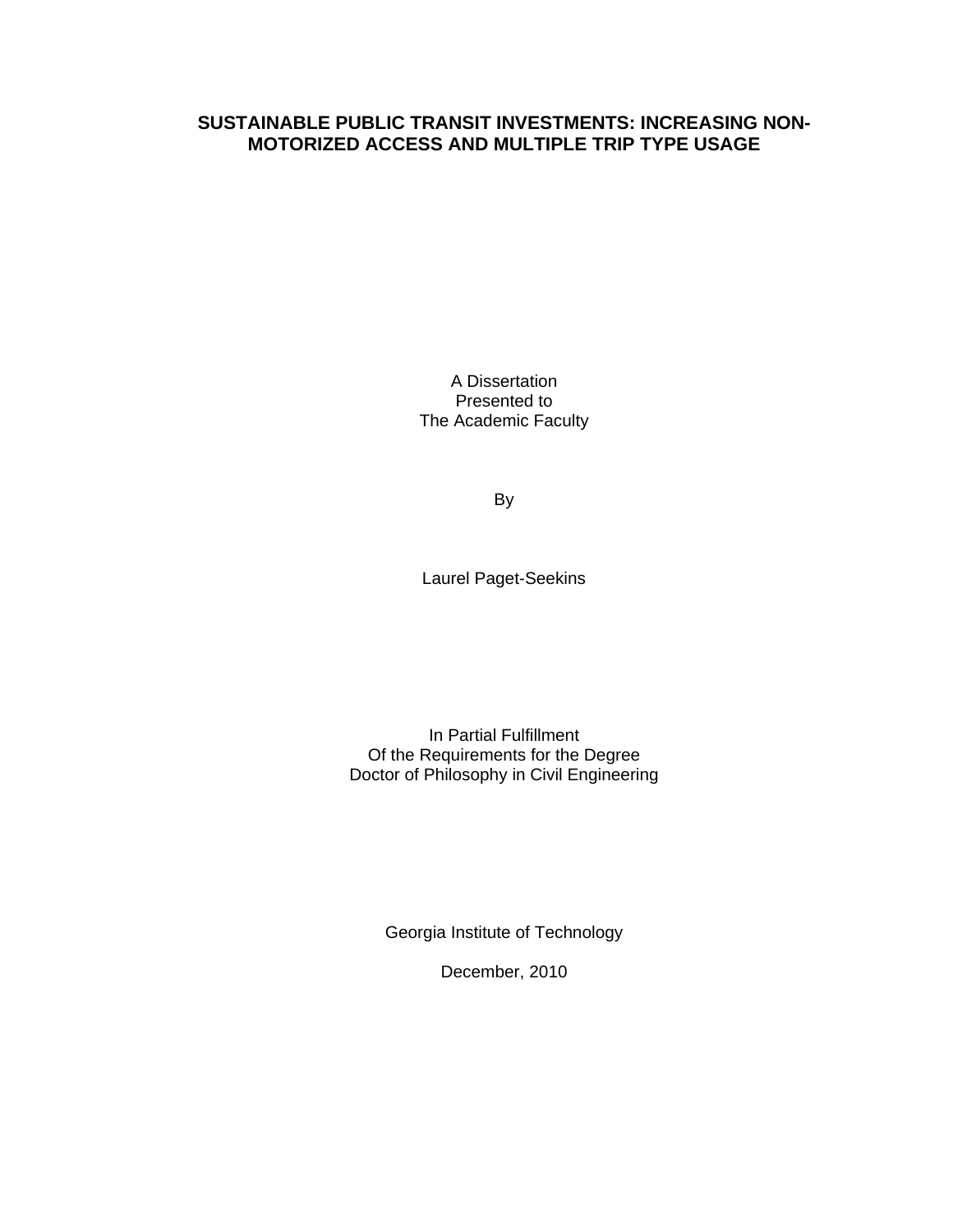### **SUSTAINABLE PUBLIC TRANSIT INVESTMENTS: INCREASING NON-MOTORIZED ACCESS AND MULTIPLE TRIP TYPE USAGE**

A Dissertation Presented to The Academic Faculty

By

Laurel Paget-Seekins

In Partial Fulfillment Of the Requirements for the Degree Doctor of Philosophy in Civil Engineering

Georgia Institute of Technology

December, 2010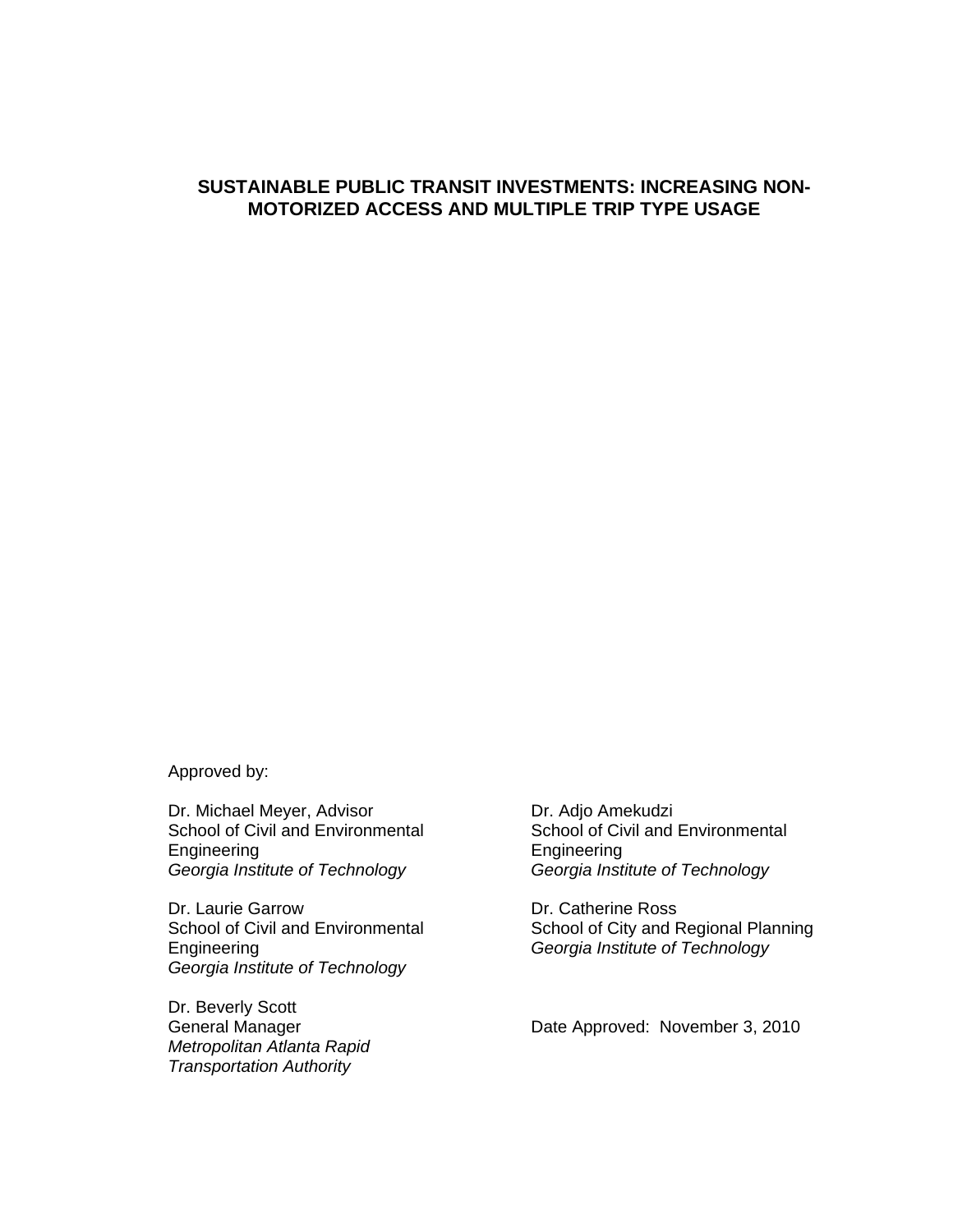#### **SUSTAINABLE PUBLIC TRANSIT INVESTMENTS: INCREASING NON-MOTORIZED ACCESS AND MULTIPLE TRIP TYPE USAGE**

Approved by:

Dr. Michael Meyer, Advisor School of Civil and Environmental Engineering *Georgia Institute of Technology* 

Dr. Laurie Garrow School of Civil and Environmental Engineering *Georgia Institute of Technology* 

Dr. Beverly Scott General Manager *Metropolitan Atlanta Rapid Transportation Authority* 

 Dr. Adjo Amekudzi School of Civil and Environmental Engineering *Georgia Institute of Technology* 

 Dr. Catherine Ross School of City and Regional Planning *Georgia Institute of Technology* 

Date Approved: November 3, 2010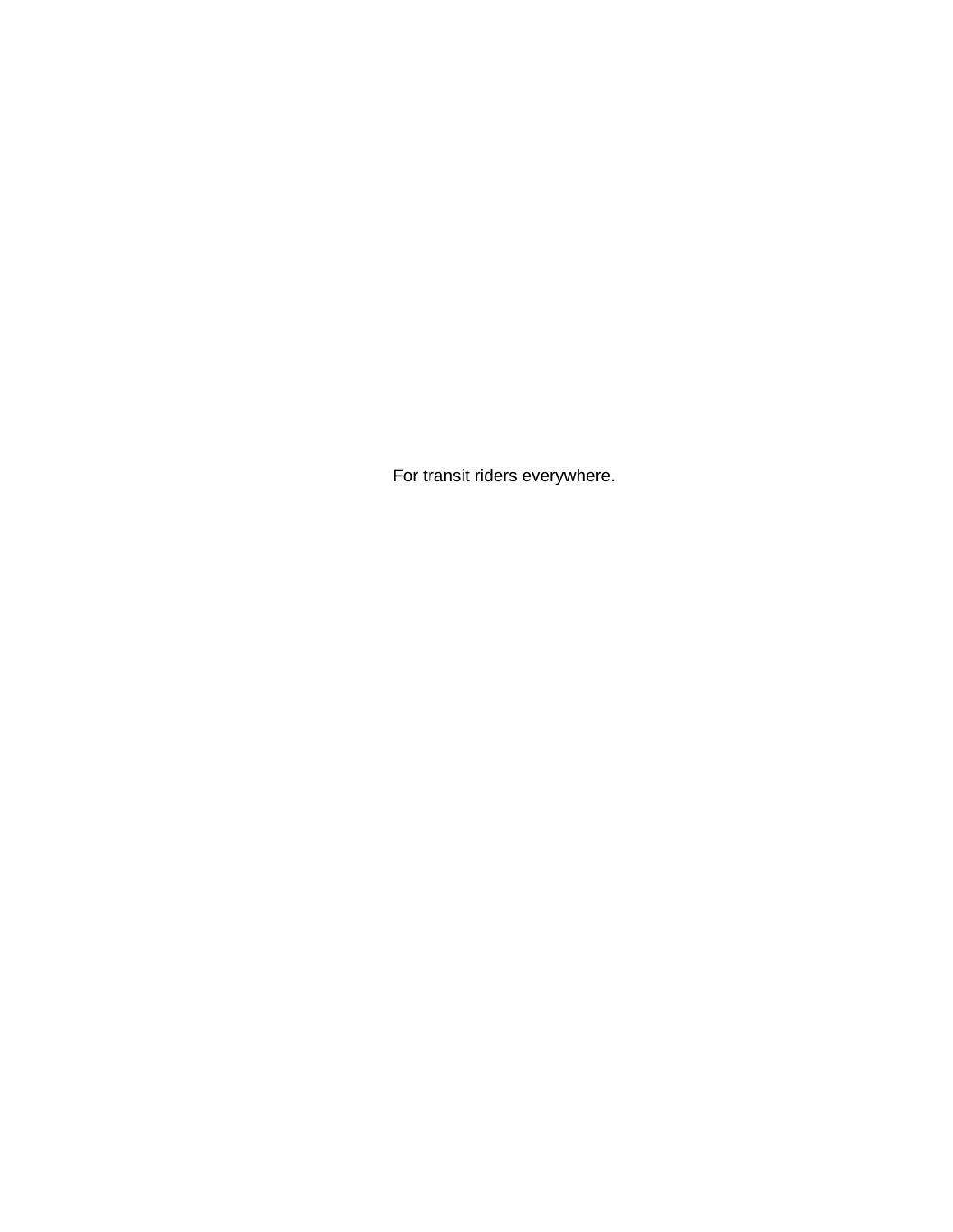For transit riders everywhere.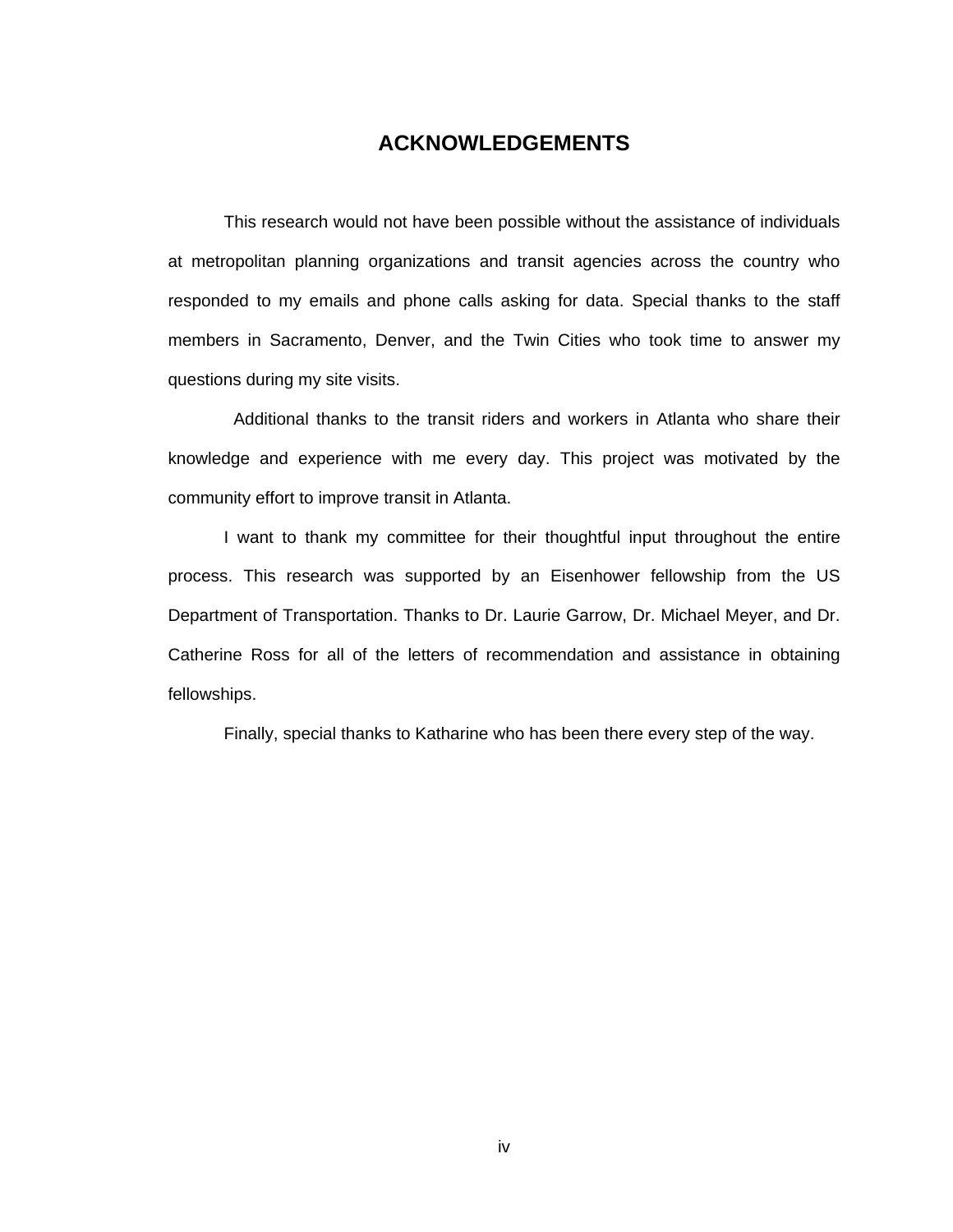### **ACKNOWLEDGEMENTS**

 This research would not have been possible without the assistance of individuals at metropolitan planning organizations and transit agencies across the country who responded to my emails and phone calls asking for data. Special thanks to the staff members in Sacramento, Denver, and the Twin Cities who took time to answer my questions during my site visits.

 Additional thanks to the transit riders and workers in Atlanta who share their knowledge and experience with me every day. This project was motivated by the community effort to improve transit in Atlanta.

I want to thank my committee for their thoughtful input throughout the entire process. This research was supported by an Eisenhower fellowship from the US Department of Transportation. Thanks to Dr. Laurie Garrow, Dr. Michael Meyer, and Dr. Catherine Ross for all of the letters of recommendation and assistance in obtaining fellowships.

Finally, special thanks to Katharine who has been there every step of the way.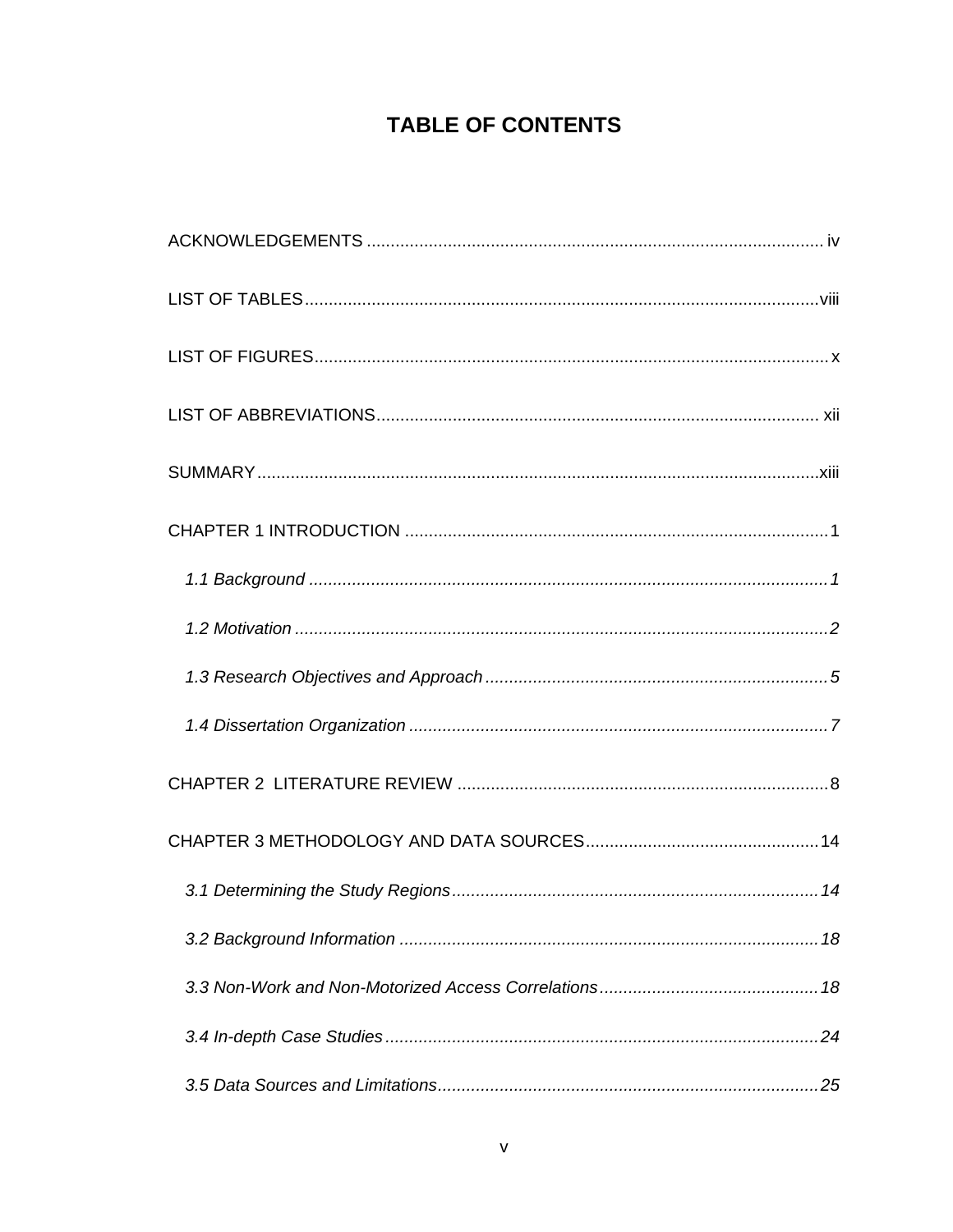## **TABLE OF CONTENTS**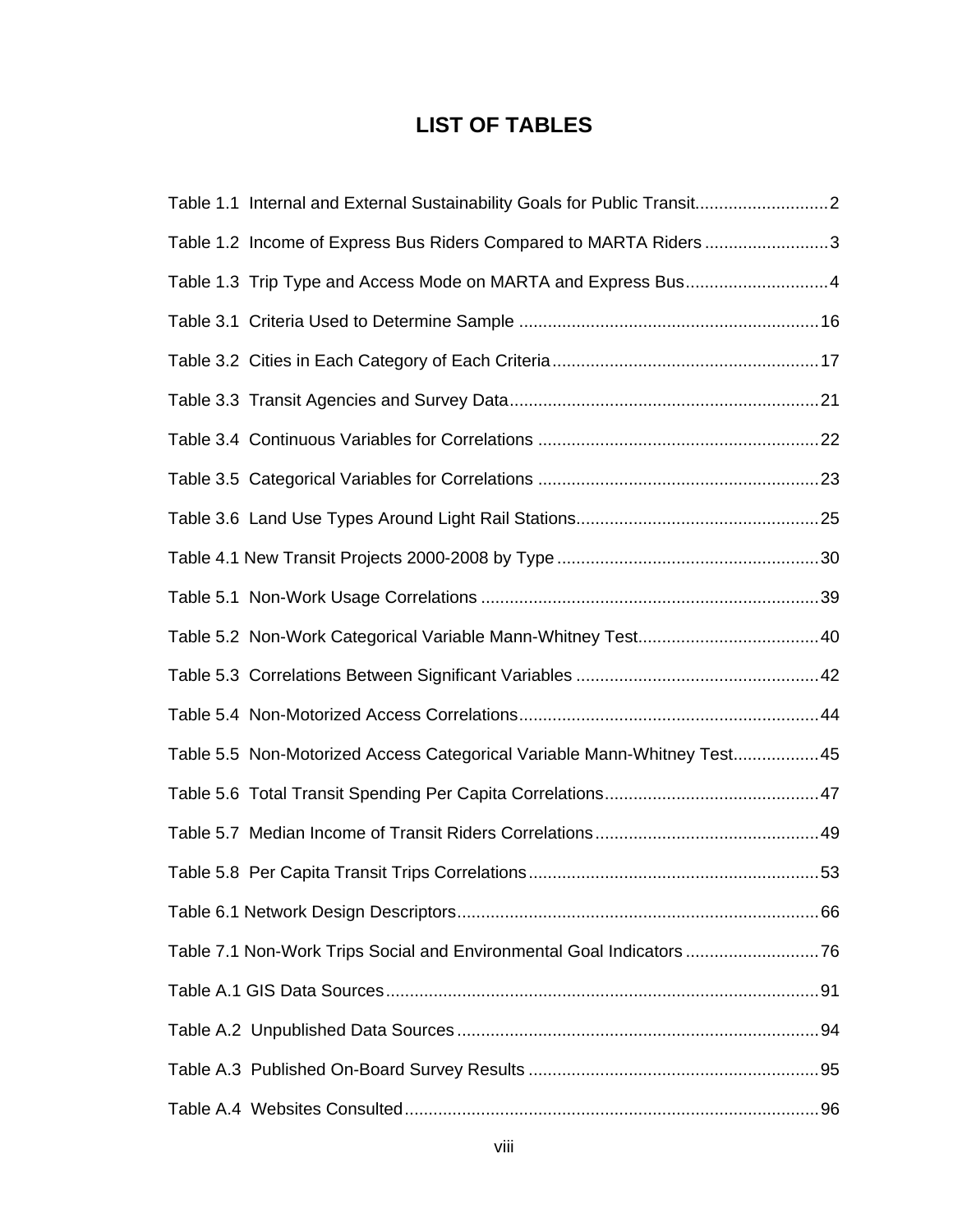## **LIST OF TABLES**

| Table 1.1 Internal and External Sustainability Goals for Public Transit2 |  |
|--------------------------------------------------------------------------|--|
| Table 1.2 Income of Express Bus Riders Compared to MARTA Riders 3        |  |
|                                                                          |  |
|                                                                          |  |
|                                                                          |  |
|                                                                          |  |
|                                                                          |  |
|                                                                          |  |
|                                                                          |  |
|                                                                          |  |
|                                                                          |  |
|                                                                          |  |
|                                                                          |  |
|                                                                          |  |
| Table 5.5 Non-Motorized Access Categorical Variable Mann-Whitney Test 45 |  |
|                                                                          |  |
|                                                                          |  |
|                                                                          |  |
|                                                                          |  |
| Table 7.1 Non-Work Trips Social and Environmental Goal Indicators 76     |  |
|                                                                          |  |
|                                                                          |  |
|                                                                          |  |
|                                                                          |  |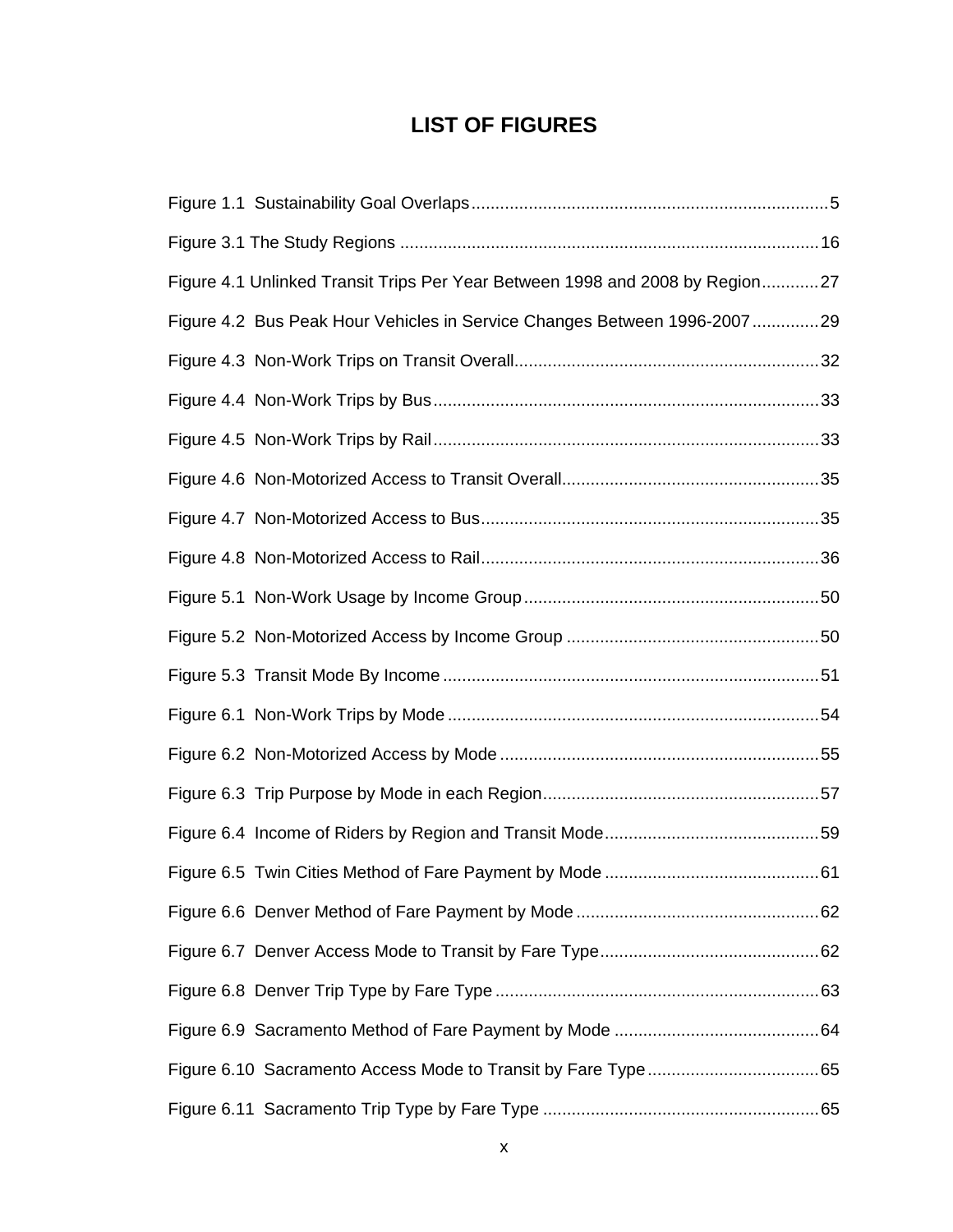### **LIST OF FIGURES**

| Figure 4.1 Unlinked Transit Trips Per Year Between 1998 and 2008 by Region27 |  |
|------------------------------------------------------------------------------|--|
| Figure 4.2 Bus Peak Hour Vehicles in Service Changes Between 1996-200729     |  |
|                                                                              |  |
|                                                                              |  |
|                                                                              |  |
|                                                                              |  |
|                                                                              |  |
|                                                                              |  |
|                                                                              |  |
|                                                                              |  |
|                                                                              |  |
|                                                                              |  |
|                                                                              |  |
|                                                                              |  |
|                                                                              |  |
|                                                                              |  |
|                                                                              |  |
|                                                                              |  |
|                                                                              |  |
|                                                                              |  |
|                                                                              |  |
|                                                                              |  |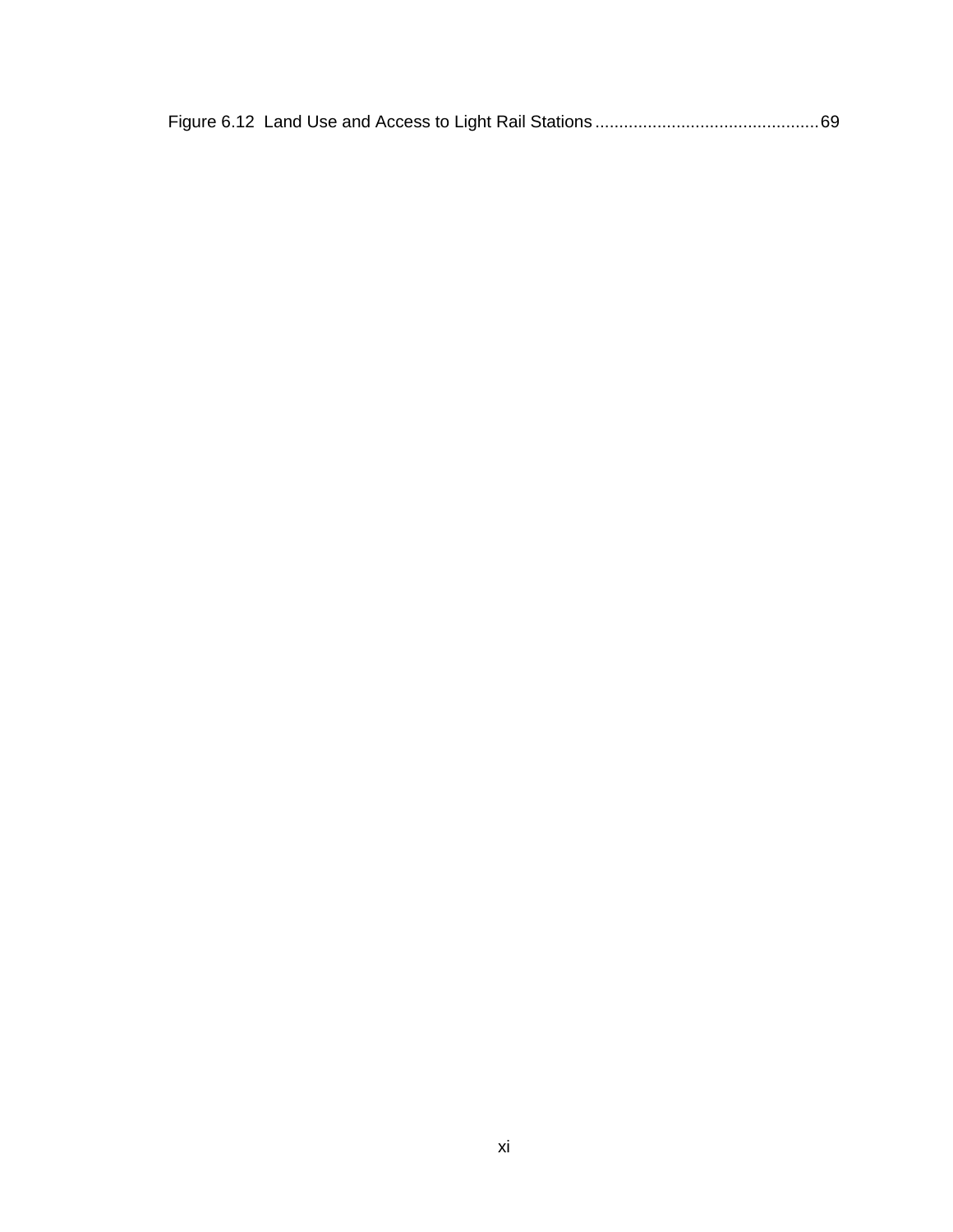|--|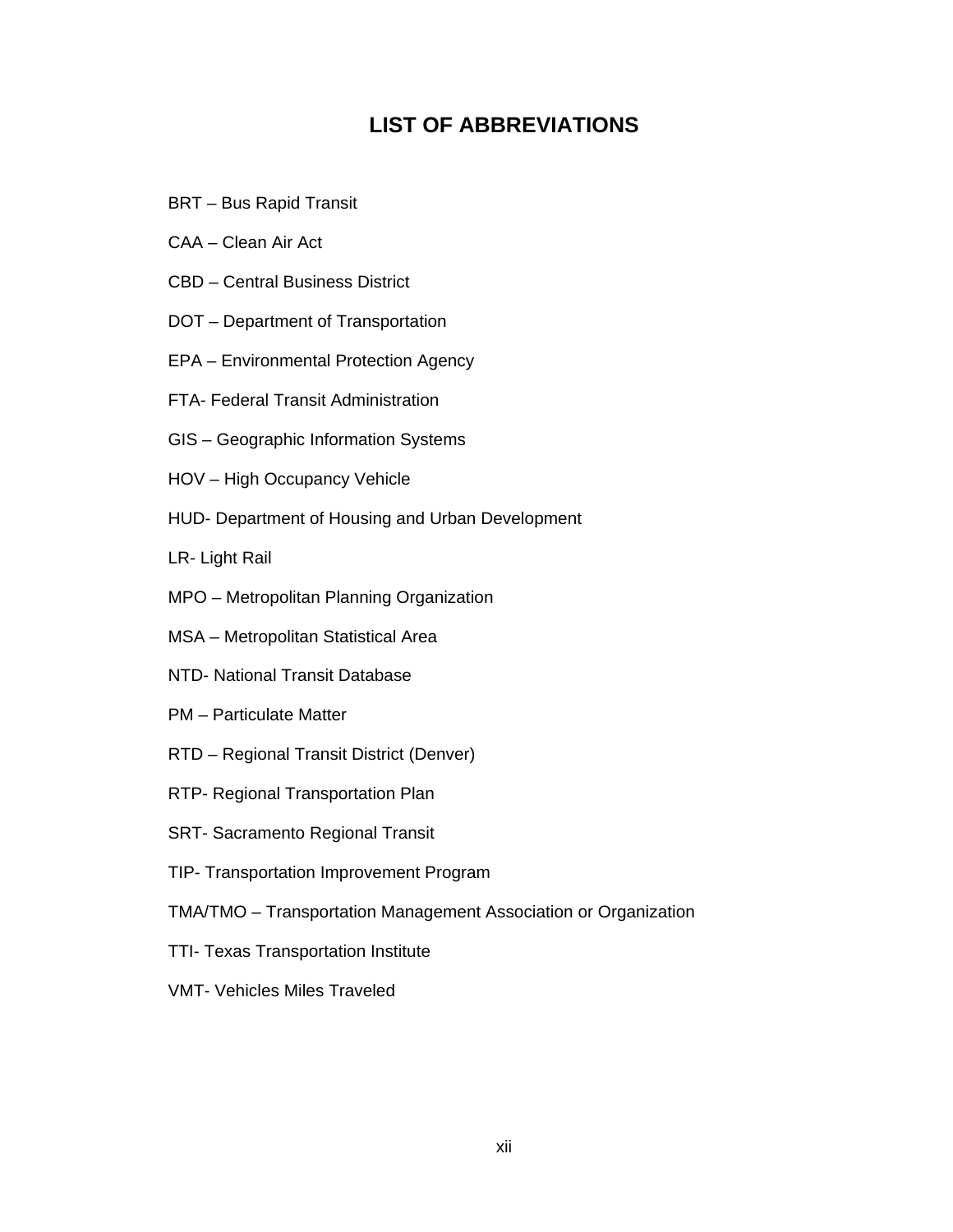### **LIST OF ABBREVIATIONS**

- BRT Bus Rapid Transit
- CAA Clean Air Act
- CBD Central Business District
- DOT Department of Transportation
- EPA Environmental Protection Agency
- FTA- Federal Transit Administration
- GIS Geographic Information Systems
- HOV High Occupancy Vehicle
- HUD- Department of Housing and Urban Development
- LR- Light Rail
- MPO Metropolitan Planning Organization
- MSA Metropolitan Statistical Area
- NTD- National Transit Database
- PM Particulate Matter
- RTD Regional Transit District (Denver)
- RTP- Regional Transportation Plan
- SRT- Sacramento Regional Transit
- TIP- Transportation Improvement Program
- TMA/TMO Transportation Management Association or Organization
- TTI- Texas Transportation Institute
- VMT- Vehicles Miles Traveled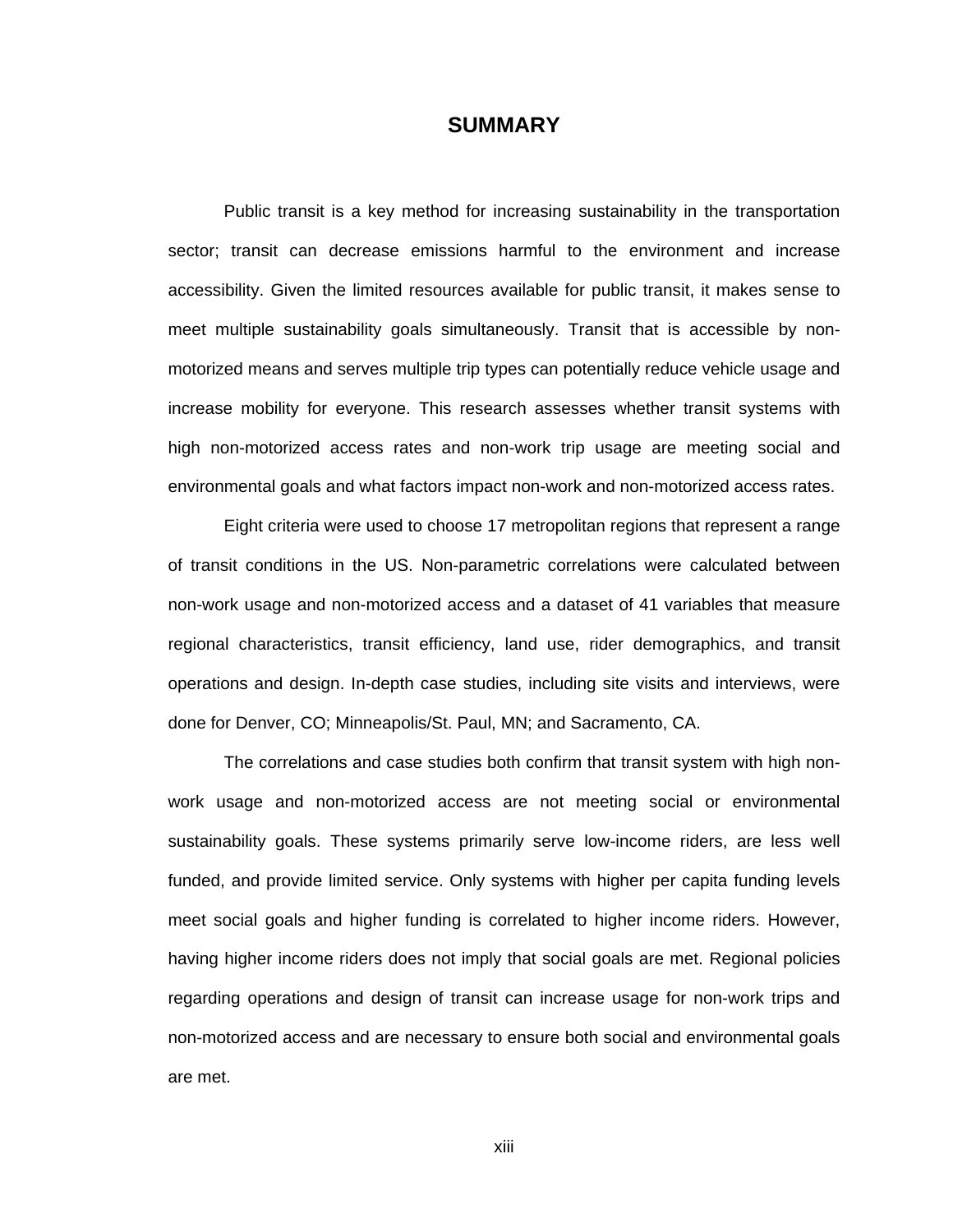#### **SUMMARY**

Public transit is a key method for increasing sustainability in the transportation sector; transit can decrease emissions harmful to the environment and increase accessibility. Given the limited resources available for public transit, it makes sense to meet multiple sustainability goals simultaneously. Transit that is accessible by nonmotorized means and serves multiple trip types can potentially reduce vehicle usage and increase mobility for everyone. This research assesses whether transit systems with high non-motorized access rates and non-work trip usage are meeting social and environmental goals and what factors impact non-work and non-motorized access rates.

Eight criteria were used to choose 17 metropolitan regions that represent a range of transit conditions in the US. Non-parametric correlations were calculated between non-work usage and non-motorized access and a dataset of 41 variables that measure regional characteristics, transit efficiency, land use, rider demographics, and transit operations and design. In-depth case studies, including site visits and interviews, were done for Denver, CO; Minneapolis/St. Paul, MN; and Sacramento, CA.

The correlations and case studies both confirm that transit system with high nonwork usage and non-motorized access are not meeting social or environmental sustainability goals. These systems primarily serve low-income riders, are less well funded, and provide limited service. Only systems with higher per capita funding levels meet social goals and higher funding is correlated to higher income riders. However, having higher income riders does not imply that social goals are met. Regional policies regarding operations and design of transit can increase usage for non-work trips and non-motorized access and are necessary to ensure both social and environmental goals are met.

xiii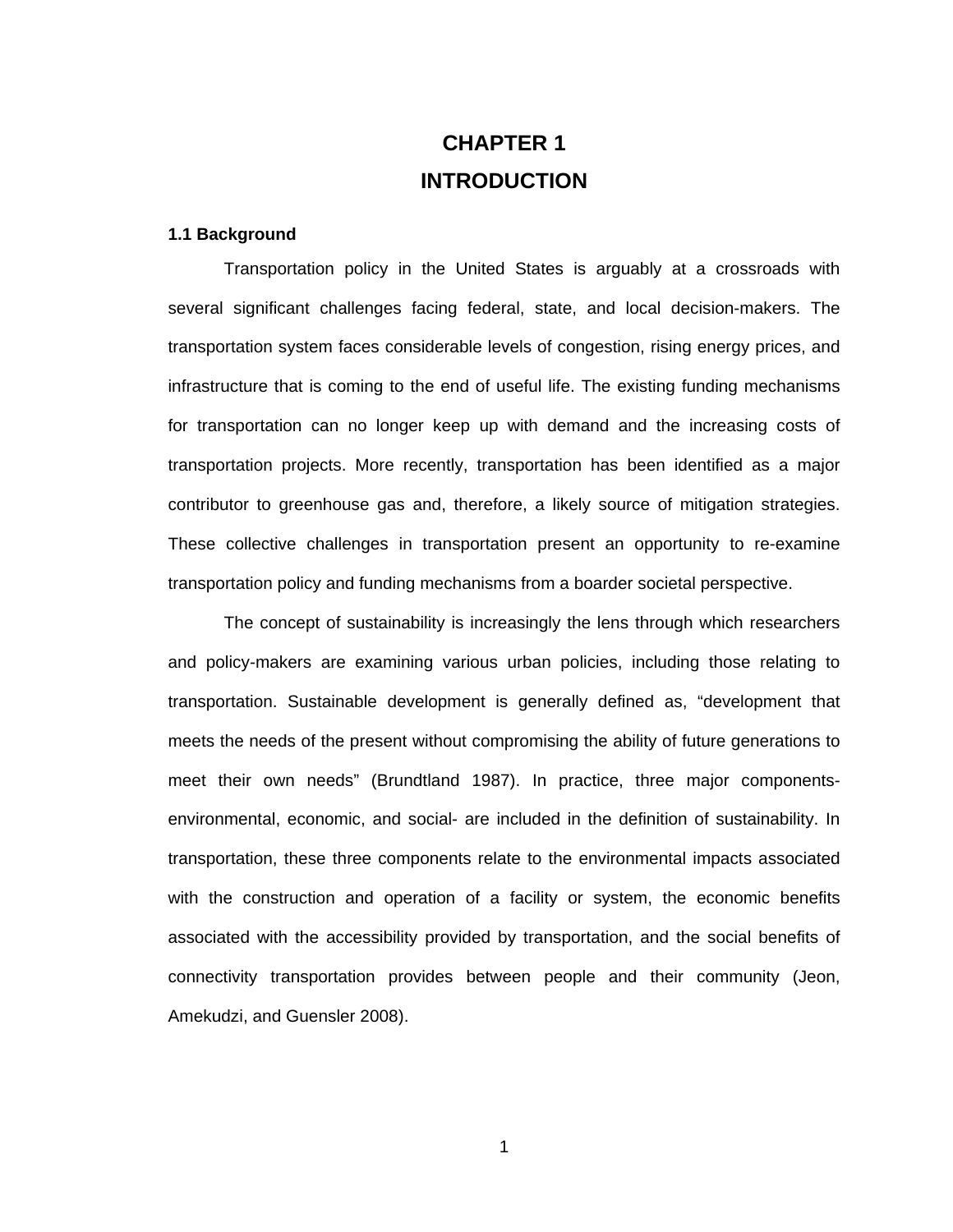# **CHAPTER 1 INTRODUCTION**

#### **1.1 Background**

Transportation policy in the United States is arguably at a crossroads with several significant challenges facing federal, state, and local decision-makers. The transportation system faces considerable levels of congestion, rising energy prices, and infrastructure that is coming to the end of useful life. The existing funding mechanisms for transportation can no longer keep up with demand and the increasing costs of transportation projects. More recently, transportation has been identified as a major contributor to greenhouse gas and, therefore, a likely source of mitigation strategies. These collective challenges in transportation present an opportunity to re-examine transportation policy and funding mechanisms from a boarder societal perspective.

The concept of sustainability is increasingly the lens through which researchers and policy-makers are examining various urban policies, including those relating to transportation. Sustainable development is generally defined as, "development that meets the needs of the present without compromising the ability of future generations to meet their own needs" (Brundtland 1987). In practice, three major componentsenvironmental, economic, and social- are included in the definition of sustainability. In transportation, these three components relate to the environmental impacts associated with the construction and operation of a facility or system, the economic benefits associated with the accessibility provided by transportation, and the social benefits of connectivity transportation provides between people and their community (Jeon, Amekudzi, and Guensler 2008).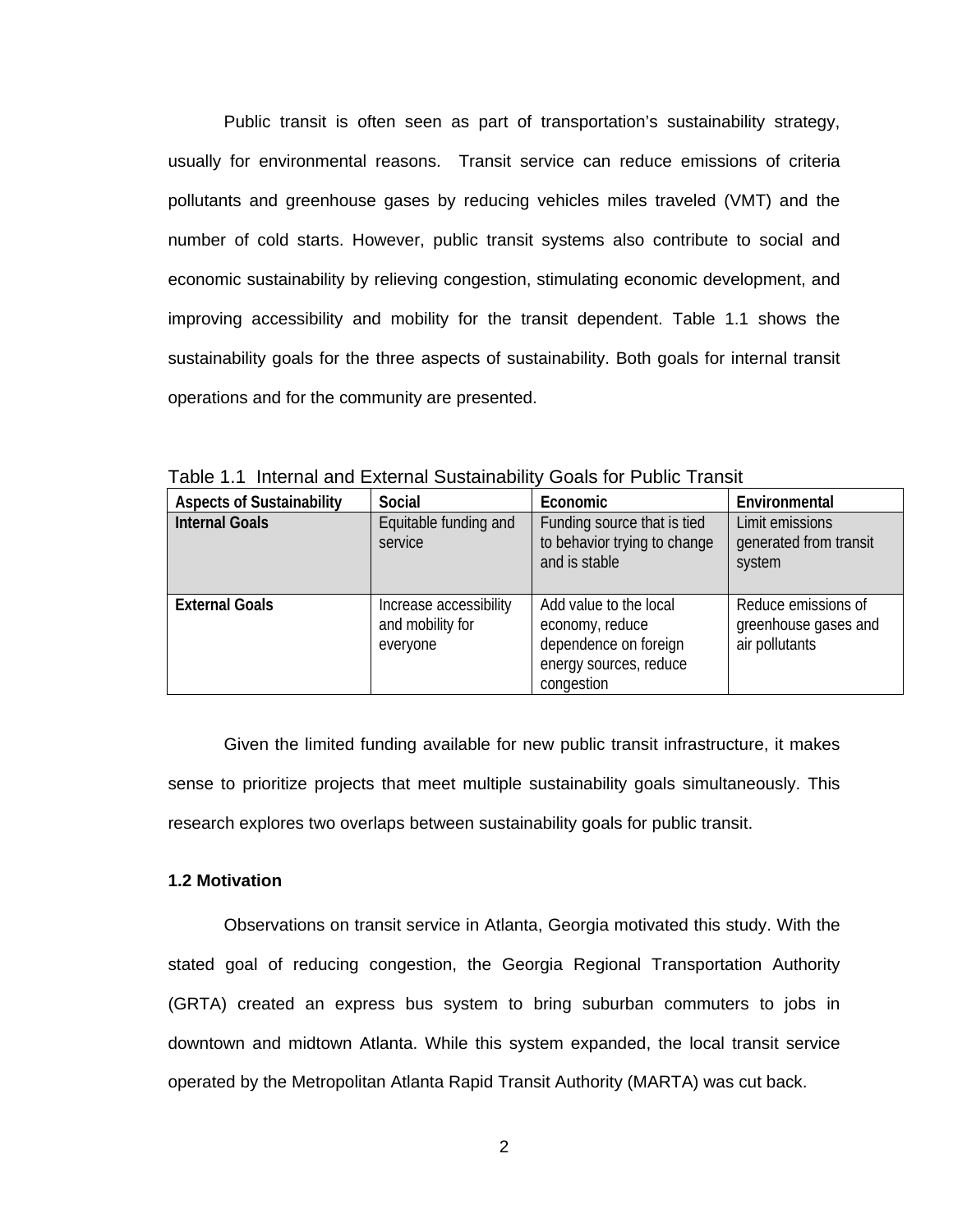Public transit is often seen as part of transportation's sustainability strategy, usually for environmental reasons. Transit service can reduce emissions of criteria pollutants and greenhouse gases by reducing vehicles miles traveled (VMT) and the number of cold starts. However, public transit systems also contribute to social and economic sustainability by relieving congestion, stimulating economic development, and improving accessibility and mobility for the transit dependent. Table 1.1 shows the sustainability goals for the three aspects of sustainability. Both goals for internal transit operations and for the community are presented.

| <b>Aspects of Sustainability</b> | Social                                                 | Economic                                                                                                   | Environmental                                                 |
|----------------------------------|--------------------------------------------------------|------------------------------------------------------------------------------------------------------------|---------------------------------------------------------------|
| <b>Internal Goals</b>            | Equitable funding and<br>service                       | Funding source that is tied<br>to behavior trying to change<br>and is stable                               | Limit emissions<br>generated from transit<br>system           |
| <b>External Goals</b>            | Increase accessibility<br>and mobility for<br>everyone | Add value to the local<br>economy, reduce<br>dependence on foreign<br>energy sources, reduce<br>congestion | Reduce emissions of<br>greenhouse gases and<br>air pollutants |

Table 1.1 Internal and External Sustainability Goals for Public Transit

Given the limited funding available for new public transit infrastructure, it makes sense to prioritize projects that meet multiple sustainability goals simultaneously. This research explores two overlaps between sustainability goals for public transit.

#### **1.2 Motivation**

Observations on transit service in Atlanta, Georgia motivated this study. With the stated goal of reducing congestion, the Georgia Regional Transportation Authority (GRTA) created an express bus system to bring suburban commuters to jobs in downtown and midtown Atlanta. While this system expanded, the local transit service operated by the Metropolitan Atlanta Rapid Transit Authority (MARTA) was cut back.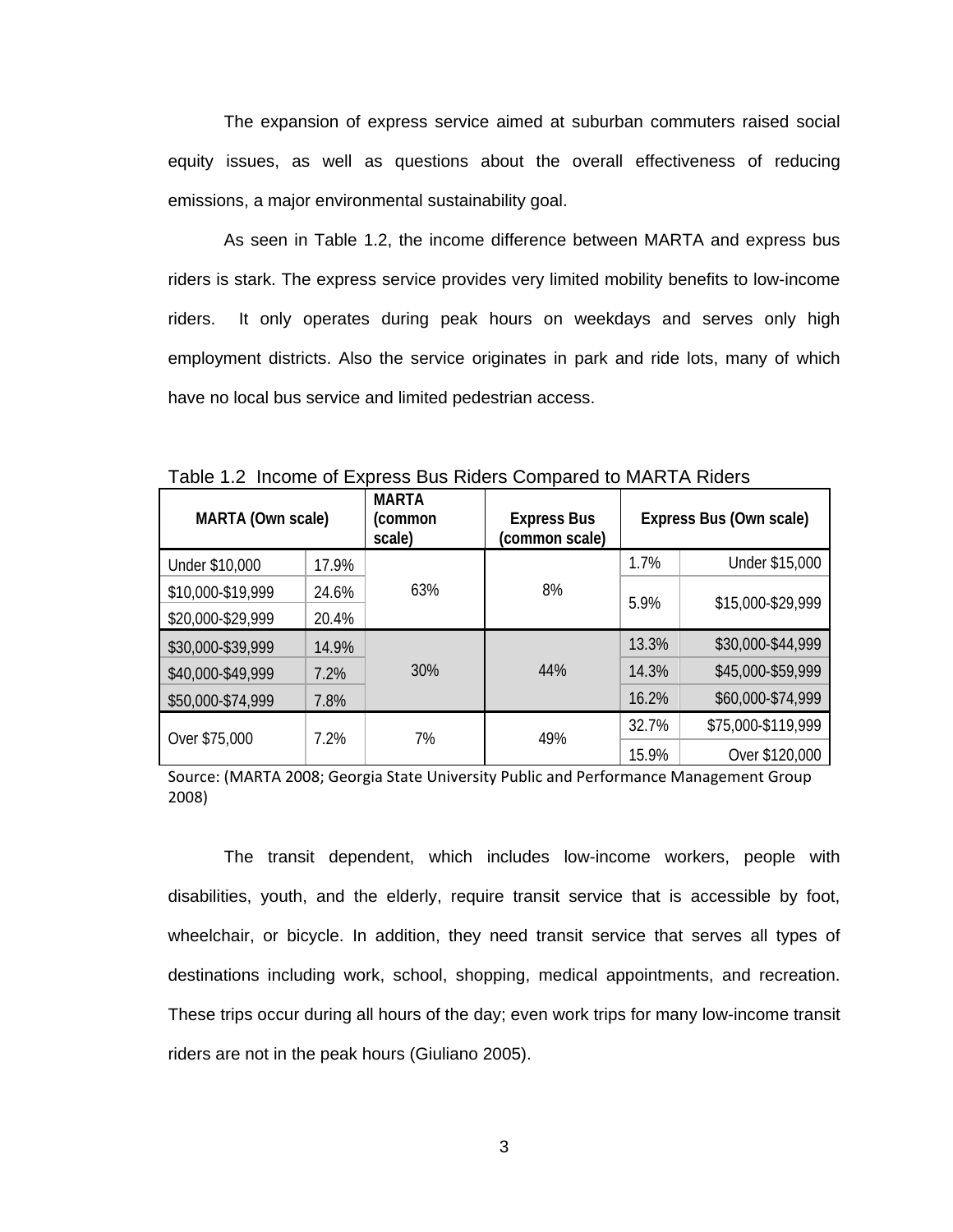The expansion of express service aimed at suburban commuters raised social equity issues, as well as questions about the overall effectiveness of reducing emissions, a major environmental sustainability goal.

As seen in Table 1.2, the income difference between MARTA and express bus riders is stark. The express service provides very limited mobility benefits to low-income riders. It only operates during peak hours on weekdays and serves only high employment districts. Also the service originates in park and ride lots, many of which have no local bus service and limited pedestrian access.

| MARTA (Own scale) |       | <b>MARTA</b><br>(common<br>scale) | <b>Express Bus</b><br>(common scale) | Express Bus (Own scale) |                    |
|-------------------|-------|-----------------------------------|--------------------------------------|-------------------------|--------------------|
| Under \$10,000    | 17.9% |                                   |                                      | 1.7%                    | Under \$15,000     |
| \$10,000-\$19,999 | 24.6% | 63%                               | 8%                                   | 5.9%                    | \$15,000-\$29,999  |
| \$20,000-\$29,999 | 20.4% |                                   |                                      |                         |                    |
| \$30,000-\$39,999 | 14.9% |                                   |                                      | 13.3%                   | \$30,000-\$44,999  |
| \$40,000-\$49,999 | 7.2%  | 30%                               | 44%                                  | 14.3%                   | \$45,000-\$59,999  |
| \$50,000-\$74,999 | 7.8%  |                                   |                                      | 16.2%                   | \$60,000-\$74,999  |
|                   | 7.2%  | 7%                                | 49%                                  | 32.7%                   | \$75,000-\$119,999 |
| Over \$75,000     |       |                                   |                                      | 15.9%                   | Over \$120,000     |

Table 1.2 Income of Express Bus Riders Compared to MARTA Riders

Source: (MARTA 2008; Georgia State University Public and Performance Management Group 2008)

The transit dependent, which includes low-income workers, people with disabilities, youth, and the elderly, require transit service that is accessible by foot, wheelchair, or bicycle. In addition, they need transit service that serves all types of destinations including work, school, shopping, medical appointments, and recreation. These trips occur during all hours of the day; even work trips for many low-income transit riders are not in the peak hours (Giuliano 2005).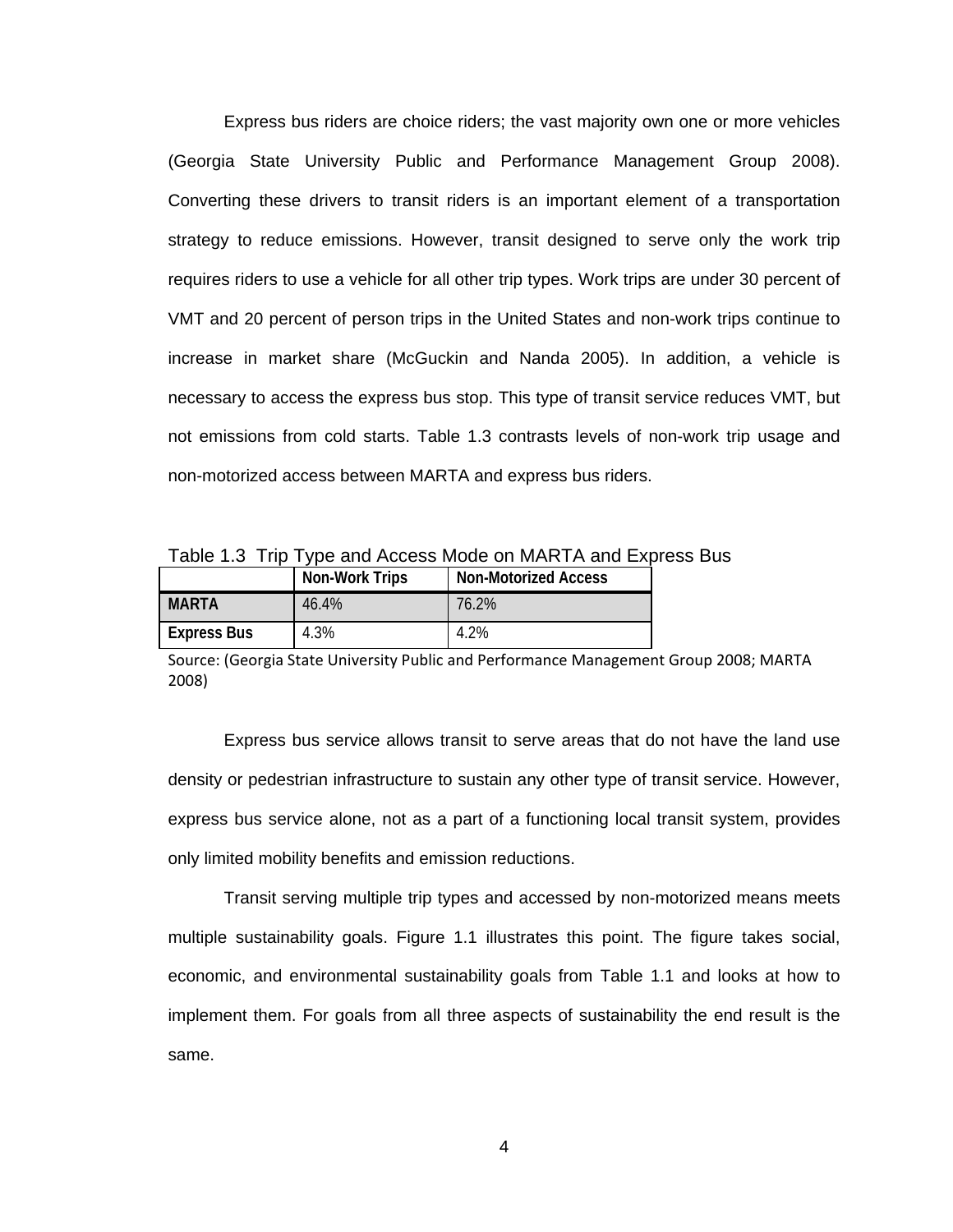Express bus riders are choice riders; the vast majority own one or more vehicles (Georgia State University Public and Performance Management Group 2008). Converting these drivers to transit riders is an important element of a transportation strategy to reduce emissions. However, transit designed to serve only the work trip requires riders to use a vehicle for all other trip types. Work trips are under 30 percent of VMT and 20 percent of person trips in the United States and non-work trips continue to increase in market share (McGuckin and Nanda 2005). In addition, a vehicle is necessary to access the express bus stop. This type of transit service reduces VMT, but not emissions from cold starts. Table 1.3 contrasts levels of non-work trip usage and non-motorized access between MARTA and express bus riders.

Table 1.3 Trip Type and Access Mode on MARTA and Express Bus

|                    | Non-Work Trips | <b>Non-Motorized Access</b> |
|--------------------|----------------|-----------------------------|
| <b>MARTA</b>       | 46.4%          | 76.2%                       |
| <b>Express Bus</b> | 4.3%           | 4.2%                        |

Source: (Georgia State University Public and Performance Management Group 2008; MARTA 2008)

Express bus service allows transit to serve areas that do not have the land use density or pedestrian infrastructure to sustain any other type of transit service. However, express bus service alone, not as a part of a functioning local transit system, provides only limited mobility benefits and emission reductions.

Transit serving multiple trip types and accessed by non-motorized means meets multiple sustainability goals. Figure 1.1 illustrates this point. The figure takes social, economic, and environmental sustainability goals from Table 1.1 and looks at how to implement them. For goals from all three aspects of sustainability the end result is the same.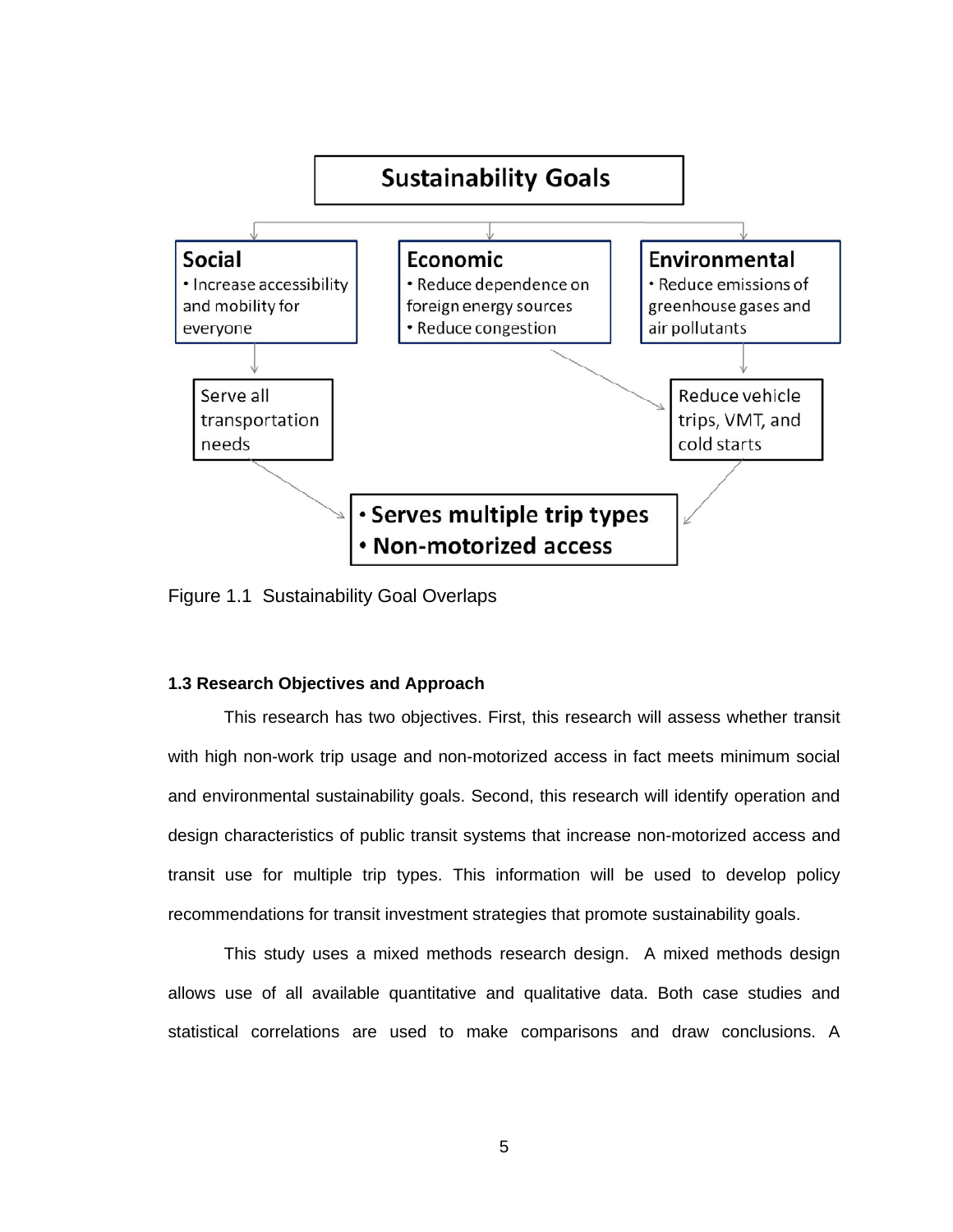

Figure 1.1 Sustainability Goal Overlaps

#### **1.3 Research Objectives and Approach**

This research has two objectives. First, this research will assess whether transit with high non-work trip usage and non-motorized access in fact meets minimum social and environmental sustainability goals. Second, this research will identify operation and design characteristics of public transit systems that increase non-motorized access and transit use for multiple trip types. This information will be used to develop policy recommendations for transit investment strategies that promote sustainability goals.

This study uses a mixed methods research design. A mixed methods design allows use of all available quantitative and qualitative data. Both case studies and statistical correlations are used to make comparisons and draw conclusions. A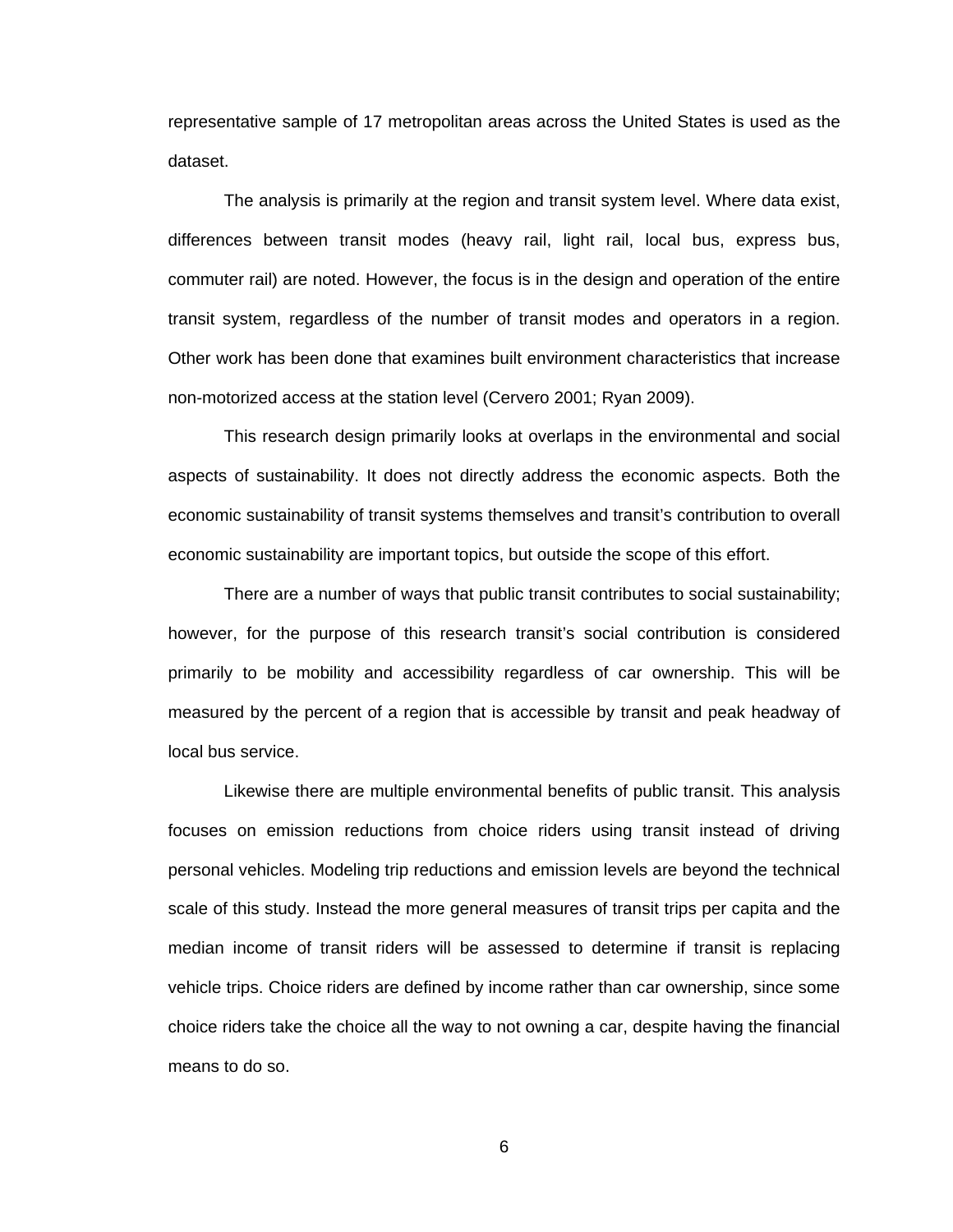representative sample of 17 metropolitan areas across the United States is used as the dataset.

The analysis is primarily at the region and transit system level. Where data exist, differences between transit modes (heavy rail, light rail, local bus, express bus, commuter rail) are noted. However, the focus is in the design and operation of the entire transit system, regardless of the number of transit modes and operators in a region. Other work has been done that examines built environment characteristics that increase non-motorized access at the station level (Cervero 2001; Ryan 2009).

This research design primarily looks at overlaps in the environmental and social aspects of sustainability. It does not directly address the economic aspects. Both the economic sustainability of transit systems themselves and transit's contribution to overall economic sustainability are important topics, but outside the scope of this effort.

There are a number of ways that public transit contributes to social sustainability; however, for the purpose of this research transit's social contribution is considered primarily to be mobility and accessibility regardless of car ownership. This will be measured by the percent of a region that is accessible by transit and peak headway of local bus service.

Likewise there are multiple environmental benefits of public transit. This analysis focuses on emission reductions from choice riders using transit instead of driving personal vehicles. Modeling trip reductions and emission levels are beyond the technical scale of this study. Instead the more general measures of transit trips per capita and the median income of transit riders will be assessed to determine if transit is replacing vehicle trips. Choice riders are defined by income rather than car ownership, since some choice riders take the choice all the way to not owning a car, despite having the financial means to do so.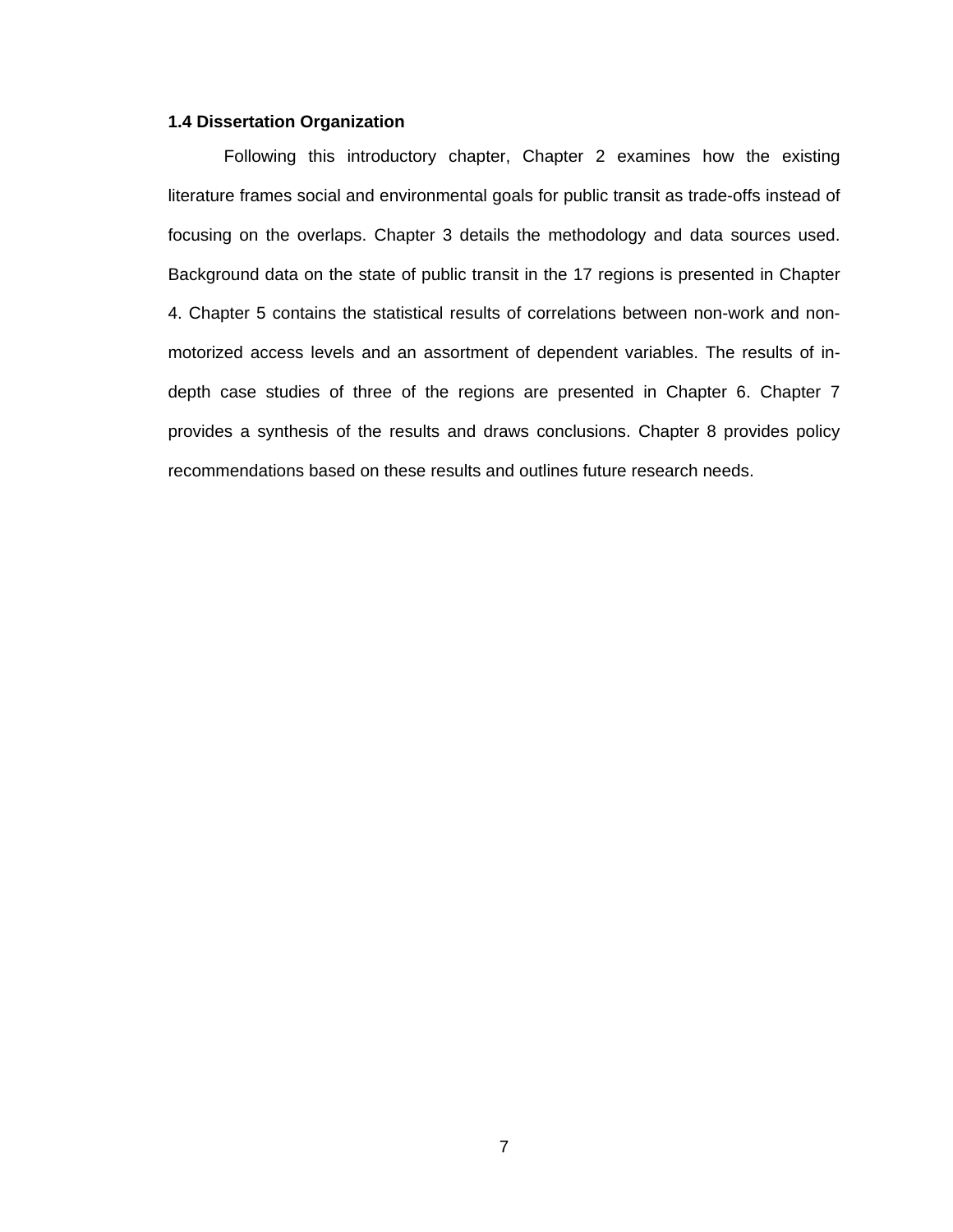#### **1.4 Dissertation Organization**

Following this introductory chapter, Chapter 2 examines how the existing literature frames social and environmental goals for public transit as trade-offs instead of focusing on the overlaps. Chapter 3 details the methodology and data sources used. Background data on the state of public transit in the 17 regions is presented in Chapter 4. Chapter 5 contains the statistical results of correlations between non-work and nonmotorized access levels and an assortment of dependent variables. The results of indepth case studies of three of the regions are presented in Chapter 6. Chapter 7 provides a synthesis of the results and draws conclusions. Chapter 8 provides policy recommendations based on these results and outlines future research needs.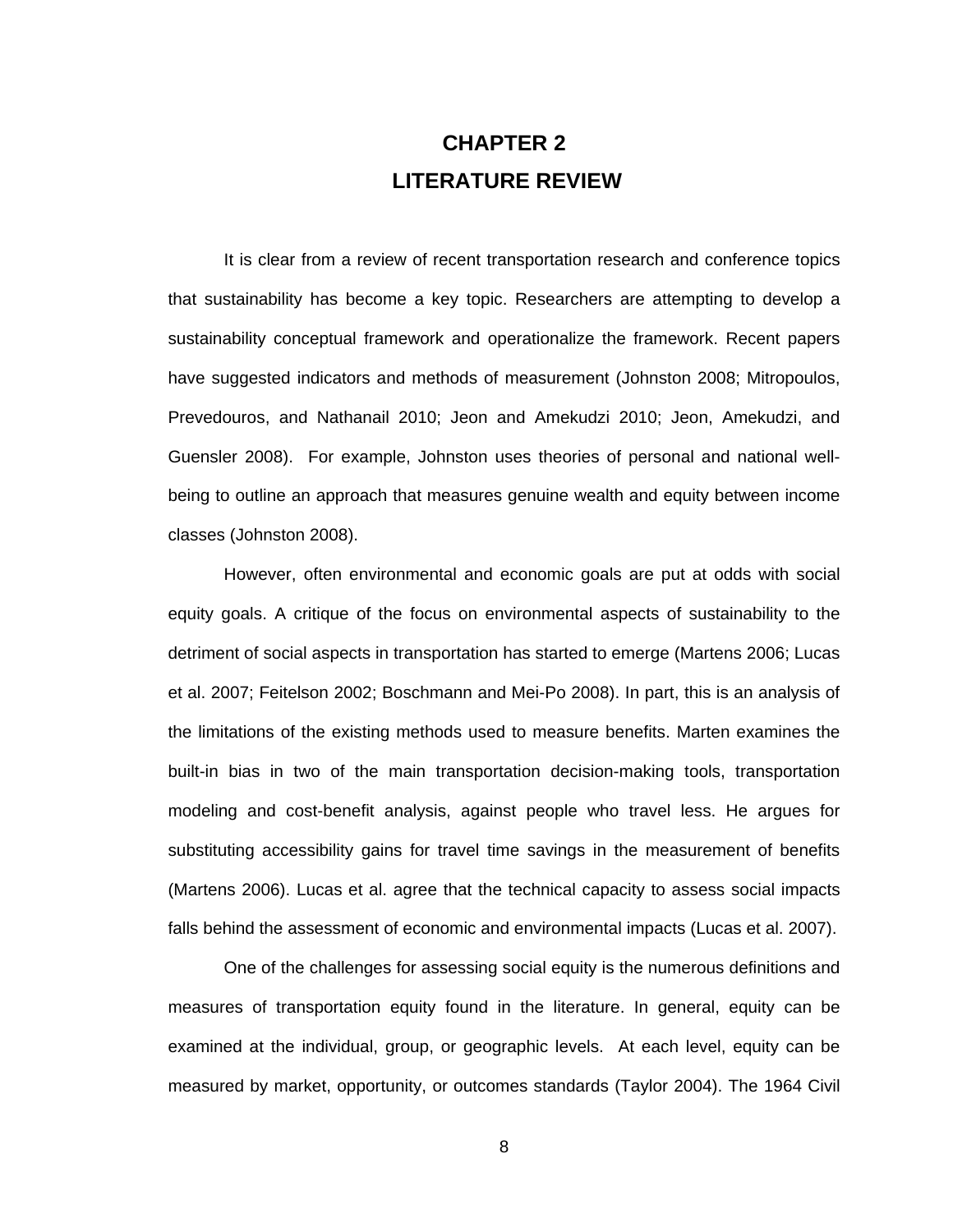# **CHAPTER 2 LITERATURE REVIEW**

It is clear from a review of recent transportation research and conference topics that sustainability has become a key topic. Researchers are attempting to develop a sustainability conceptual framework and operationalize the framework. Recent papers have suggested indicators and methods of measurement (Johnston 2008; Mitropoulos, Prevedouros, and Nathanail 2010; Jeon and Amekudzi 2010; Jeon, Amekudzi, and Guensler 2008). For example, Johnston uses theories of personal and national wellbeing to outline an approach that measures genuine wealth and equity between income classes (Johnston 2008).

However, often environmental and economic goals are put at odds with social equity goals. A critique of the focus on environmental aspects of sustainability to the detriment of social aspects in transportation has started to emerge (Martens 2006; Lucas et al. 2007; Feitelson 2002; Boschmann and Mei-Po 2008). In part, this is an analysis of the limitations of the existing methods used to measure benefits. Marten examines the built-in bias in two of the main transportation decision-making tools, transportation modeling and cost-benefit analysis, against people who travel less. He argues for substituting accessibility gains for travel time savings in the measurement of benefits (Martens 2006). Lucas et al. agree that the technical capacity to assess social impacts falls behind the assessment of economic and environmental impacts (Lucas et al. 2007).

One of the challenges for assessing social equity is the numerous definitions and measures of transportation equity found in the literature. In general, equity can be examined at the individual, group, or geographic levels. At each level, equity can be measured by market, opportunity, or outcomes standards (Taylor 2004). The 1964 Civil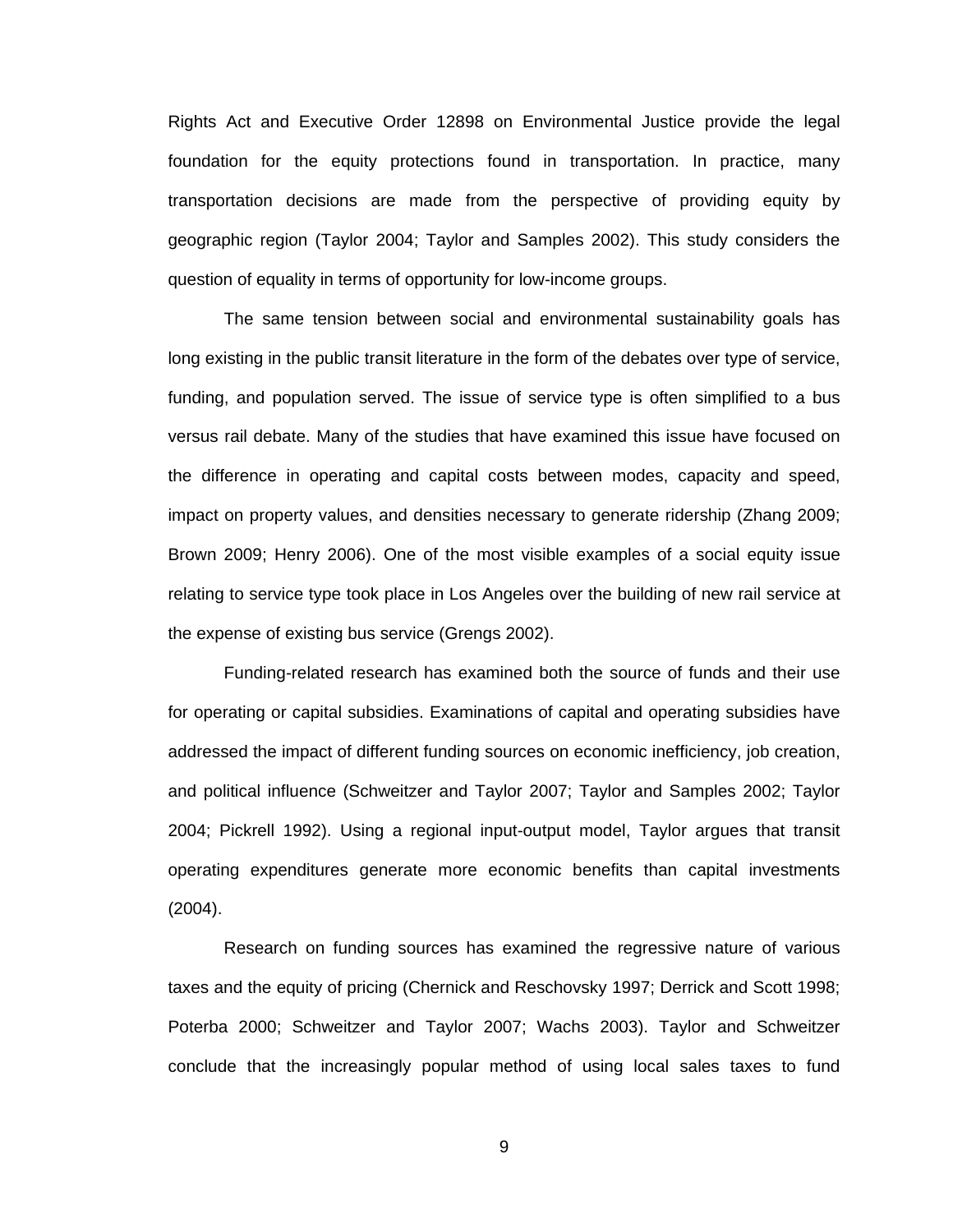Rights Act and Executive Order 12898 on Environmental Justice provide the legal foundation for the equity protections found in transportation. In practice, many transportation decisions are made from the perspective of providing equity by geographic region (Taylor 2004; Taylor and Samples 2002). This study considers the question of equality in terms of opportunity for low-income groups.

The same tension between social and environmental sustainability goals has long existing in the public transit literature in the form of the debates over type of service, funding, and population served. The issue of service type is often simplified to a bus versus rail debate. Many of the studies that have examined this issue have focused on the difference in operating and capital costs between modes, capacity and speed, impact on property values, and densities necessary to generate ridership (Zhang 2009; Brown 2009; Henry 2006). One of the most visible examples of a social equity issue relating to service type took place in Los Angeles over the building of new rail service at the expense of existing bus service (Grengs 2002).

Funding-related research has examined both the source of funds and their use for operating or capital subsidies. Examinations of capital and operating subsidies have addressed the impact of different funding sources on economic inefficiency, job creation, and political influence (Schweitzer and Taylor 2007; Taylor and Samples 2002; Taylor 2004; Pickrell 1992). Using a regional input-output model, Taylor argues that transit operating expenditures generate more economic benefits than capital investments (2004).

Research on funding sources has examined the regressive nature of various taxes and the equity of pricing (Chernick and Reschovsky 1997; Derrick and Scott 1998; Poterba 2000; Schweitzer and Taylor 2007; Wachs 2003). Taylor and Schweitzer conclude that the increasingly popular method of using local sales taxes to fund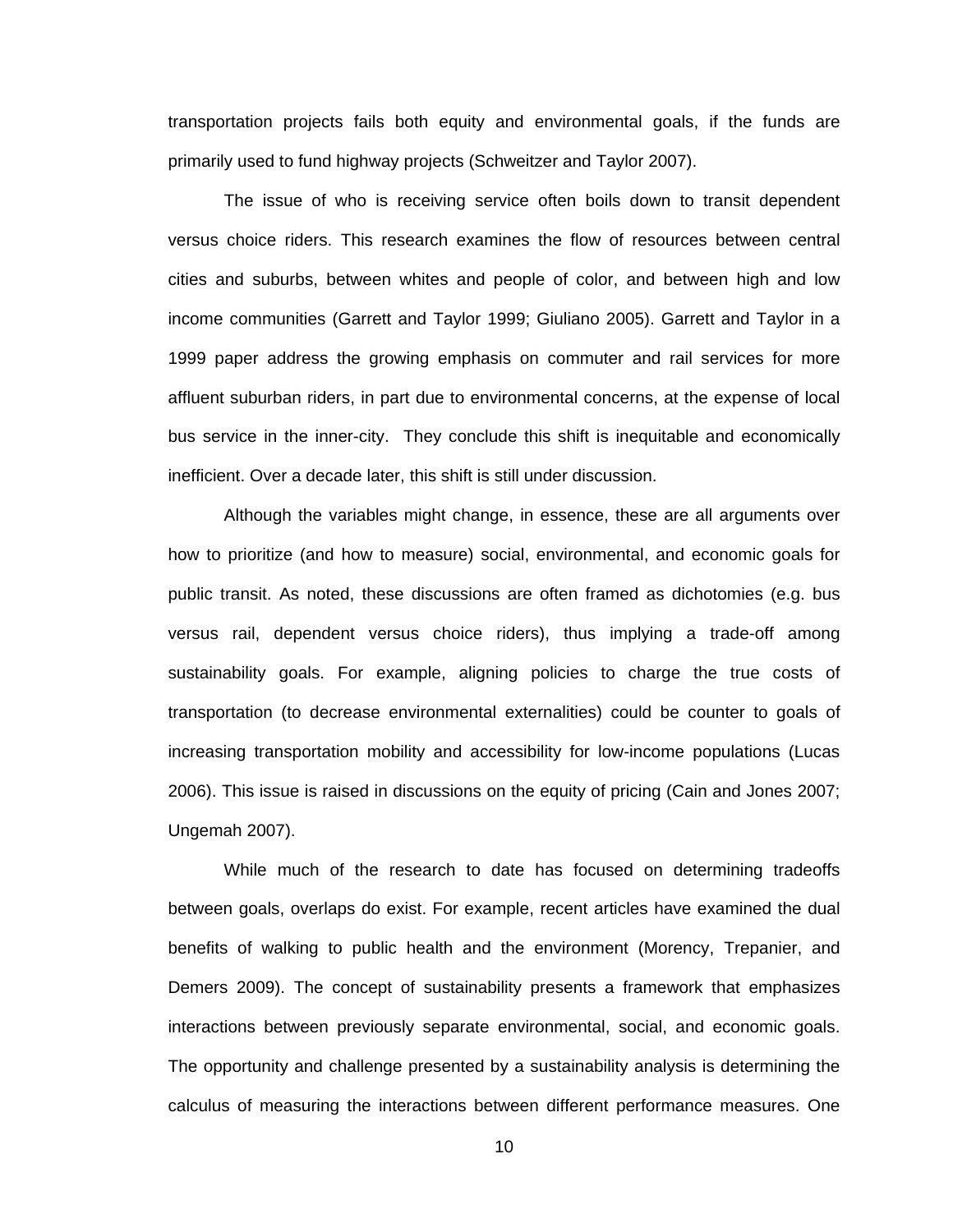transportation projects fails both equity and environmental goals, if the funds are primarily used to fund highway projects (Schweitzer and Taylor 2007).

The issue of who is receiving service often boils down to transit dependent versus choice riders. This research examines the flow of resources between central cities and suburbs, between whites and people of color, and between high and low income communities (Garrett and Taylor 1999; Giuliano 2005). Garrett and Taylor in a 1999 paper address the growing emphasis on commuter and rail services for more affluent suburban riders, in part due to environmental concerns, at the expense of local bus service in the inner-city. They conclude this shift is inequitable and economically inefficient. Over a decade later, this shift is still under discussion.

Although the variables might change, in essence, these are all arguments over how to prioritize (and how to measure) social, environmental, and economic goals for public transit. As noted, these discussions are often framed as dichotomies (e.g. bus versus rail, dependent versus choice riders), thus implying a trade-off among sustainability goals. For example, aligning policies to charge the true costs of transportation (to decrease environmental externalities) could be counter to goals of increasing transportation mobility and accessibility for low-income populations (Lucas 2006). This issue is raised in discussions on the equity of pricing (Cain and Jones 2007; Ungemah 2007).

While much of the research to date has focused on determining tradeoffs between goals, overlaps do exist. For example, recent articles have examined the dual benefits of walking to public health and the environment (Morency, Trepanier, and Demers 2009). The concept of sustainability presents a framework that emphasizes interactions between previously separate environmental, social, and economic goals. The opportunity and challenge presented by a sustainability analysis is determining the calculus of measuring the interactions between different performance measures. One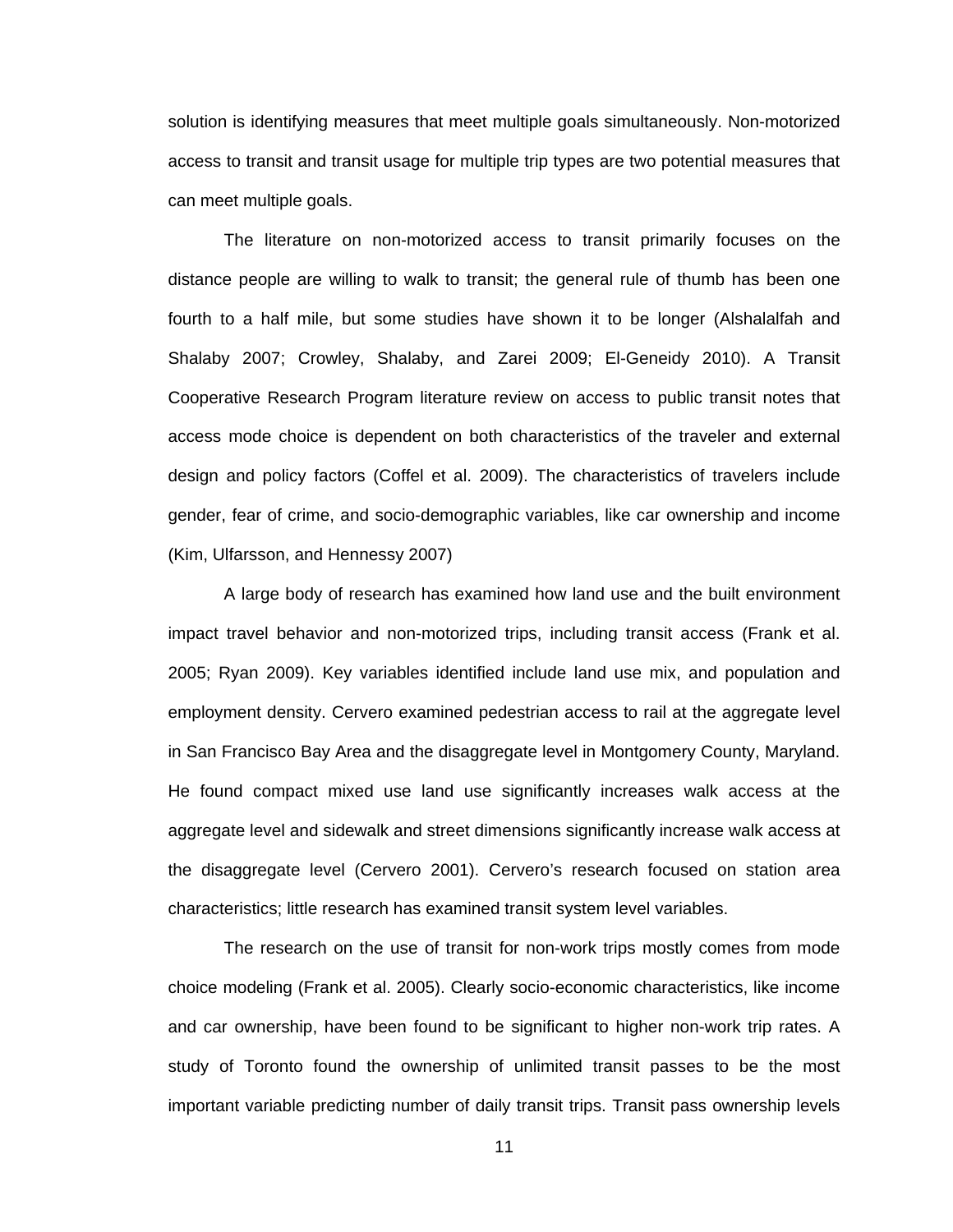solution is identifying measures that meet multiple goals simultaneously. Non-motorized access to transit and transit usage for multiple trip types are two potential measures that can meet multiple goals.

The literature on non-motorized access to transit primarily focuses on the distance people are willing to walk to transit; the general rule of thumb has been one fourth to a half mile, but some studies have shown it to be longer (Alshalalfah and Shalaby 2007; Crowley, Shalaby, and Zarei 2009; El-Geneidy 2010). A Transit Cooperative Research Program literature review on access to public transit notes that access mode choice is dependent on both characteristics of the traveler and external design and policy factors (Coffel et al. 2009). The characteristics of travelers include gender, fear of crime, and socio-demographic variables, like car ownership and income (Kim, Ulfarsson, and Hennessy 2007)

A large body of research has examined how land use and the built environment impact travel behavior and non-motorized trips, including transit access (Frank et al. 2005; Ryan 2009). Key variables identified include land use mix, and population and employment density. Cervero examined pedestrian access to rail at the aggregate level in San Francisco Bay Area and the disaggregate level in Montgomery County, Maryland. He found compact mixed use land use significantly increases walk access at the aggregate level and sidewalk and street dimensions significantly increase walk access at the disaggregate level (Cervero 2001). Cervero's research focused on station area characteristics; little research has examined transit system level variables.

The research on the use of transit for non-work trips mostly comes from mode choice modeling (Frank et al. 2005). Clearly socio-economic characteristics, like income and car ownership, have been found to be significant to higher non-work trip rates. A study of Toronto found the ownership of unlimited transit passes to be the most important variable predicting number of daily transit trips. Transit pass ownership levels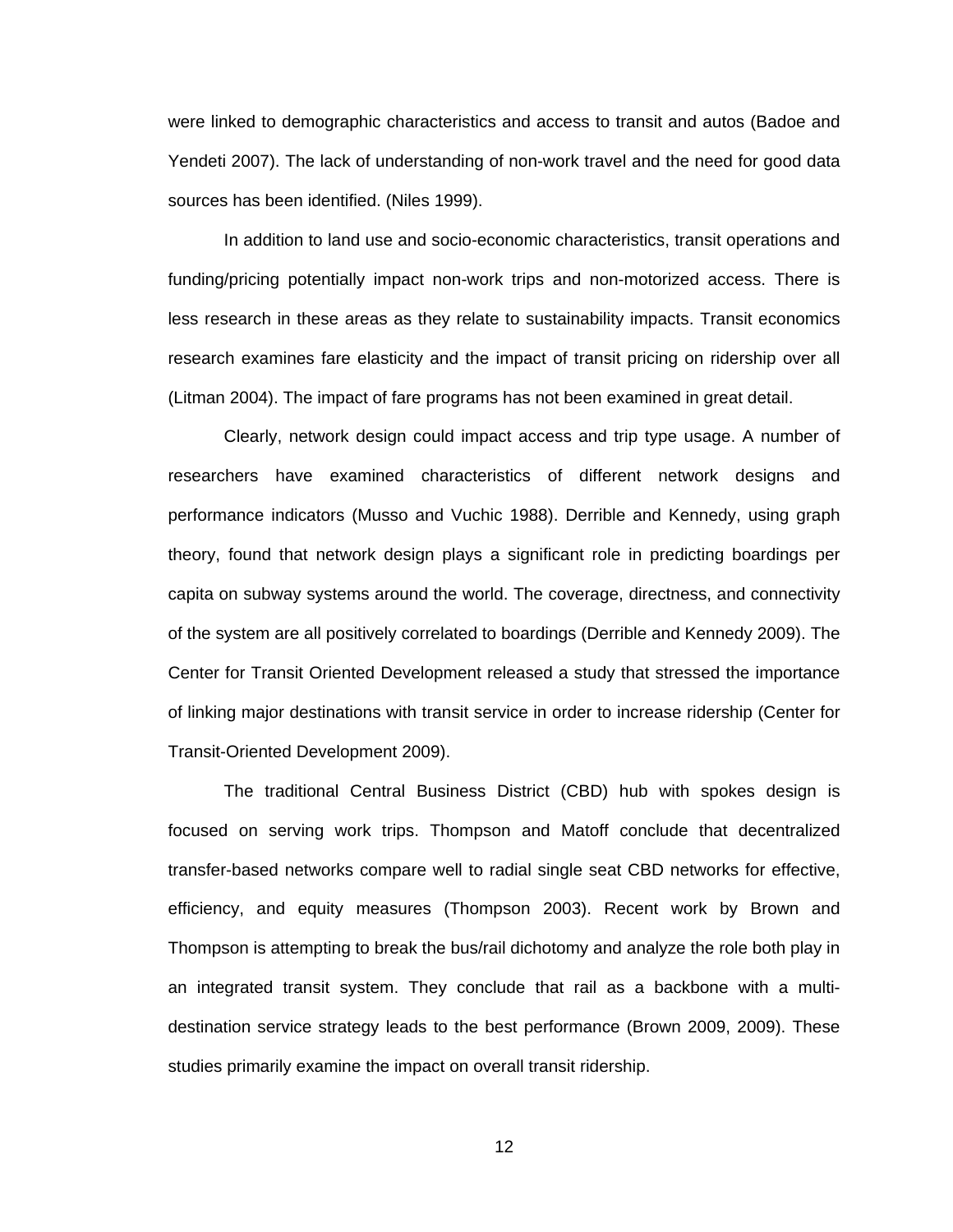were linked to demographic characteristics and access to transit and autos (Badoe and Yendeti 2007). The lack of understanding of non-work travel and the need for good data sources has been identified. (Niles 1999).

In addition to land use and socio-economic characteristics, transit operations and funding/pricing potentially impact non-work trips and non-motorized access. There is less research in these areas as they relate to sustainability impacts. Transit economics research examines fare elasticity and the impact of transit pricing on ridership over all (Litman 2004). The impact of fare programs has not been examined in great detail.

Clearly, network design could impact access and trip type usage. A number of researchers have examined characteristics of different network designs and performance indicators (Musso and Vuchic 1988). Derrible and Kennedy, using graph theory, found that network design plays a significant role in predicting boardings per capita on subway systems around the world. The coverage, directness, and connectivity of the system are all positively correlated to boardings (Derrible and Kennedy 2009). The Center for Transit Oriented Development released a study that stressed the importance of linking major destinations with transit service in order to increase ridership (Center for Transit-Oriented Development 2009).

The traditional Central Business District (CBD) hub with spokes design is focused on serving work trips. Thompson and Matoff conclude that decentralized transfer-based networks compare well to radial single seat CBD networks for effective, efficiency, and equity measures (Thompson 2003). Recent work by Brown and Thompson is attempting to break the bus/rail dichotomy and analyze the role both play in an integrated transit system. They conclude that rail as a backbone with a multidestination service strategy leads to the best performance (Brown 2009, 2009). These studies primarily examine the impact on overall transit ridership.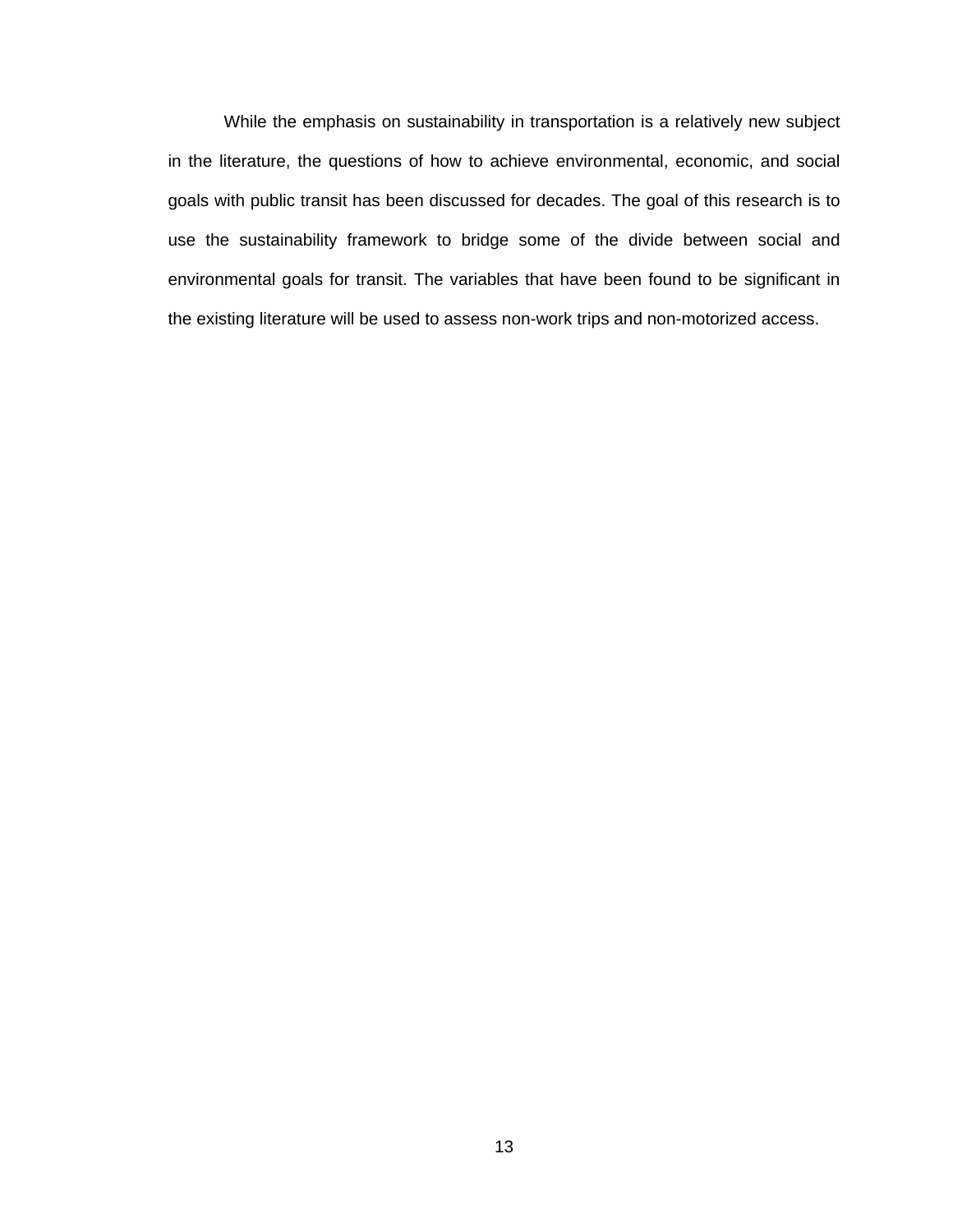While the emphasis on sustainability in transportation is a relatively new subject in the literature, the questions of how to achieve environmental, economic, and social goals with public transit has been discussed for decades. The goal of this research is to use the sustainability framework to bridge some of the divide between social and environmental goals for transit. The variables that have been found to be significant in the existing literature will be used to assess non-work trips and non-motorized access.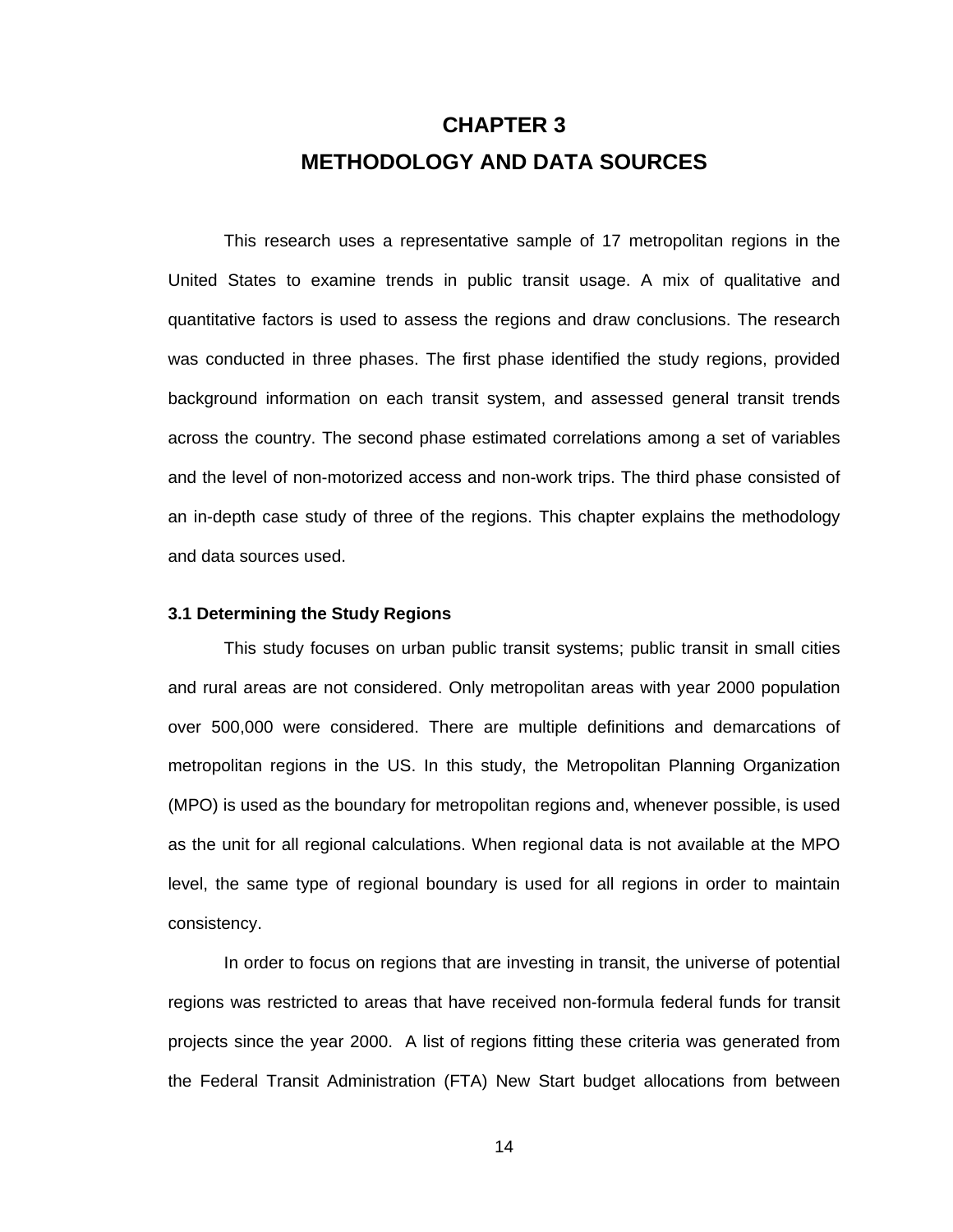# **CHAPTER 3 METHODOLOGY AND DATA SOURCES**

This research uses a representative sample of 17 metropolitan regions in the United States to examine trends in public transit usage. A mix of qualitative and quantitative factors is used to assess the regions and draw conclusions. The research was conducted in three phases. The first phase identified the study regions, provided background information on each transit system, and assessed general transit trends across the country. The second phase estimated correlations among a set of variables and the level of non-motorized access and non-work trips. The third phase consisted of an in-depth case study of three of the regions. This chapter explains the methodology and data sources used.

#### **3.1 Determining the Study Regions**

This study focuses on urban public transit systems; public transit in small cities and rural areas are not considered. Only metropolitan areas with year 2000 population over 500,000 were considered. There are multiple definitions and demarcations of metropolitan regions in the US. In this study, the Metropolitan Planning Organization (MPO) is used as the boundary for metropolitan regions and, whenever possible, is used as the unit for all regional calculations. When regional data is not available at the MPO level, the same type of regional boundary is used for all regions in order to maintain consistency.

In order to focus on regions that are investing in transit, the universe of potential regions was restricted to areas that have received non-formula federal funds for transit projects since the year 2000. A list of regions fitting these criteria was generated from the Federal Transit Administration (FTA) New Start budget allocations from between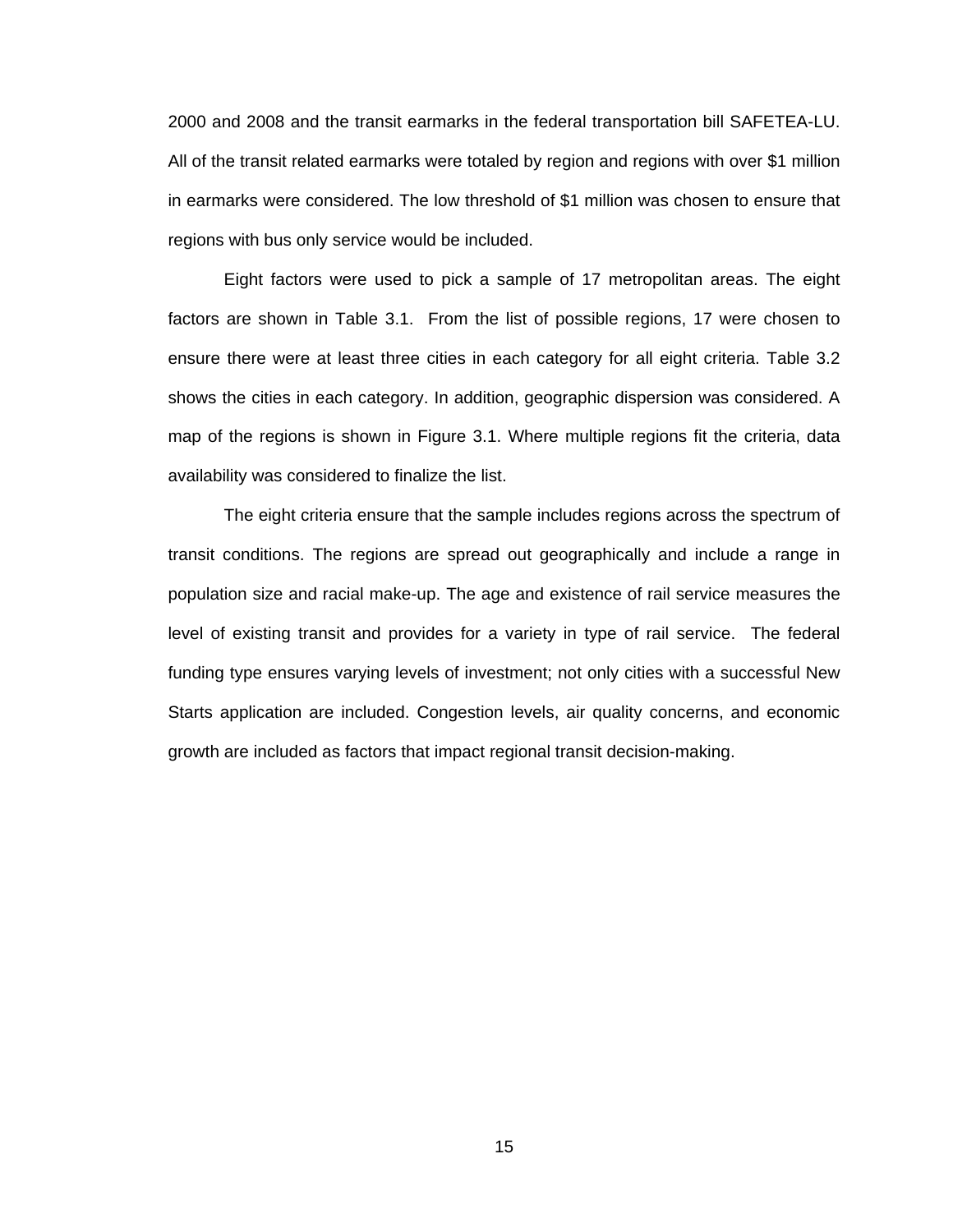2000 and 2008 and the transit earmarks in the federal transportation bill SAFETEA-LU. All of the transit related earmarks were totaled by region and regions with over \$1 million in earmarks were considered. The low threshold of \$1 million was chosen to ensure that regions with bus only service would be included.

Eight factors were used to pick a sample of 17 metropolitan areas. The eight factors are shown in Table 3.1. From the list of possible regions, 17 were chosen to ensure there were at least three cities in each category for all eight criteria. Table 3.2 shows the cities in each category. In addition, geographic dispersion was considered. A map of the regions is shown in Figure 3.1. Where multiple regions fit the criteria, data availability was considered to finalize the list.

The eight criteria ensure that the sample includes regions across the spectrum of transit conditions. The regions are spread out geographically and include a range in population size and racial make-up. The age and existence of rail service measures the level of existing transit and provides for a variety in type of rail service. The federal funding type ensures varying levels of investment; not only cities with a successful New Starts application are included. Congestion levels, air quality concerns, and economic growth are included as factors that impact regional transit decision-making.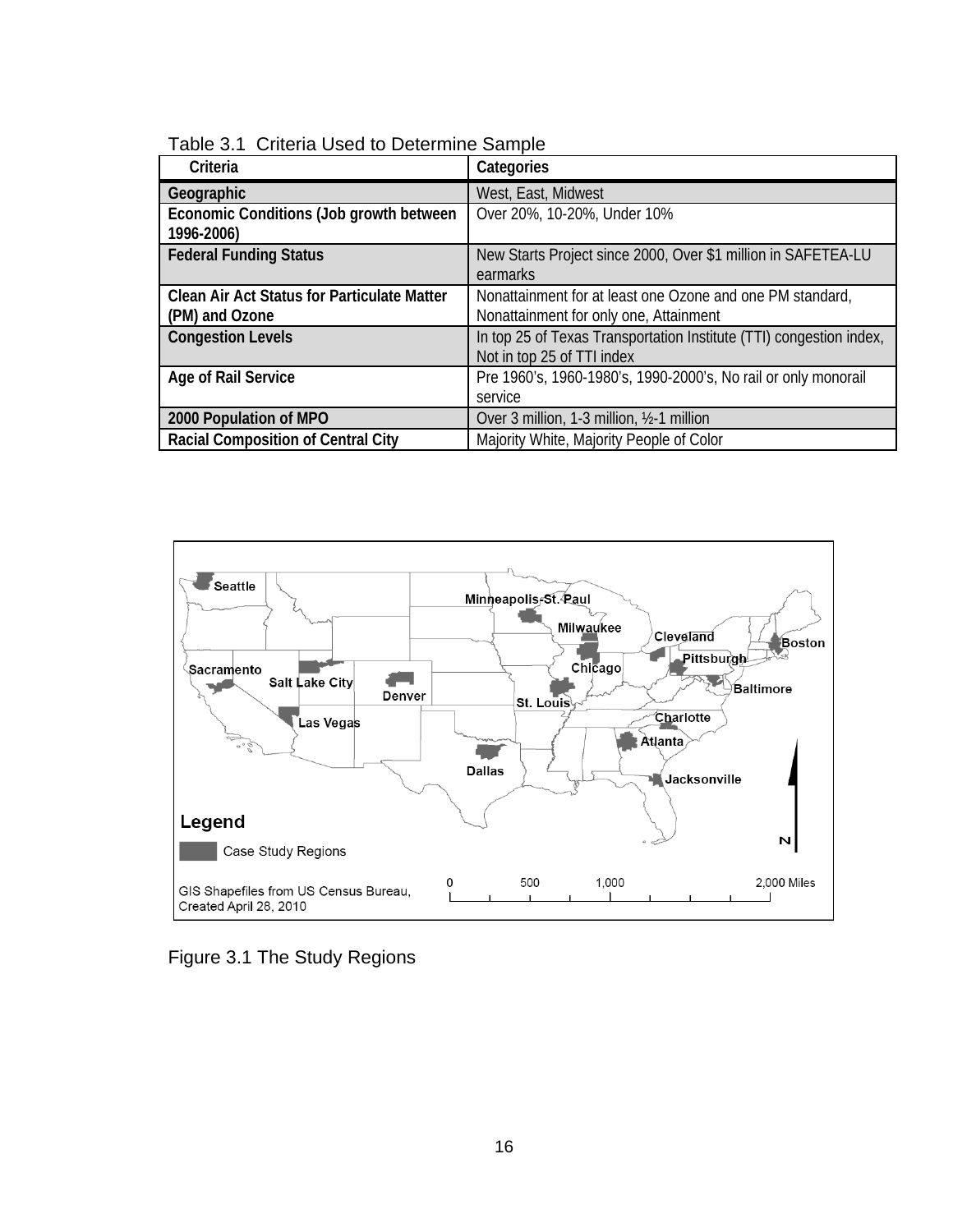| Criteria                                              | Categories                                                          |
|-------------------------------------------------------|---------------------------------------------------------------------|
| Geographic                                            | West, East, Midwest                                                 |
| Economic Conditions (Job growth between<br>1996-2006) | Over 20%, 10-20%, Under 10%                                         |
| <b>Federal Funding Status</b>                         | New Starts Project since 2000, Over \$1 million in SAFETEA-LU       |
|                                                       | earmarks                                                            |
| <b>Clean Air Act Status for Particulate Matter</b>    | Nonattainment for at least one Ozone and one PM standard,           |
| (PM) and Ozone                                        | Nonattainment for only one, Attainment                              |
| <b>Congestion Levels</b>                              | In top 25 of Texas Transportation Institute (TTI) congestion index, |
|                                                       | Not in top 25 of TTI index                                          |
| Age of Rail Service                                   | Pre 1960's, 1960-1980's, 1990-2000's, No rail or only monorail      |
|                                                       | service                                                             |
| 2000 Population of MPO                                | Over 3 million, 1-3 million, 1/2-1 million                          |
| <b>Racial Composition of Central City</b>             | Majority White, Majority People of Color                            |

Table 3.1 Criteria Used to Determine Sample



Figure 3.1 The Study Regions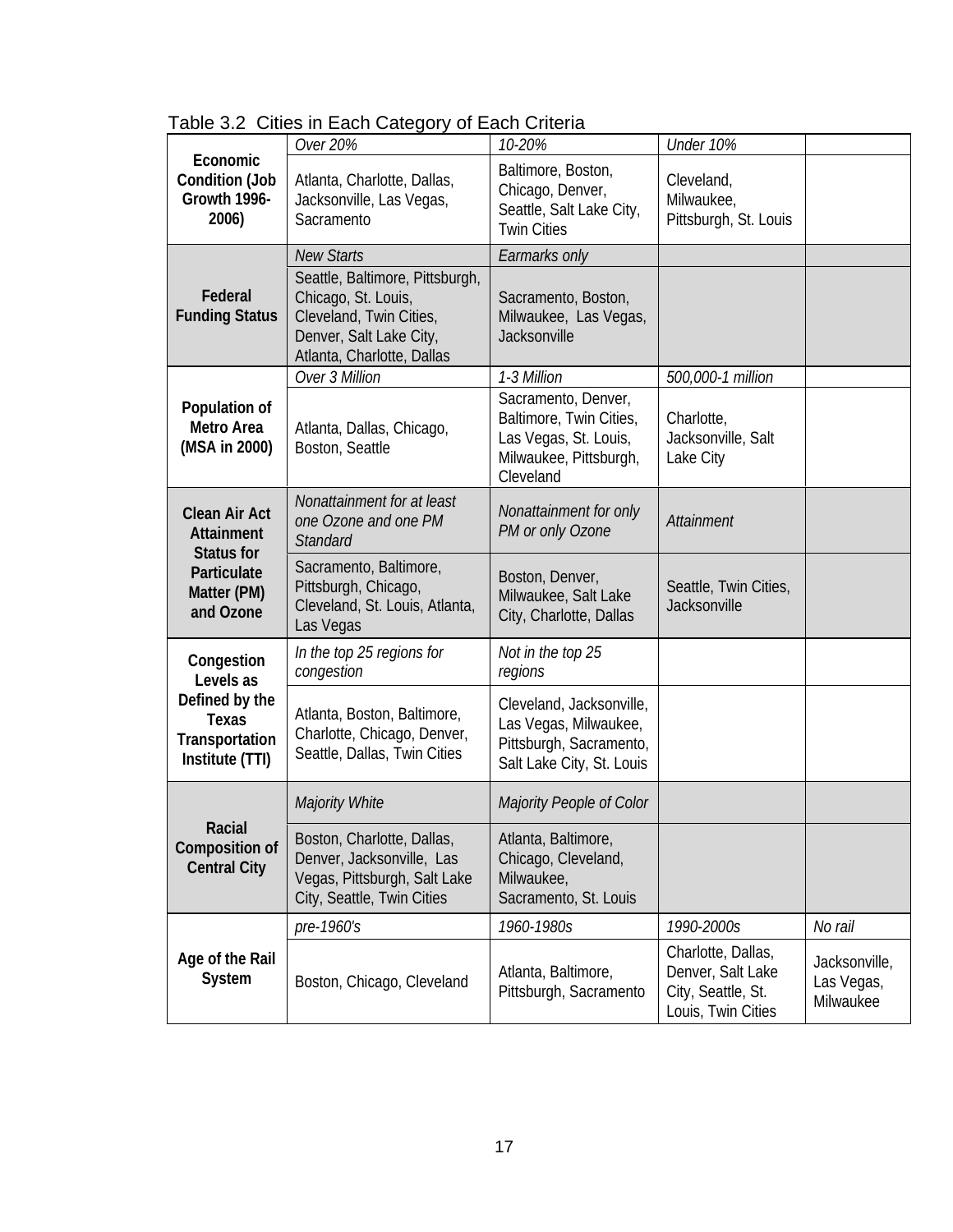|                                                                | Over 20%                                                                                                                                   | 10-20%                                                                                                         | Under 10%                                                                           |                                          |
|----------------------------------------------------------------|--------------------------------------------------------------------------------------------------------------------------------------------|----------------------------------------------------------------------------------------------------------------|-------------------------------------------------------------------------------------|------------------------------------------|
| Economic<br><b>Condition (Job</b><br>Growth 1996-<br>2006)     | Atlanta, Charlotte, Dallas,<br>Jacksonville, Las Vegas,<br>Sacramento                                                                      | Baltimore, Boston,<br>Chicago, Denver,<br>Seattle, Salt Lake City,<br><b>Twin Cities</b>                       | Cleveland,<br>Milwaukee,<br>Pittsburgh, St. Louis                                   |                                          |
|                                                                | <b>New Starts</b>                                                                                                                          | Earmarks only                                                                                                  |                                                                                     |                                          |
| Federal<br><b>Funding Status</b>                               | Seattle, Baltimore, Pittsburgh,<br>Chicago, St. Louis,<br>Cleveland, Twin Cities,<br>Denver, Salt Lake City,<br>Atlanta, Charlotte, Dallas | Sacramento, Boston,<br>Milwaukee, Las Vegas,<br>Jacksonville                                                   |                                                                                     |                                          |
|                                                                | Over 3 Million                                                                                                                             | 1-3 Million                                                                                                    | 500,000-1 million                                                                   |                                          |
| Population of<br>Metro Area<br>(MSA in 2000)                   | Atlanta, Dallas, Chicago,<br>Boston, Seattle                                                                                               | Sacramento, Denver,<br>Baltimore, Twin Cities,<br>Las Vegas, St. Louis,<br>Milwaukee, Pittsburgh,<br>Cleveland | Charlotte,<br>Jacksonville, Salt<br>Lake City                                       |                                          |
| <b>Clean Air Act</b><br><b>Attainment</b><br><b>Status for</b> | Nonattainment for at least<br>one Ozone and one PM<br><b>Standard</b>                                                                      | Nonattainment for only<br>PM or only Ozone                                                                     | Attainment                                                                          |                                          |
| Particulate<br>Matter (PM)<br>and Ozone                        | Sacramento, Baltimore,<br>Pittsburgh, Chicago,<br>Cleveland, St. Louis, Atlanta,<br>Las Vegas                                              | Boston, Denver,<br>Milwaukee, Salt Lake<br>City, Charlotte, Dallas                                             | Seattle, Twin Cities,<br>Jacksonville                                               |                                          |
| Congestion<br>Levels as                                        | In the top 25 regions for<br>congestion                                                                                                    | Not in the top 25<br>regions                                                                                   |                                                                                     |                                          |
| Defined by the<br>Texas<br>Transportation<br>Institute (TTI)   | Atlanta, Boston, Baltimore,<br>Charlotte, Chicago, Denver,<br>Seattle, Dallas, Twin Cities                                                 | Cleveland, Jacksonville,<br>Las Vegas, Milwaukee,<br>Pittsburgh, Sacramento,<br>Salt Lake City, St. Louis      |                                                                                     |                                          |
|                                                                | Majority White                                                                                                                             | Majority People of Color                                                                                       |                                                                                     |                                          |
| Racial<br><b>Composition of</b><br><b>Central City</b>         | Boston, Charlotte, Dallas,<br>Denver, Jacksonville, Las<br>Vegas, Pittsburgh, Salt Lake<br>City, Seattle, Twin Cities                      | Atlanta, Baltimore,<br>Chicago, Cleveland,<br>Milwaukee,<br>Sacramento, St. Louis                              |                                                                                     |                                          |
|                                                                | pre-1960's                                                                                                                                 | 1960-1980s                                                                                                     | 1990-2000s                                                                          | No rail                                  |
| Age of the Rail<br>System                                      | Boston, Chicago, Cleveland                                                                                                                 | Atlanta, Baltimore,<br>Pittsburgh, Sacramento                                                                  | Charlotte, Dallas,<br>Denver, Salt Lake<br>City, Seattle, St.<br>Louis, Twin Cities | Jacksonville,<br>Las Vegas,<br>Milwaukee |

Table 3.2 Cities in Each Category of Each Criteria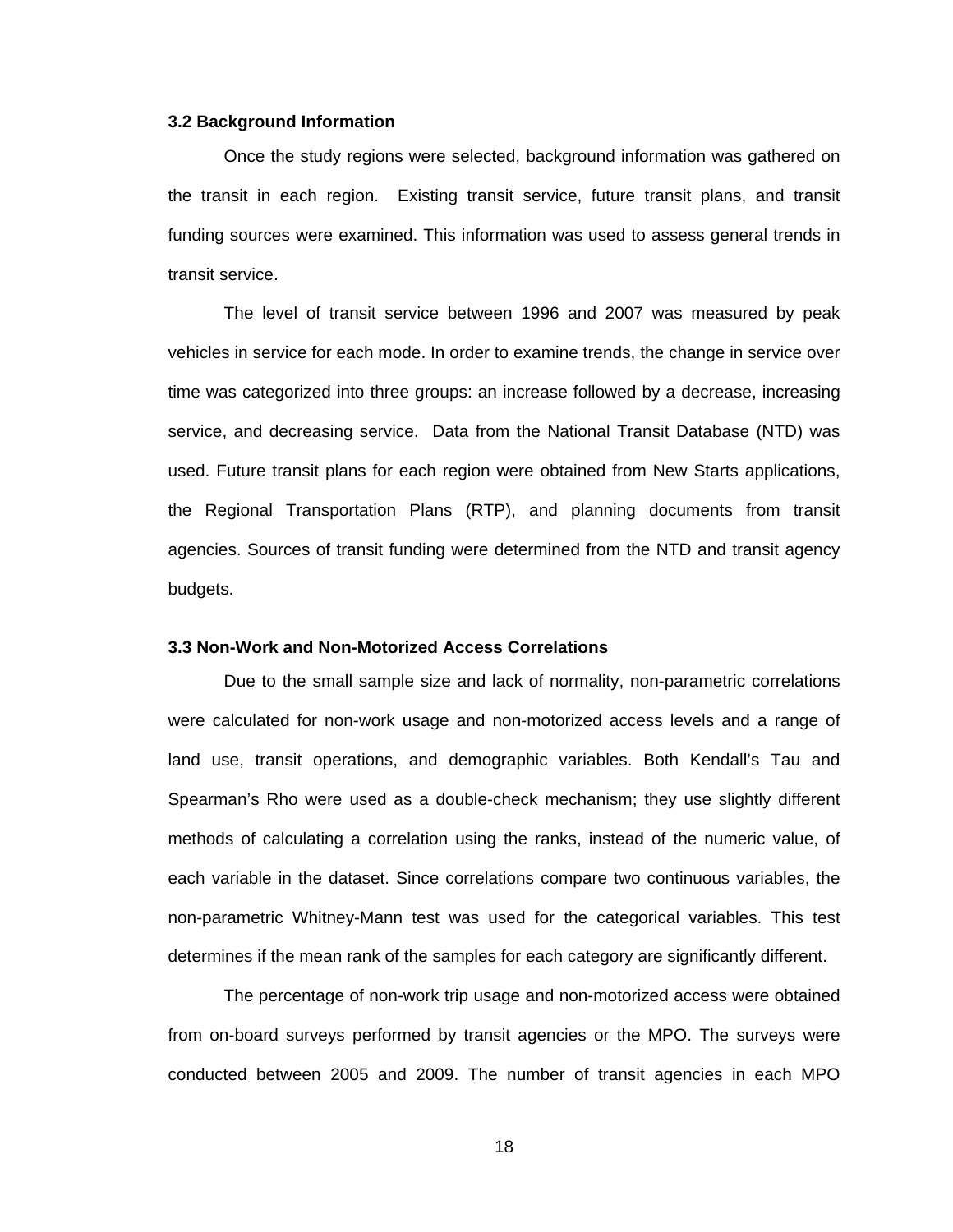#### **3.2 Background Information**

Once the study regions were selected, background information was gathered on the transit in each region. Existing transit service, future transit plans, and transit funding sources were examined. This information was used to assess general trends in transit service.

The level of transit service between 1996 and 2007 was measured by peak vehicles in service for each mode. In order to examine trends, the change in service over time was categorized into three groups: an increase followed by a decrease, increasing service, and decreasing service. Data from the National Transit Database (NTD) was used. Future transit plans for each region were obtained from New Starts applications, the Regional Transportation Plans (RTP), and planning documents from transit agencies. Sources of transit funding were determined from the NTD and transit agency budgets.

#### **3.3 Non-Work and Non-Motorized Access Correlations**

Due to the small sample size and lack of normality, non-parametric correlations were calculated for non-work usage and non-motorized access levels and a range of land use, transit operations, and demographic variables. Both Kendall's Tau and Spearman's Rho were used as a double-check mechanism; they use slightly different methods of calculating a correlation using the ranks, instead of the numeric value, of each variable in the dataset. Since correlations compare two continuous variables, the non-parametric Whitney-Mann test was used for the categorical variables. This test determines if the mean rank of the samples for each category are significantly different.

The percentage of non-work trip usage and non-motorized access were obtained from on-board surveys performed by transit agencies or the MPO. The surveys were conducted between 2005 and 2009. The number of transit agencies in each MPO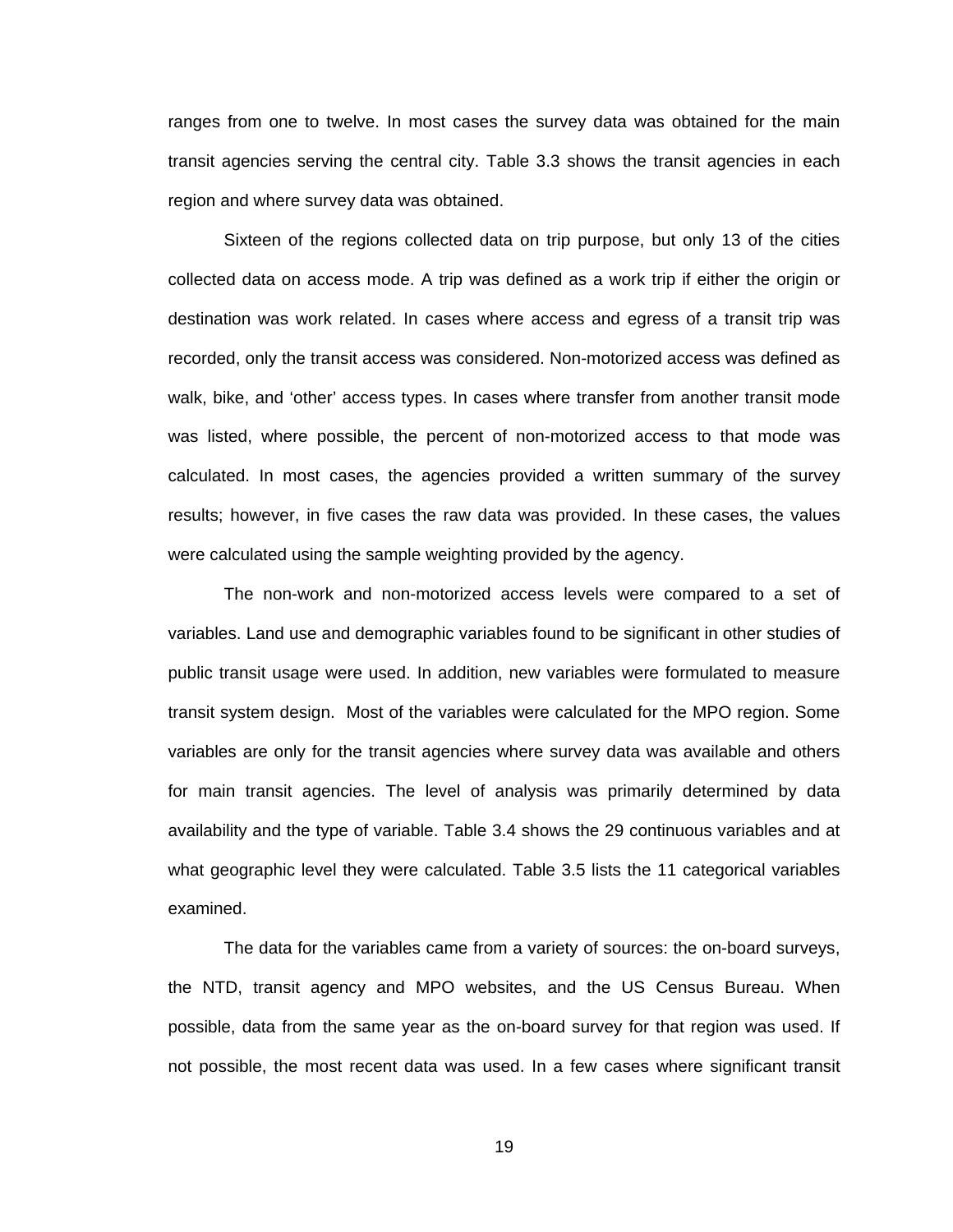ranges from one to twelve. In most cases the survey data was obtained for the main transit agencies serving the central city. Table 3.3 shows the transit agencies in each region and where survey data was obtained.

Sixteen of the regions collected data on trip purpose, but only 13 of the cities collected data on access mode. A trip was defined as a work trip if either the origin or destination was work related. In cases where access and egress of a transit trip was recorded, only the transit access was considered. Non-motorized access was defined as walk, bike, and 'other' access types. In cases where transfer from another transit mode was listed, where possible, the percent of non-motorized access to that mode was calculated. In most cases, the agencies provided a written summary of the survey results; however, in five cases the raw data was provided. In these cases, the values were calculated using the sample weighting provided by the agency.

The non-work and non-motorized access levels were compared to a set of variables. Land use and demographic variables found to be significant in other studies of public transit usage were used. In addition, new variables were formulated to measure transit system design. Most of the variables were calculated for the MPO region. Some variables are only for the transit agencies where survey data was available and others for main transit agencies. The level of analysis was primarily determined by data availability and the type of variable. Table 3.4 shows the 29 continuous variables and at what geographic level they were calculated. Table 3.5 lists the 11 categorical variables examined.

The data for the variables came from a variety of sources: the on-board surveys, the NTD, transit agency and MPO websites, and the US Census Bureau. When possible, data from the same year as the on-board survey for that region was used. If not possible, the most recent data was used. In a few cases where significant transit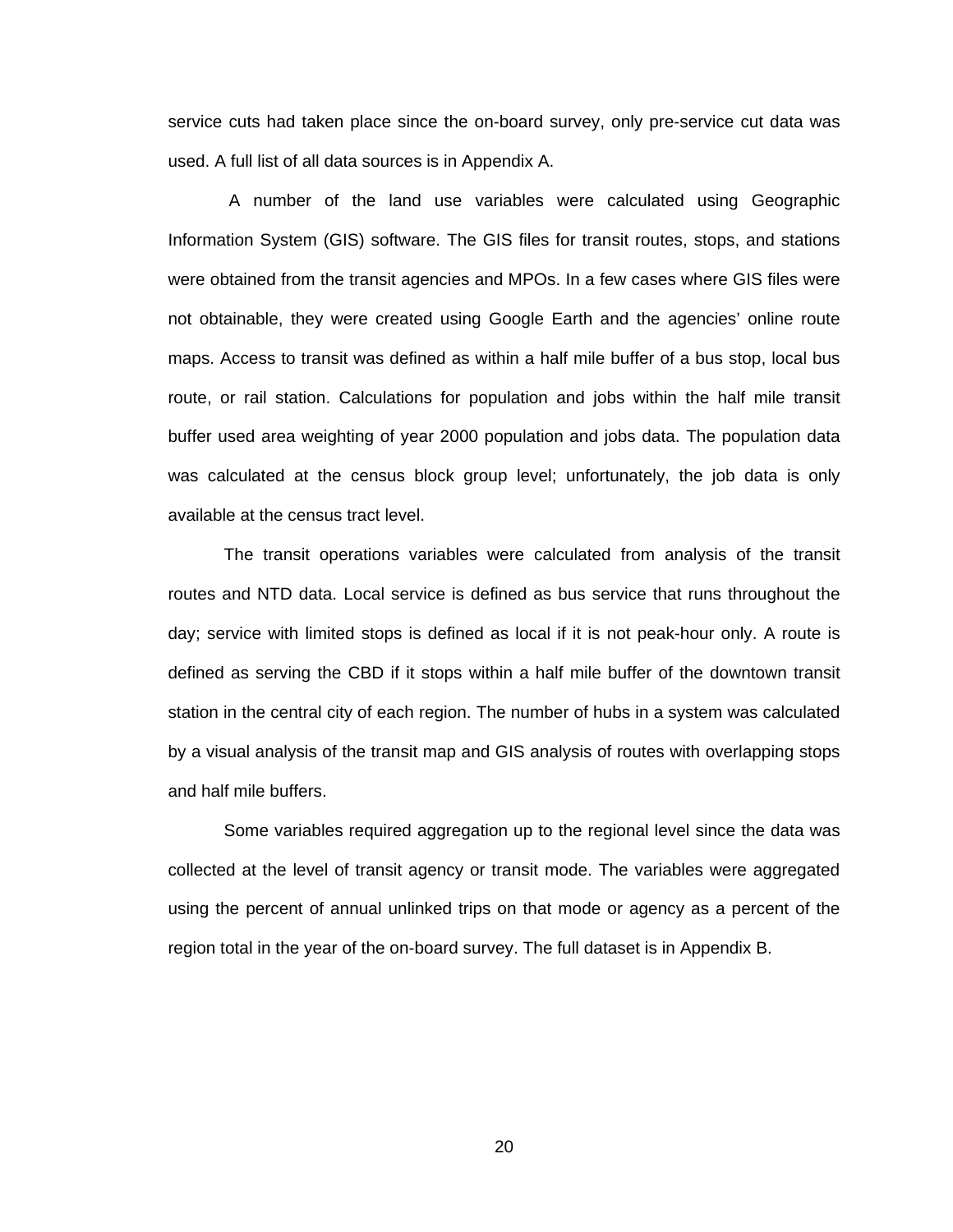service cuts had taken place since the on-board survey, only pre-service cut data was used. A full list of all data sources is in Appendix A.

 A number of the land use variables were calculated using Geographic Information System (GIS) software. The GIS files for transit routes, stops, and stations were obtained from the transit agencies and MPOs. In a few cases where GIS files were not obtainable, they were created using Google Earth and the agencies' online route maps. Access to transit was defined as within a half mile buffer of a bus stop, local bus route, or rail station. Calculations for population and jobs within the half mile transit buffer used area weighting of year 2000 population and jobs data. The population data was calculated at the census block group level; unfortunately, the job data is only available at the census tract level.

The transit operations variables were calculated from analysis of the transit routes and NTD data. Local service is defined as bus service that runs throughout the day; service with limited stops is defined as local if it is not peak-hour only. A route is defined as serving the CBD if it stops within a half mile buffer of the downtown transit station in the central city of each region. The number of hubs in a system was calculated by a visual analysis of the transit map and GIS analysis of routes with overlapping stops and half mile buffers.

Some variables required aggregation up to the regional level since the data was collected at the level of transit agency or transit mode. The variables were aggregated using the percent of annual unlinked trips on that mode or agency as a percent of the region total in the year of the on-board survey. The full dataset is in Appendix B.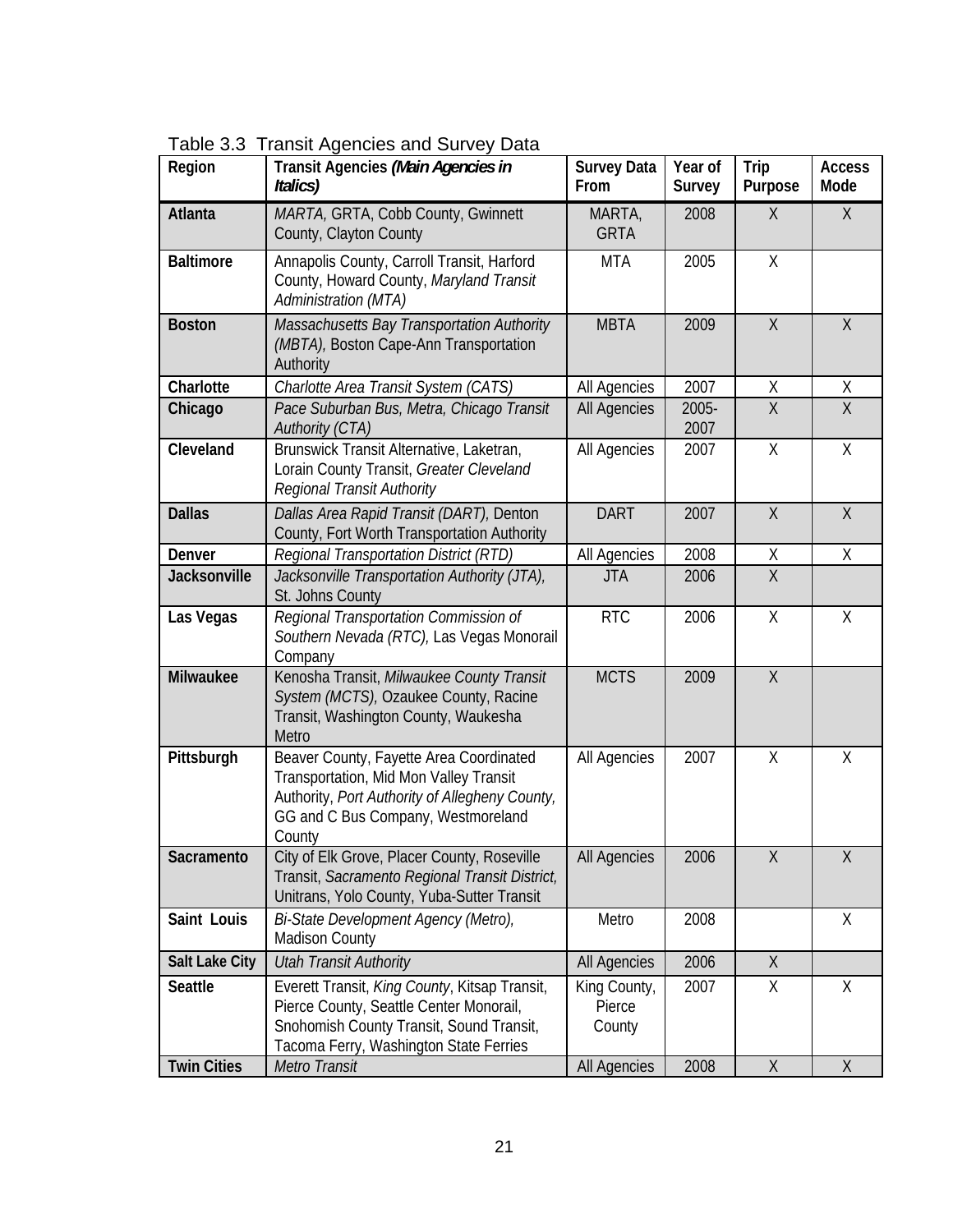|  | Table 3.3 Transit Agencies and Survey Data |  |
|--|--------------------------------------------|--|
|--|--------------------------------------------|--|

| Region                | Transit Agencies (Main Agencies in<br>Italics)                                                                                                                                      | <b>Survey Data</b><br>From       | Year of<br>Survey | Trip<br>Purpose | <b>Access</b><br>Mode |
|-----------------------|-------------------------------------------------------------------------------------------------------------------------------------------------------------------------------------|----------------------------------|-------------------|-----------------|-----------------------|
| Atlanta               | MARTA, GRTA, Cobb County, Gwinnett<br>County, Clayton County                                                                                                                        | MARTA,<br><b>GRTA</b>            | 2008              | X               | X                     |
| <b>Baltimore</b>      | Annapolis County, Carroll Transit, Harford<br>County, Howard County, Maryland Transit<br>Administration (MTA)                                                                       | <b>MTA</b>                       | 2005              | Χ               |                       |
| <b>Boston</b>         | Massachusetts Bay Transportation Authority<br>(MBTA), Boston Cape-Ann Transportation<br>Authority                                                                                   | <b>MBTA</b>                      | 2009              | X               | X                     |
| Charlotte             | Charlotte Area Transit System (CATS)                                                                                                                                                | All Agencies                     | 2007              | Χ               | Χ                     |
| Chicago               | Pace Suburban Bus, Metra, Chicago Transit<br>Authority (CTA)                                                                                                                        | <b>All Agencies</b>              | 2005-<br>2007     | $\overline{X}$  | $\overline{X}$        |
| Cleveland             | Brunswick Transit Alternative, Laketran,<br>Lorain County Transit, Greater Cleveland<br>Regional Transit Authority                                                                  | All Agencies                     | 2007              | Χ               | Χ                     |
| <b>Dallas</b>         | Dallas Area Rapid Transit (DART), Denton<br>County, Fort Worth Transportation Authority                                                                                             | <b>DART</b>                      | 2007              | $\chi$          | X                     |
| Denver                | Regional Transportation District (RTD)                                                                                                                                              | All Agencies                     | 2008              | Χ               | $\mathsf{X}$          |
| Jacksonville          | Jacksonville Transportation Authority (JTA),<br>St. Johns County                                                                                                                    | <b>JTA</b>                       | 2006              | $\overline{X}$  |                       |
| Las Vegas             | Regional Transportation Commission of<br>Southern Nevada (RTC), Las Vegas Monorail<br>Company                                                                                       | <b>RTC</b>                       | 2006              | Χ               | X                     |
| Milwaukee             | Kenosha Transit, Milwaukee County Transit<br>System (MCTS), Ozaukee County, Racine<br>Transit, Washington County, Waukesha<br>Metro                                                 | <b>MCTS</b>                      | 2009              | $\sf X$         |                       |
| Pittsburgh            | Beaver County, Fayette Area Coordinated<br>Transportation, Mid Mon Valley Transit<br>Authority, Port Authority of Allegheny County,<br>GG and C Bus Company, Westmoreland<br>County | All Agencies                     | 2007              | Χ               | X                     |
| Sacramento            | City of Elk Grove, Placer County, Roseville<br>Transit, Sacramento Regional Transit District,<br>Unitrans, Yolo County, Yuba-Sutter Transit                                         | <b>All Agencies</b>              | 2006              | $\sf X$         | Χ                     |
| Saint Louis           | Bi-State Development Agency (Metro),<br><b>Madison County</b>                                                                                                                       | Metro                            | 2008              |                 | X                     |
| <b>Salt Lake City</b> | <b>Utah Transit Authority</b>                                                                                                                                                       | All Agencies                     | 2006              | X               |                       |
| Seattle               | Everett Transit, King County, Kitsap Transit,<br>Pierce County, Seattle Center Monorail,<br>Snohomish County Transit, Sound Transit,<br>Tacoma Ferry, Washington State Ferries      | King County,<br>Pierce<br>County | 2007              | X               | X                     |
| <b>Twin Cities</b>    | Metro Transit                                                                                                                                                                       | All Agencies                     | 2008              | X               | X                     |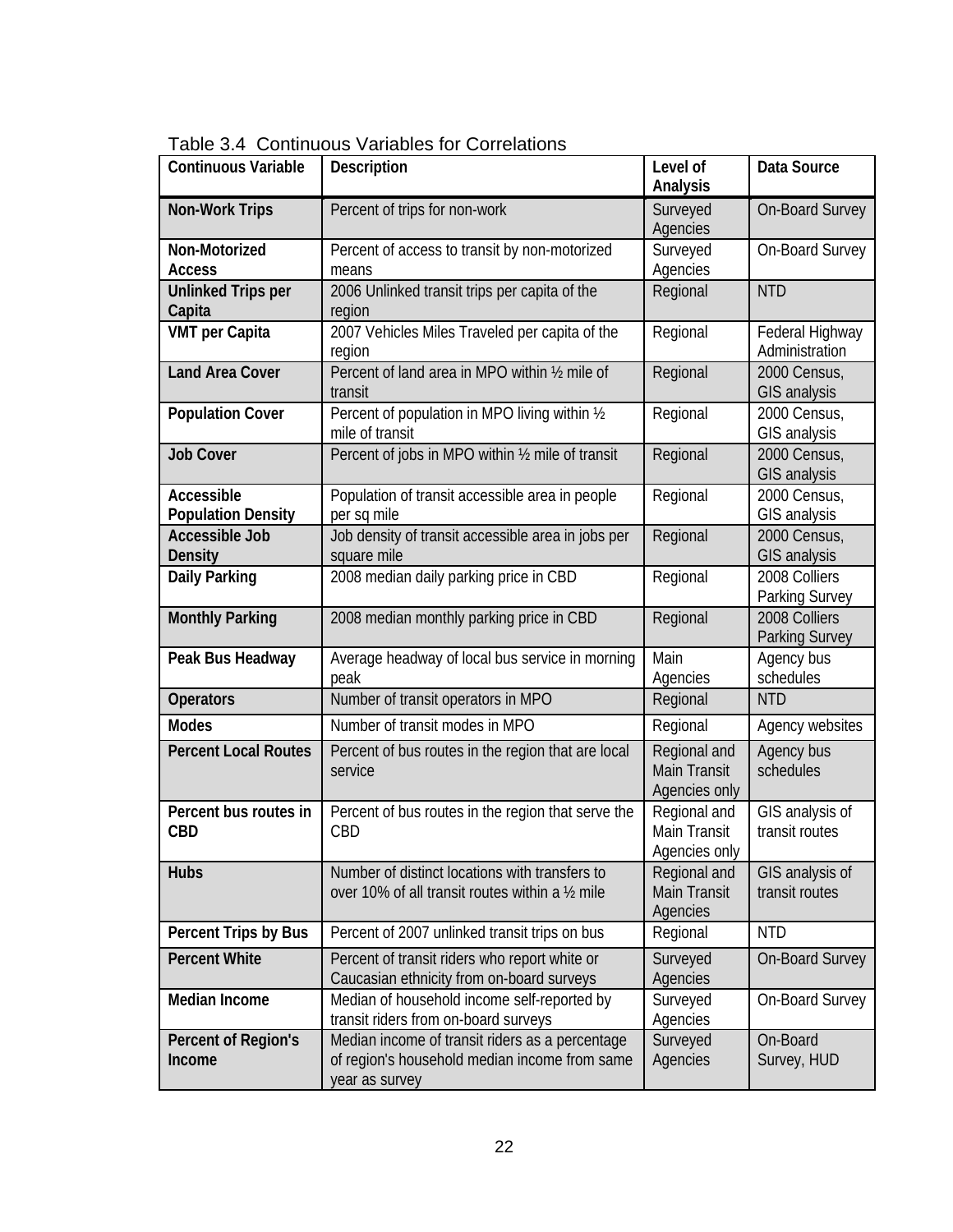| <b>Continuous Variable</b>              | Description                                                                                                        | Level of<br>Analysis                                 | Data Source                            |
|-----------------------------------------|--------------------------------------------------------------------------------------------------------------------|------------------------------------------------------|----------------------------------------|
| <b>Non-Work Trips</b>                   | Percent of trips for non-work                                                                                      | Surveyed<br>Agencies                                 | <b>On-Board Survey</b>                 |
| Non-Motorized<br><b>Access</b>          | Percent of access to transit by non-motorized<br>means                                                             | Surveyed<br>Agencies                                 | On-Board Survey                        |
| <b>Unlinked Trips per</b><br>Capita     | 2006 Unlinked transit trips per capita of the<br>region                                                            | Regional                                             | <b>NTD</b>                             |
| <b>VMT</b> per Capita                   | 2007 Vehicles Miles Traveled per capita of the<br>region                                                           | Regional                                             | Federal Highway<br>Administration      |
| <b>Land Area Cover</b>                  | Percent of land area in MPO within 1/2 mile of<br>transit                                                          | Regional                                             | 2000 Census,<br>GIS analysis           |
| <b>Population Cover</b>                 | Percent of population in MPO living within 1/2<br>mile of transit                                                  | Regional                                             | 2000 Census,<br>GIS analysis           |
| <b>Job Cover</b>                        | Percent of jobs in MPO within 1/2 mile of transit                                                                  | Regional                                             | 2000 Census,<br>GIS analysis           |
| Accessible<br><b>Population Density</b> | Population of transit accessible area in people<br>per sq mile                                                     | Regional                                             | 2000 Census,<br>GIS analysis           |
| <b>Accessible Job</b><br><b>Density</b> | Job density of transit accessible area in jobs per<br>square mile                                                  | Regional                                             | 2000 Census,<br><b>GIS analysis</b>    |
| Daily Parking                           | 2008 median daily parking price in CBD                                                                             | Regional                                             | 2008 Colliers<br>Parking Survey        |
| <b>Monthly Parking</b>                  | 2008 median monthly parking price in CBD                                                                           | Regional                                             | 2008 Colliers<br><b>Parking Survey</b> |
| Peak Bus Headway                        | Average headway of local bus service in morning<br>peak                                                            | Main<br>Agencies                                     | Agency bus<br>schedules                |
| <b>Operators</b>                        | Number of transit operators in MPO                                                                                 | Regional                                             | <b>NTD</b>                             |
| <b>Modes</b>                            | Number of transit modes in MPO                                                                                     | Regional                                             | Agency websites                        |
| <b>Percent Local Routes</b>             | Percent of bus routes in the region that are local<br>service                                                      | Regional and<br><b>Main Transit</b><br>Agencies only | Agency bus<br>schedules                |
| Percent bus routes in<br><b>CBD</b>     | Percent of bus routes in the region that serve the<br>CBD                                                          | Regional and<br>Main Transit<br>Agencies only        | GIS analysis of<br>transit routes      |
| <b>Hubs</b>                             | Number of distinct locations with transfers to<br>over 10% of all transit routes within a 1/2 mile                 | Regional and<br><b>Main Transit</b><br>Agencies      | GIS analysis of<br>transit routes      |
| Percent Trips by Bus                    | Percent of 2007 unlinked transit trips on bus                                                                      | Regional                                             | <b>NTD</b>                             |
| <b>Percent White</b>                    | Percent of transit riders who report white or<br>Caucasian ethnicity from on-board surveys                         | Surveyed<br>Agencies                                 | <b>On-Board Survey</b>                 |
| Median Income                           | Median of household income self-reported by<br>transit riders from on-board surveys                                | Surveyed<br>Agencies                                 | On-Board Survey                        |
| Percent of Region's<br>Income           | Median income of transit riders as a percentage<br>of region's household median income from same<br>year as survey | Surveyed<br>Agencies                                 | On-Board<br>Survey, HUD                |

Table 3.4 Continuous Variables for Correlations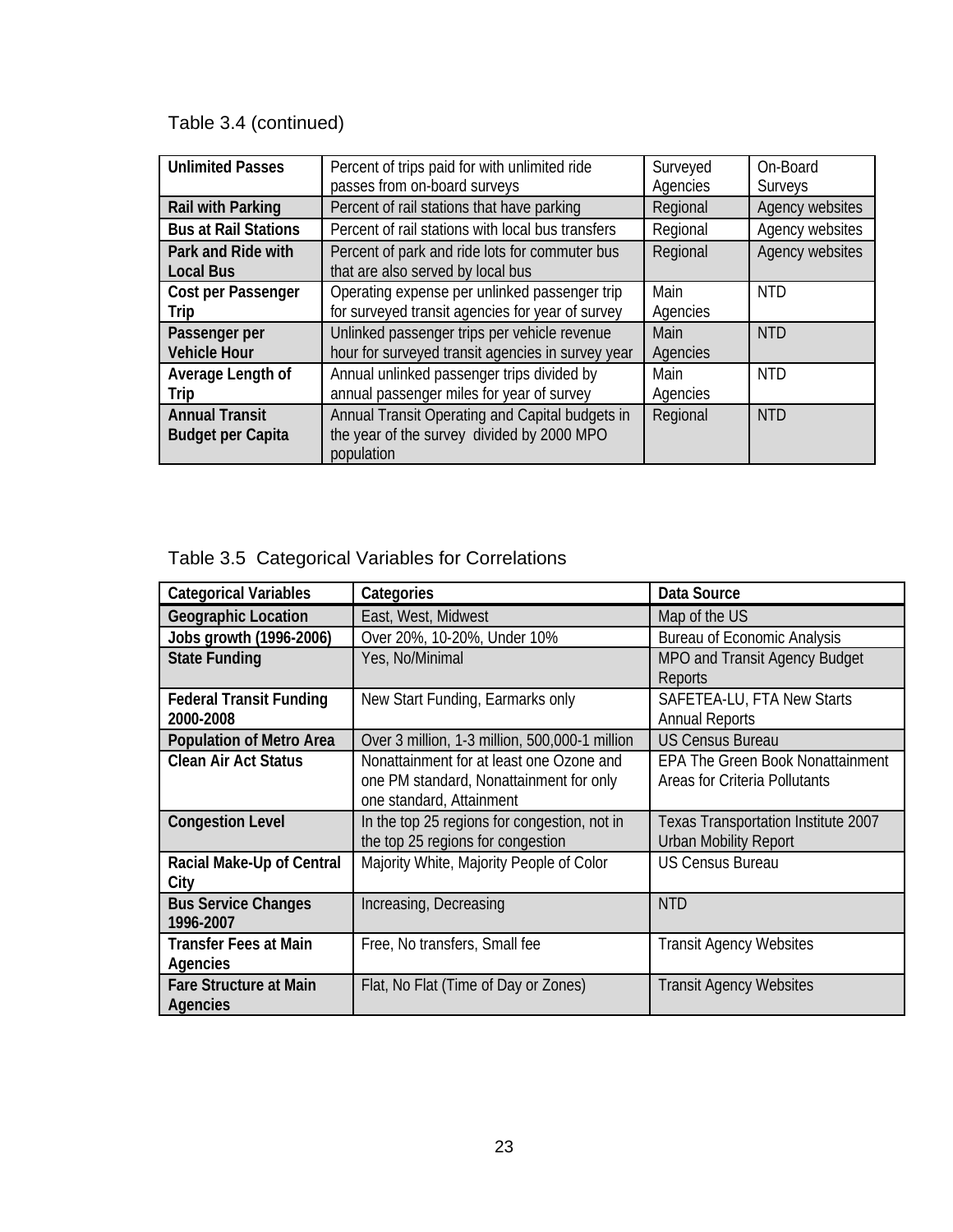## Table 3.4 (continued)

| <b>Unlimited Passes</b>                           | Percent of trips paid for with unlimited ride                                                               | Surveyed | On-Board        |
|---------------------------------------------------|-------------------------------------------------------------------------------------------------------------|----------|-----------------|
|                                                   | passes from on-board surveys                                                                                | Agencies | Surveys         |
| Rail with Parking                                 | Percent of rail stations that have parking                                                                  | Regional | Agency websites |
| <b>Bus at Rail Stations</b>                       | Percent of rail stations with local bus transfers                                                           | Regional | Agency websites |
| Park and Ride with<br><b>Local Bus</b>            | Percent of park and ride lots for commuter bus<br>that are also served by local bus                         | Regional | Agency websites |
| Cost per Passenger                                | Operating expense per unlinked passenger trip                                                               | Main     | <b>NTD</b>      |
| Trip                                              | for surveyed transit agencies for year of survey                                                            | Agencies |                 |
| Passenger per                                     | Unlinked passenger trips per vehicle revenue                                                                | Main     | <b>NTD</b>      |
| <b>Vehicle Hour</b>                               | hour for surveyed transit agencies in survey year                                                           | Agencies |                 |
| Average Length of                                 | Annual unlinked passenger trips divided by                                                                  | Main     | <b>NTD</b>      |
| Trip                                              | annual passenger miles for year of survey                                                                   | Agencies |                 |
| <b>Annual Transit</b><br><b>Budget per Capita</b> | Annual Transit Operating and Capital budgets in<br>the year of the survey divided by 2000 MPO<br>population | Regional | <b>NTD</b>      |

## Table 3.5 Categorical Variables for Correlations

| <b>Categorical Variables</b>                | Categories                                                                                                      | Data Source                                                              |
|---------------------------------------------|-----------------------------------------------------------------------------------------------------------------|--------------------------------------------------------------------------|
| <b>Geographic Location</b>                  | East, West, Midwest                                                                                             | Map of the US                                                            |
| Jobs growth (1996-2006)                     | Over 20%, 10-20%, Under 10%                                                                                     | <b>Bureau of Economic Analysis</b>                                       |
| <b>State Funding</b>                        | Yes, No/Minimal                                                                                                 | MPO and Transit Agency Budget<br>Reports                                 |
| <b>Federal Transit Funding</b><br>2000-2008 | New Start Funding, Earmarks only                                                                                | SAFETEA-LU, FTA New Starts<br><b>Annual Reports</b>                      |
| <b>Population of Metro Area</b>             | Over 3 million, 1-3 million, 500,000-1 million                                                                  | <b>US Census Bureau</b>                                                  |
| <b>Clean Air Act Status</b>                 | Nonattainment for at least one Ozone and<br>one PM standard, Nonattainment for only<br>one standard, Attainment | <b>EPA The Green Book Nonattainment</b><br>Areas for Criteria Pollutants |
| <b>Congestion Level</b>                     | In the top 25 regions for congestion, not in<br>the top 25 regions for congestion                               | Texas Transportation Institute 2007<br><b>Urban Mobility Report</b>      |
| Racial Make-Up of Central<br>City           | Majority White, Majority People of Color                                                                        | <b>US Census Bureau</b>                                                  |
| <b>Bus Service Changes</b><br>1996-2007     | Increasing, Decreasing                                                                                          | <b>NTD</b>                                                               |
| <b>Transfer Fees at Main</b><br>Agencies    | Free, No transfers, Small fee                                                                                   | <b>Transit Agency Websites</b>                                           |
| <b>Fare Structure at Main</b><br>Agencies   | Flat, No Flat (Time of Day or Zones)                                                                            | <b>Transit Agency Websites</b>                                           |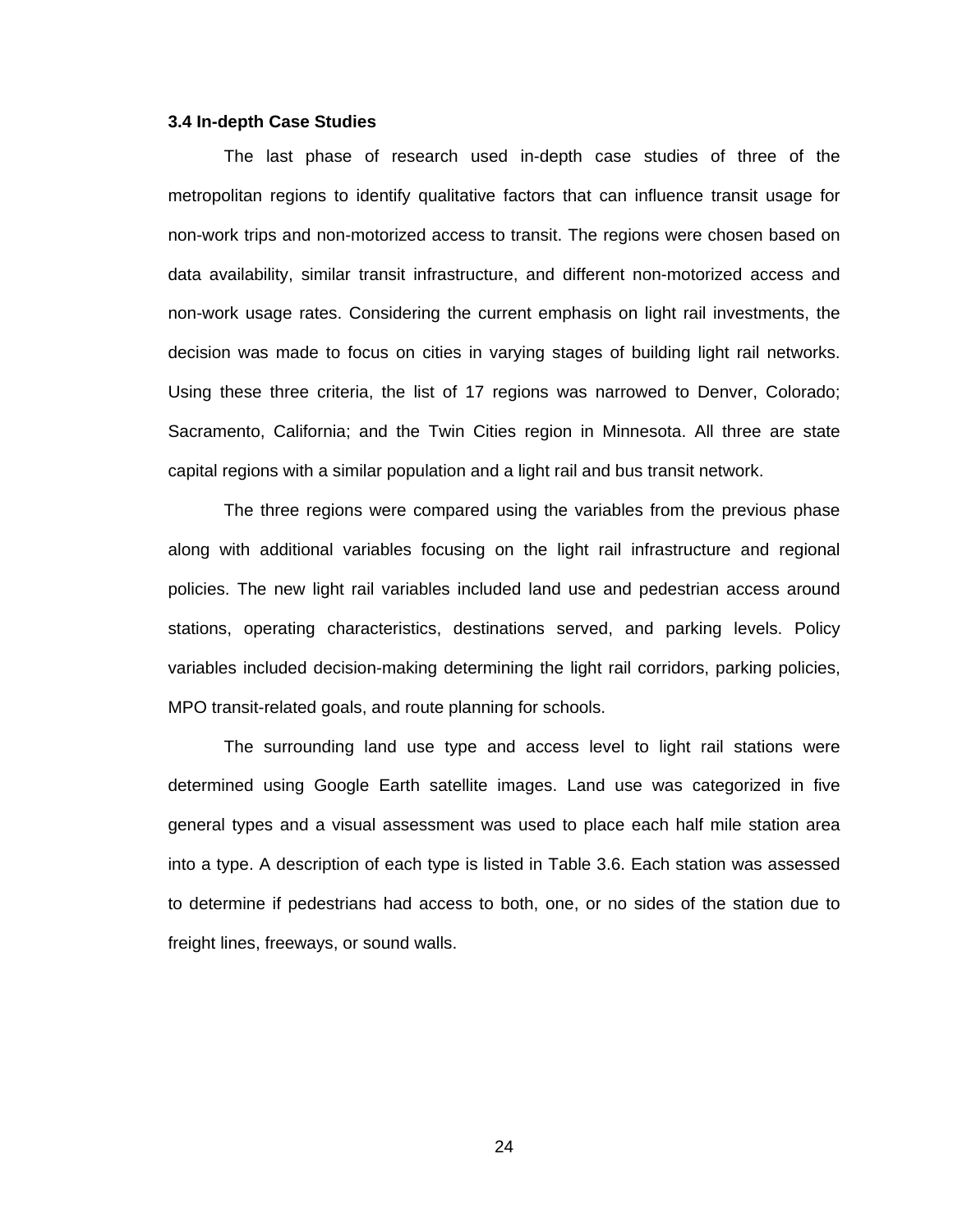#### **3.4 In-depth Case Studies**

The last phase of research used in-depth case studies of three of the metropolitan regions to identify qualitative factors that can influence transit usage for non-work trips and non-motorized access to transit. The regions were chosen based on data availability, similar transit infrastructure, and different non-motorized access and non-work usage rates. Considering the current emphasis on light rail investments, the decision was made to focus on cities in varying stages of building light rail networks. Using these three criteria, the list of 17 regions was narrowed to Denver, Colorado; Sacramento, California; and the Twin Cities region in Minnesota. All three are state capital regions with a similar population and a light rail and bus transit network.

The three regions were compared using the variables from the previous phase along with additional variables focusing on the light rail infrastructure and regional policies. The new light rail variables included land use and pedestrian access around stations, operating characteristics, destinations served, and parking levels. Policy variables included decision-making determining the light rail corridors, parking policies, MPO transit-related goals, and route planning for schools.

The surrounding land use type and access level to light rail stations were determined using Google Earth satellite images. Land use was categorized in five general types and a visual assessment was used to place each half mile station area into a type. A description of each type is listed in Table 3.6. Each station was assessed to determine if pedestrians had access to both, one, or no sides of the station due to freight lines, freeways, or sound walls.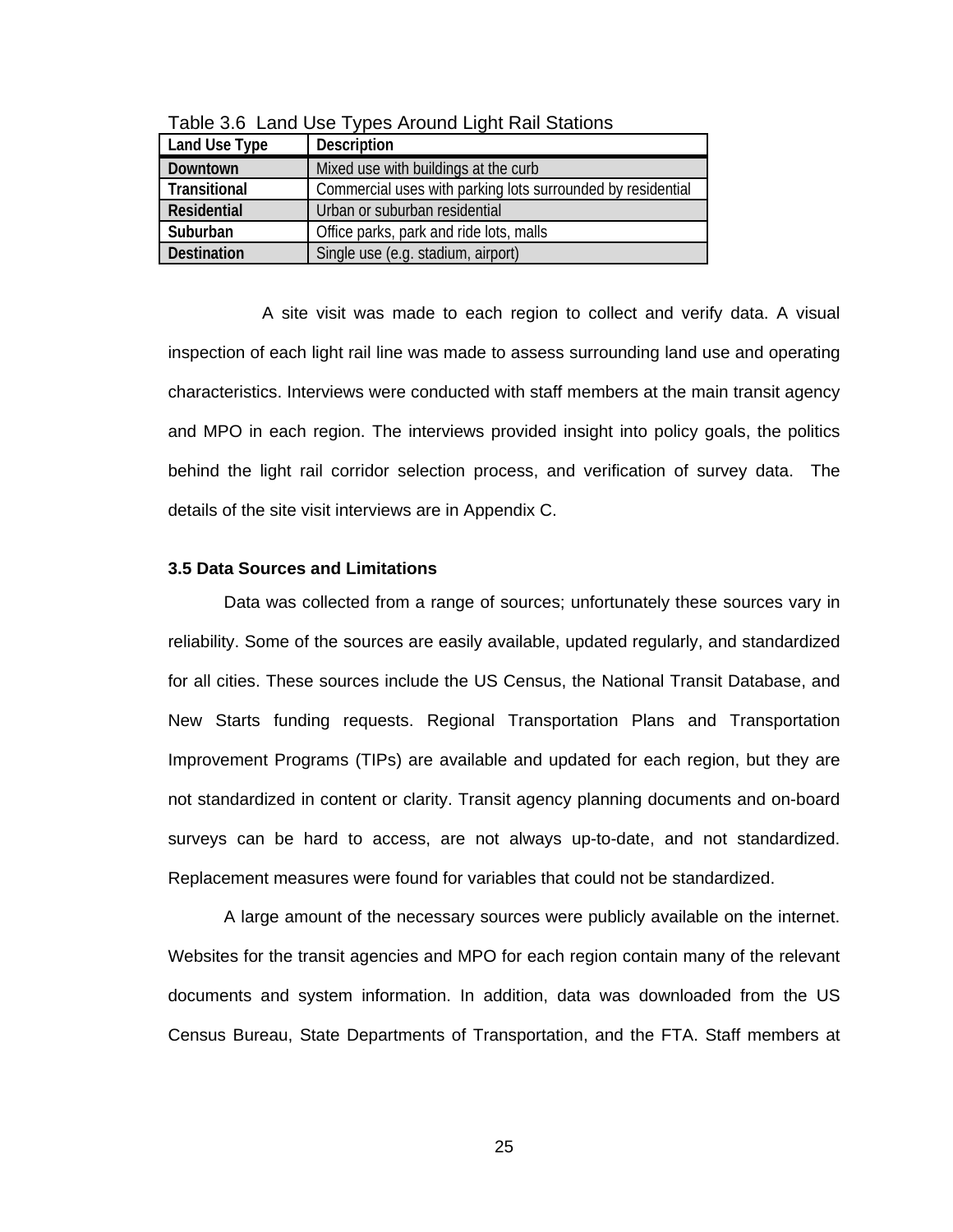| Land Use Type      | <b>Description</b>                                          |
|--------------------|-------------------------------------------------------------|
| Downtown           | Mixed use with buildings at the curb                        |
| Transitional       | Commercial uses with parking lots surrounded by residential |
| <b>Residential</b> | Urban or suburban residential                               |
| Suburban           | Office parks, park and ride lots, malls                     |
| <b>Destination</b> | Single use (e.g. stadium, airport)                          |

Table 3.6 Land Use Types Around Light Rail Stations

 A site visit was made to each region to collect and verify data. A visual inspection of each light rail line was made to assess surrounding land use and operating characteristics. Interviews were conducted with staff members at the main transit agency and MPO in each region. The interviews provided insight into policy goals, the politics behind the light rail corridor selection process, and verification of survey data. The details of the site visit interviews are in Appendix C.

#### **3.5 Data Sources and Limitations**

Data was collected from a range of sources; unfortunately these sources vary in reliability. Some of the sources are easily available, updated regularly, and standardized for all cities. These sources include the US Census, the National Transit Database, and New Starts funding requests. Regional Transportation Plans and Transportation Improvement Programs (TIPs) are available and updated for each region, but they are not standardized in content or clarity. Transit agency planning documents and on-board surveys can be hard to access, are not always up-to-date, and not standardized. Replacement measures were found for variables that could not be standardized.

A large amount of the necessary sources were publicly available on the internet. Websites for the transit agencies and MPO for each region contain many of the relevant documents and system information. In addition, data was downloaded from the US Census Bureau, State Departments of Transportation, and the FTA. Staff members at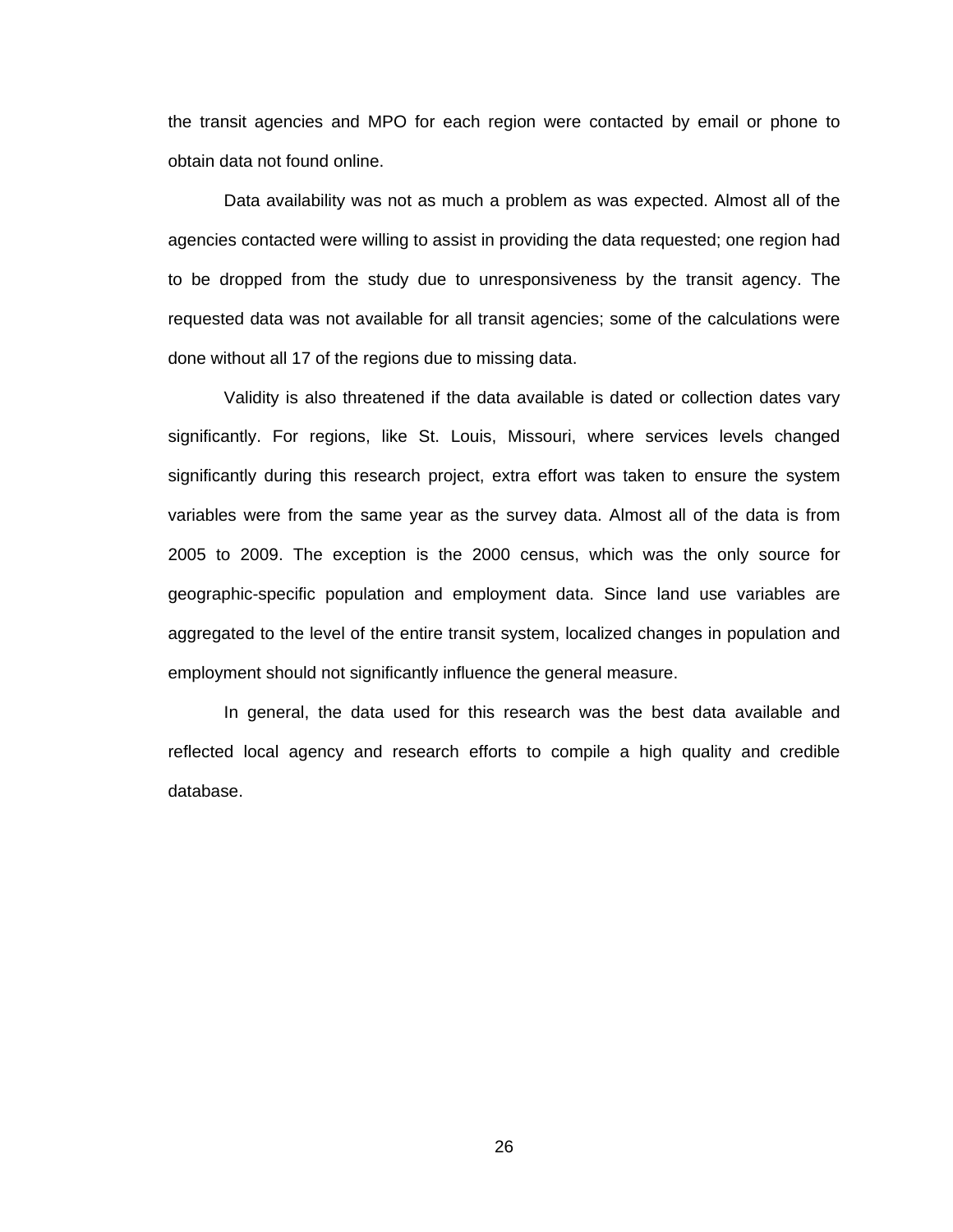the transit agencies and MPO for each region were contacted by email or phone to obtain data not found online.

Data availability was not as much a problem as was expected. Almost all of the agencies contacted were willing to assist in providing the data requested; one region had to be dropped from the study due to unresponsiveness by the transit agency. The requested data was not available for all transit agencies; some of the calculations were done without all 17 of the regions due to missing data.

Validity is also threatened if the data available is dated or collection dates vary significantly. For regions, like St. Louis, Missouri, where services levels changed significantly during this research project, extra effort was taken to ensure the system variables were from the same year as the survey data. Almost all of the data is from 2005 to 2009. The exception is the 2000 census, which was the only source for geographic-specific population and employment data. Since land use variables are aggregated to the level of the entire transit system, localized changes in population and employment should not significantly influence the general measure.

In general, the data used for this research was the best data available and reflected local agency and research efforts to compile a high quality and credible database.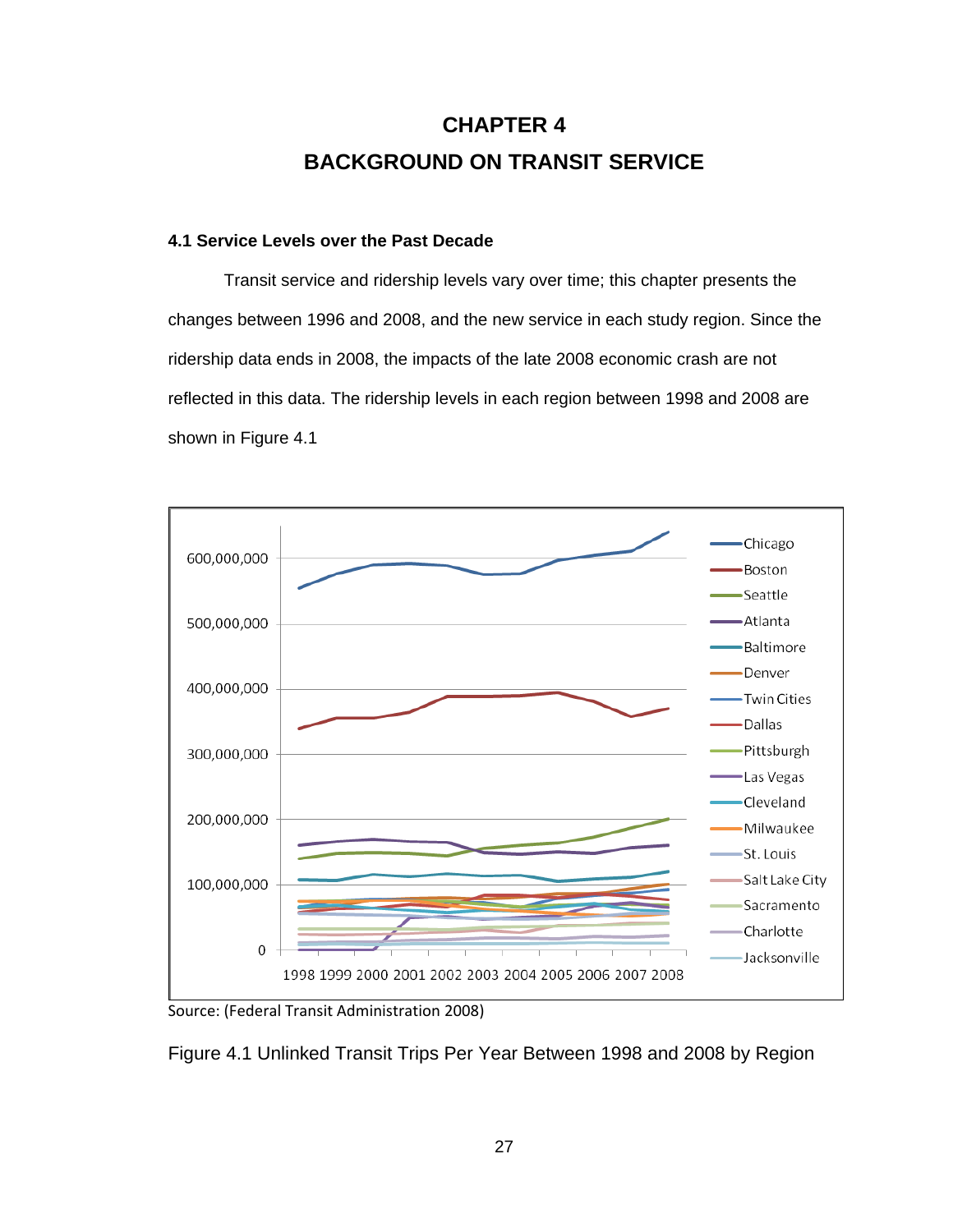# **CHAPTER 4 BACKGROUND ON TRANSIT SERVICE**

## **4.1 Service Levels over the Past Decade**

Transit service and ridership levels vary over time; this chapter presents the changes between 1996 and 2008, and the new service in each study region. Since the ridership data ends in 2008, the impacts of the late 2008 economic crash are not reflected in this data. The ridership levels in each region between 1998 and 2008 are shown in Figure 4.1



Source: (Federal Transit Administration 2008)

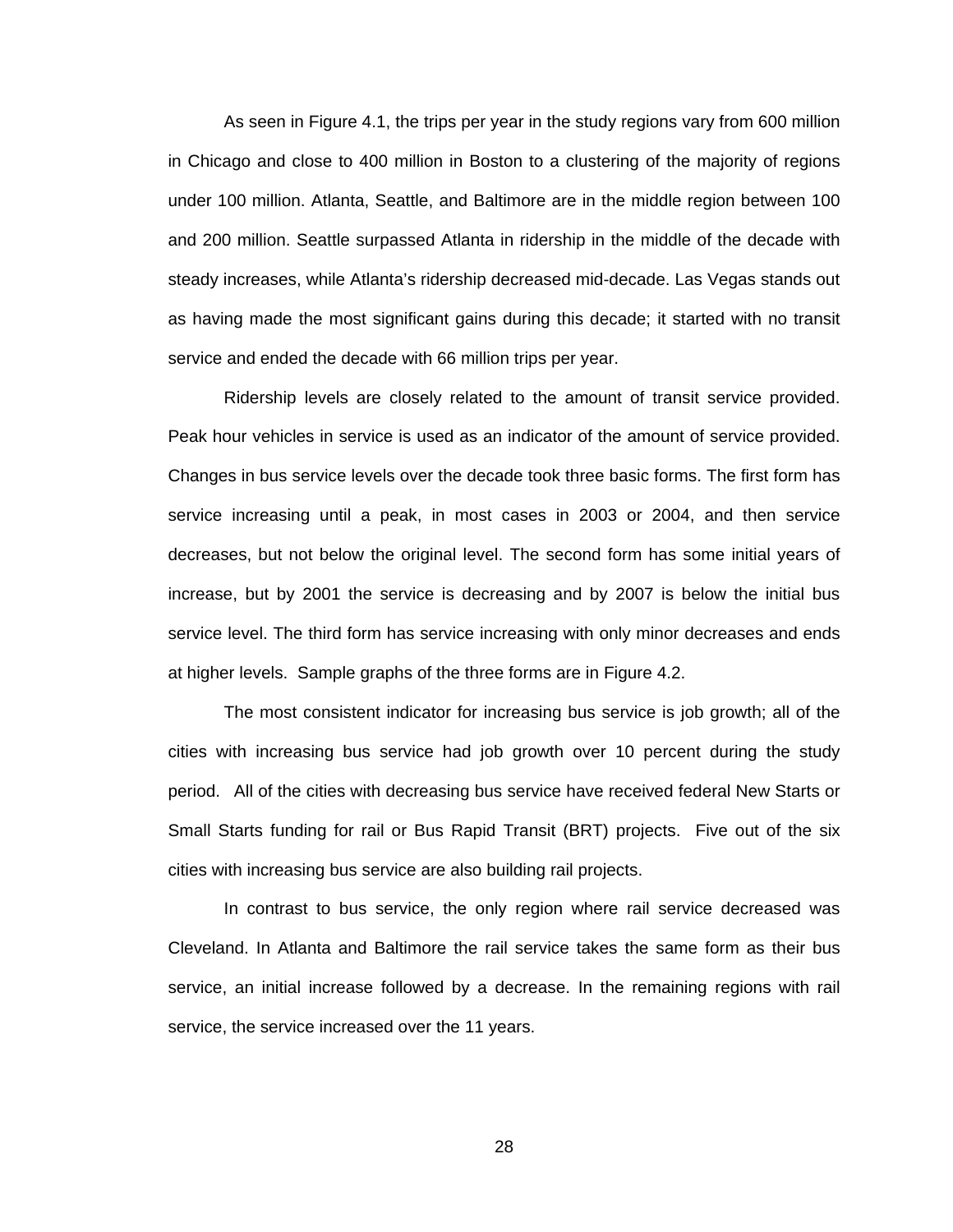As seen in Figure 4.1, the trips per year in the study regions vary from 600 million in Chicago and close to 400 million in Boston to a clustering of the majority of regions under 100 million. Atlanta, Seattle, and Baltimore are in the middle region between 100 and 200 million. Seattle surpassed Atlanta in ridership in the middle of the decade with steady increases, while Atlanta's ridership decreased mid-decade. Las Vegas stands out as having made the most significant gains during this decade; it started with no transit service and ended the decade with 66 million trips per year.

Ridership levels are closely related to the amount of transit service provided. Peak hour vehicles in service is used as an indicator of the amount of service provided. Changes in bus service levels over the decade took three basic forms. The first form has service increasing until a peak, in most cases in 2003 or 2004, and then service decreases, but not below the original level. The second form has some initial years of increase, but by 2001 the service is decreasing and by 2007 is below the initial bus service level. The third form has service increasing with only minor decreases and ends at higher levels. Sample graphs of the three forms are in Figure 4.2.

The most consistent indicator for increasing bus service is job growth; all of the cities with increasing bus service had job growth over 10 percent during the study period. All of the cities with decreasing bus service have received federal New Starts or Small Starts funding for rail or Bus Rapid Transit (BRT) projects. Five out of the six cities with increasing bus service are also building rail projects.

In contrast to bus service, the only region where rail service decreased was Cleveland. In Atlanta and Baltimore the rail service takes the same form as their bus service, an initial increase followed by a decrease. In the remaining regions with rail service, the service increased over the 11 years.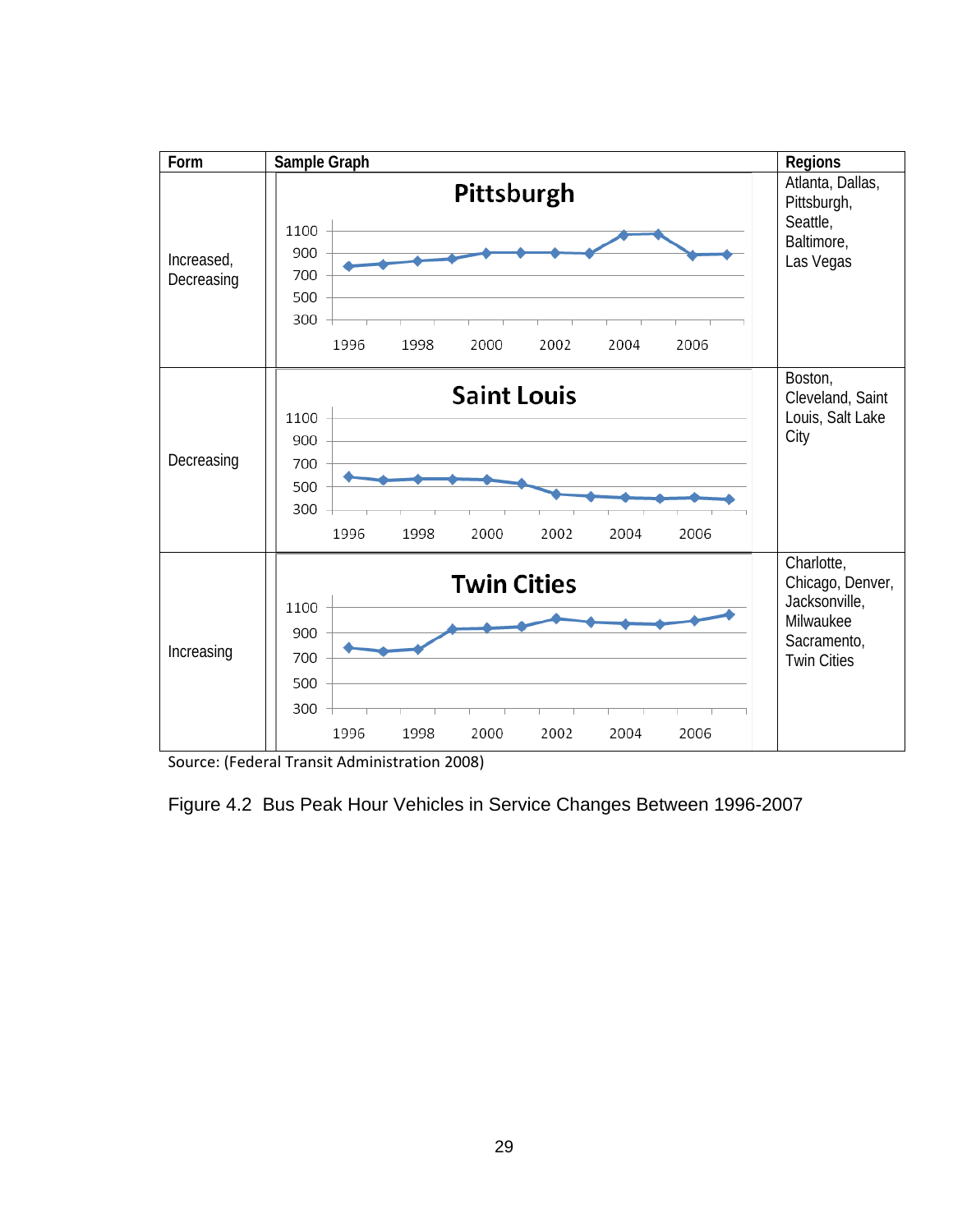

Source: (Federal Transit Administration 2008)

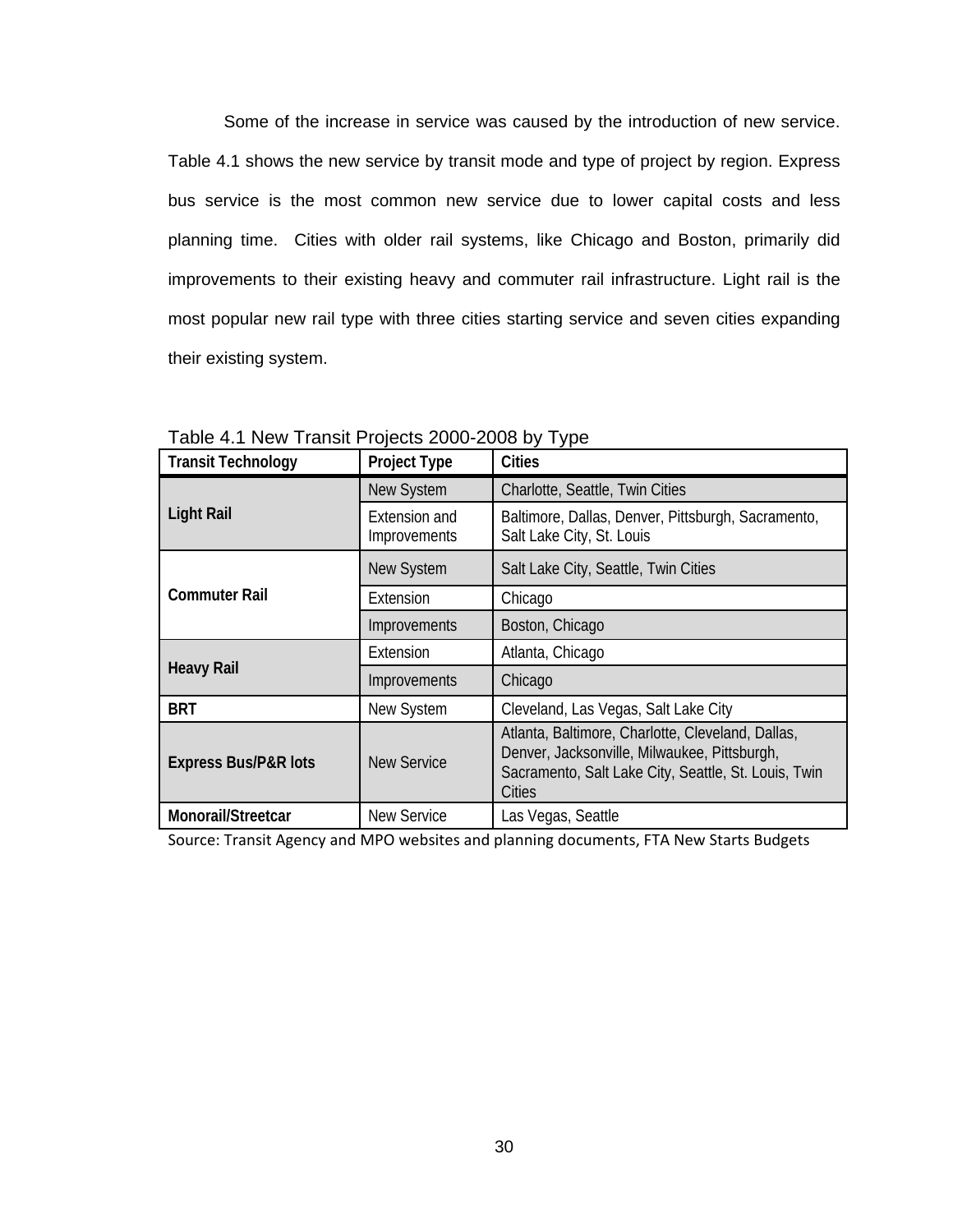Some of the increase in service was caused by the introduction of new service. Table 4.1 shows the new service by transit mode and type of project by region. Express bus service is the most common new service due to lower capital costs and less planning time. Cities with older rail systems, like Chicago and Boston, primarily did improvements to their existing heavy and commuter rail infrastructure. Light rail is the most popular new rail type with three cities starting service and seven cities expanding their existing system.

| <b>Transit Technology</b>       | <b>Project Type</b>           | <b>Cities</b>                                                                                                                                                       |
|---------------------------------|-------------------------------|---------------------------------------------------------------------------------------------------------------------------------------------------------------------|
|                                 | New System                    | Charlotte, Seattle, Twin Cities                                                                                                                                     |
| <b>Light Rail</b>               | Extension and<br>Improvements | Baltimore, Dallas, Denver, Pittsburgh, Sacramento,<br>Salt Lake City, St. Louis                                                                                     |
|                                 | <b>New System</b>             | Salt Lake City, Seattle, Twin Cities                                                                                                                                |
| <b>Commuter Rail</b>            | Extension                     | Chicago                                                                                                                                                             |
|                                 | Improvements                  | Boston, Chicago                                                                                                                                                     |
|                                 | Extension                     | Atlanta, Chicago                                                                                                                                                    |
| <b>Heavy Rail</b>               | Improvements                  | Chicago                                                                                                                                                             |
| <b>BRT</b>                      | New System                    | Cleveland, Las Vegas, Salt Lake City                                                                                                                                |
| <b>Express Bus/P&amp;R lots</b> | <b>New Service</b>            | Atlanta, Baltimore, Charlotte, Cleveland, Dallas,<br>Denver, Jacksonville, Milwaukee, Pittsburgh,<br>Sacramento, Salt Lake City, Seattle, St. Louis, Twin<br>Cities |
| Monorail/Streetcar              | <b>New Service</b>            | Las Vegas, Seattle                                                                                                                                                  |

Table 4.1 New Transit Projects 2000-2008 by Type

Source: Transit Agency and MPO websites and planning documents, FTA New Starts Budgets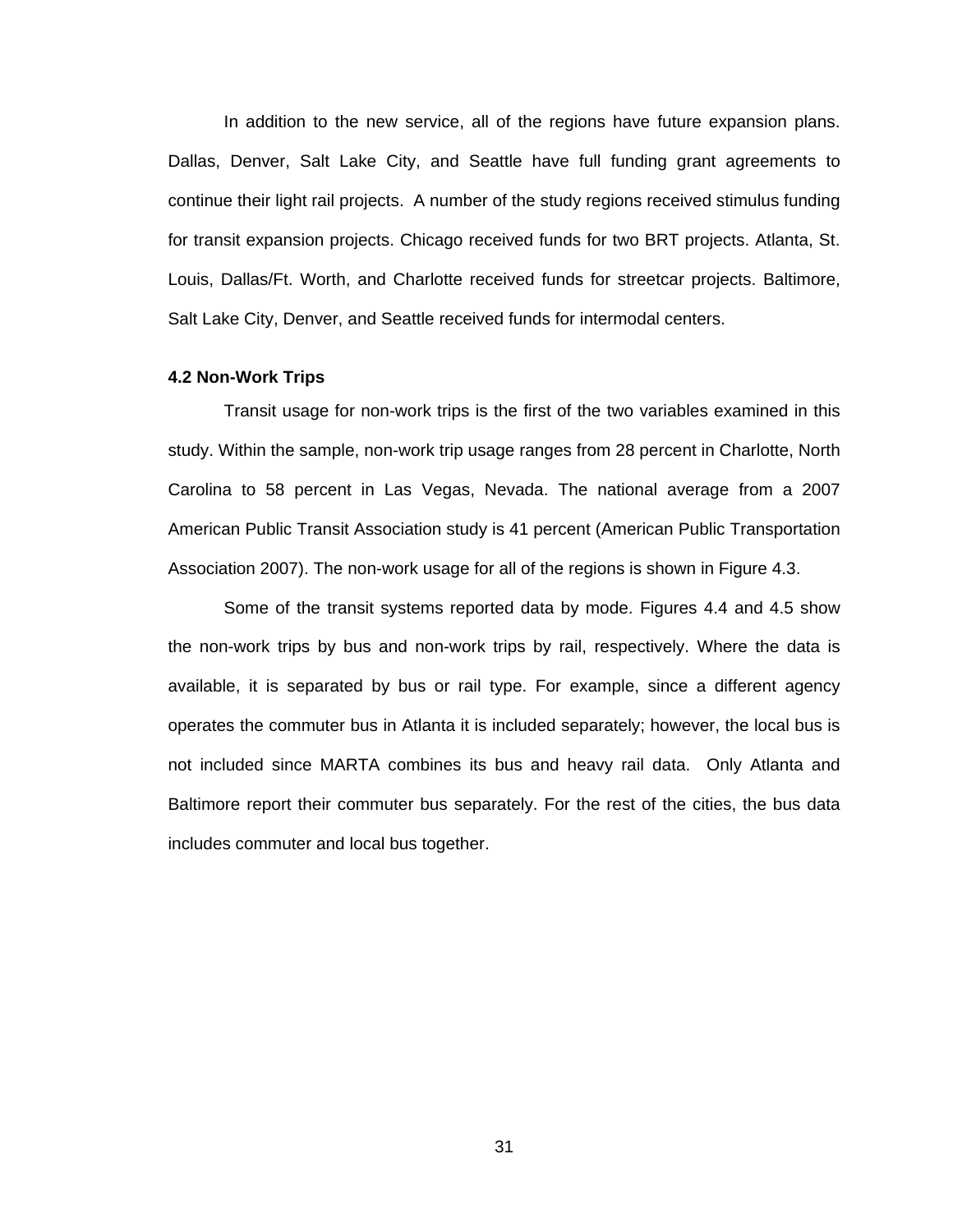In addition to the new service, all of the regions have future expansion plans. Dallas, Denver, Salt Lake City, and Seattle have full funding grant agreements to continue their light rail projects. A number of the study regions received stimulus funding for transit expansion projects. Chicago received funds for two BRT projects. Atlanta, St. Louis, Dallas/Ft. Worth, and Charlotte received funds for streetcar projects. Baltimore, Salt Lake City, Denver, and Seattle received funds for intermodal centers.

## **4.2 Non-Work Trips**

Transit usage for non-work trips is the first of the two variables examined in this study. Within the sample, non-work trip usage ranges from 28 percent in Charlotte, North Carolina to 58 percent in Las Vegas, Nevada. The national average from a 2007 American Public Transit Association study is 41 percent (American Public Transportation Association 2007). The non-work usage for all of the regions is shown in Figure 4.3.

Some of the transit systems reported data by mode. Figures 4.4 and 4.5 show the non-work trips by bus and non-work trips by rail, respectively. Where the data is available, it is separated by bus or rail type. For example, since a different agency operates the commuter bus in Atlanta it is included separately; however, the local bus is not included since MARTA combines its bus and heavy rail data. Only Atlanta and Baltimore report their commuter bus separately. For the rest of the cities, the bus data includes commuter and local bus together.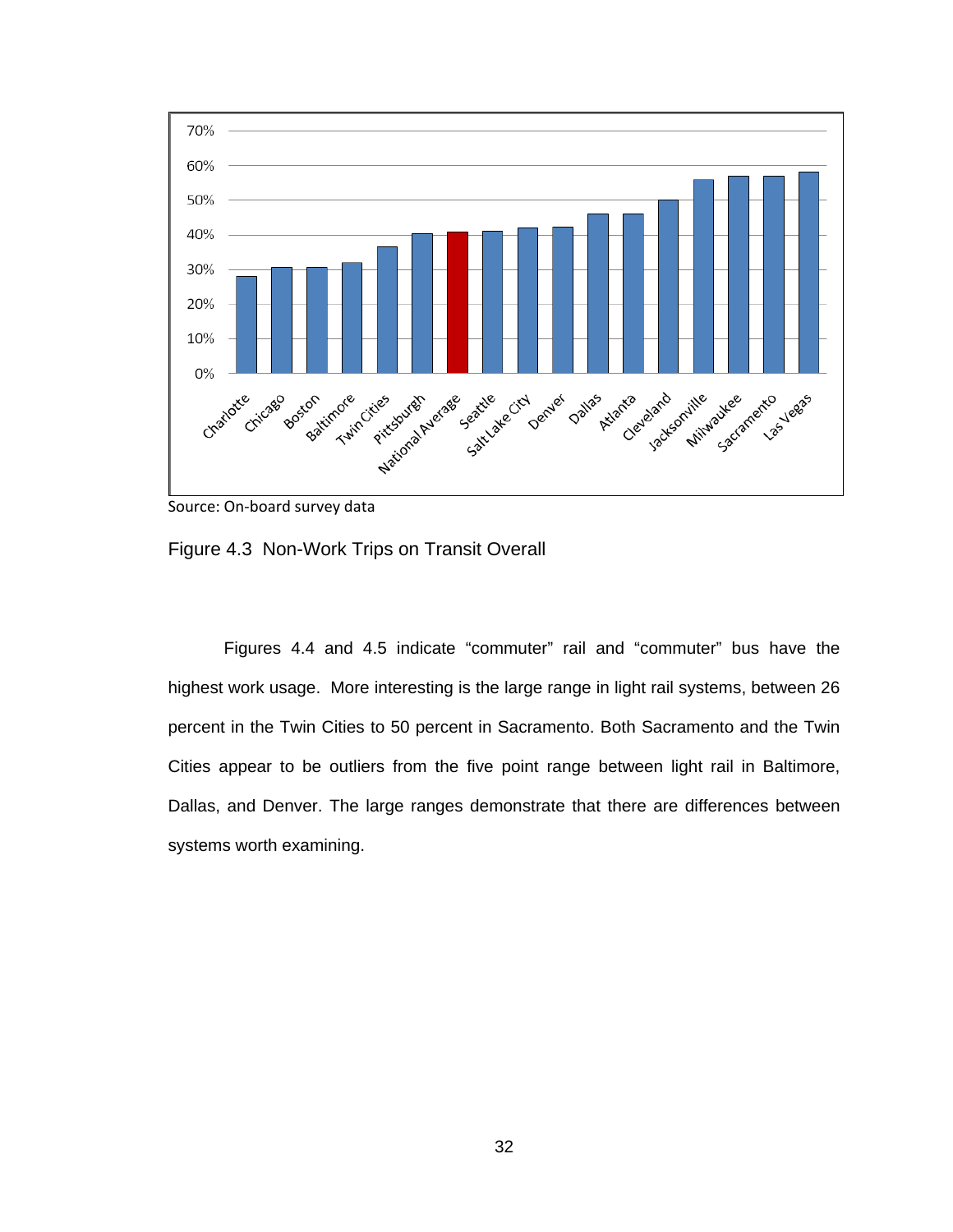

Source: On‐board survey data

Figure 4.3 Non-Work Trips on Transit Overall

Figures 4.4 and 4.5 indicate "commuter" rail and "commuter" bus have the highest work usage. More interesting is the large range in light rail systems, between 26 percent in the Twin Cities to 50 percent in Sacramento. Both Sacramento and the Twin Cities appear to be outliers from the five point range between light rail in Baltimore, Dallas, and Denver. The large ranges demonstrate that there are differences between systems worth examining.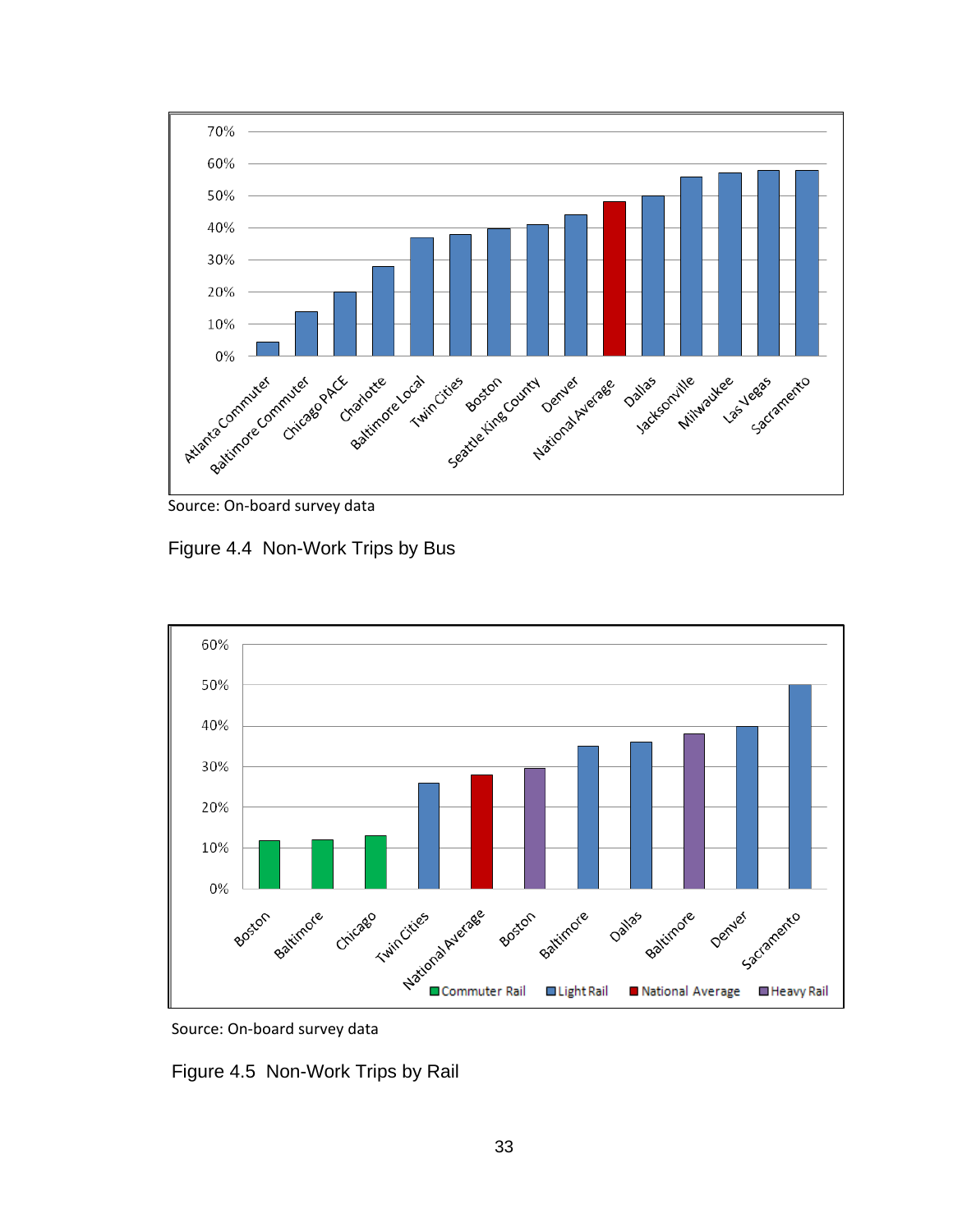



Figure 4.4 Non-Work Trips by Bus





Figure 4.5 Non-Work Trips by Rail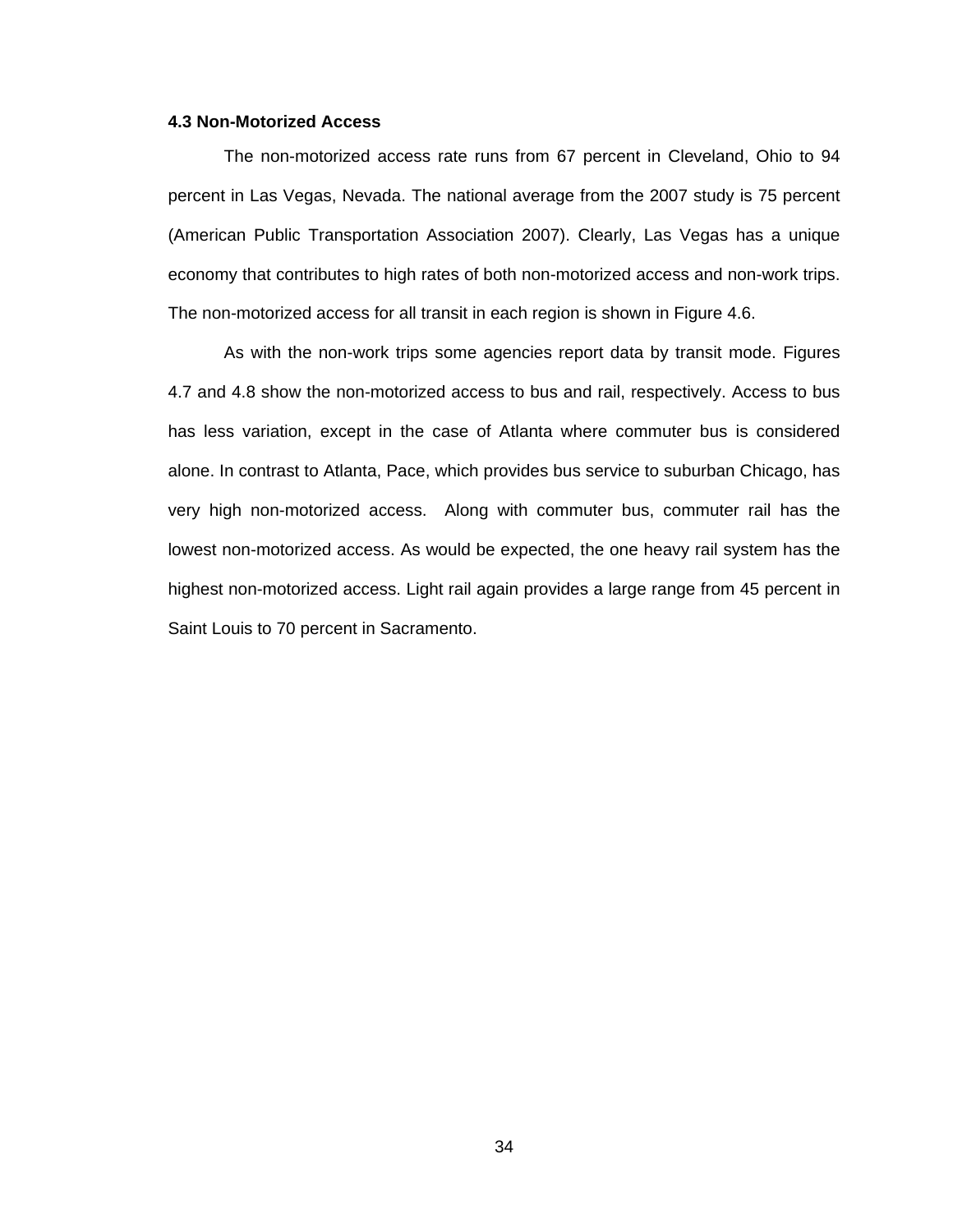### **4.3 Non-Motorized Access**

The non-motorized access rate runs from 67 percent in Cleveland, Ohio to 94 percent in Las Vegas, Nevada. The national average from the 2007 study is 75 percent (American Public Transportation Association 2007). Clearly, Las Vegas has a unique economy that contributes to high rates of both non-motorized access and non-work trips. The non-motorized access for all transit in each region is shown in Figure 4.6.

As with the non-work trips some agencies report data by transit mode. Figures 4.7 and 4.8 show the non-motorized access to bus and rail, respectively. Access to bus has less variation, except in the case of Atlanta where commuter bus is considered alone. In contrast to Atlanta, Pace, which provides bus service to suburban Chicago, has very high non-motorized access. Along with commuter bus, commuter rail has the lowest non-motorized access. As would be expected, the one heavy rail system has the highest non-motorized access. Light rail again provides a large range from 45 percent in Saint Louis to 70 percent in Sacramento.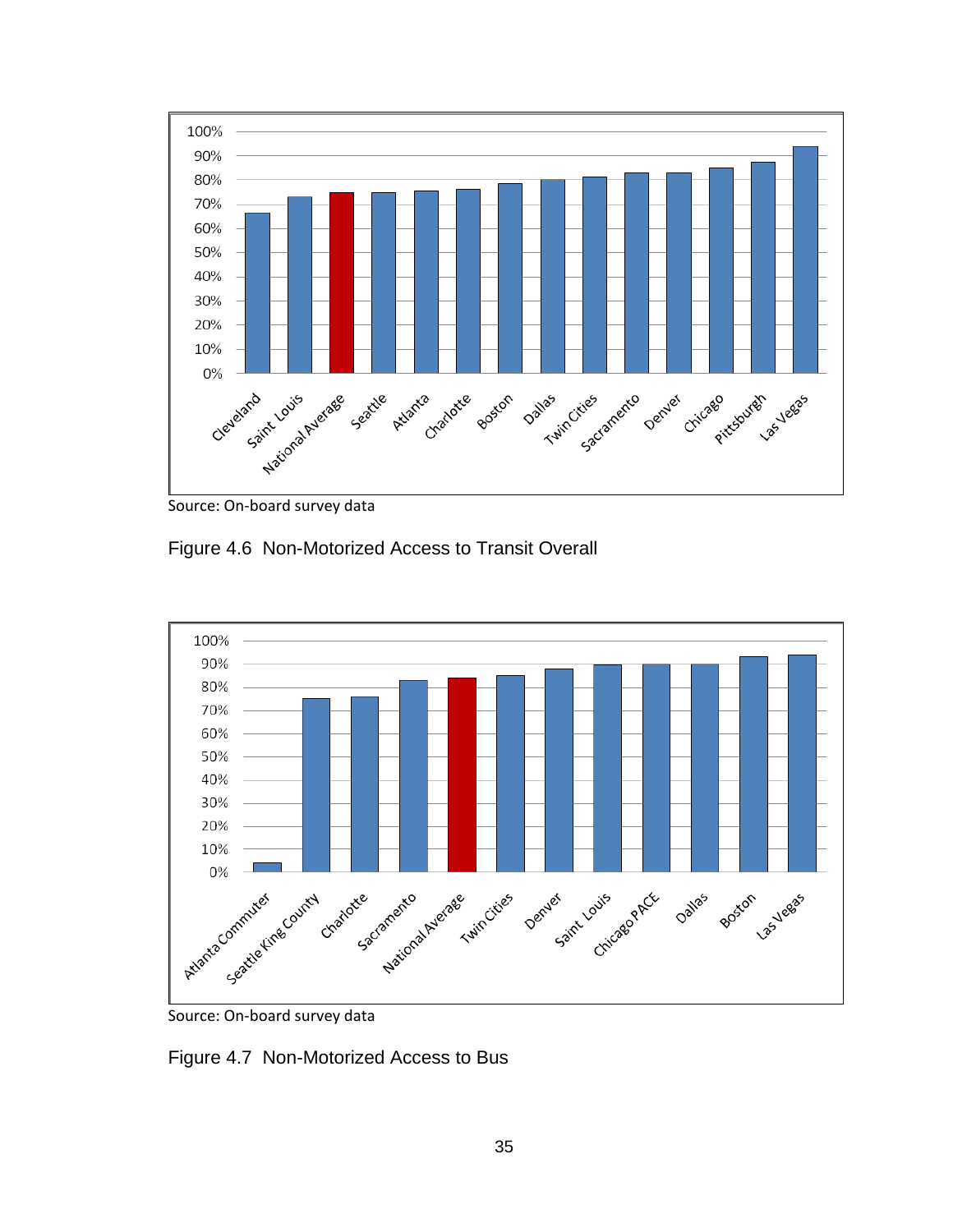

Source: On‐board survey data

Figure 4.6 Non-Motorized Access to Transit Overall



Figure 4.7 Non-Motorized Access to Bus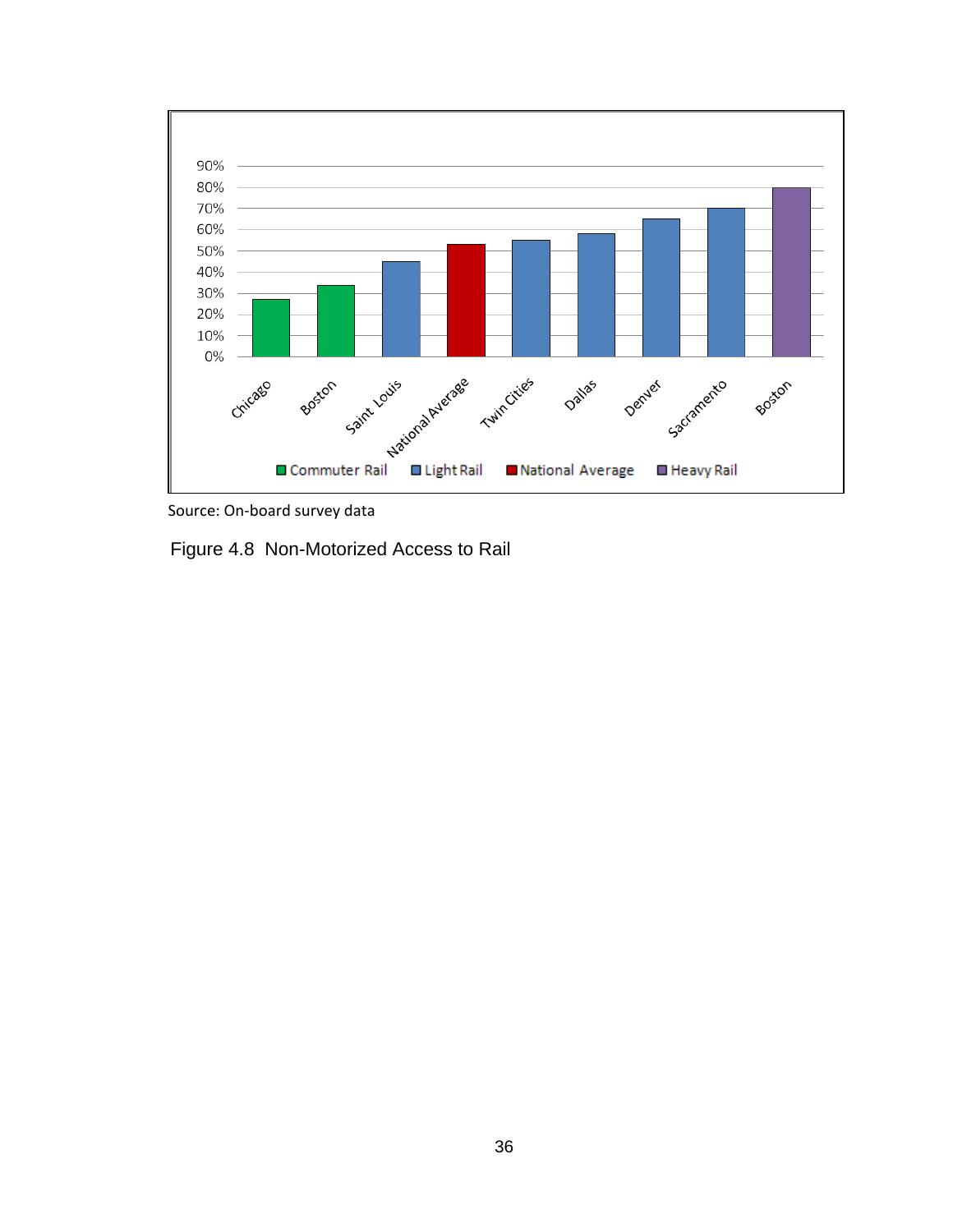

Source: On‐board survey data

Figure 4.8 Non-Motorized Access to Rail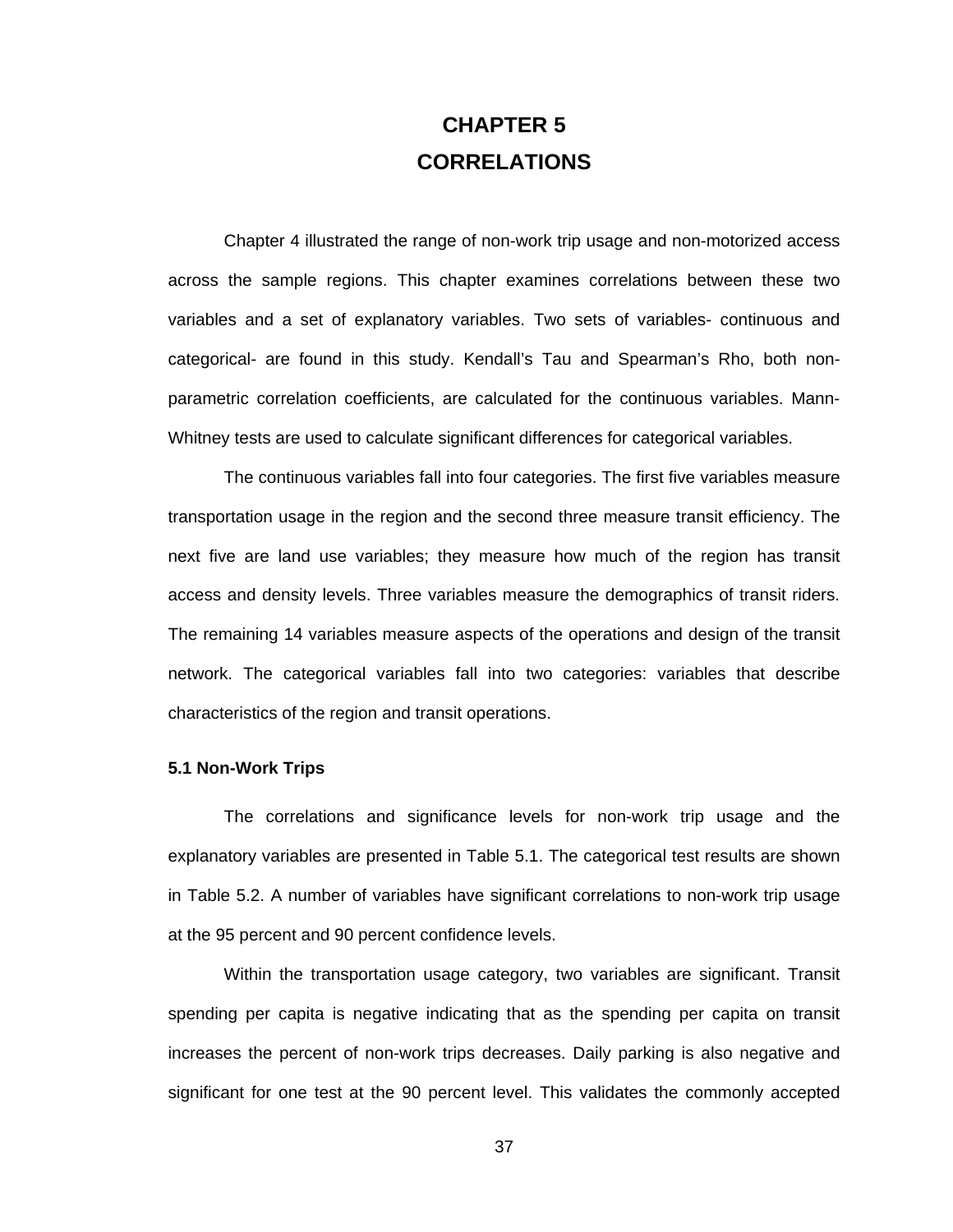## **CHAPTER 5 CORRELATIONS**

Chapter 4 illustrated the range of non-work trip usage and non-motorized access across the sample regions. This chapter examines correlations between these two variables and a set of explanatory variables. Two sets of variables- continuous and categorical- are found in this study. Kendall's Tau and Spearman's Rho, both nonparametric correlation coefficients, are calculated for the continuous variables. Mann-Whitney tests are used to calculate significant differences for categorical variables.

The continuous variables fall into four categories. The first five variables measure transportation usage in the region and the second three measure transit efficiency. The next five are land use variables; they measure how much of the region has transit access and density levels. Three variables measure the demographics of transit riders. The remaining 14 variables measure aspects of the operations and design of the transit network. The categorical variables fall into two categories: variables that describe characteristics of the region and transit operations.

#### **5.1 Non-Work Trips**

The correlations and significance levels for non-work trip usage and the explanatory variables are presented in Table 5.1. The categorical test results are shown in Table 5.2. A number of variables have significant correlations to non-work trip usage at the 95 percent and 90 percent confidence levels.

Within the transportation usage category, two variables are significant. Transit spending per capita is negative indicating that as the spending per capita on transit increases the percent of non-work trips decreases. Daily parking is also negative and significant for one test at the 90 percent level. This validates the commonly accepted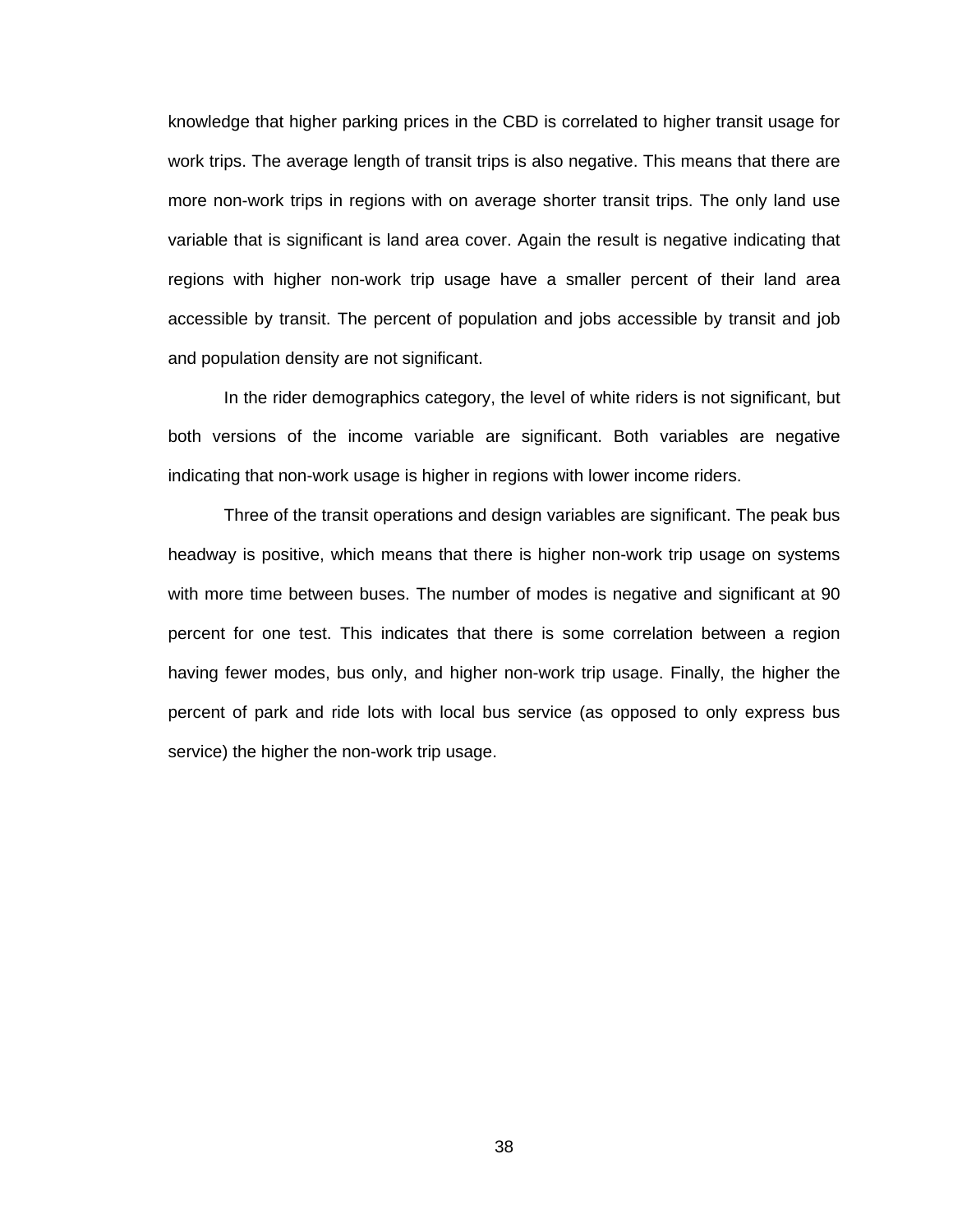knowledge that higher parking prices in the CBD is correlated to higher transit usage for work trips. The average length of transit trips is also negative. This means that there are more non-work trips in regions with on average shorter transit trips. The only land use variable that is significant is land area cover. Again the result is negative indicating that regions with higher non-work trip usage have a smaller percent of their land area accessible by transit. The percent of population and jobs accessible by transit and job and population density are not significant.

In the rider demographics category, the level of white riders is not significant, but both versions of the income variable are significant. Both variables are negative indicating that non-work usage is higher in regions with lower income riders.

Three of the transit operations and design variables are significant. The peak bus headway is positive, which means that there is higher non-work trip usage on systems with more time between buses. The number of modes is negative and significant at 90 percent for one test. This indicates that there is some correlation between a region having fewer modes, bus only, and higher non-work trip usage. Finally, the higher the percent of park and ride lots with local bus service (as opposed to only express bus service) the higher the non-work trip usage.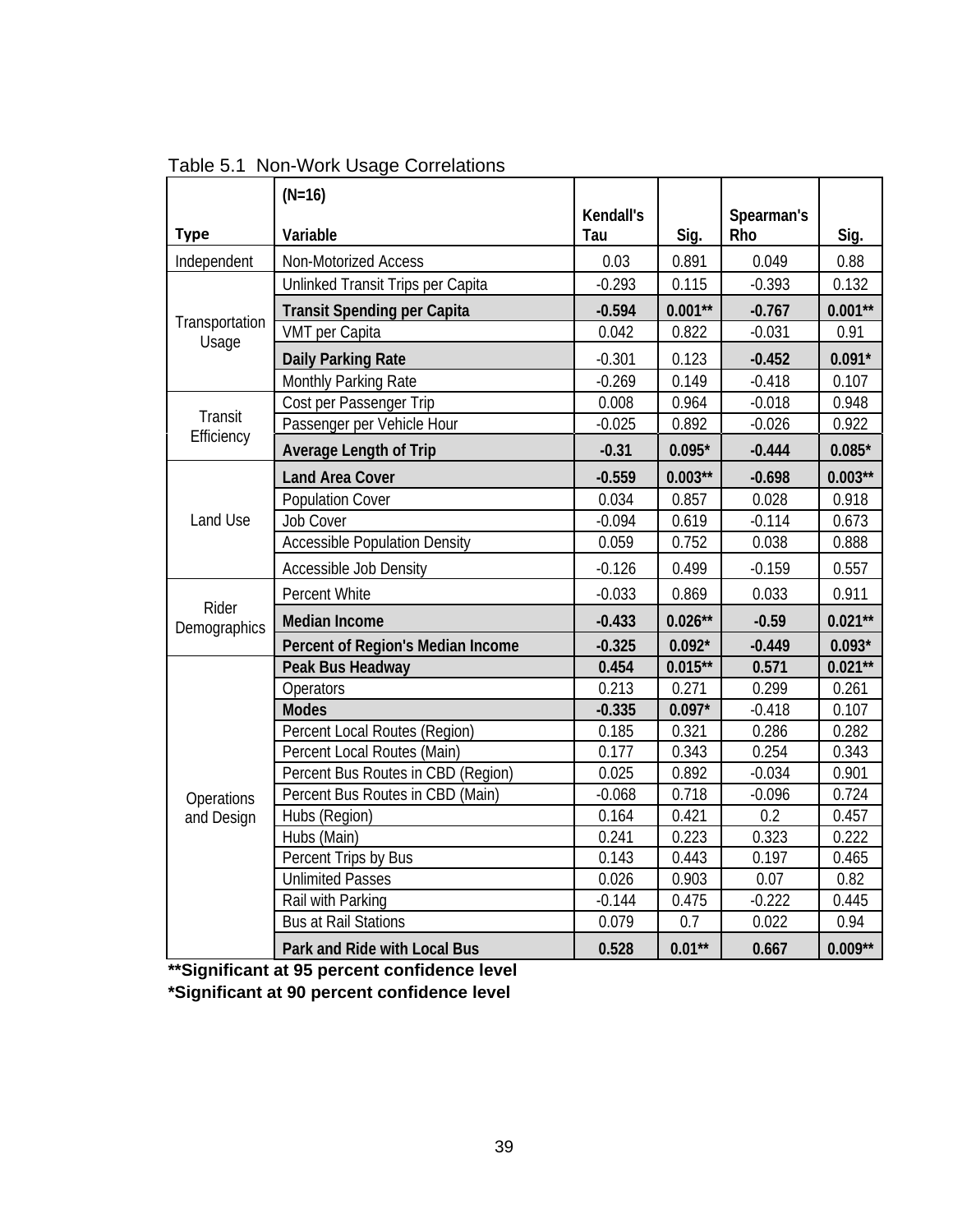|                       | $(N=16)$                             |                  |            |                   |            |
|-----------------------|--------------------------------------|------------------|------------|-------------------|------------|
| <b>Type</b>           | Variable                             | Kendall's<br>Tau | Sig.       | Spearman's<br>Rho | Sig.       |
| Independent           | Non-Motorized Access                 | 0.03             | 0.891      | 0.049             | 0.88       |
|                       | Unlinked Transit Trips per Capita    | $-0.293$         | 0.115      | $-0.393$          | 0.132      |
|                       | <b>Transit Spending per Capita</b>   | $-0.594$         | $0.001**$  | $-0.767$          | $0.001**$  |
| Transportation        | VMT per Capita                       | 0.042            | 0.822      | $-0.031$          | 0.91       |
| Usage                 | <b>Daily Parking Rate</b>            | $-0.301$         | 0.123      | $-0.452$          | $0.091*$   |
|                       | Monthly Parking Rate                 | $-0.269$         | 0.149      | $-0.418$          | 0.107      |
|                       | Cost per Passenger Trip              | 0.008            | 0.964      | $-0.018$          | 0.948      |
| Transit               | Passenger per Vehicle Hour           | $-0.025$         | 0.892      | $-0.026$          | 0.922      |
| Efficiency            | <b>Average Length of Trip</b>        | $-0.31$          | $0.095*$   | $-0.444$          | $0.085*$   |
|                       | <b>Land Area Cover</b>               | $-0.559$         | $0.003**$  | $-0.698$          | $0.003**$  |
|                       | <b>Population Cover</b>              | 0.034            | 0.857      | 0.028             | 0.918      |
| Land Use              | Job Cover                            | $-0.094$         | 0.619      | $-0.114$          | 0.673      |
|                       | <b>Accessible Population Density</b> | 0.059            | 0.752      | 0.038             | 0.888      |
|                       | Accessible Job Density               | $-0.126$         | 0.499      | $-0.159$          | 0.557      |
|                       | Percent White                        | $-0.033$         | 0.869      | 0.033             | 0.911      |
| Rider<br>Demographics | <b>Median Income</b>                 | $-0.433$         | $0.026***$ | $-0.59$           | $0.021**$  |
|                       | Percent of Region's Median Income    | $-0.325$         | $0.092*$   | $-0.449$          | $0.093*$   |
|                       | Peak Bus Headway                     | 0.454            | $0.015***$ | 0.571             | $0.021***$ |
|                       | Operators                            | 0.213            | 0.271      | 0.299             | 0.261      |
|                       | <b>Modes</b>                         | $-0.335$         | $0.097*$   | $-0.418$          | 0.107      |
|                       | Percent Local Routes (Region)        | 0.185            | 0.321      | 0.286             | 0.282      |
|                       | Percent Local Routes (Main)          | 0.177            | 0.343      | 0.254             | 0.343      |
|                       | Percent Bus Routes in CBD (Region)   | 0.025            | 0.892      | $-0.034$          | 0.901      |
| Operations            | Percent Bus Routes in CBD (Main)     | $-0.068$         | 0.718      | $-0.096$          | 0.724      |
| and Design            | Hubs (Region)                        | 0.164            | 0.421      | 0.2               | 0.457      |
|                       | Hubs (Main)                          | 0.241            | 0.223      | 0.323             | 0.222      |
|                       | Percent Trips by Bus                 | 0.143            | 0.443      | 0.197             | 0.465      |
|                       | <b>Unlimited Passes</b>              | 0.026            | 0.903      | 0.07              | 0.82       |
|                       | Rail with Parking                    | $-0.144$         | 0.475      | $-0.222$          | 0.445      |
|                       | <b>Bus at Rail Stations</b>          | 0.079            | 0.7        | 0.022             | 0.94       |
|                       | Park and Ride with Local Bus         | 0.528            | $0.01**$   | 0.667             | $0.009**$  |

Table 5.1 Non-Work Usage Correlations

**\*\*Significant at 95 percent confidence level** 

**\*Significant at 90 percent confidence level**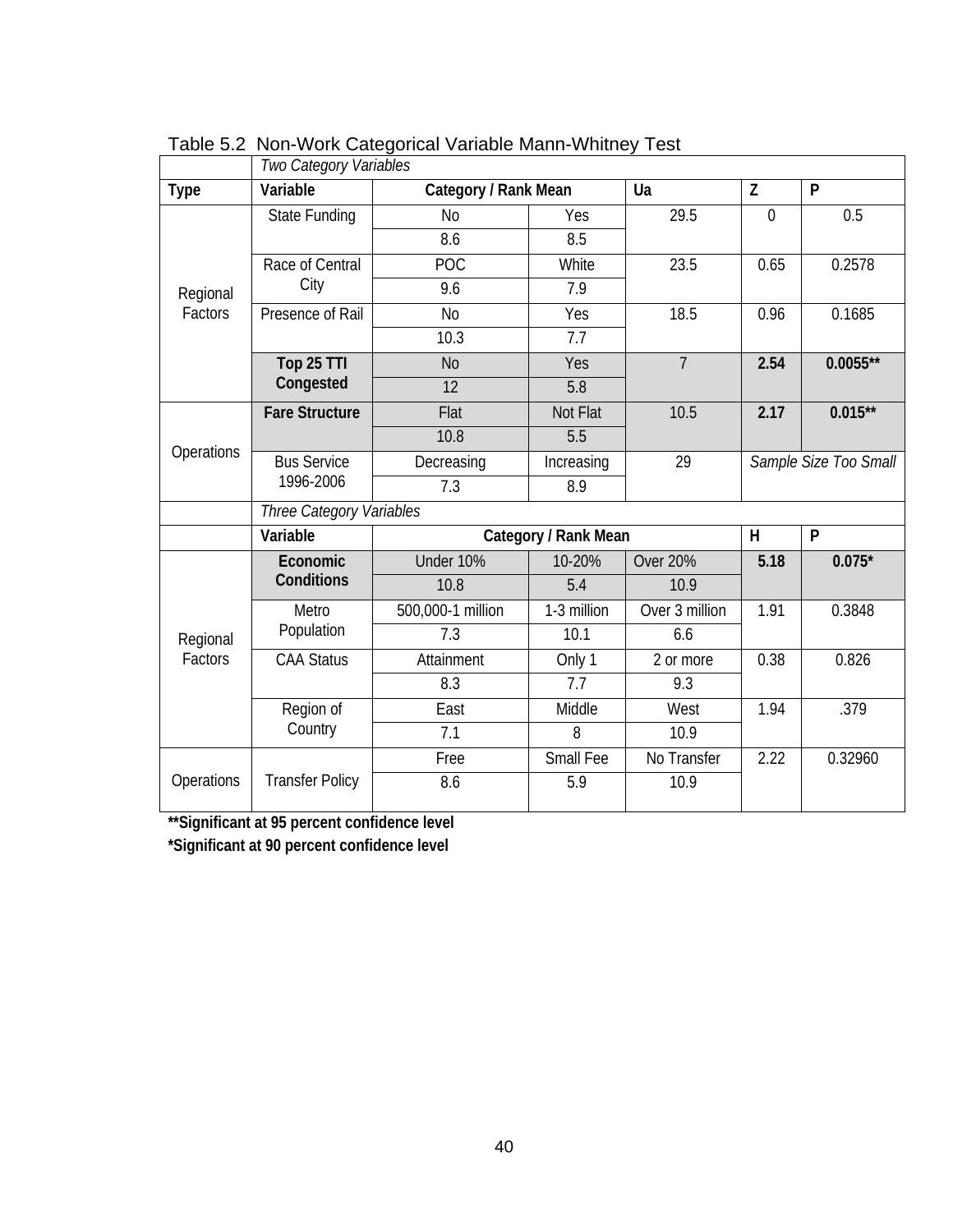|                     | Two Category Variables   |                      |                      |                 |                |                       |  |
|---------------------|--------------------------|----------------------|----------------------|-----------------|----------------|-----------------------|--|
| <b>Type</b>         | Variable                 | Category / Rank Mean |                      | Ua              | Z              | P                     |  |
|                     | State Funding            | N <sub>0</sub>       | Yes                  | 29.5            | $\overline{0}$ | 0.5                   |  |
|                     |                          | 8.6                  | 8.5                  |                 |                |                       |  |
|                     | Race of Central          | POC                  | White                | 23.5            | 0.65           | 0.2578                |  |
| Regional<br>Factors | City                     | 9.6                  | 7.9                  |                 |                |                       |  |
|                     | Presence of Rail         | <b>No</b>            | Yes                  | 18.5            | 0.96           | 0.1685                |  |
|                     |                          | 10.3                 | 7.7                  |                 |                |                       |  |
|                     | Top 25 TTI               | N <sub>o</sub>       | Yes                  | $\overline{7}$  | 2.54           | $0.0055**$            |  |
|                     | Congested                | 12                   | 5.8                  |                 |                |                       |  |
| Operations          | <b>Fare Structure</b>    | Flat                 | Not Flat             | 10.5            | 2.17           | $0.015***$            |  |
|                     |                          | 10.8                 | 5.5                  |                 |                |                       |  |
|                     | <b>Bus Service</b>       | Decreasing           | Increasing           | 29              |                | Sample Size Too Small |  |
|                     | 1996-2006                | 7.3                  | 8.9                  |                 |                |                       |  |
|                     | Three Category Variables |                      |                      |                 |                |                       |  |
|                     | Variable                 |                      | Category / Rank Mean |                 | H              | P                     |  |
|                     | Economic                 | Under 10%            | 10-20%               | <b>Over 20%</b> | 5.18           | $0.075*$              |  |
|                     | Conditions               | 10.8                 | 5.4                  | 10.9            |                |                       |  |
|                     | Metro                    | 500,000-1 million    | 1-3 million          | Over 3 million  | 1.91           | 0.3848                |  |
| Regional            | Population               | 7.3                  | 10.1                 | 6.6             |                |                       |  |
| Factors             | <b>CAA Status</b>        | Attainment           | Only 1               | 2 or more       | 0.38           | 0.826                 |  |
|                     |                          | 8.3                  | 7.7                  | 9.3             |                |                       |  |
|                     | Region of                | East                 | Middle               | West            | 1.94           | .379                  |  |
|                     | Country                  | 7.1                  | 8                    | 10.9            |                |                       |  |
|                     |                          | Free                 | Small Fee            | No Transfer     | 2.22           | 0.32960               |  |
| Operations          | <b>Transfer Policy</b>   | 8.6                  | 5.9                  | 10.9            |                |                       |  |

Table 5.2 Non-Work Categorical Variable Mann-Whitney Test

**\*\*Significant at 95 percent confidence level** 

**\*Significant at 90 percent confidence level**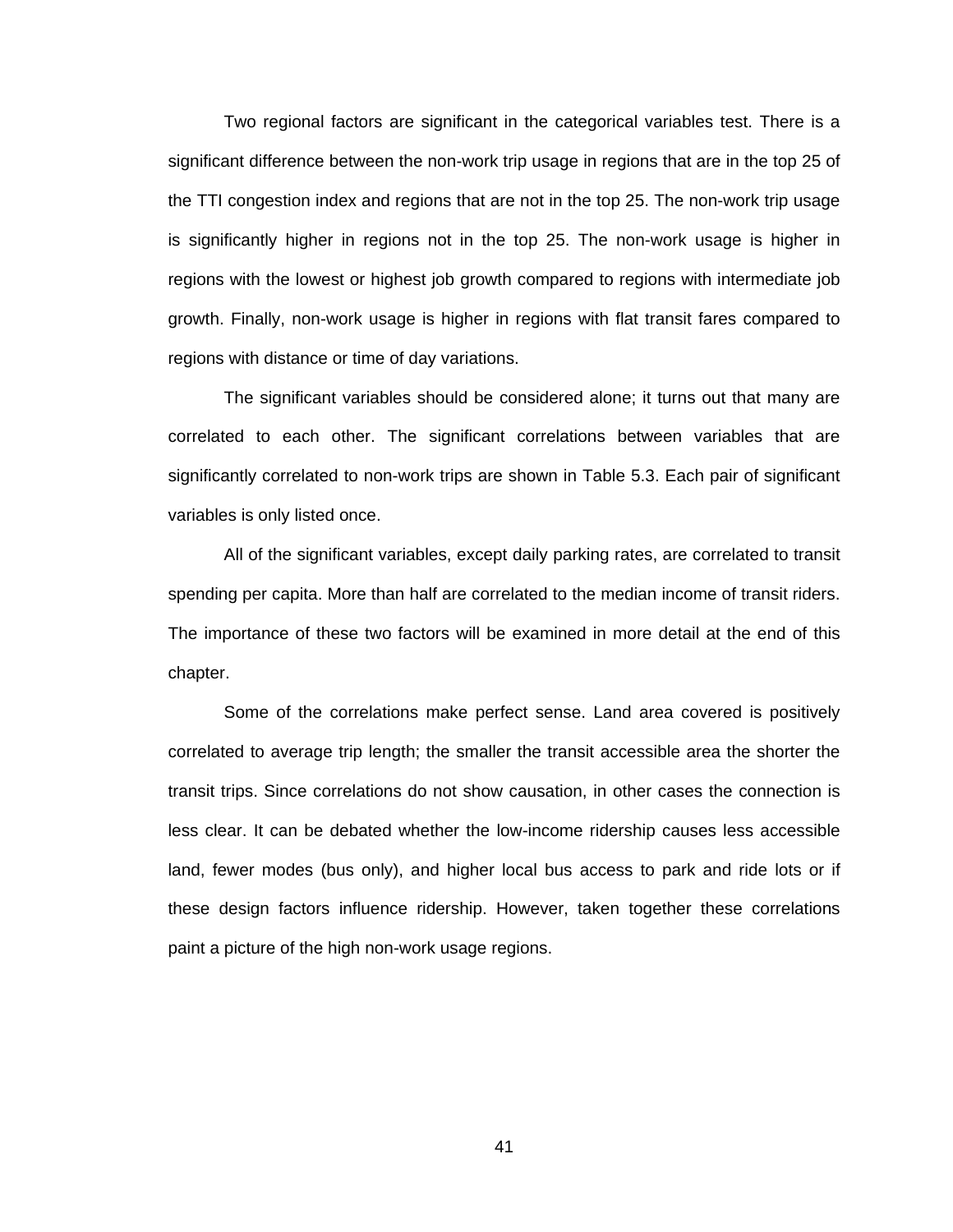Two regional factors are significant in the categorical variables test. There is a significant difference between the non-work trip usage in regions that are in the top 25 of the TTI congestion index and regions that are not in the top 25. The non-work trip usage is significantly higher in regions not in the top 25. The non-work usage is higher in regions with the lowest or highest job growth compared to regions with intermediate job growth. Finally, non-work usage is higher in regions with flat transit fares compared to regions with distance or time of day variations.

The significant variables should be considered alone; it turns out that many are correlated to each other. The significant correlations between variables that are significantly correlated to non-work trips are shown in Table 5.3. Each pair of significant variables is only listed once.

All of the significant variables, except daily parking rates, are correlated to transit spending per capita. More than half are correlated to the median income of transit riders. The importance of these two factors will be examined in more detail at the end of this chapter.

Some of the correlations make perfect sense. Land area covered is positively correlated to average trip length; the smaller the transit accessible area the shorter the transit trips. Since correlations do not show causation, in other cases the connection is less clear. It can be debated whether the low-income ridership causes less accessible land, fewer modes (bus only), and higher local bus access to park and ride lots or if these design factors influence ridership. However, taken together these correlations paint a picture of the high non-work usage regions.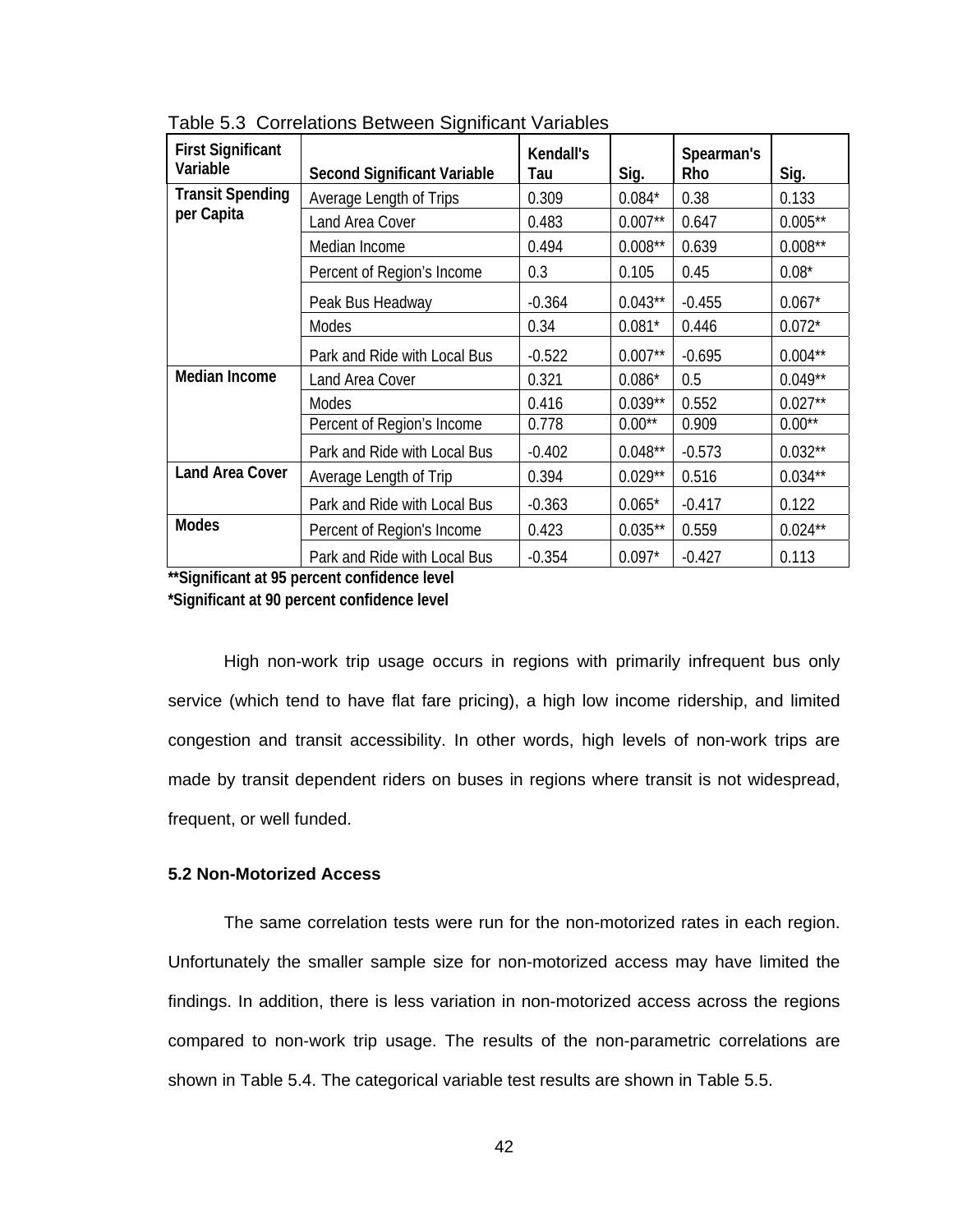| <b>First Significant</b><br>Variable | <b>Second Significant Variable</b> | Kendall's<br>Tau | Sig.       | Spearman's<br>Rho | Sig.       |
|--------------------------------------|------------------------------------|------------------|------------|-------------------|------------|
| <b>Transit Spending</b>              | Average Length of Trips            | 0.309            | $0.084*$   | 0.38              | 0.133      |
| per Capita                           | Land Area Cover                    | 0.483            | $0.007**$  | 0.647             | $0.005***$ |
|                                      | Median Income                      | 0.494            | $0.008**$  | 0.639             | $0.008**$  |
|                                      | Percent of Region's Income         | 0.3              | 0.105      | 0.45              | $0.08*$    |
|                                      | Peak Bus Headway                   | $-0.364$         | $0.043**$  | $-0.455$          | $0.067*$   |
|                                      | Modes                              | 0.34             | $0.081*$   | 0.446             | $0.072*$   |
|                                      | Park and Ride with Local Bus       | $-0.522$         | $0.007**$  | $-0.695$          | $0.004***$ |
| Median Income                        | Land Area Cover                    | 0.321            | $0.086*$   | 0.5               | $0.049**$  |
|                                      | Modes                              | 0.416            | $0.039**$  | 0.552             | $0.027**$  |
|                                      | Percent of Region's Income         | 0.778            | $0.00**$   | 0.909             | $0.00**$   |
|                                      | Park and Ride with Local Bus       | $-0.402$         | $0.048***$ | $-0.573$          | $0.032**$  |
| <b>Land Area Cover</b>               | Average Length of Trip             | 0.394            | $0.029**$  | 0.516             | $0.034***$ |
|                                      | Park and Ride with Local Bus       | $-0.363$         | $0.065*$   | $-0.417$          | 0.122      |
| <b>Modes</b>                         | Percent of Region's Income         | 0.423            | $0.035***$ | 0.559             | $0.024***$ |
|                                      | Park and Ride with Local Bus       | $-0.354$         | $0.097*$   | $-0.427$          | 0.113      |

Table 5.3 Correlations Between Significant Variables

**\*\*Significant at 95 percent confidence level \*Significant at 90 percent confidence level** 

High non-work trip usage occurs in regions with primarily infrequent bus only service (which tend to have flat fare pricing), a high low income ridership, and limited congestion and transit accessibility. In other words, high levels of non-work trips are made by transit dependent riders on buses in regions where transit is not widespread, frequent, or well funded.

## **5.2 Non-Motorized Access**

The same correlation tests were run for the non-motorized rates in each region. Unfortunately the smaller sample size for non-motorized access may have limited the findings. In addition, there is less variation in non-motorized access across the regions compared to non-work trip usage. The results of the non-parametric correlations are shown in Table 5.4. The categorical variable test results are shown in Table 5.5.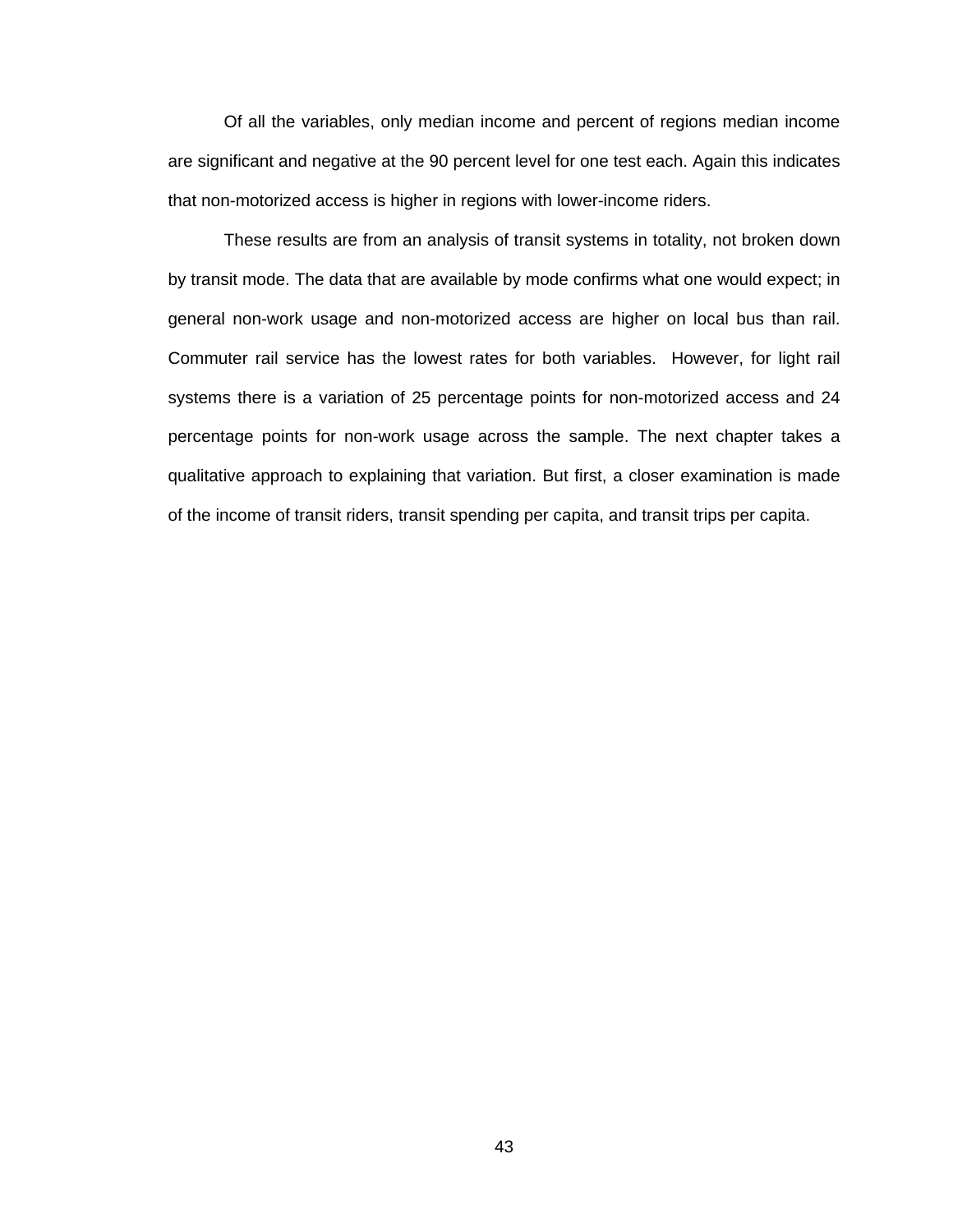Of all the variables, only median income and percent of regions median income are significant and negative at the 90 percent level for one test each. Again this indicates that non-motorized access is higher in regions with lower-income riders.

These results are from an analysis of transit systems in totality, not broken down by transit mode. The data that are available by mode confirms what one would expect; in general non-work usage and non-motorized access are higher on local bus than rail. Commuter rail service has the lowest rates for both variables. However, for light rail systems there is a variation of 25 percentage points for non-motorized access and 24 percentage points for non-work usage across the sample. The next chapter takes a qualitative approach to explaining that variation. But first, a closer examination is made of the income of transit riders, transit spending per capita, and transit trips per capita.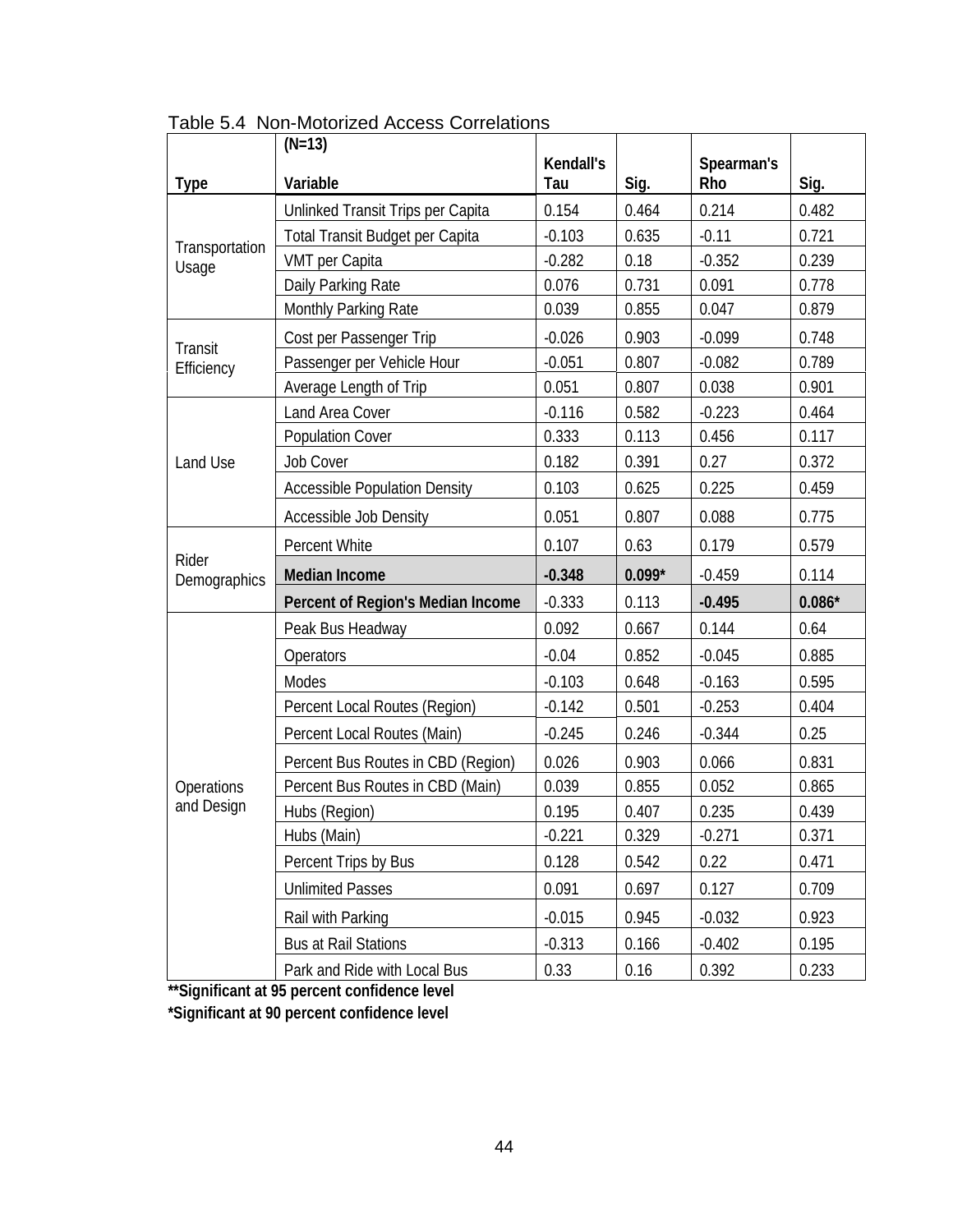|                         | $(N=13)$                             |                  |          |                   |          |
|-------------------------|--------------------------------------|------------------|----------|-------------------|----------|
| <b>Type</b>             | Variable                             | Kendall's<br>Tau | Sig.     | Spearman's<br>Rho | Sig.     |
|                         | Unlinked Transit Trips per Capita    | 0.154            | 0.464    | 0.214             | 0.482    |
| Transportation<br>Usage | Total Transit Budget per Capita      | $-0.103$         | 0.635    | $-0.11$           | 0.721    |
|                         | VMT per Capita                       | $-0.282$         | 0.18     | $-0.352$          | 0.239    |
|                         | Daily Parking Rate                   | 0.076            | 0.731    | 0.091             | 0.778    |
|                         | Monthly Parking Rate                 | 0.039            | 0.855    | 0.047             | 0.879    |
| Transit                 | Cost per Passenger Trip              | $-0.026$         | 0.903    | $-0.099$          | 0.748    |
| Efficiency              | Passenger per Vehicle Hour           | $-0.051$         | 0.807    | $-0.082$          | 0.789    |
|                         | Average Length of Trip               | 0.051            | 0.807    | 0.038             | 0.901    |
|                         | Land Area Cover                      | $-0.116$         | 0.582    | $-0.223$          | 0.464    |
|                         | <b>Population Cover</b>              | 0.333            | 0.113    | 0.456             | 0.117    |
| Land Use                | <b>Job Cover</b>                     | 0.182            | 0.391    | 0.27              | 0.372    |
|                         | <b>Accessible Population Density</b> | 0.103            | 0.625    | 0.225             | 0.459    |
|                         | Accessible Job Density               | 0.051            | 0.807    | 0.088             | 0.775    |
|                         | Percent White                        | 0.107            | 0.63     | 0.179             | 0.579    |
| Rider<br>Demographics   | <b>Median Income</b>                 | $-0.348$         | $0.099*$ | $-0.459$          | 0.114    |
|                         | Percent of Region's Median Income    | $-0.333$         | 0.113    | $-0.495$          | $0.086*$ |
|                         | Peak Bus Headway                     | 0.092            | 0.667    | 0.144             | 0.64     |
|                         | Operators                            | $-0.04$          | 0.852    | $-0.045$          | 0.885    |
|                         | Modes                                | $-0.103$         | 0.648    | $-0.163$          | 0.595    |
|                         | Percent Local Routes (Region)        | $-0.142$         | 0.501    | $-0.253$          | 0.404    |
|                         | Percent Local Routes (Main)          | $-0.245$         | 0.246    | $-0.344$          | 0.25     |
|                         | Percent Bus Routes in CBD (Region)   | 0.026            | 0.903    | 0.066             | 0.831    |
| Operations              | Percent Bus Routes in CBD (Main)     | 0.039            | 0.855    | 0.052             | 0.865    |
| and Design              | Hubs (Region)                        | 0.195            | 0.407    | 0.235             | 0.439    |
|                         | Hubs (Main)                          | $-0.221$         | 0.329    | $-0.271$          | 0.371    |
|                         | Percent Trips by Bus                 | 0.128            | 0.542    | 0.22              | 0.471    |
|                         | <b>Unlimited Passes</b>              | 0.091            | 0.697    | 0.127             | 0.709    |
|                         | Rail with Parking                    | $-0.015$         | 0.945    | $-0.032$          | 0.923    |
|                         | <b>Bus at Rail Stations</b>          | $-0.313$         | 0.166    | $-0.402$          | 0.195    |
|                         | Park and Ride with Local Bus         | 0.33             | 0.16     | 0.392             | 0.233    |

Table 5.4 Non-Motorized Access Correlations

**\*\*Significant at 95 percent confidence level** 

**\*Significant at 90 percent confidence level**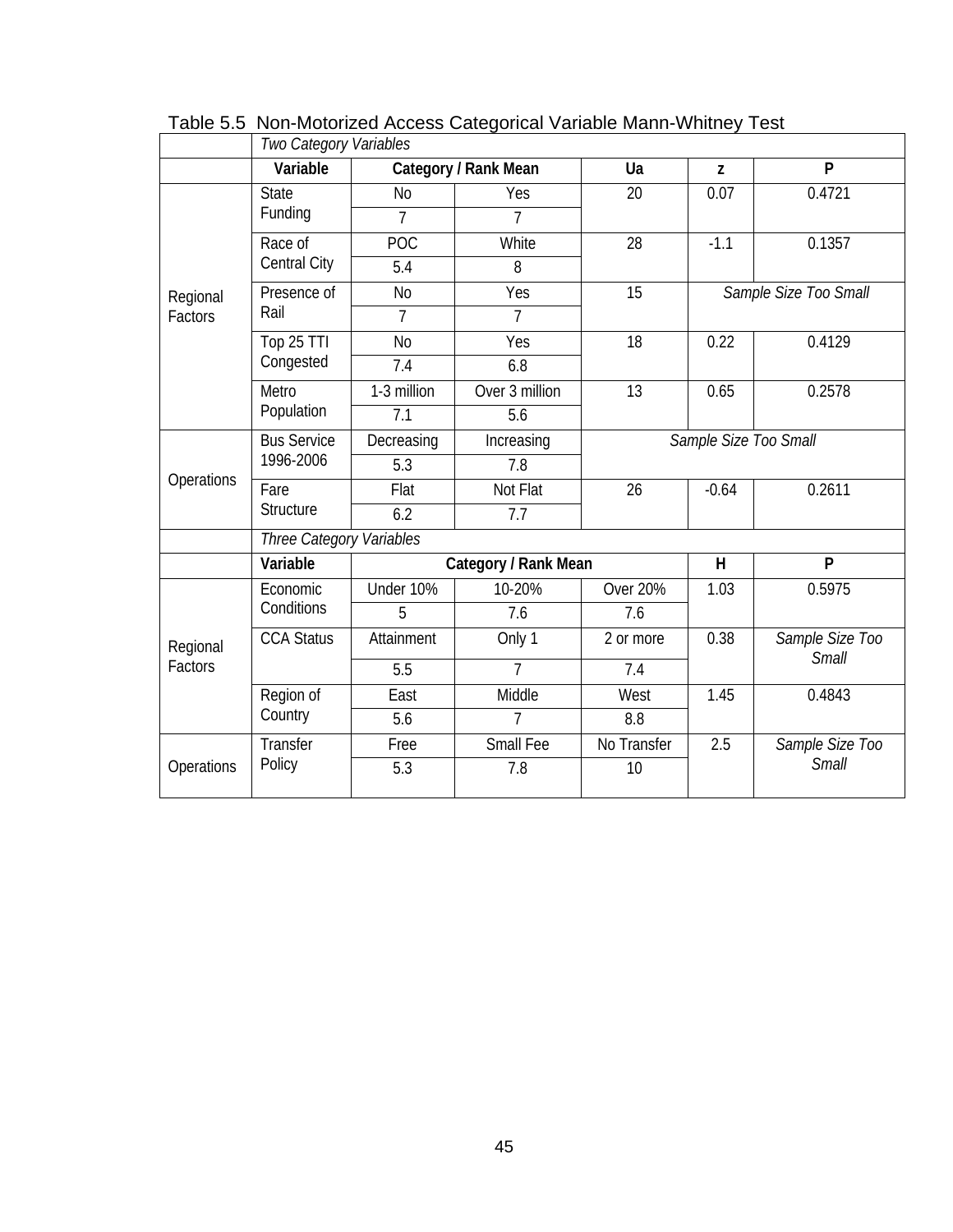|            | Two Category Variables   |                |                      |                       |         |                                 |  |  |
|------------|--------------------------|----------------|----------------------|-----------------------|---------|---------------------------------|--|--|
|            | Variable                 |                | Category / Rank Mean | Ua                    | Z       | P                               |  |  |
|            | <b>State</b>             | N <sub>o</sub> | Yes                  | 20                    | 0.07    | 0.4721                          |  |  |
|            | Funding                  | 7              | 7                    |                       |         |                                 |  |  |
|            | Race of                  | <b>POC</b>     | White                | 28                    | $-1.1$  | 0.1357                          |  |  |
|            | <b>Central City</b>      | 5.4            | 8                    |                       |         |                                 |  |  |
| Regional   | Presence of              | N <sub>0</sub> | Yes                  | 15                    |         | Sample Size Too Small           |  |  |
| Factors    | Rail                     | $\overline{7}$ | 7                    |                       |         |                                 |  |  |
|            | Top 25 TTI               | N <sub>0</sub> | Yes                  | 18                    | 0.22    | 0.4129                          |  |  |
|            | Congested                | 7.4            | 6.8                  |                       |         |                                 |  |  |
|            | Metro<br>Population      | 1-3 million    | Over 3 million       | 13                    | 0.65    | 0.2578                          |  |  |
|            |                          | 7.1            | 5.6                  |                       |         |                                 |  |  |
|            | <b>Bus Service</b>       | Decreasing     | Increasing           | Sample Size Too Small |         |                                 |  |  |
|            | 1996-2006                | 5.3            | 7.8                  |                       |         |                                 |  |  |
| Operations | Fare                     | Flat           | Not Flat             | 26                    | $-0.64$ | 0.2611                          |  |  |
|            | Structure                | 6.2            | 7.7                  |                       |         |                                 |  |  |
|            | Three Category Variables |                |                      |                       |         |                                 |  |  |
|            | Variable                 |                | Category / Rank Mean |                       | H       | P                               |  |  |
|            | Economic                 | Under 10%      | 10-20%               | <b>Over 20%</b>       | 1.03    | 0.5975                          |  |  |
|            | Conditions               | 5              | 7.6                  | 7.6                   |         |                                 |  |  |
| Regional   | <b>CCA Status</b>        | Attainment     | Only 1               | 2 or more             | 0.38    | Sample Size Too<br><b>Small</b> |  |  |
| Factors    |                          | 5.5            | 7                    | 7.4                   |         |                                 |  |  |
|            | Region of                | East           | Middle               | West                  | 1.45    | 0.4843                          |  |  |
|            | Country                  | 5.6            | $\overline{7}$       | 8.8                   |         |                                 |  |  |
|            | Transfer                 | Free           | Small Fee            | No Transfer           | 2.5     | Sample Size Too                 |  |  |
| Operations | Policy                   | 5.3            | 7.8                  | 10                    |         | Small                           |  |  |

Table 5.5 Non-Motorized Access Categorical Variable Mann-Whitney Test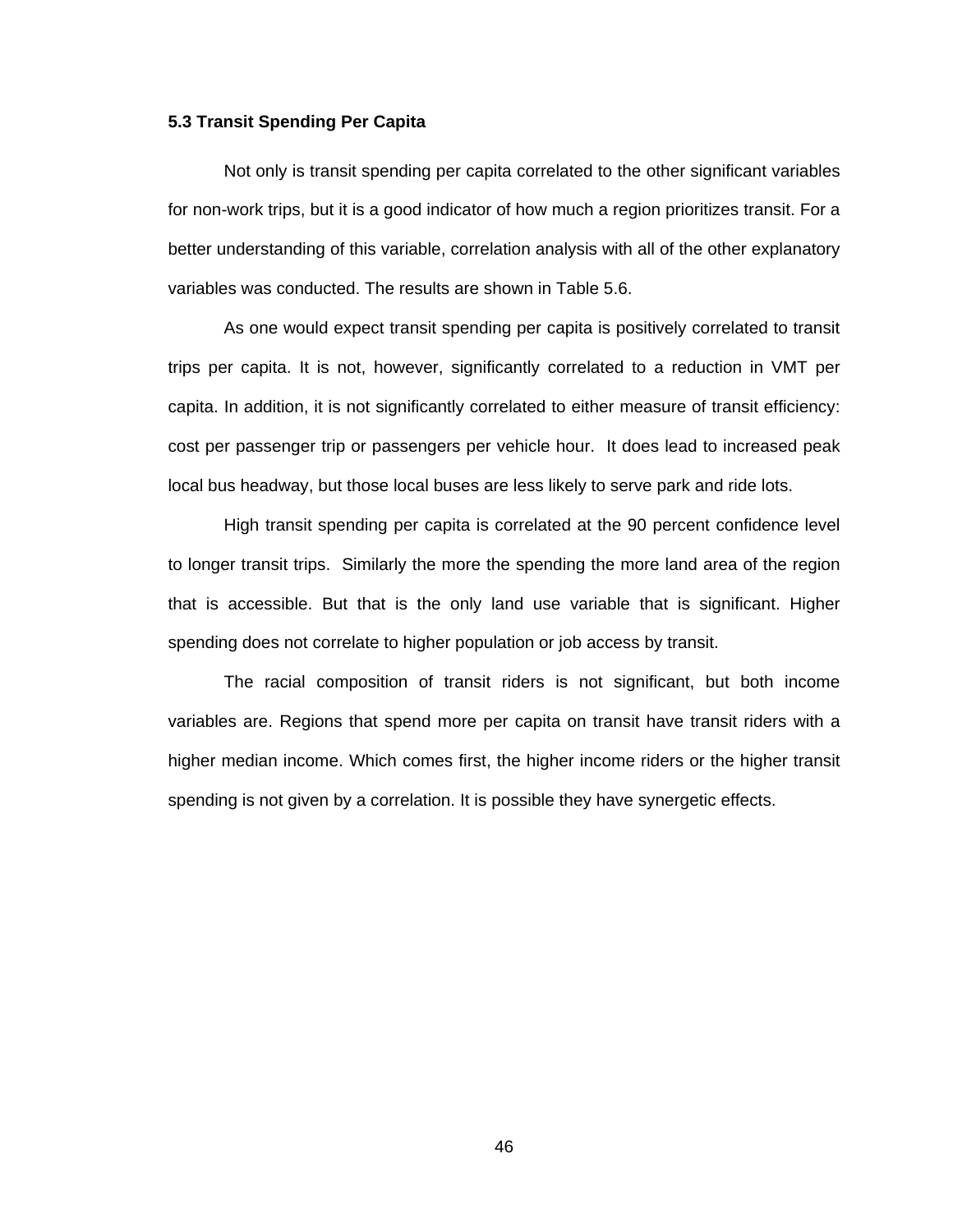#### **5.3 Transit Spending Per Capita**

Not only is transit spending per capita correlated to the other significant variables for non-work trips, but it is a good indicator of how much a region prioritizes transit. For a better understanding of this variable, correlation analysis with all of the other explanatory variables was conducted. The results are shown in Table 5.6.

As one would expect transit spending per capita is positively correlated to transit trips per capita. It is not, however, significantly correlated to a reduction in VMT per capita. In addition, it is not significantly correlated to either measure of transit efficiency: cost per passenger trip or passengers per vehicle hour. It does lead to increased peak local bus headway, but those local buses are less likely to serve park and ride lots.

High transit spending per capita is correlated at the 90 percent confidence level to longer transit trips. Similarly the more the spending the more land area of the region that is accessible. But that is the only land use variable that is significant. Higher spending does not correlate to higher population or job access by transit.

The racial composition of transit riders is not significant, but both income variables are. Regions that spend more per capita on transit have transit riders with a higher median income. Which comes first, the higher income riders or the higher transit spending is not given by a correlation. It is possible they have synergetic effects.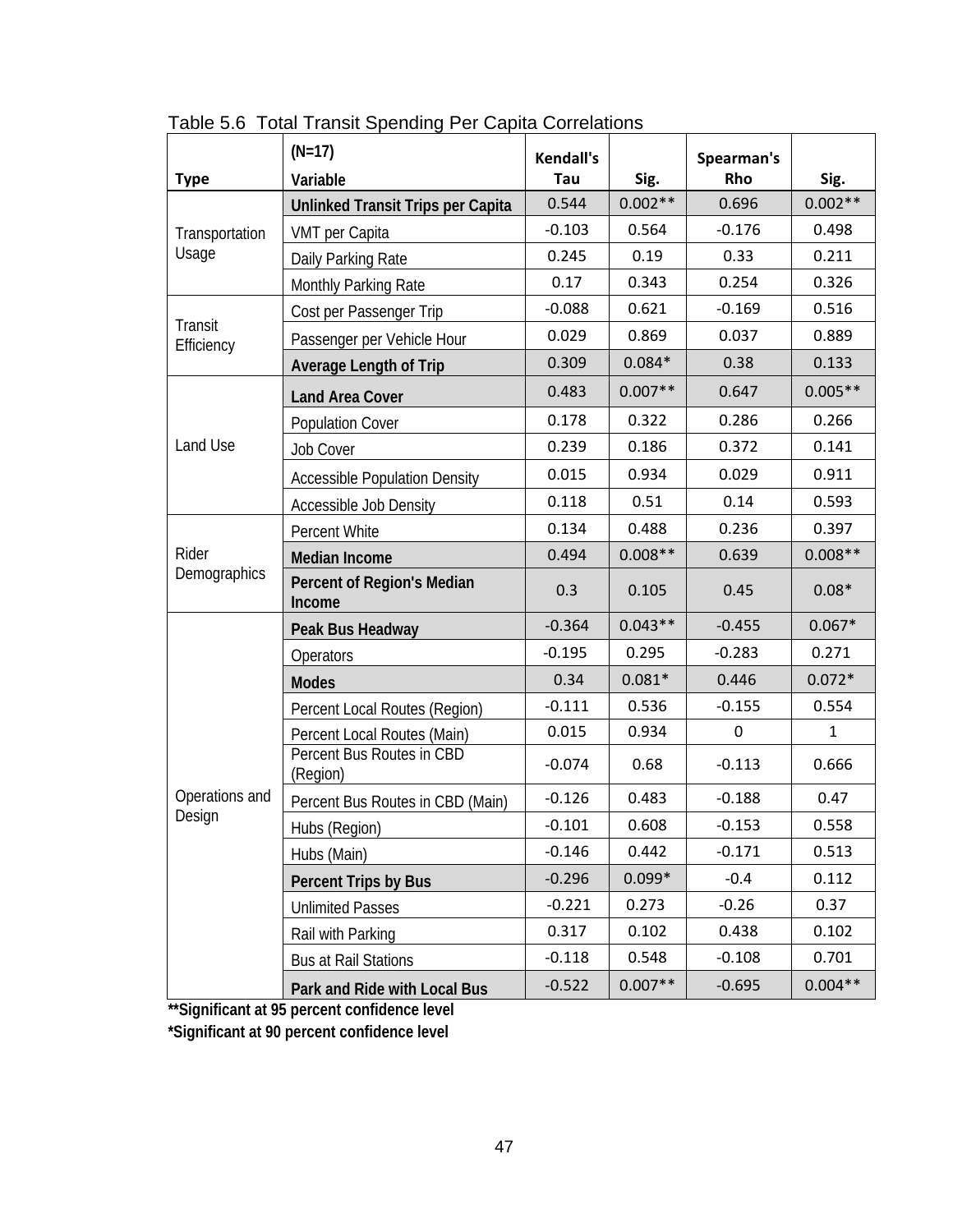|                       | $(N=17)$                              | <b>Kendall's</b> |           | Spearman's  |              |
|-----------------------|---------------------------------------|------------------|-----------|-------------|--------------|
| <b>Type</b>           | Variable                              | Tau              | Sig.      | Rho         | Sig.         |
|                       | Unlinked Transit Trips per Capita     | 0.544            | $0.002**$ | 0.696       | $0.002**$    |
| Transportation        | VMT per Capita                        | $-0.103$         | 0.564     | $-0.176$    | 0.498        |
| Usage                 | Daily Parking Rate                    | 0.245            | 0.19      | 0.33        | 0.211        |
|                       | Monthly Parking Rate                  | 0.17             | 0.343     | 0.254       | 0.326        |
|                       | Cost per Passenger Trip               | $-0.088$         | 0.621     | $-0.169$    | 0.516        |
| Transit<br>Efficiency | Passenger per Vehicle Hour            | 0.029            | 0.869     | 0.037       | 0.889        |
|                       | <b>Average Length of Trip</b>         | 0.309            | $0.084*$  | 0.38        | 0.133        |
|                       | <b>Land Area Cover</b>                | 0.483            | $0.007**$ | 0.647       | $0.005**$    |
|                       | <b>Population Cover</b>               | 0.178            | 0.322     | 0.286       | 0.266        |
| Land Use              | <b>Job Cover</b>                      | 0.239            | 0.186     | 0.372       | 0.141        |
|                       | <b>Accessible Population Density</b>  | 0.015            | 0.934     | 0.029       | 0.911        |
|                       | <b>Accessible Job Density</b>         | 0.118            | 0.51      | 0.14        | 0.593        |
|                       | Percent White                         | 0.134            | 0.488     | 0.236       | 0.397        |
| Rider                 | <b>Median Income</b>                  | 0.494            | $0.008**$ | 0.639       | $0.008**$    |
| Demographics          | Percent of Region's Median<br>Income  | 0.3              | 0.105     | 0.45        | $0.08*$      |
|                       | Peak Bus Headway                      | $-0.364$         | $0.043**$ | $-0.455$    | $0.067*$     |
|                       | Operators                             | $-0.195$         | 0.295     | $-0.283$    | 0.271        |
|                       | <b>Modes</b>                          | 0.34             | $0.081*$  | 0.446       | $0.072*$     |
|                       | Percent Local Routes (Region)         | $-0.111$         | 0.536     | $-0.155$    | 0.554        |
|                       | Percent Local Routes (Main)           | 0.015            | 0.934     | $\mathbf 0$ | $\mathbf{1}$ |
|                       | Percent Bus Routes in CBD<br>(Region) | $-0.074$         | 0.68      | $-0.113$    | 0.666        |
| Operations and        | Percent Bus Routes in CBD (Main)      | $-0.126$         | 0.483     | $-0.188$    | 0.47         |
| Design                | Hubs (Region)                         | $-0.101$         | 0.608     | $-0.153$    | 0.558        |
|                       | Hubs (Main)                           | $-0.146$         | 0.442     | $-0.171$    | 0.513        |
|                       | Percent Trips by Bus                  | $-0.296$         | $0.099*$  | $-0.4$      | 0.112        |
|                       | <b>Unlimited Passes</b>               | $-0.221$         | 0.273     | $-0.26$     | 0.37         |
|                       | Rail with Parking                     | 0.317            | 0.102     | 0.438       | 0.102        |
|                       | <b>Bus at Rail Stations</b>           | $-0.118$         | 0.548     | $-0.108$    | 0.701        |
|                       | Park and Ride with Local Bus          | $-0.522$         | $0.007**$ | $-0.695$    | $0.004**$    |

Table 5.6 Total Transit Spending Per Capita Correlations

**\*\*Significant at 95 percent confidence level** 

**\*Significant at 90 percent confidence level**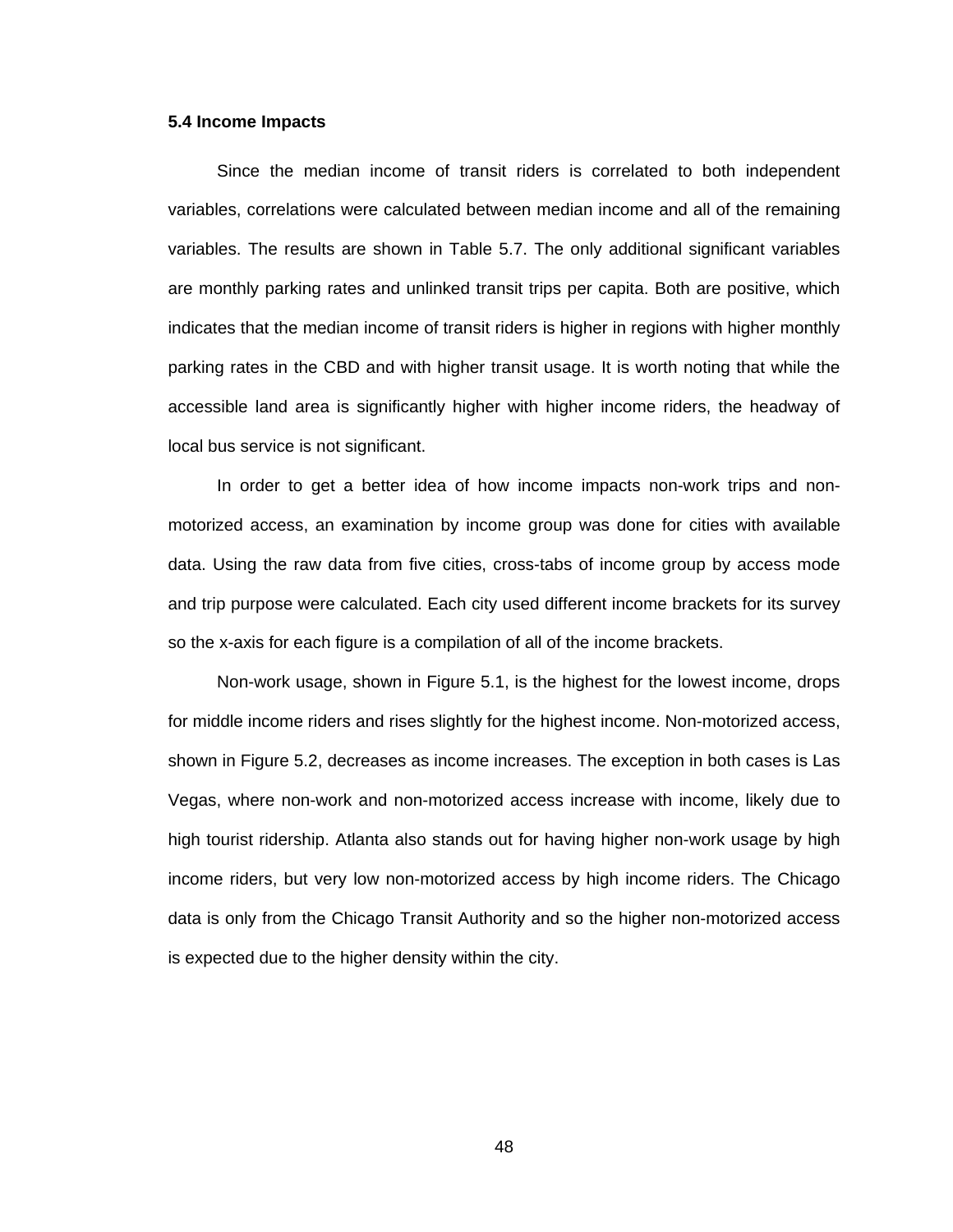#### **5.4 Income Impacts**

Since the median income of transit riders is correlated to both independent variables, correlations were calculated between median income and all of the remaining variables. The results are shown in Table 5.7. The only additional significant variables are monthly parking rates and unlinked transit trips per capita. Both are positive, which indicates that the median income of transit riders is higher in regions with higher monthly parking rates in the CBD and with higher transit usage. It is worth noting that while the accessible land area is significantly higher with higher income riders, the headway of local bus service is not significant.

In order to get a better idea of how income impacts non-work trips and nonmotorized access, an examination by income group was done for cities with available data. Using the raw data from five cities, cross-tabs of income group by access mode and trip purpose were calculated. Each city used different income brackets for its survey so the x-axis for each figure is a compilation of all of the income brackets.

Non-work usage, shown in Figure 5.1, is the highest for the lowest income, drops for middle income riders and rises slightly for the highest income. Non-motorized access, shown in Figure 5.2, decreases as income increases. The exception in both cases is Las Vegas, where non-work and non-motorized access increase with income, likely due to high tourist ridership. Atlanta also stands out for having higher non-work usage by high income riders, but very low non-motorized access by high income riders. The Chicago data is only from the Chicago Transit Authority and so the higher non-motorized access is expected due to the higher density within the city.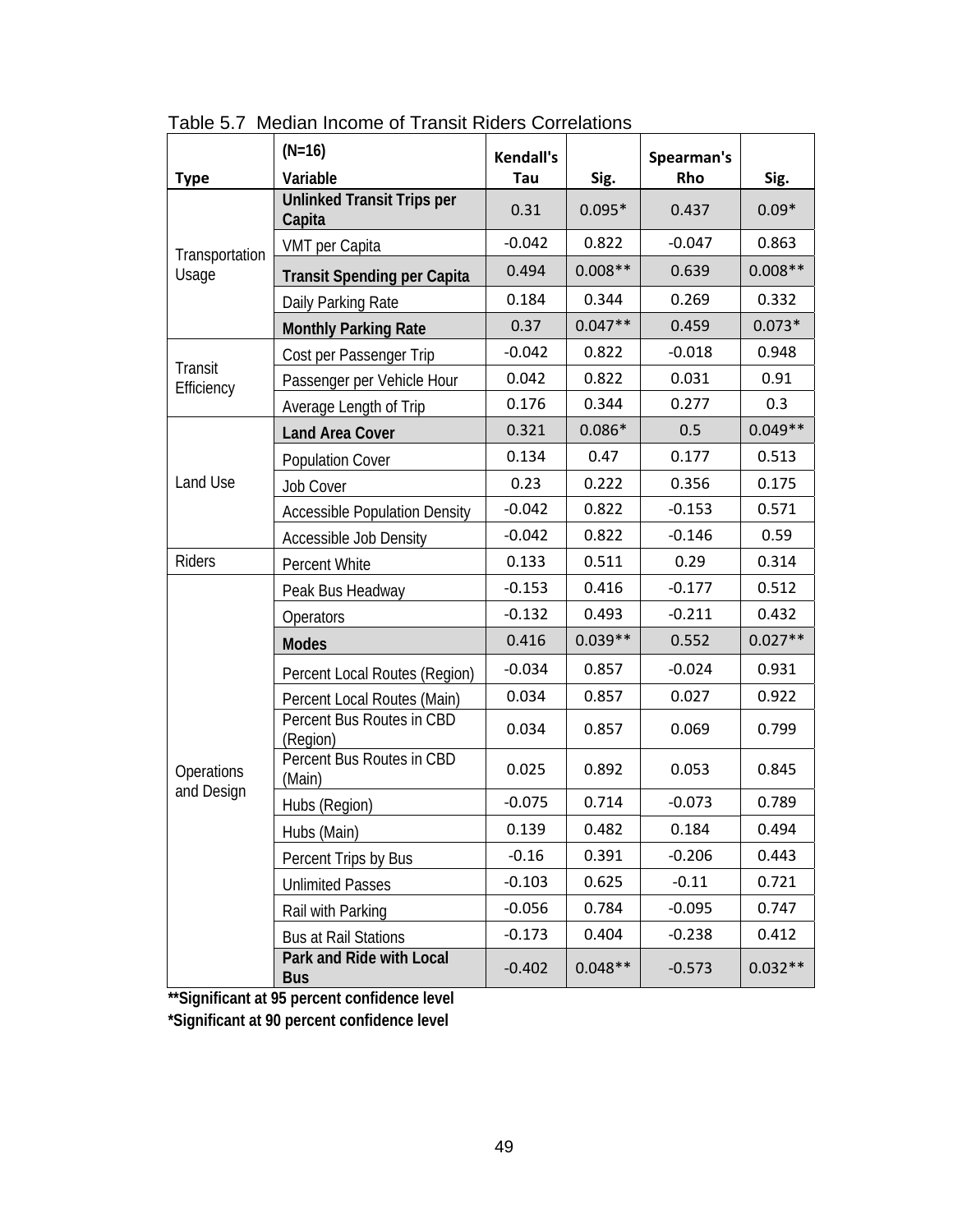|                          | $(N=16)$                                    | <b>Kendall's</b> |           | Spearman's |           |
|--------------------------|---------------------------------------------|------------------|-----------|------------|-----------|
| <b>Type</b>              | Variable                                    | Tau              | Sig.      | <b>Rho</b> | Sig.      |
|                          | <b>Unlinked Transit Trips per</b><br>Capita | 0.31             | $0.095*$  | 0.437      | $0.09*$   |
|                          | VMT per Capita                              | $-0.042$         | 0.822     | $-0.047$   | 0.863     |
| Transportation<br>Usage  | <b>Transit Spending per Capita</b>          | 0.494            | $0.008**$ | 0.639      | $0.008**$ |
|                          | Daily Parking Rate                          | 0.184            | 0.344     | 0.269      | 0.332     |
|                          | <b>Monthly Parking Rate</b>                 | 0.37             | $0.047**$ | 0.459      | $0.073*$  |
|                          | Cost per Passenger Trip                     | $-0.042$         | 0.822     | $-0.018$   | 0.948     |
| Transit<br>Efficiency    | Passenger per Vehicle Hour                  | 0.042            | 0.822     | 0.031      | 0.91      |
|                          | Average Length of Trip                      | 0.176            | 0.344     | 0.277      | 0.3       |
|                          | <b>Land Area Cover</b>                      | 0.321            | $0.086*$  | 0.5        | $0.049**$ |
|                          | <b>Population Cover</b>                     | 0.134            | 0.47      | 0.177      | 0.513     |
| Land Use                 | <b>Job Cover</b>                            | 0.23             | 0.222     | 0.356      | 0.175     |
|                          | <b>Accessible Population Density</b>        | $-0.042$         | 0.822     | $-0.153$   | 0.571     |
|                          | Accessible Job Density                      | $-0.042$         | 0.822     | $-0.146$   | 0.59      |
| <b>Riders</b>            | Percent White                               | 0.133            | 0.511     | 0.29       | 0.314     |
|                          | Peak Bus Headway                            | $-0.153$         | 0.416     | $-0.177$   | 0.512     |
|                          | Operators                                   | $-0.132$         | 0.493     | $-0.211$   | 0.432     |
|                          | <b>Modes</b>                                | 0.416            | $0.039**$ | 0.552      | $0.027**$ |
|                          | Percent Local Routes (Region)               | $-0.034$         | 0.857     | $-0.024$   | 0.931     |
|                          | Percent Local Routes (Main)                 | 0.034            | 0.857     | 0.027      | 0.922     |
|                          | Percent Bus Routes in CBD<br>(Region)       | 0.034            | 0.857     | 0.069      | 0.799     |
| Operations<br>and Design | Percent Bus Routes in CBD<br>(Main)         | 0.025            | 0.892     | 0.053      | 0.845     |
|                          | Hubs (Region)                               | $-0.075$         | 0.714     | $-0.073$   | 0.789     |
|                          | Hubs (Main)                                 | 0.139            | 0.482     | 0.184      | 0.494     |
|                          | Percent Trips by Bus                        | $-0.16$          | 0.391     | $-0.206$   | 0.443     |
|                          | <b>Unlimited Passes</b>                     | $-0.103$         | 0.625     | $-0.11$    | 0.721     |
|                          | Rail with Parking                           | $-0.056$         | 0.784     | $-0.095$   | 0.747     |
|                          | <b>Bus at Rail Stations</b>                 | $-0.173$         | 0.404     | $-0.238$   | 0.412     |
|                          | Park and Ride with Local<br><b>Bus</b>      | $-0.402$         | $0.048**$ | $-0.573$   | $0.032**$ |

Table 5.7 Median Income of Transit Riders Correlations

**\*\*Significant at 95 percent confidence level** 

**\*Significant at 90 percent confidence level**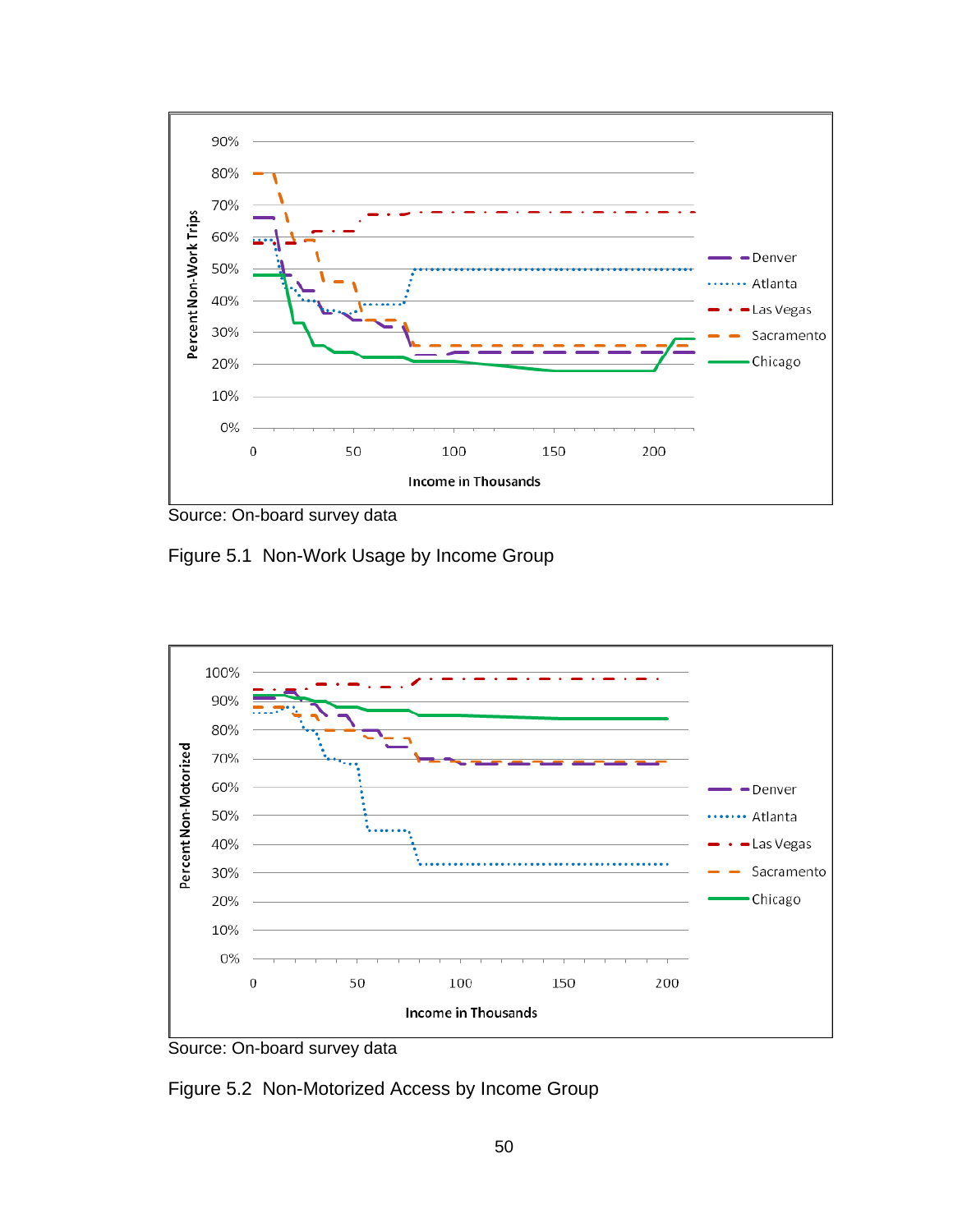

Source: On-board survey data

Figure 5.1 Non-Work Usage by Income Group



Source: On-board survey data

Figure 5.2 Non-Motorized Access by Income Group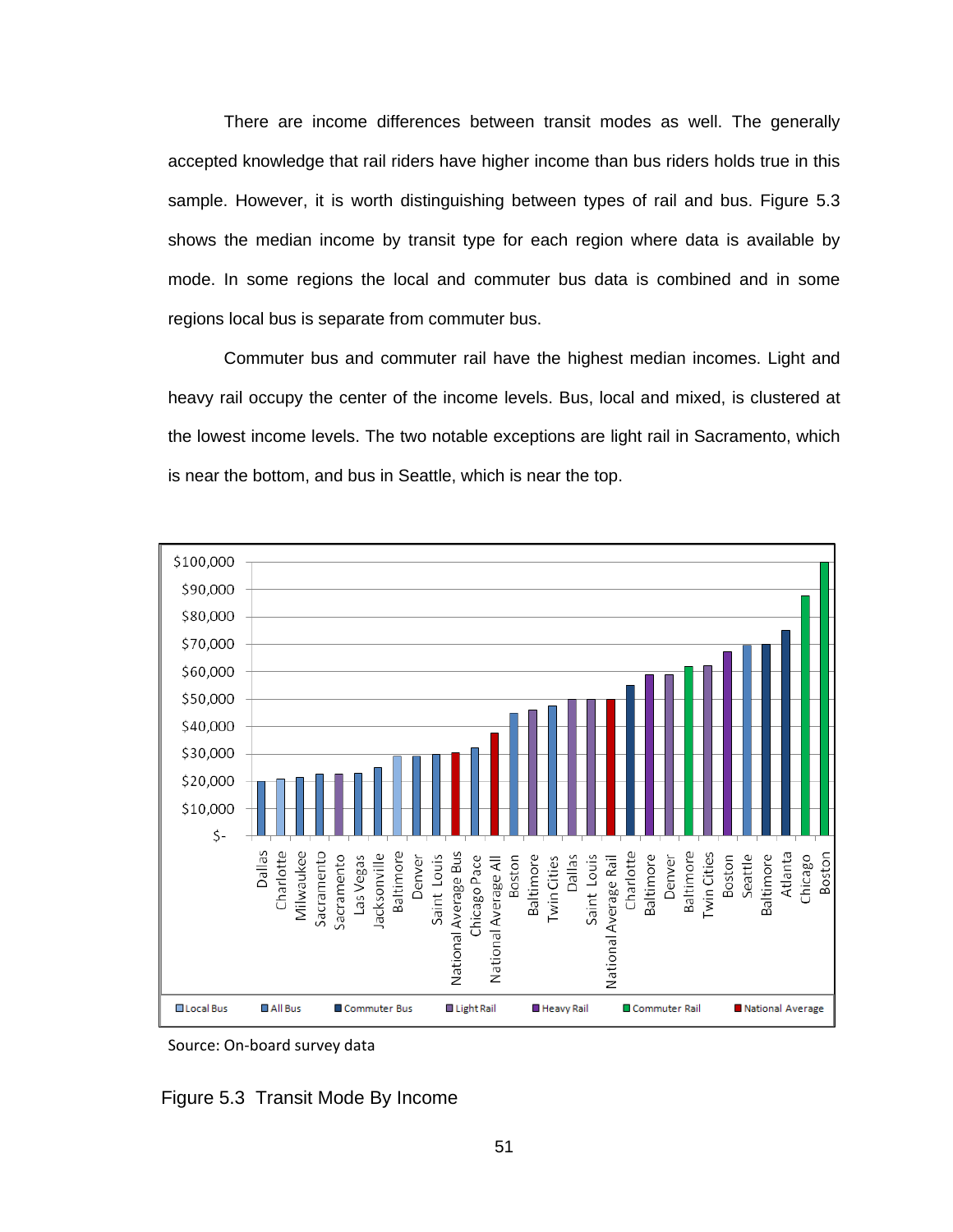There are income differences between transit modes as well. The generally accepted knowledge that rail riders have higher income than bus riders holds true in this sample. However, it is worth distinguishing between types of rail and bus. Figure 5.3 shows the median income by transit type for each region where data is available by mode. In some regions the local and commuter bus data is combined and in some regions local bus is separate from commuter bus.

Commuter bus and commuter rail have the highest median incomes. Light and heavy rail occupy the center of the income levels. Bus, local and mixed, is clustered at the lowest income levels. The two notable exceptions are light rail in Sacramento, which is near the bottom, and bus in Seattle, which is near the top.



Source: On‐board survey data

Figure 5.3 Transit Mode By Income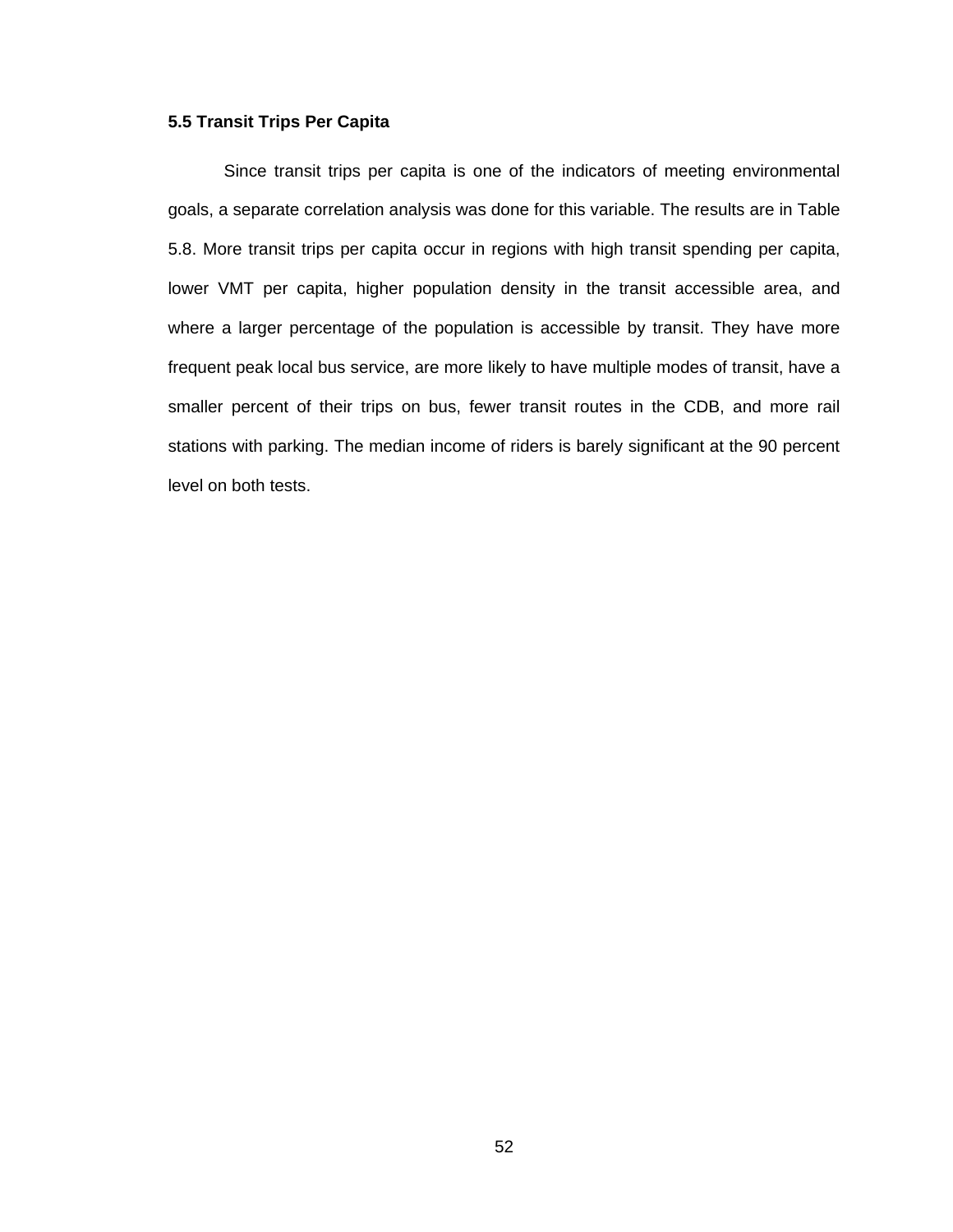#### **5.5 Transit Trips Per Capita**

Since transit trips per capita is one of the indicators of meeting environmental goals, a separate correlation analysis was done for this variable. The results are in Table 5.8. More transit trips per capita occur in regions with high transit spending per capita, lower VMT per capita, higher population density in the transit accessible area, and where a larger percentage of the population is accessible by transit. They have more frequent peak local bus service, are more likely to have multiple modes of transit, have a smaller percent of their trips on bus, fewer transit routes in the CDB, and more rail stations with parking. The median income of riders is barely significant at the 90 percent level on both tests.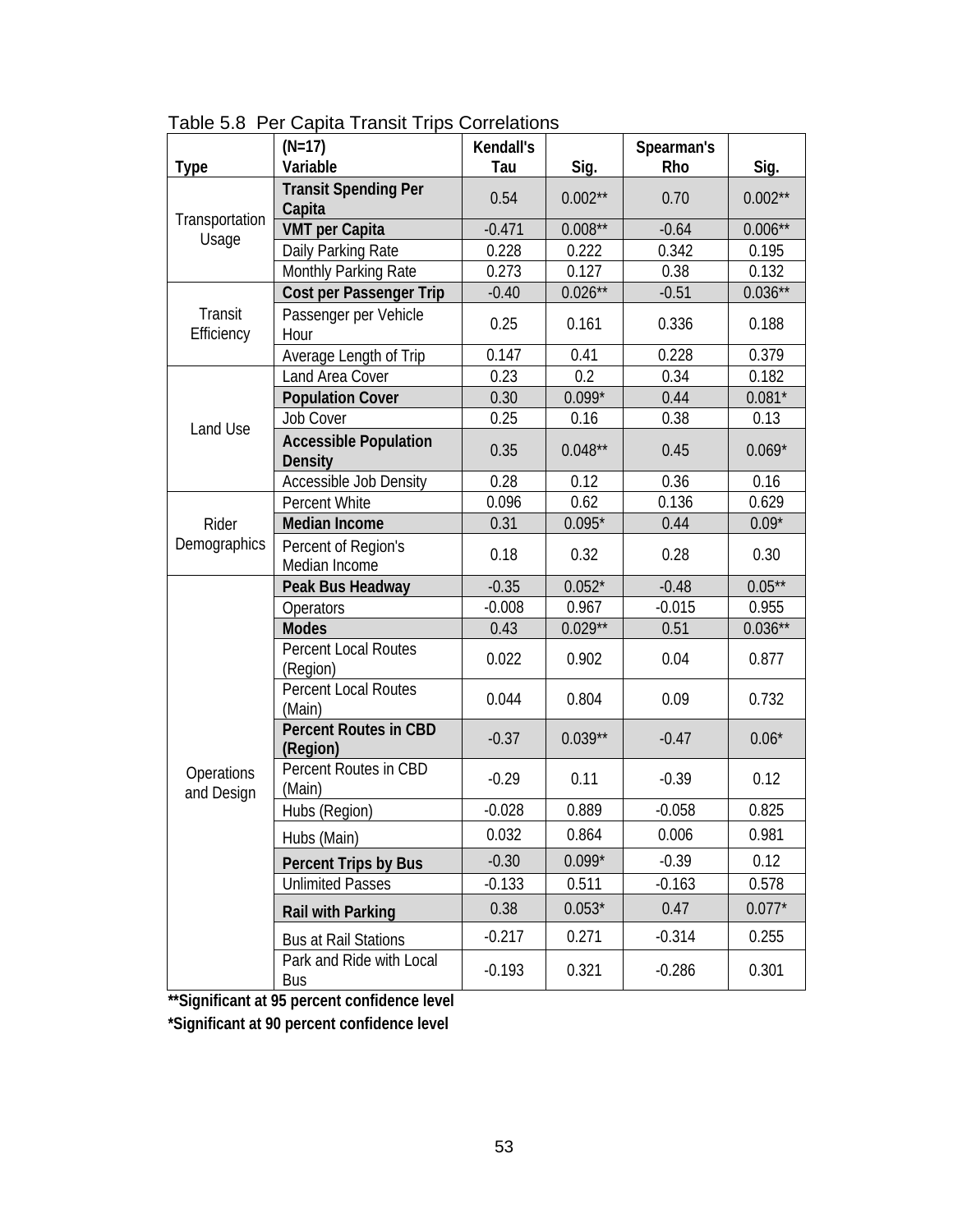| <b>Type</b>              | $(N=17)$<br>Variable                           | Kendall's<br>Tau | Sig.       | Spearman's<br>Rho | Sig.       |
|--------------------------|------------------------------------------------|------------------|------------|-------------------|------------|
|                          | <b>Transit Spending Per</b>                    |                  |            |                   |            |
|                          | Capita                                         | 0.54             | $0.002**$  | 0.70              | $0.002**$  |
| Transportation           | <b>VMT</b> per Capita                          | $-0.471$         | $0.008**$  | $-0.64$           | $0.006***$ |
| Usage                    | Daily Parking Rate                             | 0.228            | 0.222      | 0.342             | 0.195      |
|                          | Monthly Parking Rate                           | 0.273            | 0.127      | 0.38              | 0.132      |
|                          | <b>Cost per Passenger Trip</b>                 | $-0.40$          | $0.026***$ | $-0.51$           | $0.036**$  |
| Transit<br>Efficiency    | Passenger per Vehicle<br>Hour                  | 0.25             | 0.161      | 0.336             | 0.188      |
|                          | Average Length of Trip                         | 0.147            | 0.41       | 0.228             | 0.379      |
|                          | Land Area Cover                                | 0.23             | 0.2        | 0.34              | 0.182      |
|                          | <b>Population Cover</b>                        | 0.30             | $0.099*$   | 0.44              | $0.081*$   |
| Land Use                 | Job Cover                                      | 0.25             | 0.16       | 0.38              | 0.13       |
|                          | <b>Accessible Population</b><br><b>Density</b> | 0.35             | $0.048**$  | 0.45              | $0.069*$   |
|                          | Accessible Job Density                         | 0.28             | 0.12       | 0.36              | 0.16       |
|                          | Percent White                                  | 0.096            | 0.62       | 0.136             | 0.629      |
| Rider                    | Median Income                                  | 0.31             | $0.095*$   | 0.44              | $0.09*$    |
| Demographics             | Percent of Region's<br>Median Income           | 0.18             | 0.32       | 0.28              | 0.30       |
|                          | Peak Bus Headway                               | $-0.35$          | $0.052*$   | $-0.48$           | $0.05***$  |
|                          | Operators                                      | $-0.008$         | 0.967      | $-0.015$          | 0.955      |
|                          | <b>Modes</b>                                   | 0.43             | $0.029**$  | 0.51              | $0.036**$  |
|                          | Percent Local Routes<br>(Region)               | 0.022            | 0.902      | 0.04              | 0.877      |
|                          | <b>Percent Local Routes</b><br>(Main)          | 0.044            | 0.804      | 0.09              | 0.732      |
|                          | <b>Percent Routes in CBD</b><br>(Region)       | $-0.37$          | $0.039**$  | $-0.47$           | $0.06*$    |
| Operations<br>and Design | Percent Routes in CBD<br>(Main)                | $-0.29$          | 0.11       | $-0.39$           | 0.12       |
|                          | Hubs (Region)                                  | $-0.028$         | 0.889      | $-0.058$          | 0.825      |
|                          | Hubs (Main)                                    | 0.032            | 0.864      | 0.006             | 0.981      |
|                          | <b>Percent Trips by Bus</b>                    | $-0.30$          | $0.099*$   | $-0.39$           | 0.12       |
|                          | <b>Unlimited Passes</b>                        | $-0.133$         | 0.511      | $-0.163$          | 0.578      |
|                          | Rail with Parking                              | 0.38             | $0.053*$   | 0.47              | $0.077*$   |
|                          | <b>Bus at Rail Stations</b>                    | $-0.217$         | 0.271      | $-0.314$          | 0.255      |
|                          | Park and Ride with Local<br>Bus                | $-0.193$         | 0.321      | $-0.286$          | 0.301      |

Table 5.8 Per Capita Transit Trips Correlations

**\*\*Significant at 95 percent confidence level \*Significant at 90 percent confidence level**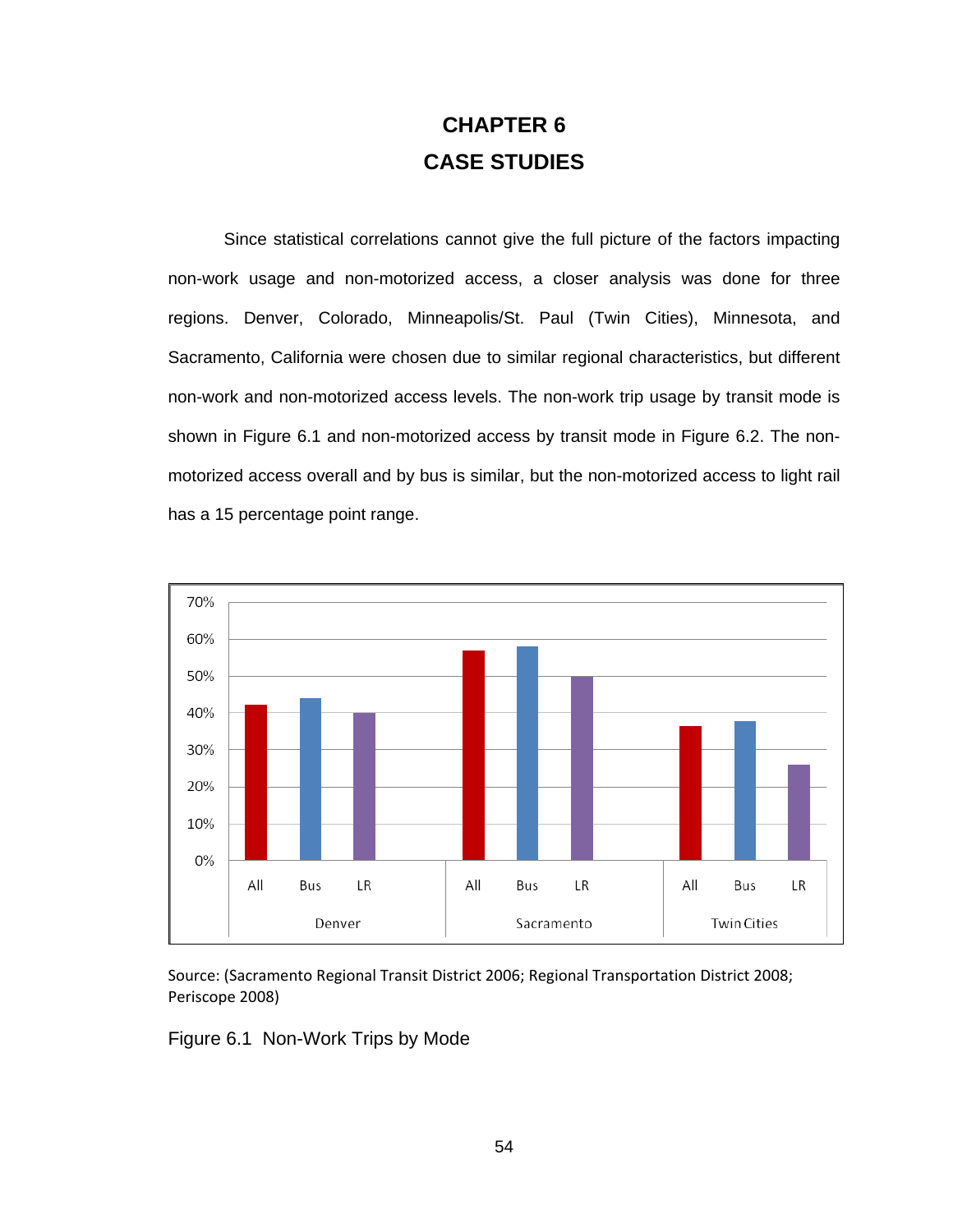## **CHAPTER 6 CASE STUDIES**

Since statistical correlations cannot give the full picture of the factors impacting non-work usage and non-motorized access, a closer analysis was done for three regions. Denver, Colorado, Minneapolis/St. Paul (Twin Cities), Minnesota, and Sacramento, California were chosen due to similar regional characteristics, but different non-work and non-motorized access levels. The non-work trip usage by transit mode is shown in Figure 6.1 and non-motorized access by transit mode in Figure 6.2. The nonmotorized access overall and by bus is similar, but the non-motorized access to light rail has a 15 percentage point range.



Source: (Sacramento Regional Transit District 2006; Regional Transportation District 2008; Periscope 2008)

Figure 6.1 Non-Work Trips by Mode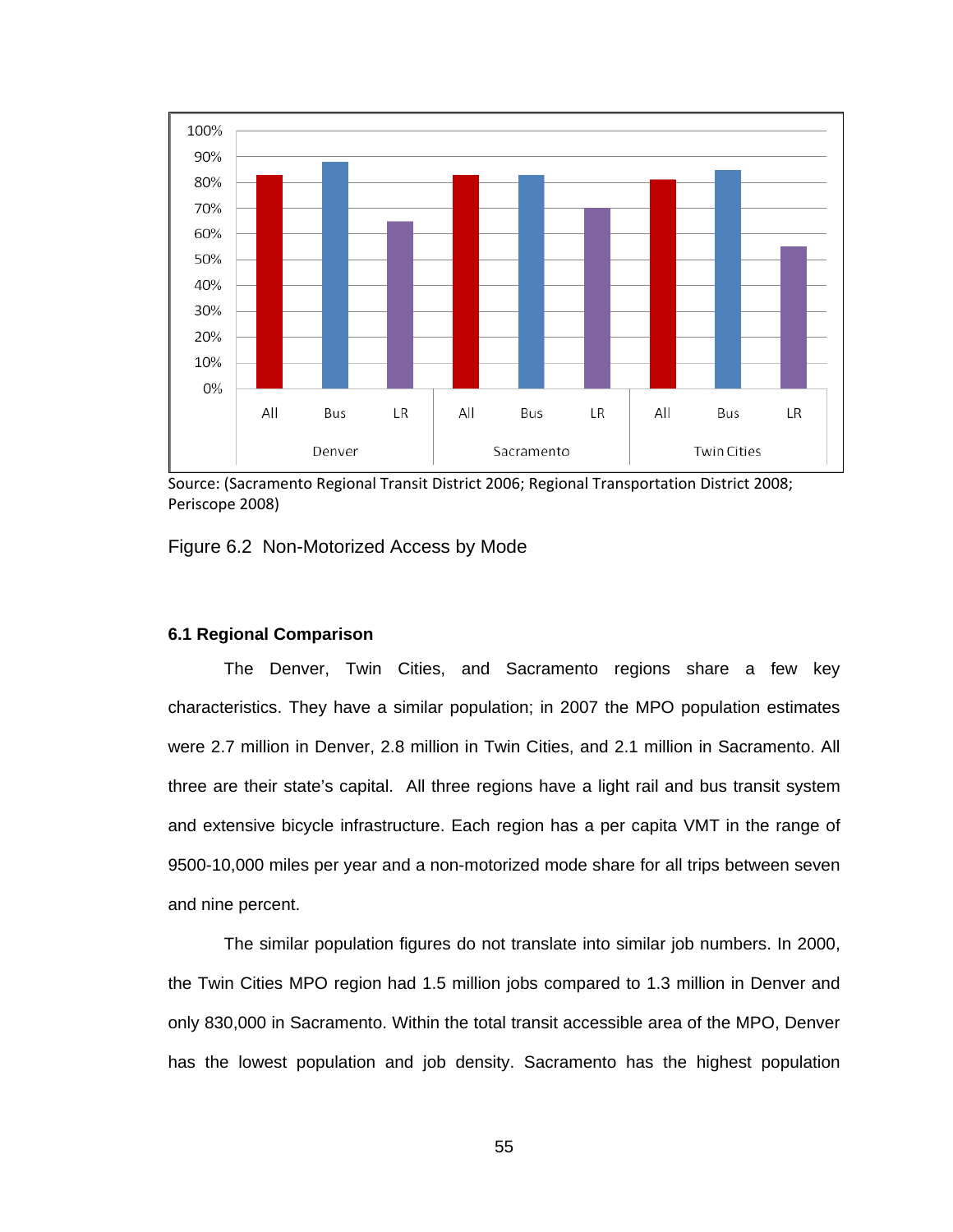

Source: (Sacramento Regional Transit District 2006; Regional Transportation District 2008; Periscope 2008)

Figure 6.2 Non-Motorized Access by Mode

## **6.1 Regional Comparison**

The Denver, Twin Cities, and Sacramento regions share a few key characteristics. They have a similar population; in 2007 the MPO population estimates were 2.7 million in Denver, 2.8 million in Twin Cities, and 2.1 million in Sacramento. All three are their state's capital. All three regions have a light rail and bus transit system and extensive bicycle infrastructure. Each region has a per capita VMT in the range of 9500-10,000 miles per year and a non-motorized mode share for all trips between seven and nine percent.

The similar population figures do not translate into similar job numbers. In 2000, the Twin Cities MPO region had 1.5 million jobs compared to 1.3 million in Denver and only 830,000 in Sacramento. Within the total transit accessible area of the MPO, Denver has the lowest population and job density. Sacramento has the highest population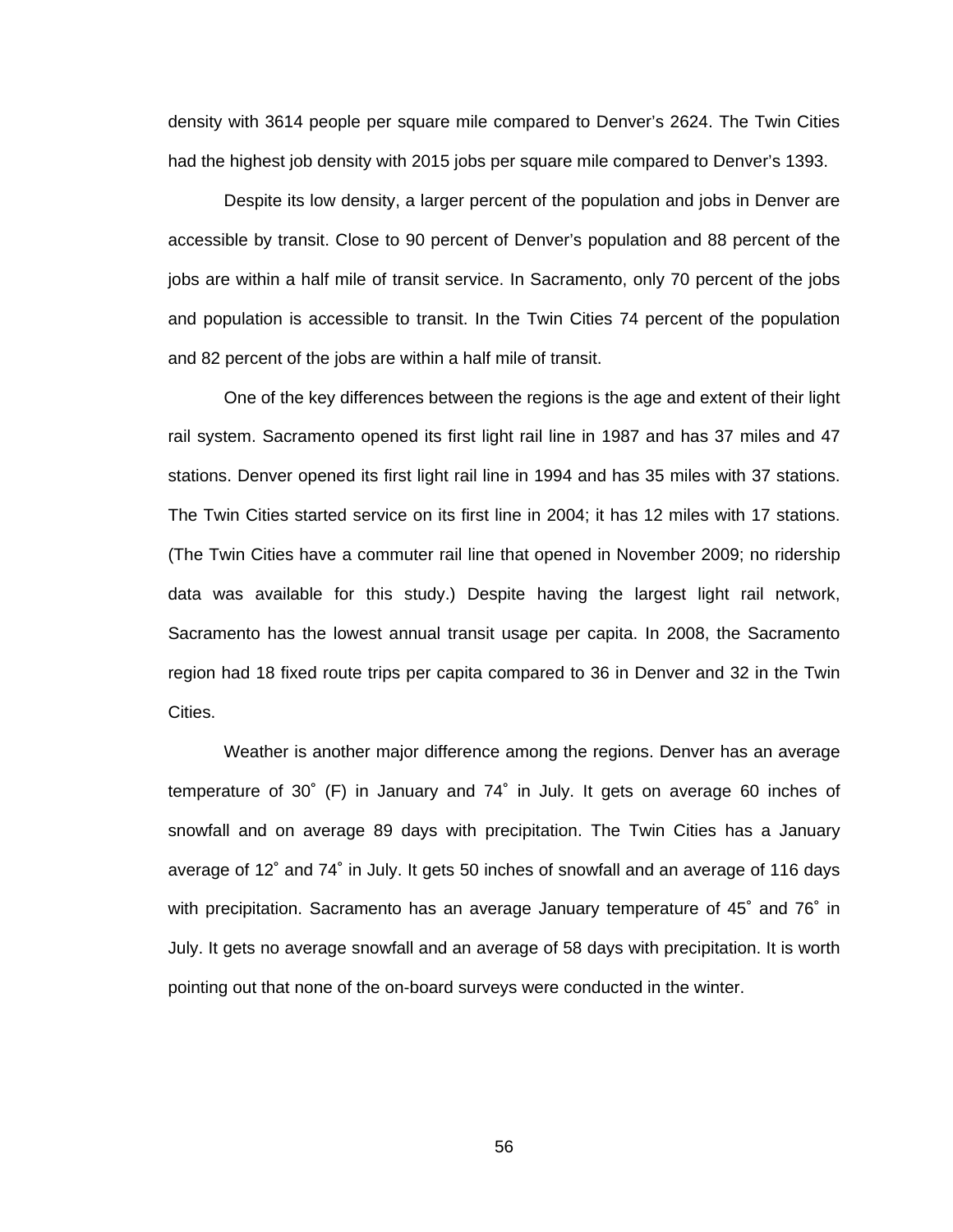density with 3614 people per square mile compared to Denver's 2624. The Twin Cities had the highest job density with 2015 jobs per square mile compared to Denver's 1393.

Despite its low density, a larger percent of the population and jobs in Denver are accessible by transit. Close to 90 percent of Denver's population and 88 percent of the jobs are within a half mile of transit service. In Sacramento, only 70 percent of the jobs and population is accessible to transit. In the Twin Cities 74 percent of the population and 82 percent of the jobs are within a half mile of transit.

One of the key differences between the regions is the age and extent of their light rail system. Sacramento opened its first light rail line in 1987 and has 37 miles and 47 stations. Denver opened its first light rail line in 1994 and has 35 miles with 37 stations. The Twin Cities started service on its first line in 2004; it has 12 miles with 17 stations. (The Twin Cities have a commuter rail line that opened in November 2009; no ridership data was available for this study.) Despite having the largest light rail network, Sacramento has the lowest annual transit usage per capita. In 2008, the Sacramento region had 18 fixed route trips per capita compared to 36 in Denver and 32 in the Twin Cities.

Weather is another major difference among the regions. Denver has an average temperature of 30˚ (F) in January and 74˚ in July. It gets on average 60 inches of snowfall and on average 89 days with precipitation. The Twin Cities has a January average of 12˚ and 74˚ in July. It gets 50 inches of snowfall and an average of 116 days with precipitation. Sacramento has an average January temperature of 45˚ and 76˚ in July. It gets no average snowfall and an average of 58 days with precipitation. It is worth pointing out that none of the on-board surveys were conducted in the winter.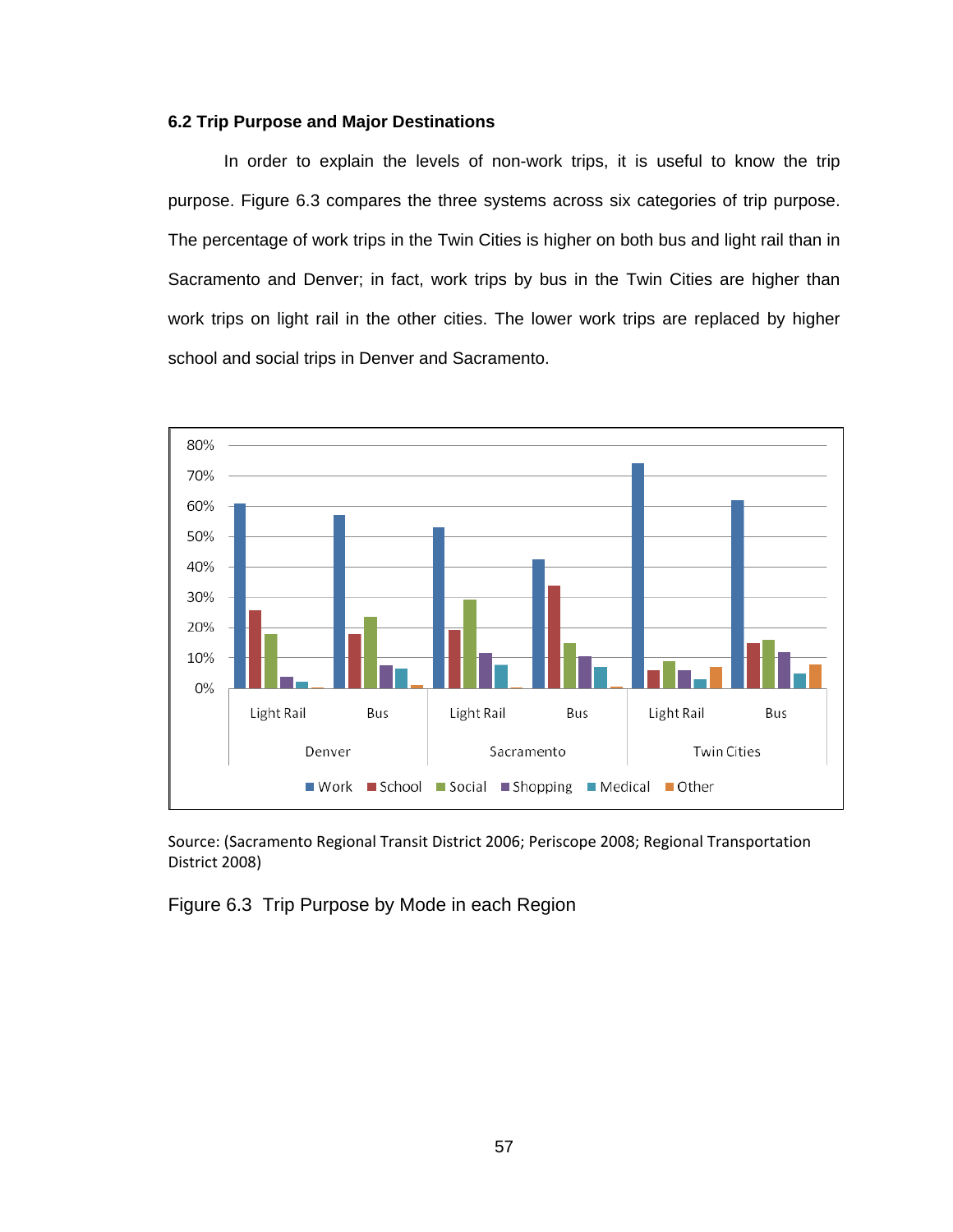## **6.2 Trip Purpose and Major Destinations**

In order to explain the levels of non-work trips, it is useful to know the trip purpose. Figure 6.3 compares the three systems across six categories of trip purpose. The percentage of work trips in the Twin Cities is higher on both bus and light rail than in Sacramento and Denver; in fact, work trips by bus in the Twin Cities are higher than work trips on light rail in the other cities. The lower work trips are replaced by higher school and social trips in Denver and Sacramento.



Source: (Sacramento Regional Transit District 2006; Periscope 2008; Regional Transportation District 2008)

Figure 6.3 Trip Purpose by Mode in each Region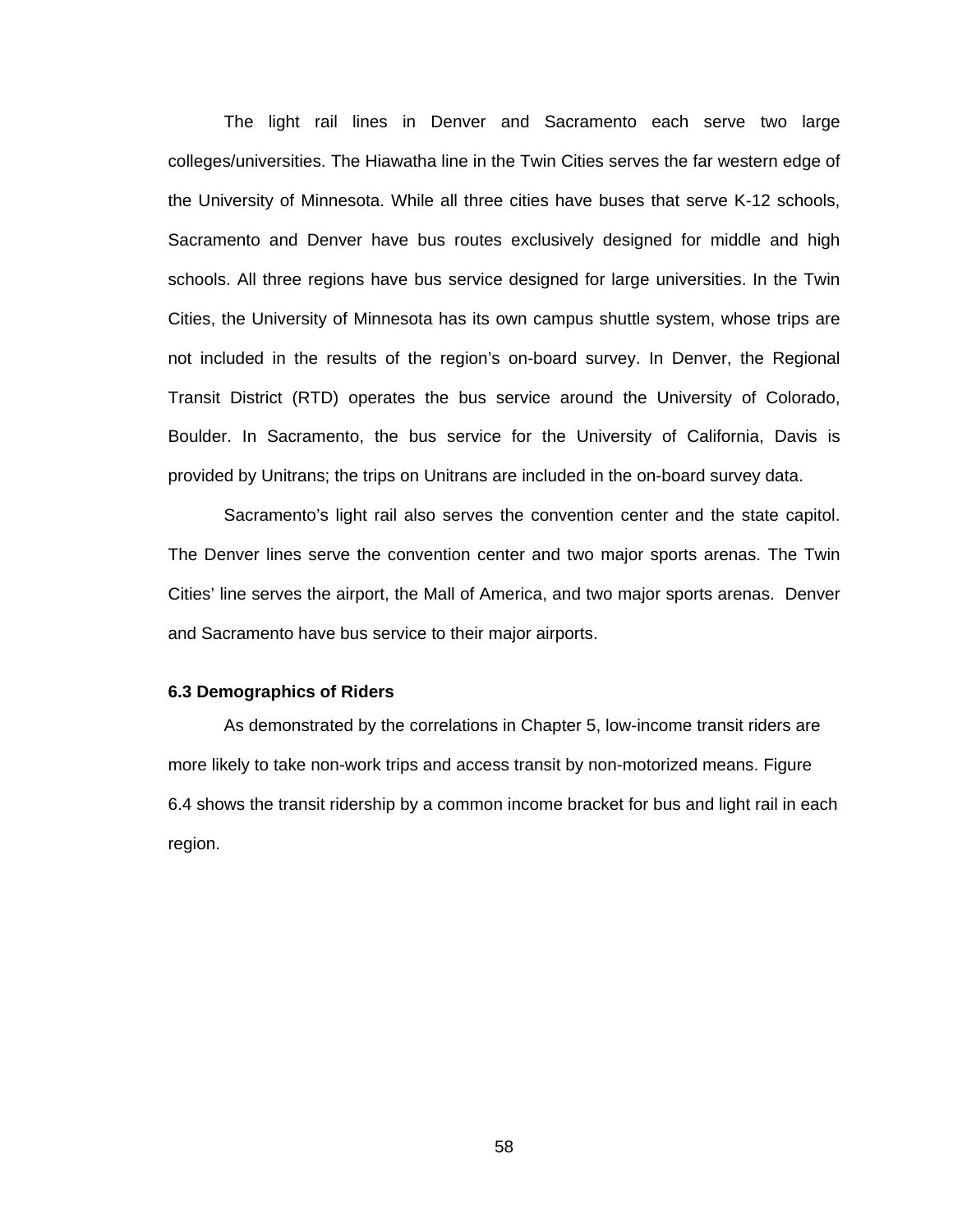The light rail lines in Denver and Sacramento each serve two large colleges/universities. The Hiawatha line in the Twin Cities serves the far western edge of the University of Minnesota. While all three cities have buses that serve K-12 schools, Sacramento and Denver have bus routes exclusively designed for middle and high schools. All three regions have bus service designed for large universities. In the Twin Cities, the University of Minnesota has its own campus shuttle system, whose trips are not included in the results of the region's on-board survey. In Denver, the Regional Transit District (RTD) operates the bus service around the University of Colorado, Boulder. In Sacramento, the bus service for the University of California, Davis is provided by Unitrans; the trips on Unitrans are included in the on-board survey data.

Sacramento's light rail also serves the convention center and the state capitol. The Denver lines serve the convention center and two major sports arenas. The Twin Cities' line serves the airport, the Mall of America, and two major sports arenas. Denver and Sacramento have bus service to their major airports.

#### **6.3 Demographics of Riders**

As demonstrated by the correlations in Chapter 5, low-income transit riders are more likely to take non-work trips and access transit by non-motorized means. Figure 6.4 shows the transit ridership by a common income bracket for bus and light rail in each region.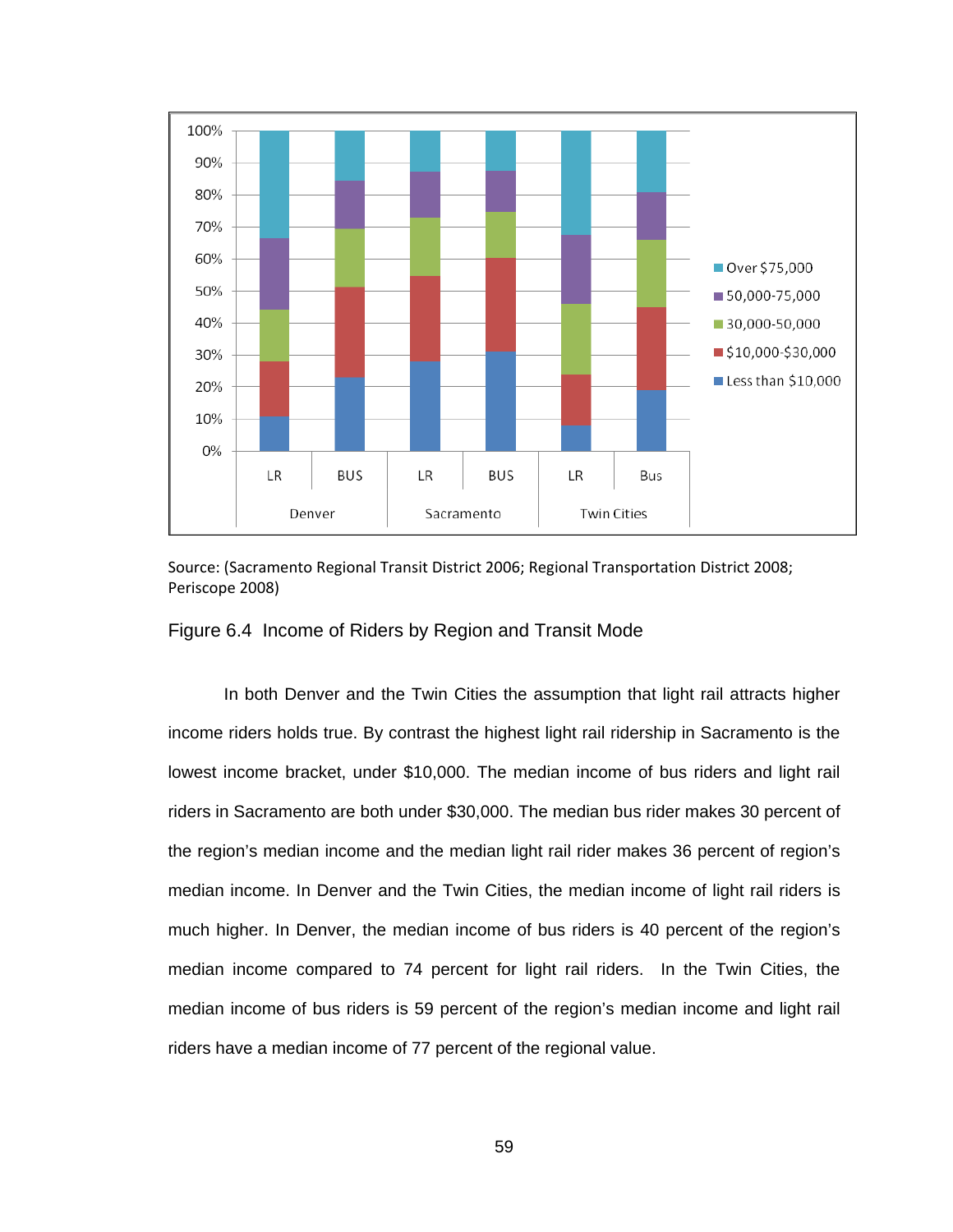

Source: (Sacramento Regional Transit District 2006; Regional Transportation District 2008; Periscope 2008)

#### Figure 6.4 Income of Riders by Region and Transit Mode

In both Denver and the Twin Cities the assumption that light rail attracts higher income riders holds true. By contrast the highest light rail ridership in Sacramento is the lowest income bracket, under \$10,000. The median income of bus riders and light rail riders in Sacramento are both under \$30,000. The median bus rider makes 30 percent of the region's median income and the median light rail rider makes 36 percent of region's median income. In Denver and the Twin Cities, the median income of light rail riders is much higher. In Denver, the median income of bus riders is 40 percent of the region's median income compared to 74 percent for light rail riders. In the Twin Cities, the median income of bus riders is 59 percent of the region's median income and light rail riders have a median income of 77 percent of the regional value.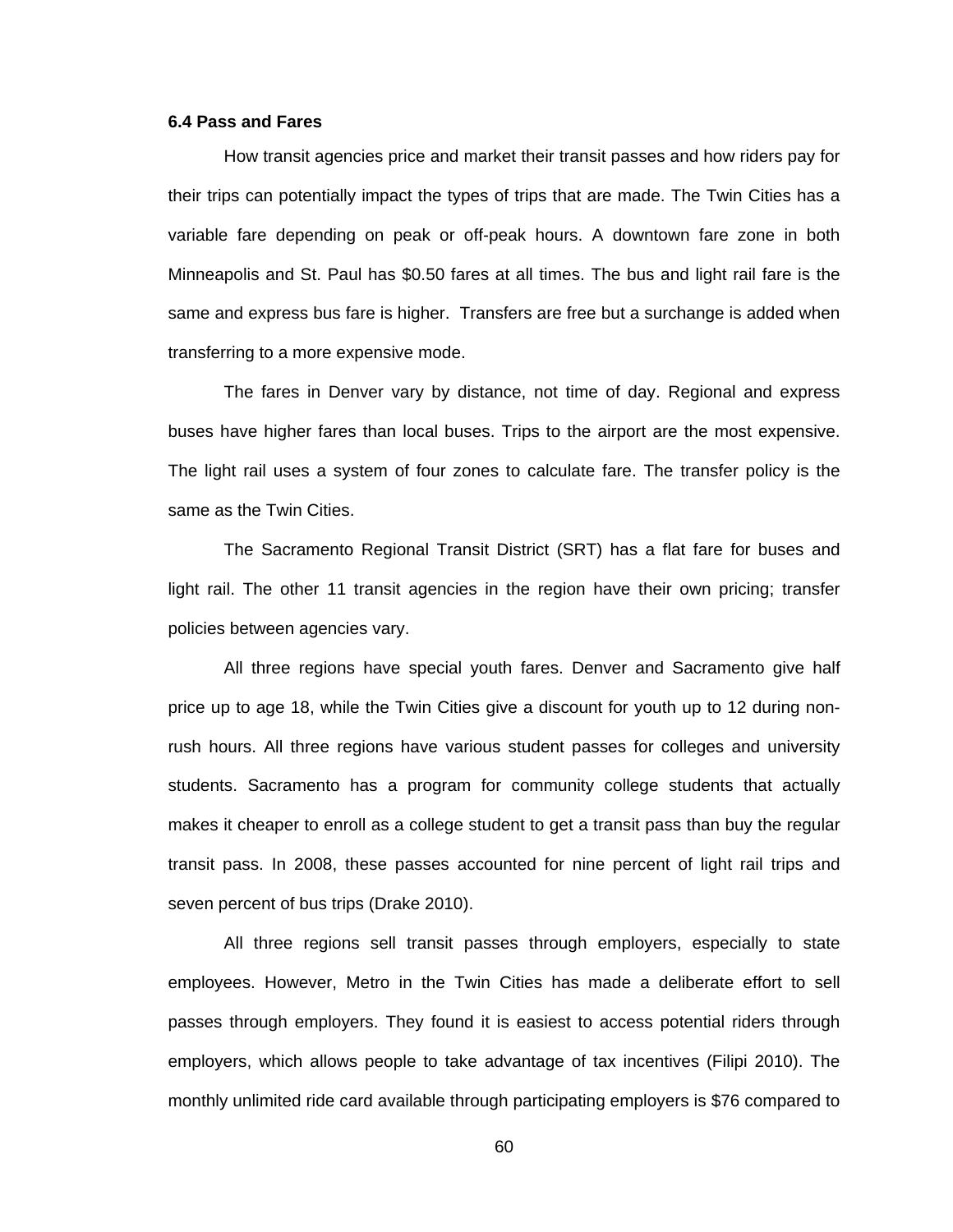#### **6.4 Pass and Fares**

How transit agencies price and market their transit passes and how riders pay for their trips can potentially impact the types of trips that are made. The Twin Cities has a variable fare depending on peak or off-peak hours. A downtown fare zone in both Minneapolis and St. Paul has \$0.50 fares at all times. The bus and light rail fare is the same and express bus fare is higher. Transfers are free but a surchange is added when transferring to a more expensive mode.

The fares in Denver vary by distance, not time of day. Regional and express buses have higher fares than local buses. Trips to the airport are the most expensive. The light rail uses a system of four zones to calculate fare. The transfer policy is the same as the Twin Cities.

The Sacramento Regional Transit District (SRT) has a flat fare for buses and light rail. The other 11 transit agencies in the region have their own pricing; transfer policies between agencies vary.

All three regions have special youth fares. Denver and Sacramento give half price up to age 18, while the Twin Cities give a discount for youth up to 12 during nonrush hours. All three regions have various student passes for colleges and university students. Sacramento has a program for community college students that actually makes it cheaper to enroll as a college student to get a transit pass than buy the regular transit pass. In 2008, these passes accounted for nine percent of light rail trips and seven percent of bus trips (Drake 2010).

All three regions sell transit passes through employers, especially to state employees. However, Metro in the Twin Cities has made a deliberate effort to sell passes through employers. They found it is easiest to access potential riders through employers, which allows people to take advantage of tax incentives (Filipi 2010). The monthly unlimited ride card available through participating employers is \$76 compared to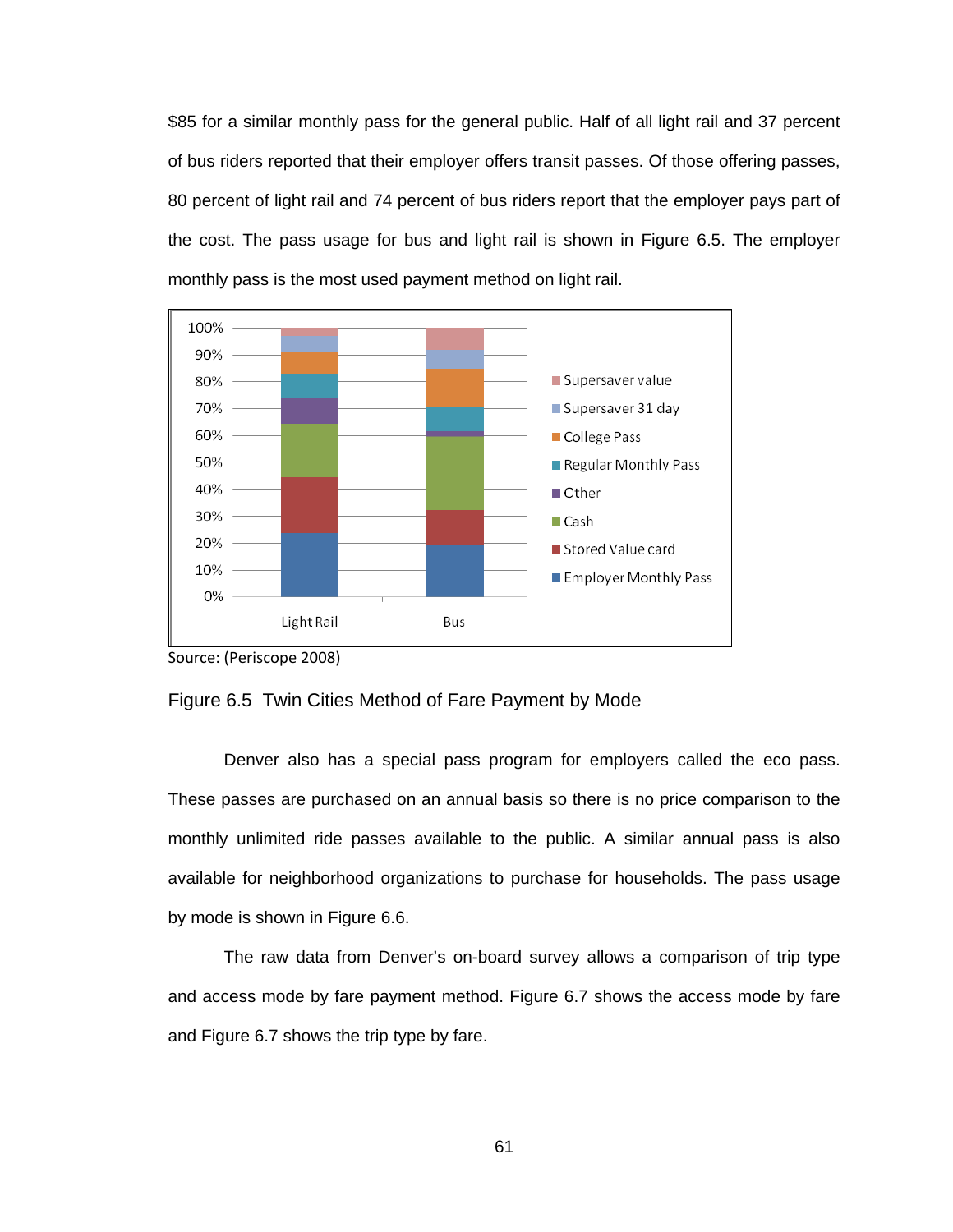\$85 for a similar monthly pass for the general public. Half of all light rail and 37 percent of bus riders reported that their employer offers transit passes. Of those offering passes, 80 percent of light rail and 74 percent of bus riders report that the employer pays part of the cost. The pass usage for bus and light rail is shown in Figure 6.5. The employer monthly pass is the most used payment method on light rail.



Source: (Periscope 2008)

#### Figure 6.5 Twin Cities Method of Fare Payment by Mode

Denver also has a special pass program for employers called the eco pass. These passes are purchased on an annual basis so there is no price comparison to the monthly unlimited ride passes available to the public. A similar annual pass is also available for neighborhood organizations to purchase for households. The pass usage by mode is shown in Figure 6.6.

The raw data from Denver's on-board survey allows a comparison of trip type and access mode by fare payment method. Figure 6.7 shows the access mode by fare and Figure 6.7 shows the trip type by fare.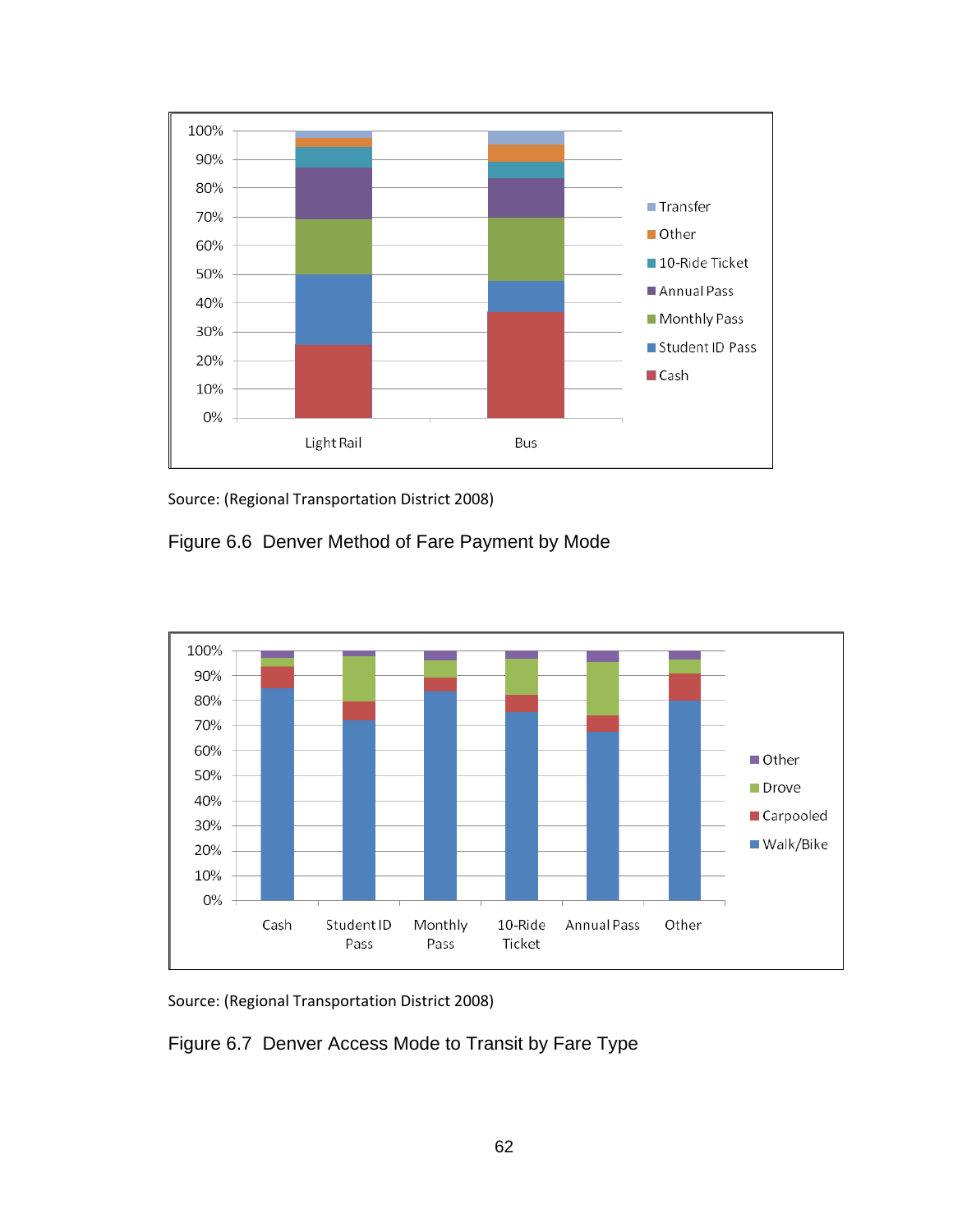

Source: (Regional Transportation District 2008)

Figure 6.6 Denver Method of Fare Payment by Mode



Source: (Regional Transportation District 2008)

Figure 6.7 Denver Access Mode to Transit by Fare Type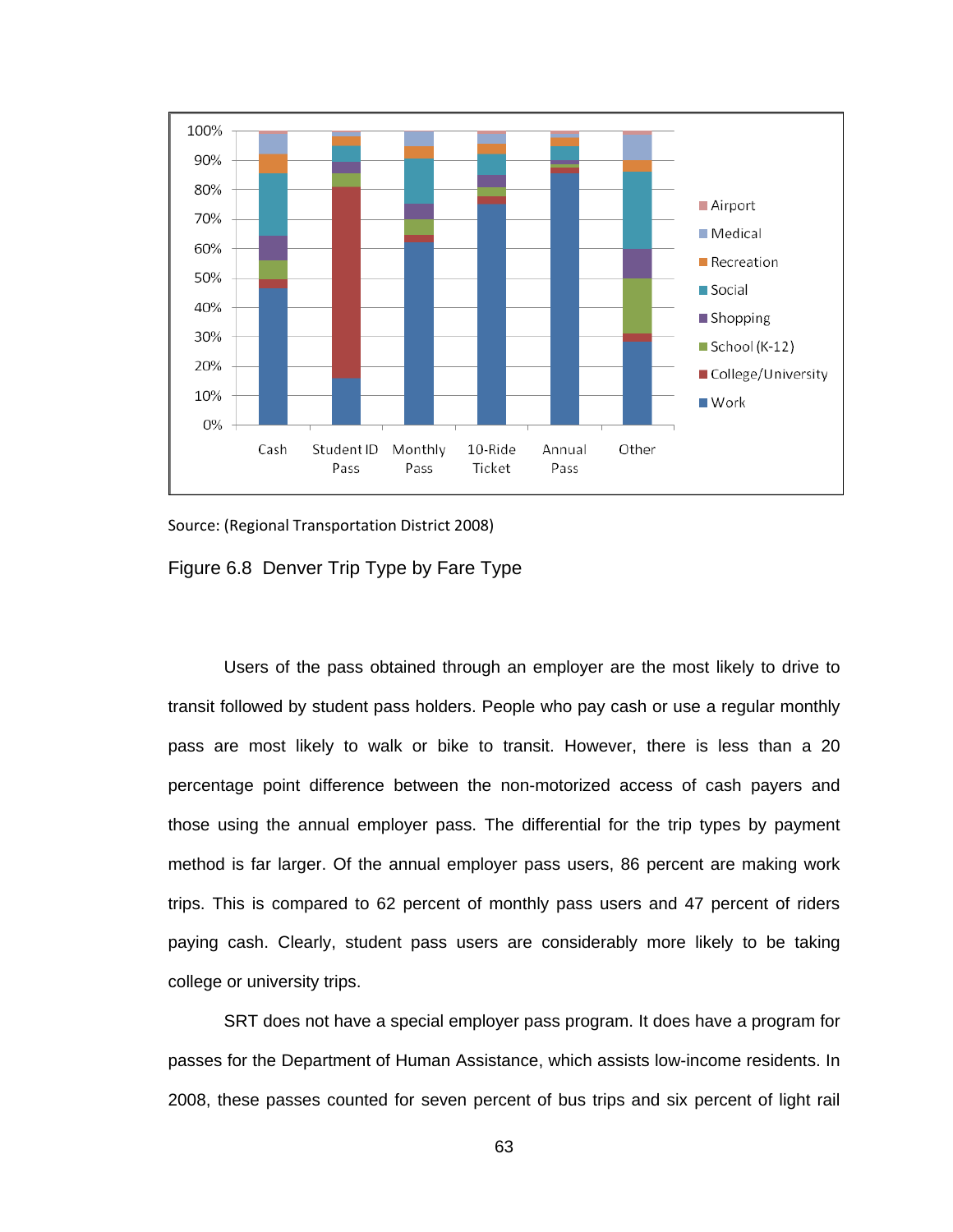

Source: (Regional Transportation District 2008)

Figure 6.8 Denver Trip Type by Fare Type

Users of the pass obtained through an employer are the most likely to drive to transit followed by student pass holders. People who pay cash or use a regular monthly pass are most likely to walk or bike to transit. However, there is less than a 20 percentage point difference between the non-motorized access of cash payers and those using the annual employer pass. The differential for the trip types by payment method is far larger. Of the annual employer pass users, 86 percent are making work trips. This is compared to 62 percent of monthly pass users and 47 percent of riders paying cash. Clearly, student pass users are considerably more likely to be taking college or university trips.

SRT does not have a special employer pass program. It does have a program for passes for the Department of Human Assistance, which assists low-income residents. In 2008, these passes counted for seven percent of bus trips and six percent of light rail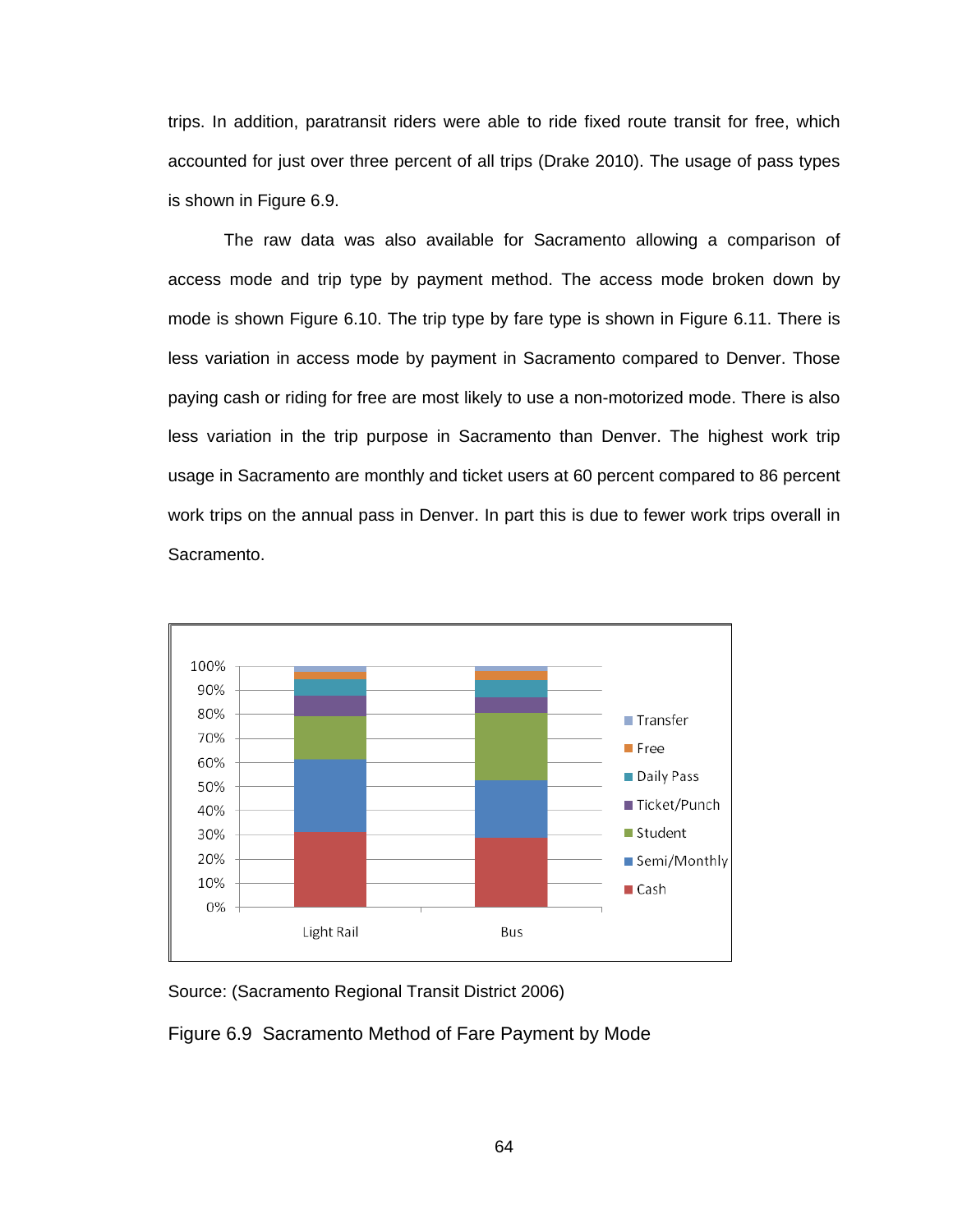trips. In addition, paratransit riders were able to ride fixed route transit for free, which accounted for just over three percent of all trips (Drake 2010). The usage of pass types is shown in Figure 6.9.

The raw data was also available for Sacramento allowing a comparison of access mode and trip type by payment method. The access mode broken down by mode is shown Figure 6.10. The trip type by fare type is shown in Figure 6.11. There is less variation in access mode by payment in Sacramento compared to Denver. Those paying cash or riding for free are most likely to use a non-motorized mode. There is also less variation in the trip purpose in Sacramento than Denver. The highest work trip usage in Sacramento are monthly and ticket users at 60 percent compared to 86 percent work trips on the annual pass in Denver. In part this is due to fewer work trips overall in Sacramento.



Source: (Sacramento Regional Transit District 2006)

Figure 6.9 Sacramento Method of Fare Payment by Mode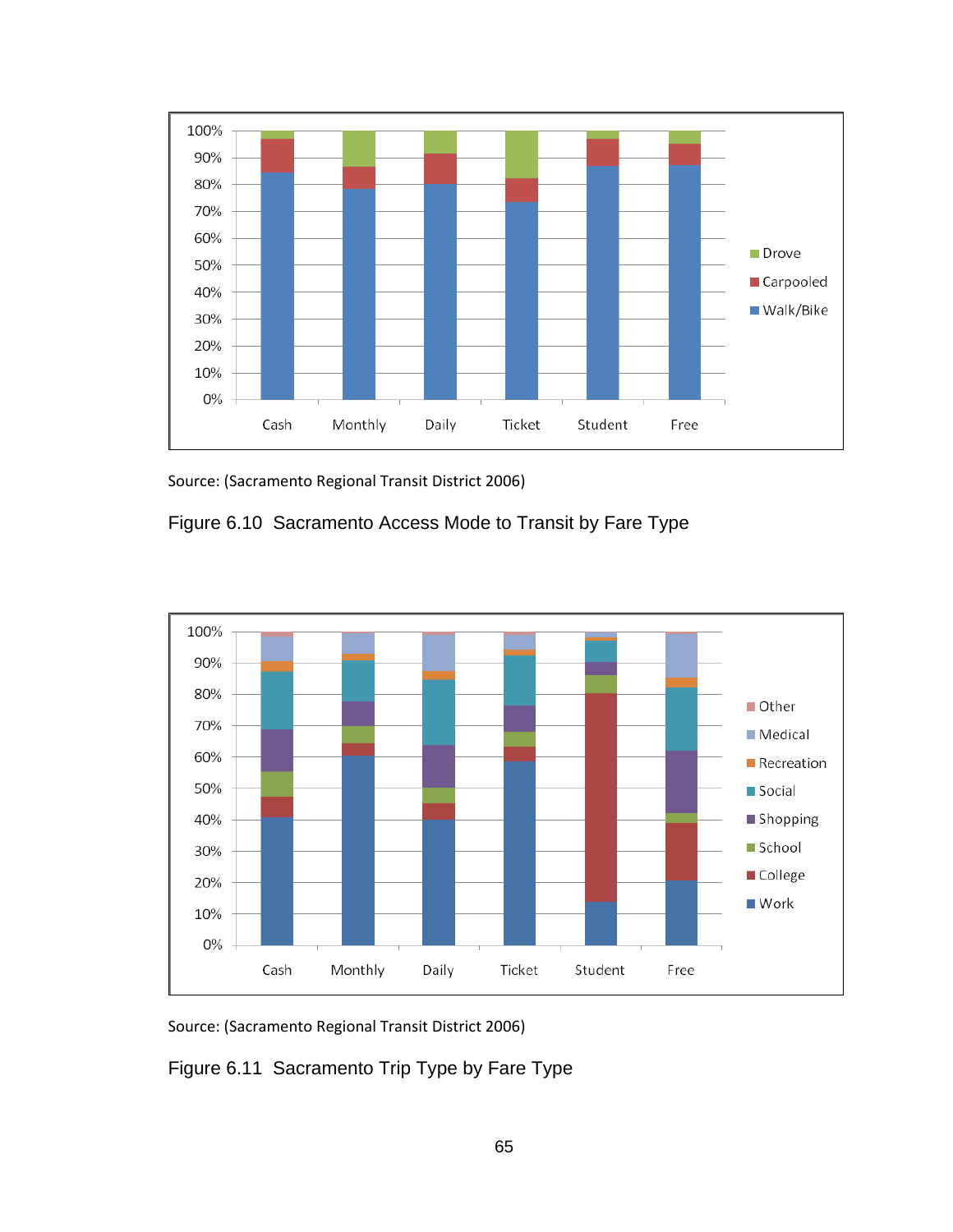

Source: (Sacramento Regional Transit District 2006)

Figure 6.10 Sacramento Access Mode to Transit by Fare Type





Figure 6.11 Sacramento Trip Type by Fare Type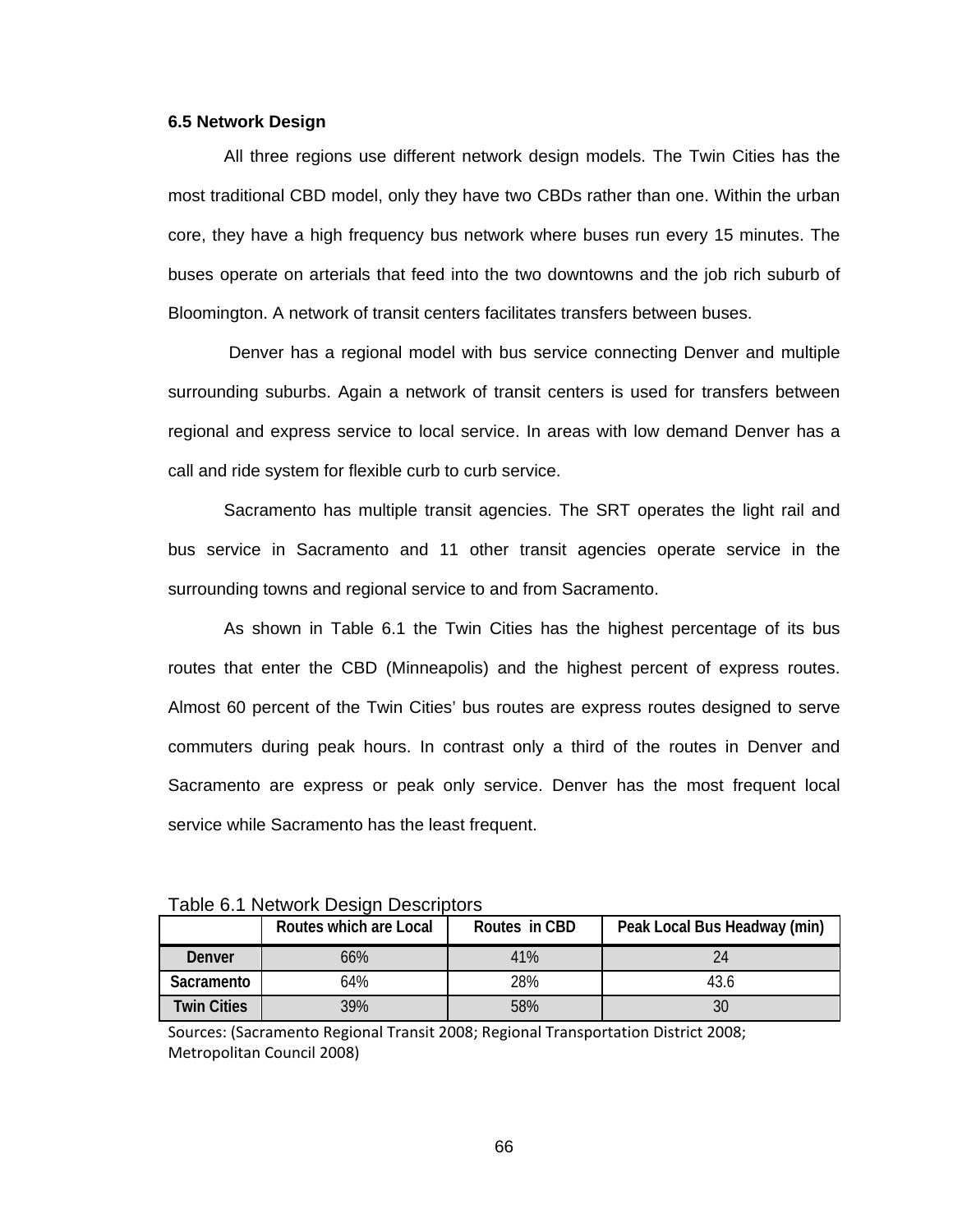#### **6.5 Network Design**

All three regions use different network design models. The Twin Cities has the most traditional CBD model, only they have two CBDs rather than one. Within the urban core, they have a high frequency bus network where buses run every 15 minutes. The buses operate on arterials that feed into the two downtowns and the job rich suburb of Bloomington. A network of transit centers facilitates transfers between buses.

 Denver has a regional model with bus service connecting Denver and multiple surrounding suburbs. Again a network of transit centers is used for transfers between regional and express service to local service. In areas with low demand Denver has a call and ride system for flexible curb to curb service.

Sacramento has multiple transit agencies. The SRT operates the light rail and bus service in Sacramento and 11 other transit agencies operate service in the surrounding towns and regional service to and from Sacramento.

As shown in Table 6.1 the Twin Cities has the highest percentage of its bus routes that enter the CBD (Minneapolis) and the highest percent of express routes. Almost 60 percent of the Twin Cities' bus routes are express routes designed to serve commuters during peak hours. In contrast only a third of the routes in Denver and Sacramento are express or peak only service. Denver has the most frequent local service while Sacramento has the least frequent.

| <u>Fabio O. Finotwork Dobigh Dobbiliptoru</u> |                        |               |                              |  |  |  |  |
|-----------------------------------------------|------------------------|---------------|------------------------------|--|--|--|--|
|                                               | Routes which are Local | Routes in CBD | Peak Local Bus Headway (min) |  |  |  |  |
| Denver                                        | 66%                    | 41%           |                              |  |  |  |  |
| Sacramento                                    | 64%                    | 28%           | 43.6                         |  |  |  |  |
| <b>Twin Cities</b>                            | 39%                    | 58%           |                              |  |  |  |  |

Table 6.1 Network Design Descriptors

Sources: (Sacramento Regional Transit 2008; Regional Transportation District 2008; Metropolitan Council 2008)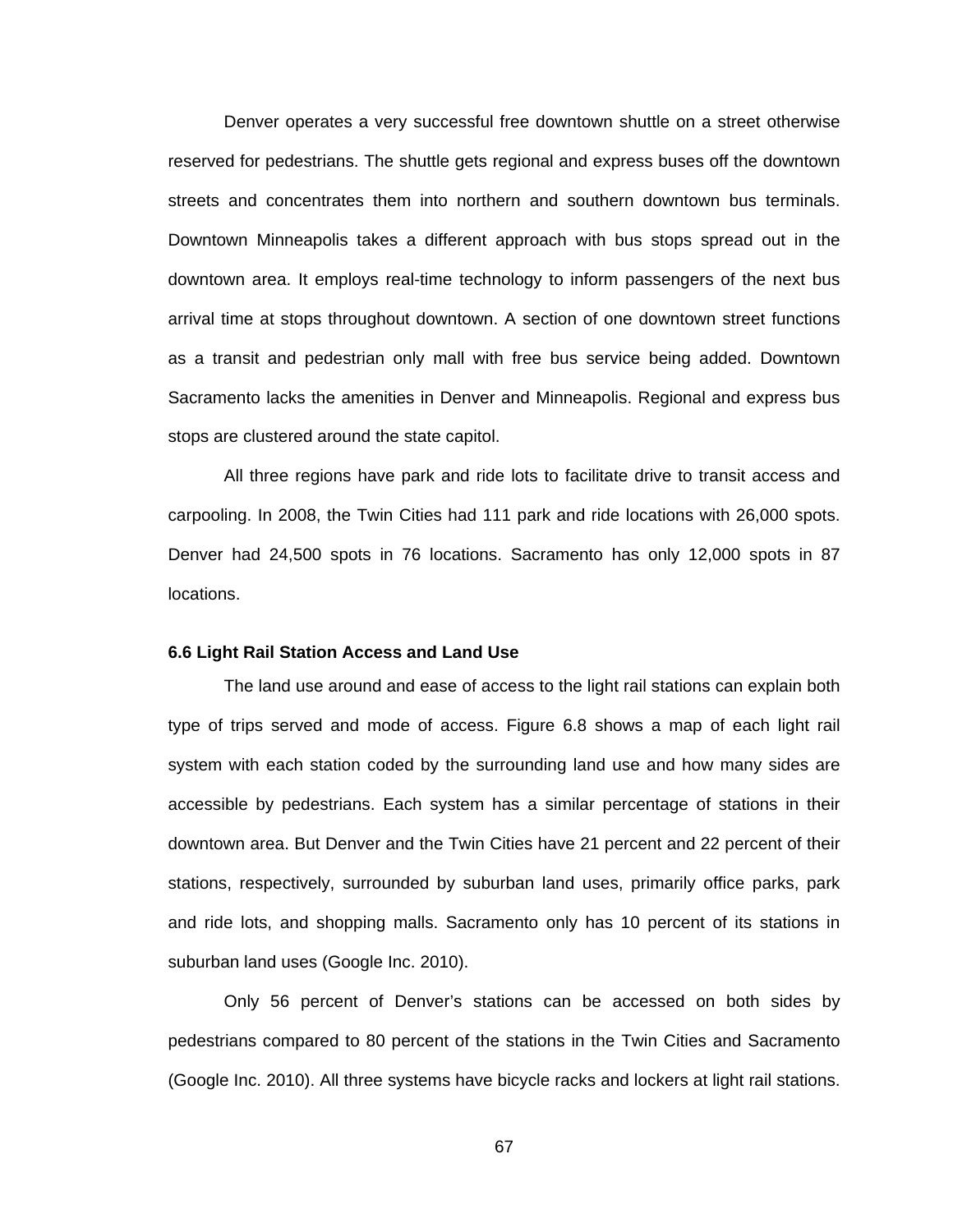Denver operates a very successful free downtown shuttle on a street otherwise reserved for pedestrians. The shuttle gets regional and express buses off the downtown streets and concentrates them into northern and southern downtown bus terminals. Downtown Minneapolis takes a different approach with bus stops spread out in the downtown area. It employs real-time technology to inform passengers of the next bus arrival time at stops throughout downtown. A section of one downtown street functions as a transit and pedestrian only mall with free bus service being added. Downtown Sacramento lacks the amenities in Denver and Minneapolis. Regional and express bus stops are clustered around the state capitol.

All three regions have park and ride lots to facilitate drive to transit access and carpooling. In 2008, the Twin Cities had 111 park and ride locations with 26,000 spots. Denver had 24,500 spots in 76 locations. Sacramento has only 12,000 spots in 87 locations.

#### **6.6 Light Rail Station Access and Land Use**

The land use around and ease of access to the light rail stations can explain both type of trips served and mode of access. Figure 6.8 shows a map of each light rail system with each station coded by the surrounding land use and how many sides are accessible by pedestrians. Each system has a similar percentage of stations in their downtown area. But Denver and the Twin Cities have 21 percent and 22 percent of their stations, respectively, surrounded by suburban land uses, primarily office parks, park and ride lots, and shopping malls. Sacramento only has 10 percent of its stations in suburban land uses (Google Inc. 2010).

Only 56 percent of Denver's stations can be accessed on both sides by pedestrians compared to 80 percent of the stations in the Twin Cities and Sacramento (Google Inc. 2010). All three systems have bicycle racks and lockers at light rail stations.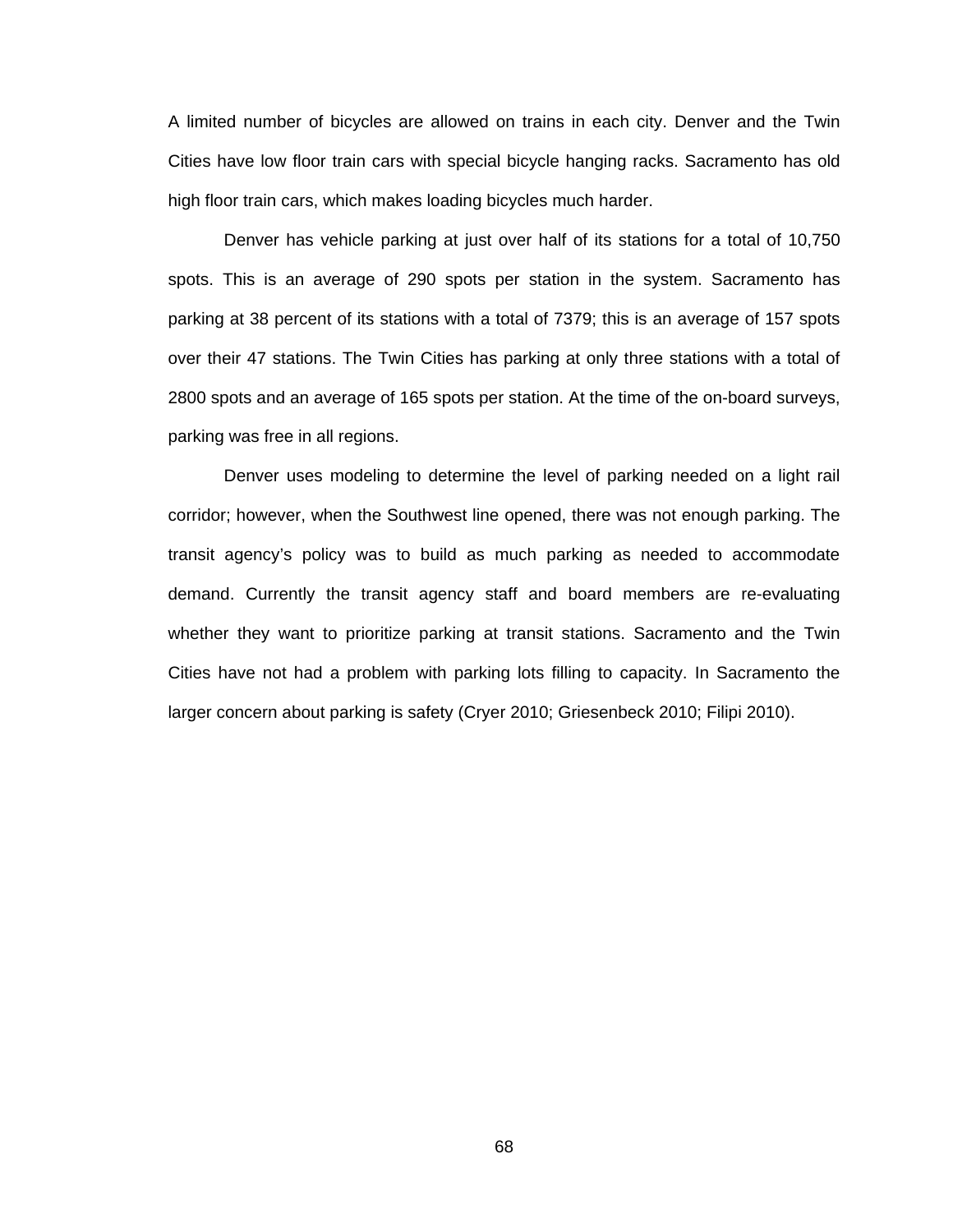A limited number of bicycles are allowed on trains in each city. Denver and the Twin Cities have low floor train cars with special bicycle hanging racks. Sacramento has old high floor train cars, which makes loading bicycles much harder.

Denver has vehicle parking at just over half of its stations for a total of 10,750 spots. This is an average of 290 spots per station in the system. Sacramento has parking at 38 percent of its stations with a total of 7379; this is an average of 157 spots over their 47 stations. The Twin Cities has parking at only three stations with a total of 2800 spots and an average of 165 spots per station. At the time of the on-board surveys, parking was free in all regions.

Denver uses modeling to determine the level of parking needed on a light rail corridor; however, when the Southwest line opened, there was not enough parking. The transit agency's policy was to build as much parking as needed to accommodate demand. Currently the transit agency staff and board members are re-evaluating whether they want to prioritize parking at transit stations. Sacramento and the Twin Cities have not had a problem with parking lots filling to capacity. In Sacramento the larger concern about parking is safety (Cryer 2010; Griesenbeck 2010; Filipi 2010).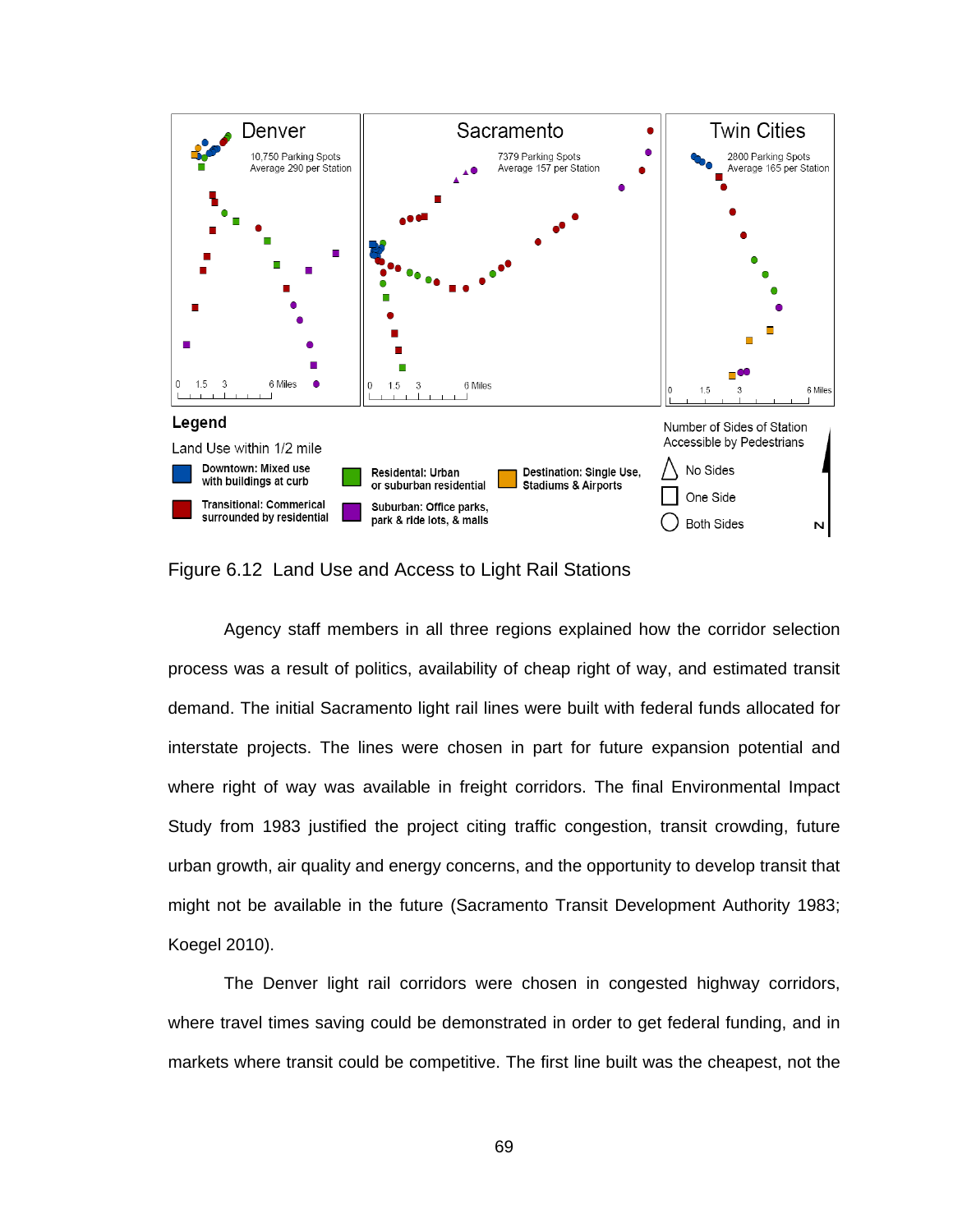

Figure 6.12 Land Use and Access to Light Rail Stations

Agency staff members in all three regions explained how the corridor selection process was a result of politics, availability of cheap right of way, and estimated transit demand. The initial Sacramento light rail lines were built with federal funds allocated for interstate projects. The lines were chosen in part for future expansion potential and where right of way was available in freight corridors. The final Environmental Impact Study from 1983 justified the project citing traffic congestion, transit crowding, future urban growth, air quality and energy concerns, and the opportunity to develop transit that might not be available in the future (Sacramento Transit Development Authority 1983; Koegel 2010).

The Denver light rail corridors were chosen in congested highway corridors, where travel times saving could be demonstrated in order to get federal funding, and in markets where transit could be competitive. The first line built was the cheapest, not the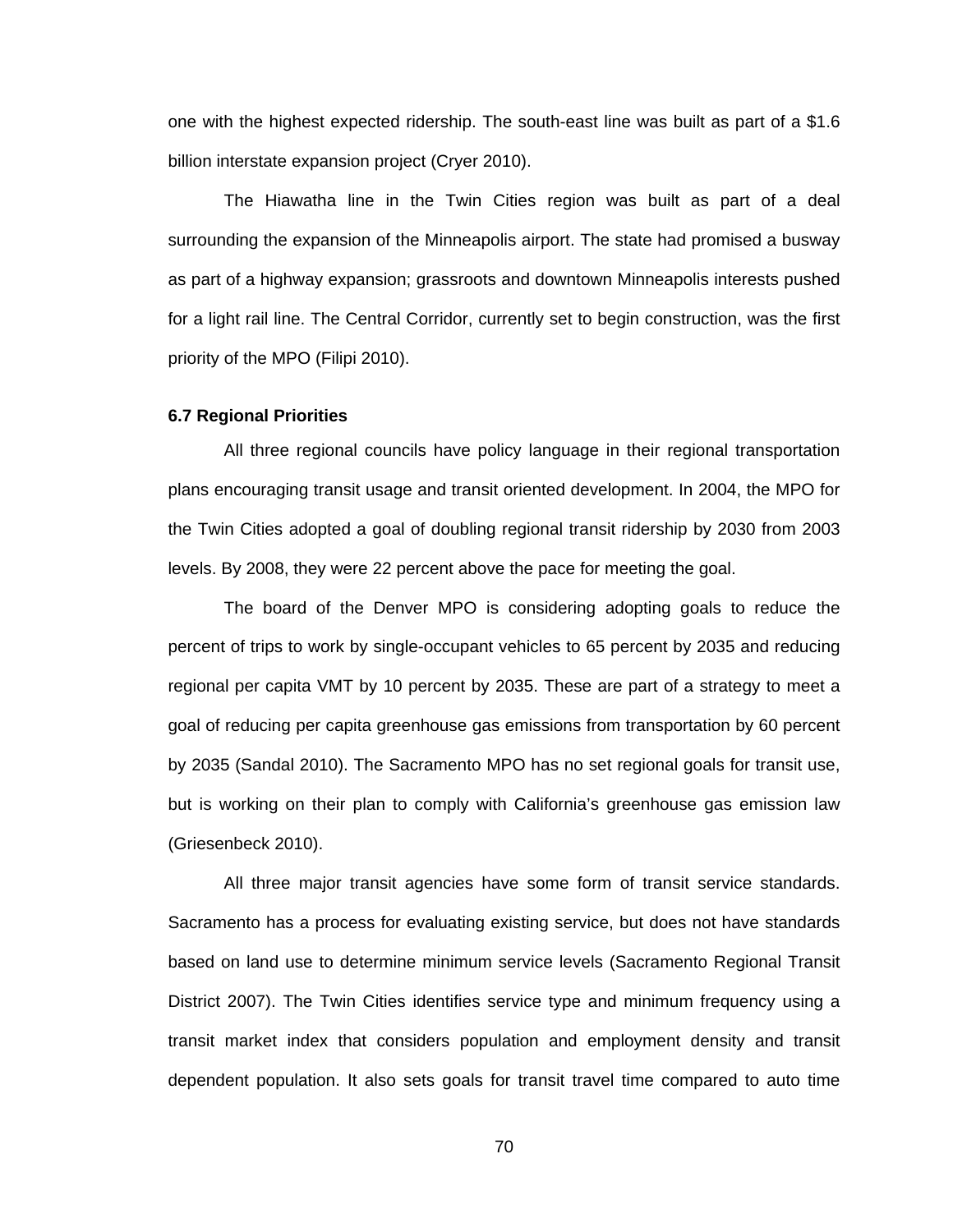one with the highest expected ridership. The south-east line was built as part of a \$1.6 billion interstate expansion project (Cryer 2010).

The Hiawatha line in the Twin Cities region was built as part of a deal surrounding the expansion of the Minneapolis airport. The state had promised a busway as part of a highway expansion; grassroots and downtown Minneapolis interests pushed for a light rail line. The Central Corridor, currently set to begin construction, was the first priority of the MPO (Filipi 2010).

#### **6.7 Regional Priorities**

All three regional councils have policy language in their regional transportation plans encouraging transit usage and transit oriented development. In 2004, the MPO for the Twin Cities adopted a goal of doubling regional transit ridership by 2030 from 2003 levels. By 2008, they were 22 percent above the pace for meeting the goal.

The board of the Denver MPO is considering adopting goals to reduce the percent of trips to work by single-occupant vehicles to 65 percent by 2035 and reducing regional per capita VMT by 10 percent by 2035. These are part of a strategy to meet a goal of reducing per capita greenhouse gas emissions from transportation by 60 percent by 2035 (Sandal 2010). The Sacramento MPO has no set regional goals for transit use, but is working on their plan to comply with California's greenhouse gas emission law (Griesenbeck 2010).

All three major transit agencies have some form of transit service standards. Sacramento has a process for evaluating existing service, but does not have standards based on land use to determine minimum service levels (Sacramento Regional Transit District 2007). The Twin Cities identifies service type and minimum frequency using a transit market index that considers population and employment density and transit dependent population. It also sets goals for transit travel time compared to auto time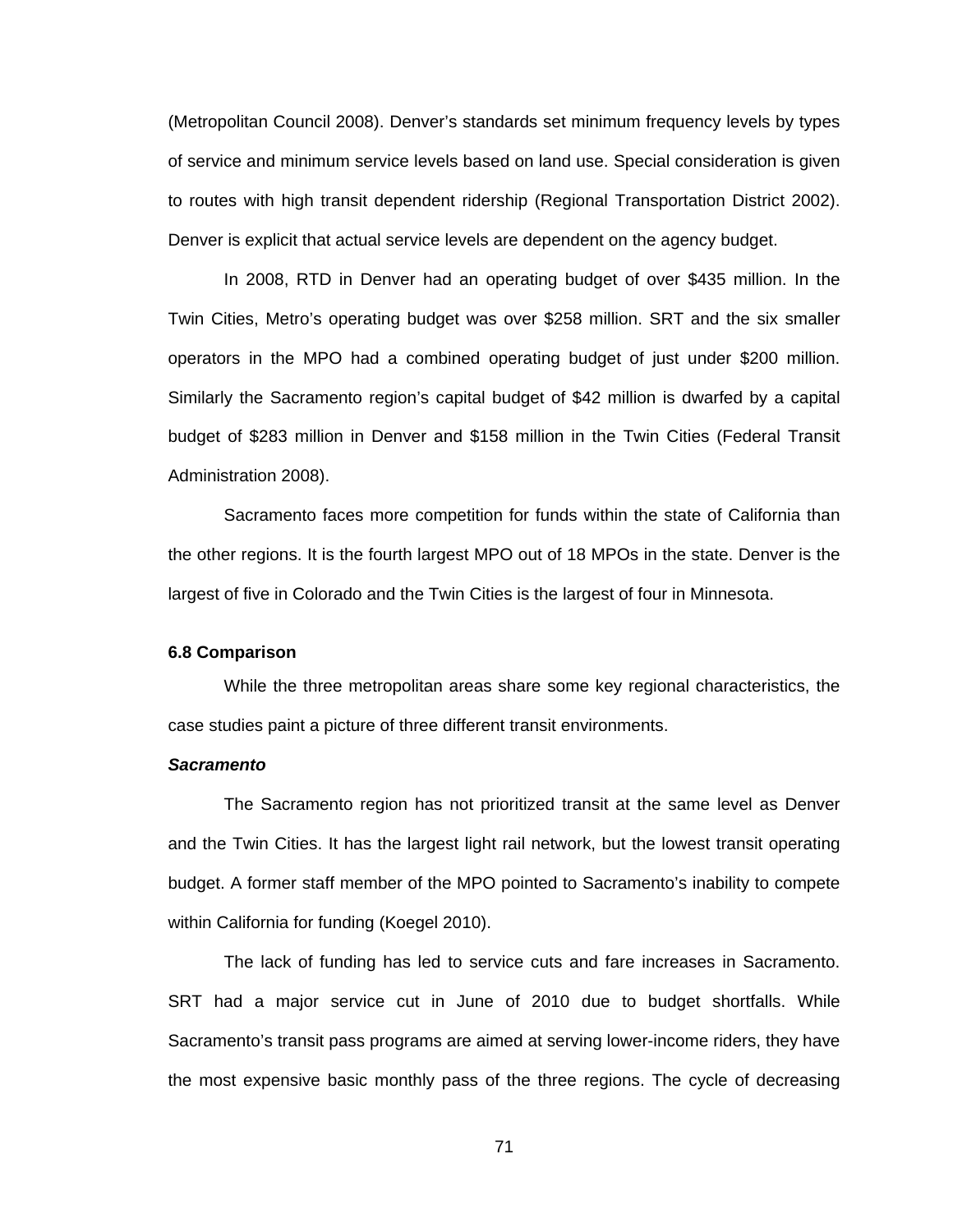(Metropolitan Council 2008). Denver's standards set minimum frequency levels by types of service and minimum service levels based on land use. Special consideration is given to routes with high transit dependent ridership (Regional Transportation District 2002). Denver is explicit that actual service levels are dependent on the agency budget.

In 2008, RTD in Denver had an operating budget of over \$435 million. In the Twin Cities, Metro's operating budget was over \$258 million. SRT and the six smaller operators in the MPO had a combined operating budget of just under \$200 million. Similarly the Sacramento region's capital budget of \$42 million is dwarfed by a capital budget of \$283 million in Denver and \$158 million in the Twin Cities (Federal Transit Administration 2008).

Sacramento faces more competition for funds within the state of California than the other regions. It is the fourth largest MPO out of 18 MPOs in the state. Denver is the largest of five in Colorado and the Twin Cities is the largest of four in Minnesota.

#### **6.8 Comparison**

While the three metropolitan areas share some key regional characteristics, the case studies paint a picture of three different transit environments.

#### *Sacramento*

The Sacramento region has not prioritized transit at the same level as Denver and the Twin Cities. It has the largest light rail network, but the lowest transit operating budget. A former staff member of the MPO pointed to Sacramento's inability to compete within California for funding (Koegel 2010).

The lack of funding has led to service cuts and fare increases in Sacramento. SRT had a major service cut in June of 2010 due to budget shortfalls. While Sacramento's transit pass programs are aimed at serving lower-income riders, they have the most expensive basic monthly pass of the three regions. The cycle of decreasing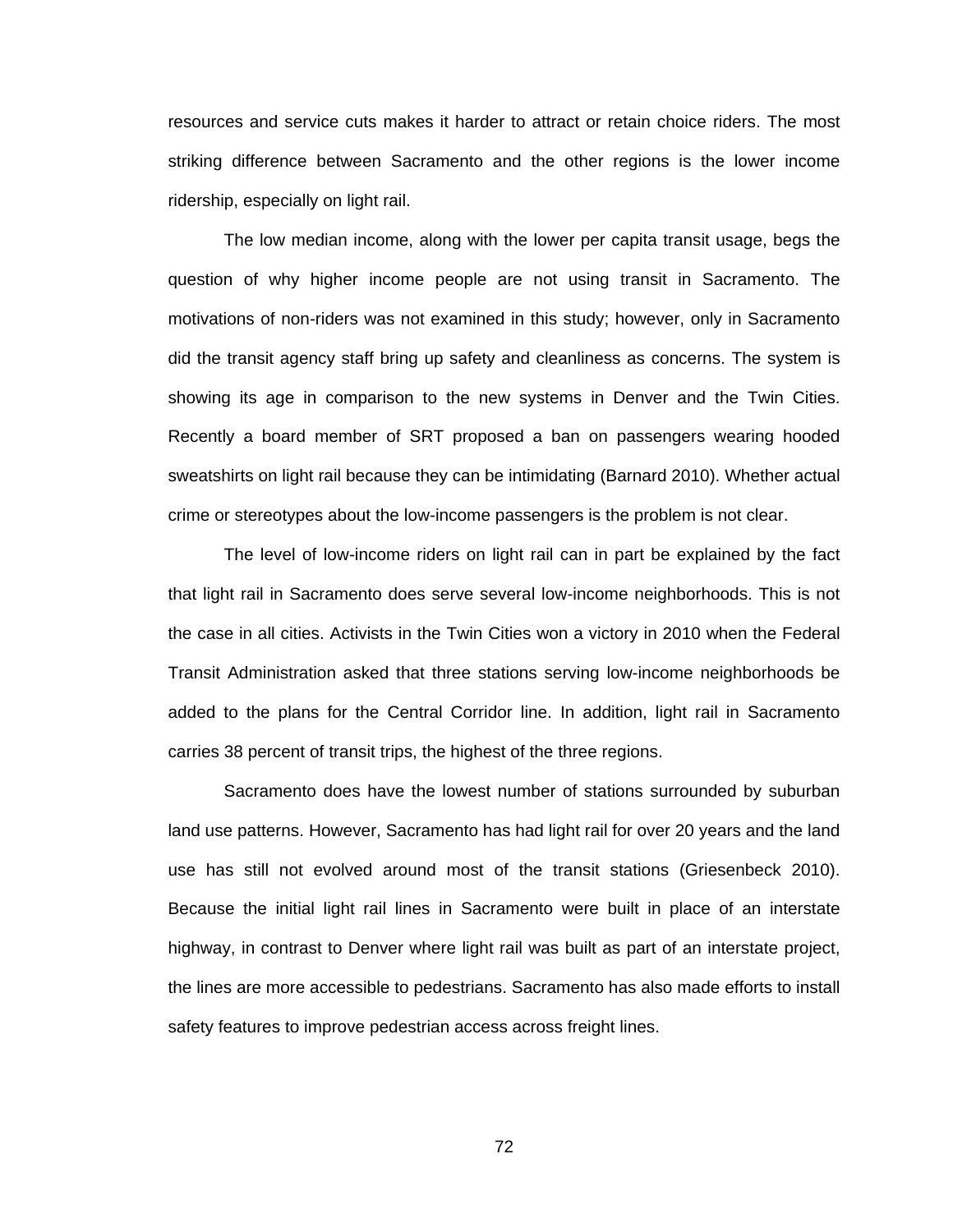resources and service cuts makes it harder to attract or retain choice riders. The most striking difference between Sacramento and the other regions is the lower income ridership, especially on light rail.

The low median income, along with the lower per capita transit usage, begs the question of why higher income people are not using transit in Sacramento. The motivations of non-riders was not examined in this study; however, only in Sacramento did the transit agency staff bring up safety and cleanliness as concerns. The system is showing its age in comparison to the new systems in Denver and the Twin Cities. Recently a board member of SRT proposed a ban on passengers wearing hooded sweatshirts on light rail because they can be intimidating (Barnard 2010). Whether actual crime or stereotypes about the low-income passengers is the problem is not clear.

The level of low-income riders on light rail can in part be explained by the fact that light rail in Sacramento does serve several low-income neighborhoods. This is not the case in all cities. Activists in the Twin Cities won a victory in 2010 when the Federal Transit Administration asked that three stations serving low-income neighborhoods be added to the plans for the Central Corridor line. In addition, light rail in Sacramento carries 38 percent of transit trips, the highest of the three regions.

Sacramento does have the lowest number of stations surrounded by suburban land use patterns. However, Sacramento has had light rail for over 20 years and the land use has still not evolved around most of the transit stations (Griesenbeck 2010). Because the initial light rail lines in Sacramento were built in place of an interstate highway, in contrast to Denver where light rail was built as part of an interstate project, the lines are more accessible to pedestrians. Sacramento has also made efforts to install safety features to improve pedestrian access across freight lines.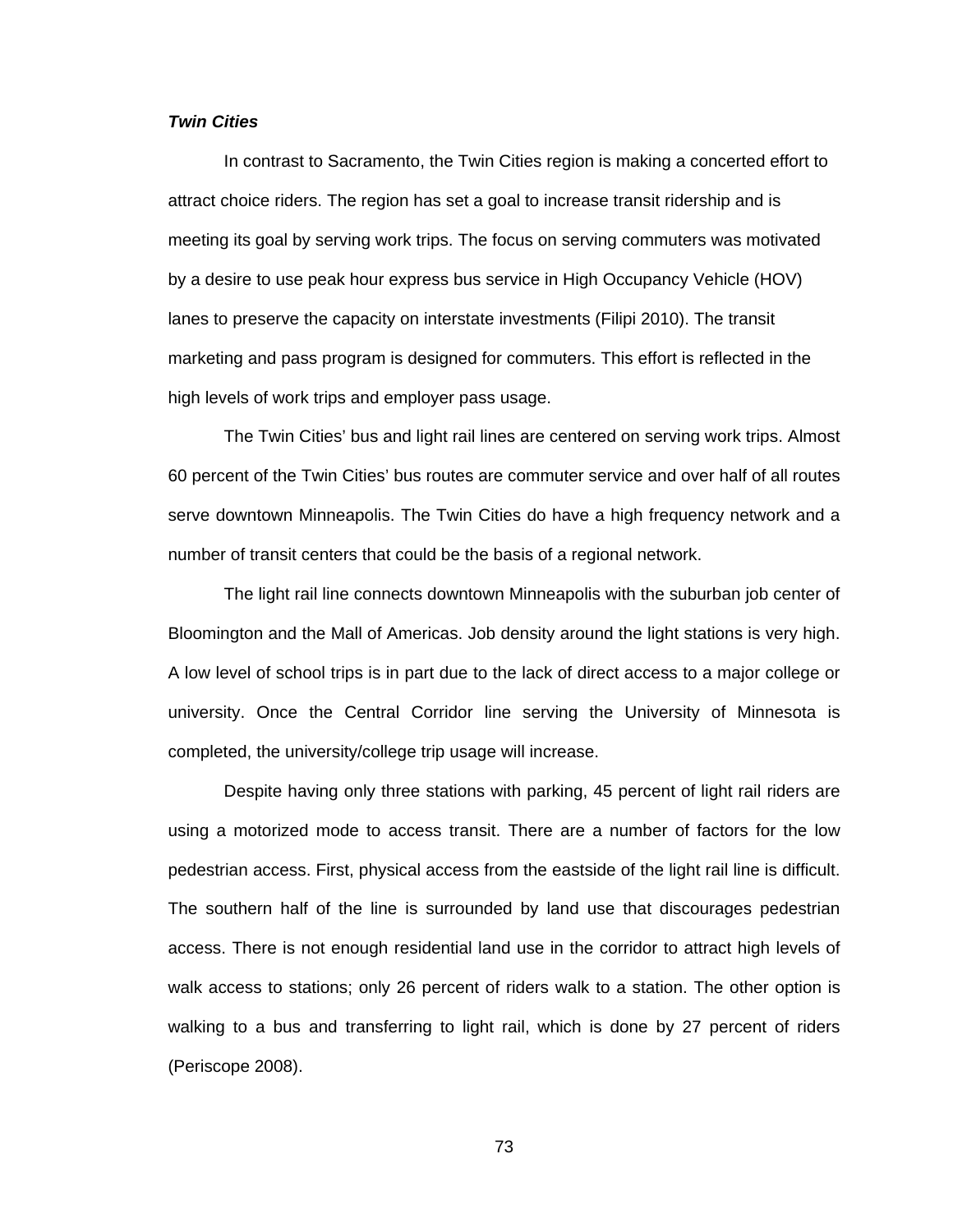#### *Twin Cities*

In contrast to Sacramento, the Twin Cities region is making a concerted effort to attract choice riders. The region has set a goal to increase transit ridership and is meeting its goal by serving work trips. The focus on serving commuters was motivated by a desire to use peak hour express bus service in High Occupancy Vehicle (HOV) lanes to preserve the capacity on interstate investments (Filipi 2010). The transit marketing and pass program is designed for commuters. This effort is reflected in the high levels of work trips and employer pass usage.

The Twin Cities' bus and light rail lines are centered on serving work trips. Almost 60 percent of the Twin Cities' bus routes are commuter service and over half of all routes serve downtown Minneapolis. The Twin Cities do have a high frequency network and a number of transit centers that could be the basis of a regional network.

The light rail line connects downtown Minneapolis with the suburban job center of Bloomington and the Mall of Americas. Job density around the light stations is very high. A low level of school trips is in part due to the lack of direct access to a major college or university. Once the Central Corridor line serving the University of Minnesota is completed, the university/college trip usage will increase.

Despite having only three stations with parking, 45 percent of light rail riders are using a motorized mode to access transit. There are a number of factors for the low pedestrian access. First, physical access from the eastside of the light rail line is difficult. The southern half of the line is surrounded by land use that discourages pedestrian access. There is not enough residential land use in the corridor to attract high levels of walk access to stations; only 26 percent of riders walk to a station. The other option is walking to a bus and transferring to light rail, which is done by 27 percent of riders (Periscope 2008).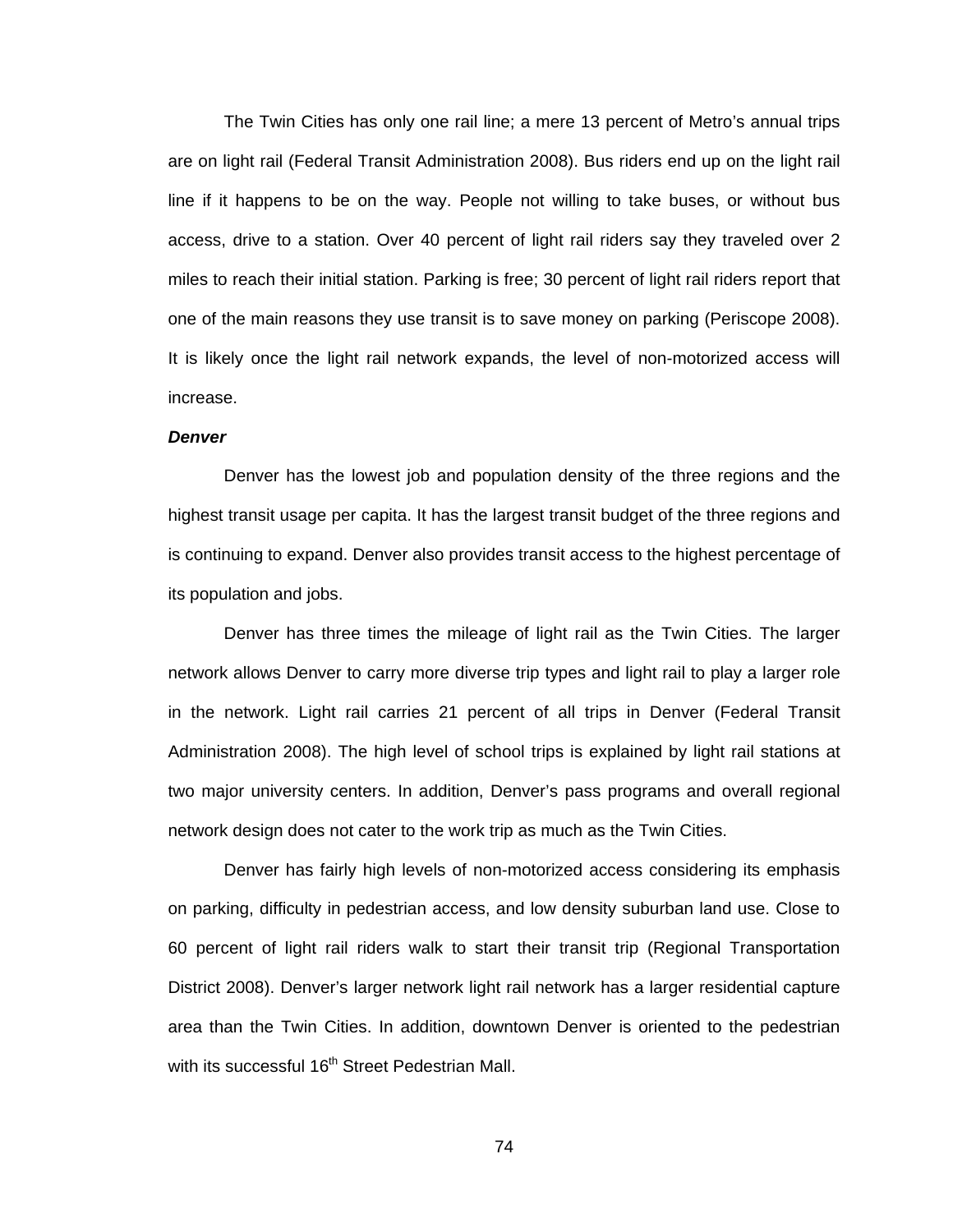The Twin Cities has only one rail line; a mere 13 percent of Metro's annual trips are on light rail (Federal Transit Administration 2008). Bus riders end up on the light rail line if it happens to be on the way. People not willing to take buses, or without bus access, drive to a station. Over 40 percent of light rail riders say they traveled over 2 miles to reach their initial station. Parking is free; 30 percent of light rail riders report that one of the main reasons they use transit is to save money on parking (Periscope 2008). It is likely once the light rail network expands, the level of non-motorized access will increase.

#### *Denver*

Denver has the lowest job and population density of the three regions and the highest transit usage per capita. It has the largest transit budget of the three regions and is continuing to expand. Denver also provides transit access to the highest percentage of its population and jobs.

Denver has three times the mileage of light rail as the Twin Cities. The larger network allows Denver to carry more diverse trip types and light rail to play a larger role in the network. Light rail carries 21 percent of all trips in Denver (Federal Transit Administration 2008). The high level of school trips is explained by light rail stations at two major university centers. In addition, Denver's pass programs and overall regional network design does not cater to the work trip as much as the Twin Cities.

Denver has fairly high levels of non-motorized access considering its emphasis on parking, difficulty in pedestrian access, and low density suburban land use. Close to 60 percent of light rail riders walk to start their transit trip (Regional Transportation District 2008). Denver's larger network light rail network has a larger residential capture area than the Twin Cities. In addition, downtown Denver is oriented to the pedestrian with its successful 16<sup>th</sup> Street Pedestrian Mall.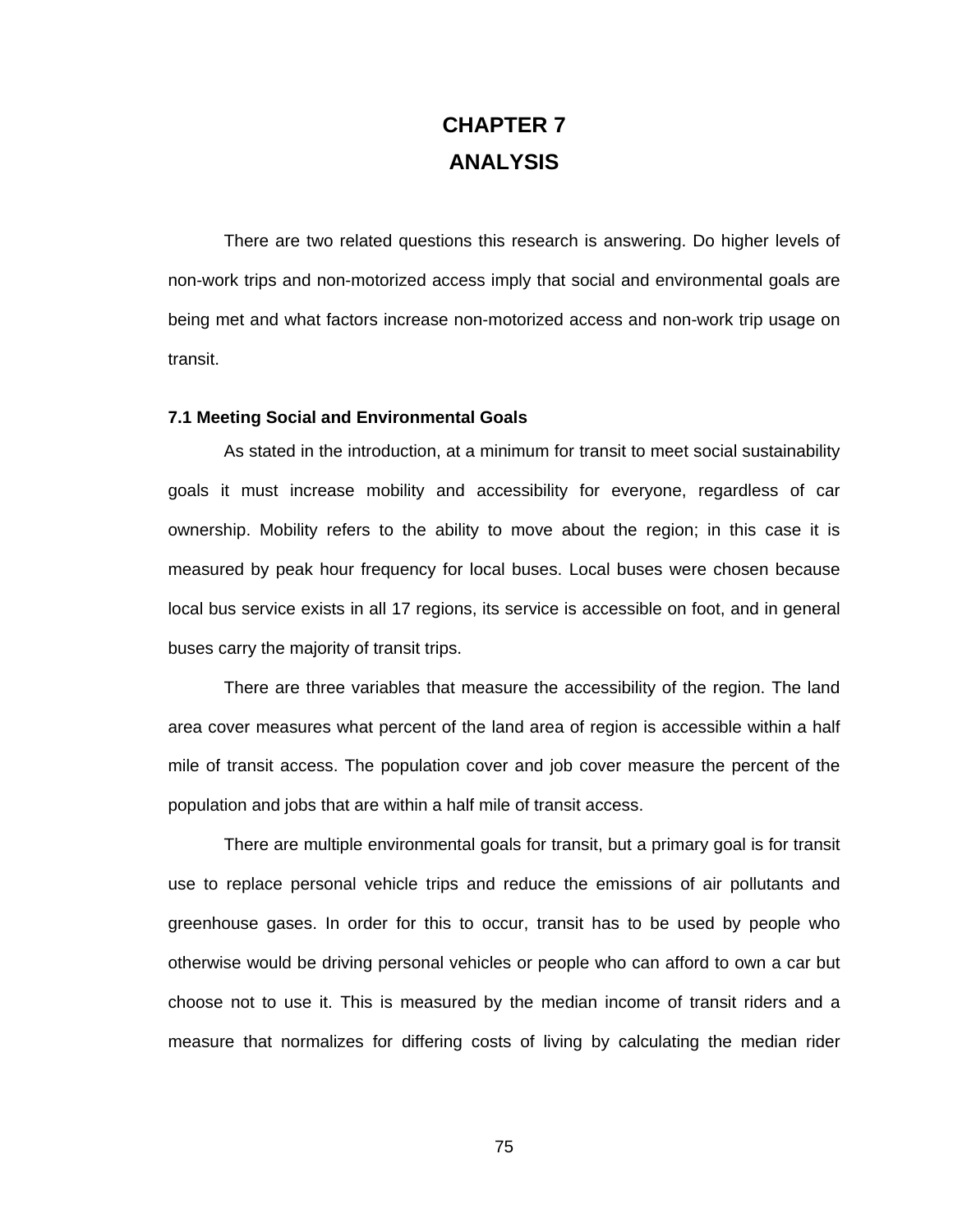## **CHAPTER 7 ANALYSIS**

There are two related questions this research is answering. Do higher levels of non-work trips and non-motorized access imply that social and environmental goals are being met and what factors increase non-motorized access and non-work trip usage on transit.

#### **7.1 Meeting Social and Environmental Goals**

As stated in the introduction, at a minimum for transit to meet social sustainability goals it must increase mobility and accessibility for everyone, regardless of car ownership. Mobility refers to the ability to move about the region; in this case it is measured by peak hour frequency for local buses. Local buses were chosen because local bus service exists in all 17 regions, its service is accessible on foot, and in general buses carry the majority of transit trips.

There are three variables that measure the accessibility of the region. The land area cover measures what percent of the land area of region is accessible within a half mile of transit access. The population cover and job cover measure the percent of the population and jobs that are within a half mile of transit access.

There are multiple environmental goals for transit, but a primary goal is for transit use to replace personal vehicle trips and reduce the emissions of air pollutants and greenhouse gases. In order for this to occur, transit has to be used by people who otherwise would be driving personal vehicles or people who can afford to own a car but choose not to use it. This is measured by the median income of transit riders and a measure that normalizes for differing costs of living by calculating the median rider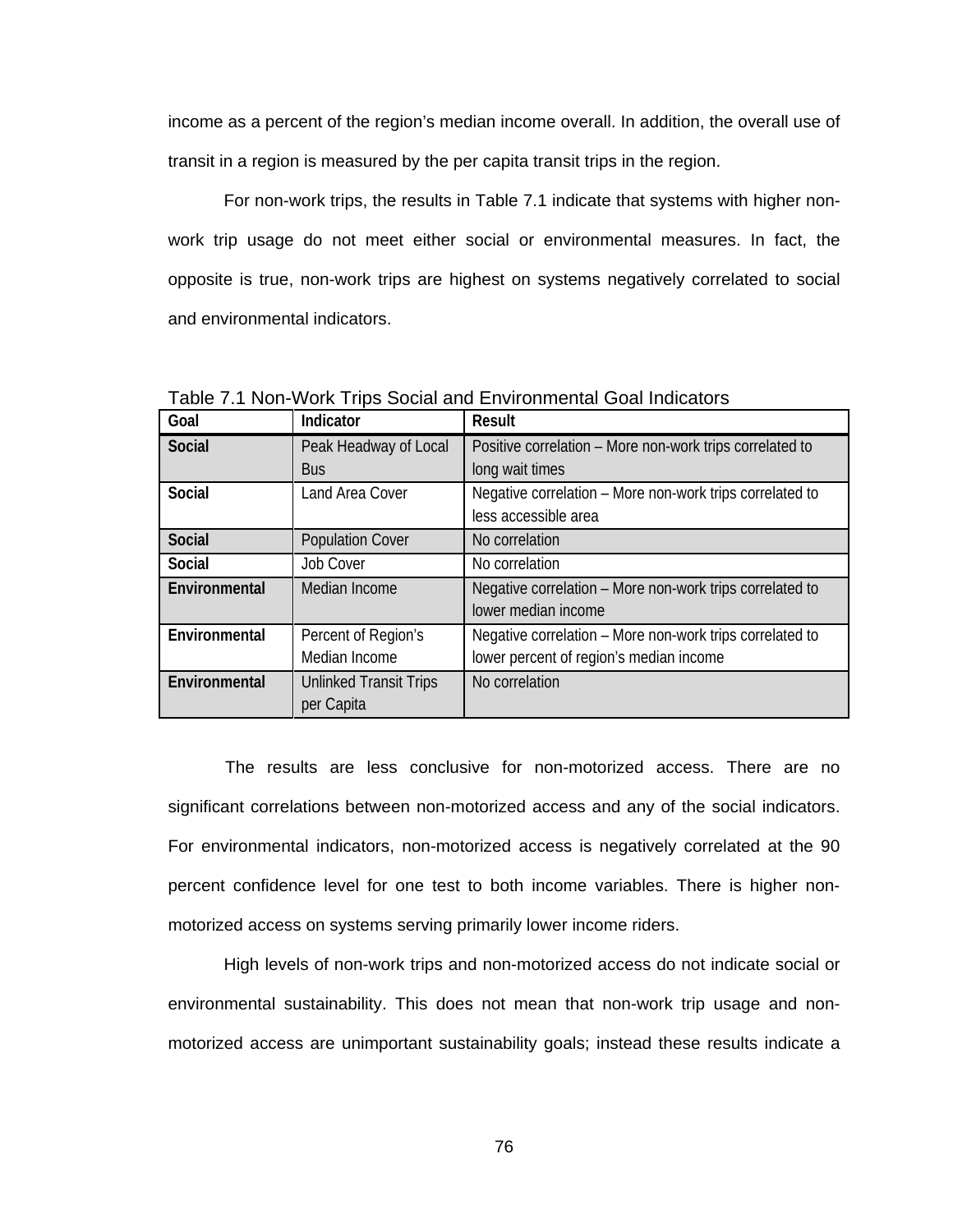income as a percent of the region's median income overall. In addition, the overall use of transit in a region is measured by the per capita transit trips in the region.

For non-work trips, the results in Table 7.1 indicate that systems with higher nonwork trip usage do not meet either social or environmental measures. In fact, the opposite is true, non-work trips are highest on systems negatively correlated to social and environmental indicators.

| Goal          | Indicator                     | <b>Result</b>                                            |
|---------------|-------------------------------|----------------------------------------------------------|
| <b>Social</b> | Peak Headway of Local         | Positive correlation – More non-work trips correlated to |
|               | <b>Bus</b>                    | long wait times                                          |
| Social        | Land Area Cover               | Negative correlation – More non-work trips correlated to |
|               |                               | less accessible area                                     |
| <b>Social</b> | <b>Population Cover</b>       | No correlation                                           |
| Social        | <b>Job Cover</b>              | No correlation                                           |
| Environmental | Median Income                 | Negative correlation - More non-work trips correlated to |
|               |                               | lower median income                                      |
| Environmental | Percent of Region's           | Negative correlation - More non-work trips correlated to |
|               | Median Income                 | lower percent of region's median income                  |
| Environmental | <b>Unlinked Transit Trips</b> | No correlation                                           |
|               | per Capita                    |                                                          |

Table 7.1 Non-Work Trips Social and Environmental Goal Indicators

 The results are less conclusive for non-motorized access. There are no significant correlations between non-motorized access and any of the social indicators. For environmental indicators, non-motorized access is negatively correlated at the 90 percent confidence level for one test to both income variables. There is higher nonmotorized access on systems serving primarily lower income riders.

High levels of non-work trips and non-motorized access do not indicate social or environmental sustainability. This does not mean that non-work trip usage and nonmotorized access are unimportant sustainability goals; instead these results indicate a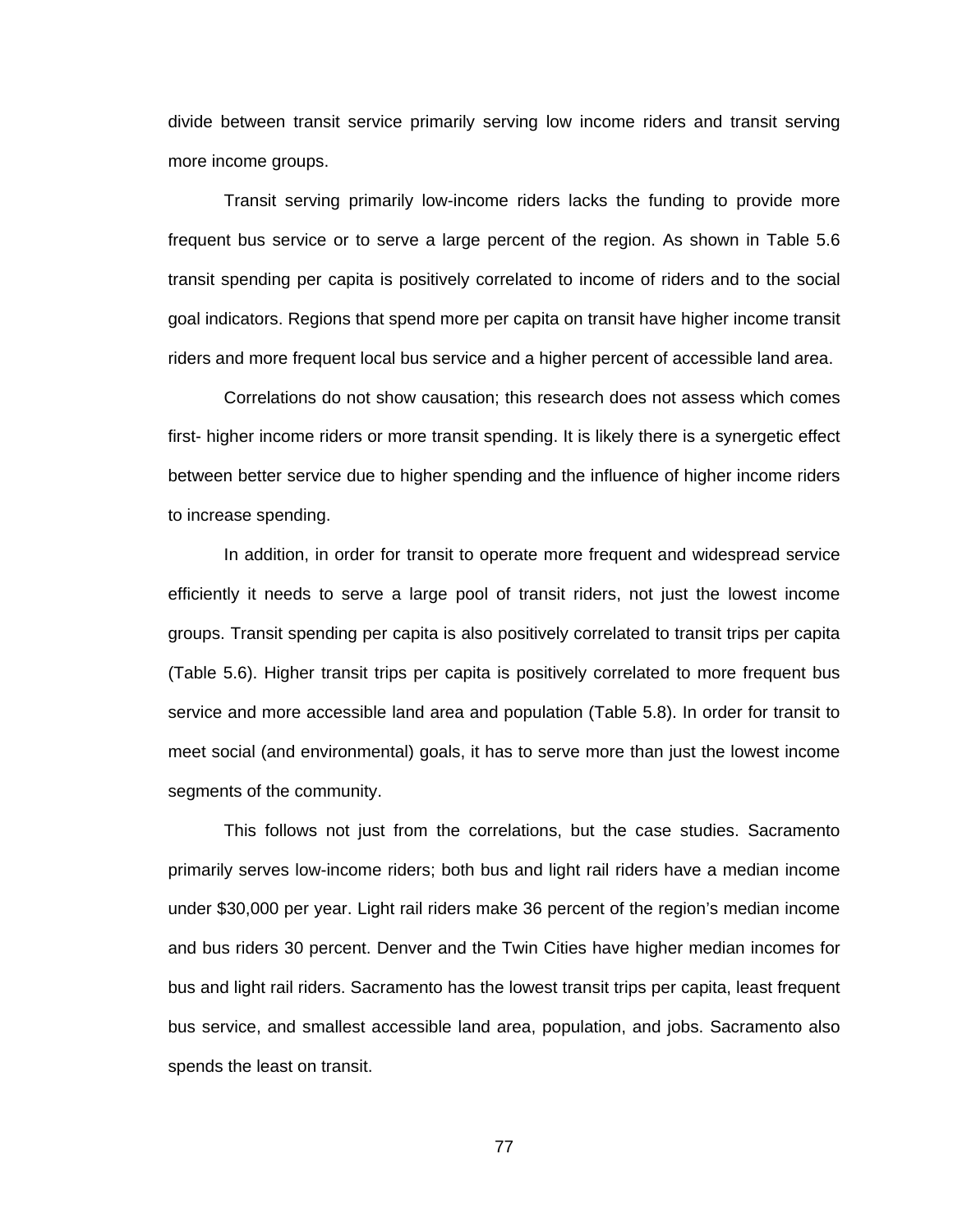divide between transit service primarily serving low income riders and transit serving more income groups.

Transit serving primarily low-income riders lacks the funding to provide more frequent bus service or to serve a large percent of the region. As shown in Table 5.6 transit spending per capita is positively correlated to income of riders and to the social goal indicators. Regions that spend more per capita on transit have higher income transit riders and more frequent local bus service and a higher percent of accessible land area.

Correlations do not show causation; this research does not assess which comes first- higher income riders or more transit spending. It is likely there is a synergetic effect between better service due to higher spending and the influence of higher income riders to increase spending.

In addition, in order for transit to operate more frequent and widespread service efficiently it needs to serve a large pool of transit riders, not just the lowest income groups. Transit spending per capita is also positively correlated to transit trips per capita (Table 5.6). Higher transit trips per capita is positively correlated to more frequent bus service and more accessible land area and population (Table 5.8). In order for transit to meet social (and environmental) goals, it has to serve more than just the lowest income segments of the community.

This follows not just from the correlations, but the case studies. Sacramento primarily serves low-income riders; both bus and light rail riders have a median income under \$30,000 per year. Light rail riders make 36 percent of the region's median income and bus riders 30 percent. Denver and the Twin Cities have higher median incomes for bus and light rail riders. Sacramento has the lowest transit trips per capita, least frequent bus service, and smallest accessible land area, population, and jobs. Sacramento also spends the least on transit.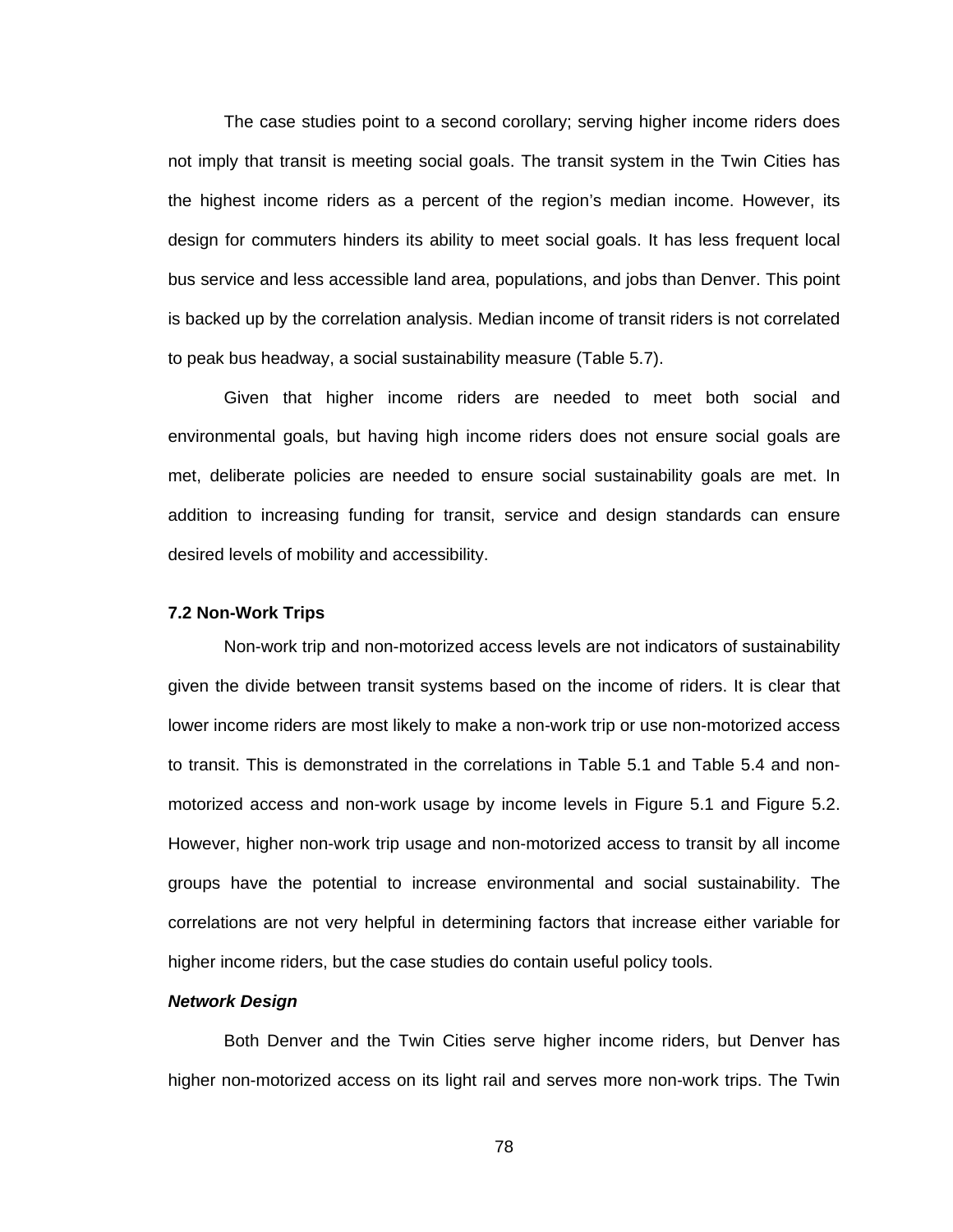The case studies point to a second corollary; serving higher income riders does not imply that transit is meeting social goals. The transit system in the Twin Cities has the highest income riders as a percent of the region's median income. However, its design for commuters hinders its ability to meet social goals. It has less frequent local bus service and less accessible land area, populations, and jobs than Denver. This point is backed up by the correlation analysis. Median income of transit riders is not correlated to peak bus headway, a social sustainability measure (Table 5.7).

Given that higher income riders are needed to meet both social and environmental goals, but having high income riders does not ensure social goals are met, deliberate policies are needed to ensure social sustainability goals are met. In addition to increasing funding for transit, service and design standards can ensure desired levels of mobility and accessibility.

#### **7.2 Non-Work Trips**

Non-work trip and non-motorized access levels are not indicators of sustainability given the divide between transit systems based on the income of riders. It is clear that lower income riders are most likely to make a non-work trip or use non-motorized access to transit. This is demonstrated in the correlations in Table 5.1 and Table 5.4 and nonmotorized access and non-work usage by income levels in Figure 5.1 and Figure 5.2. However, higher non-work trip usage and non-motorized access to transit by all income groups have the potential to increase environmental and social sustainability. The correlations are not very helpful in determining factors that increase either variable for higher income riders, but the case studies do contain useful policy tools.

#### *Network Design*

Both Denver and the Twin Cities serve higher income riders, but Denver has higher non-motorized access on its light rail and serves more non-work trips. The Twin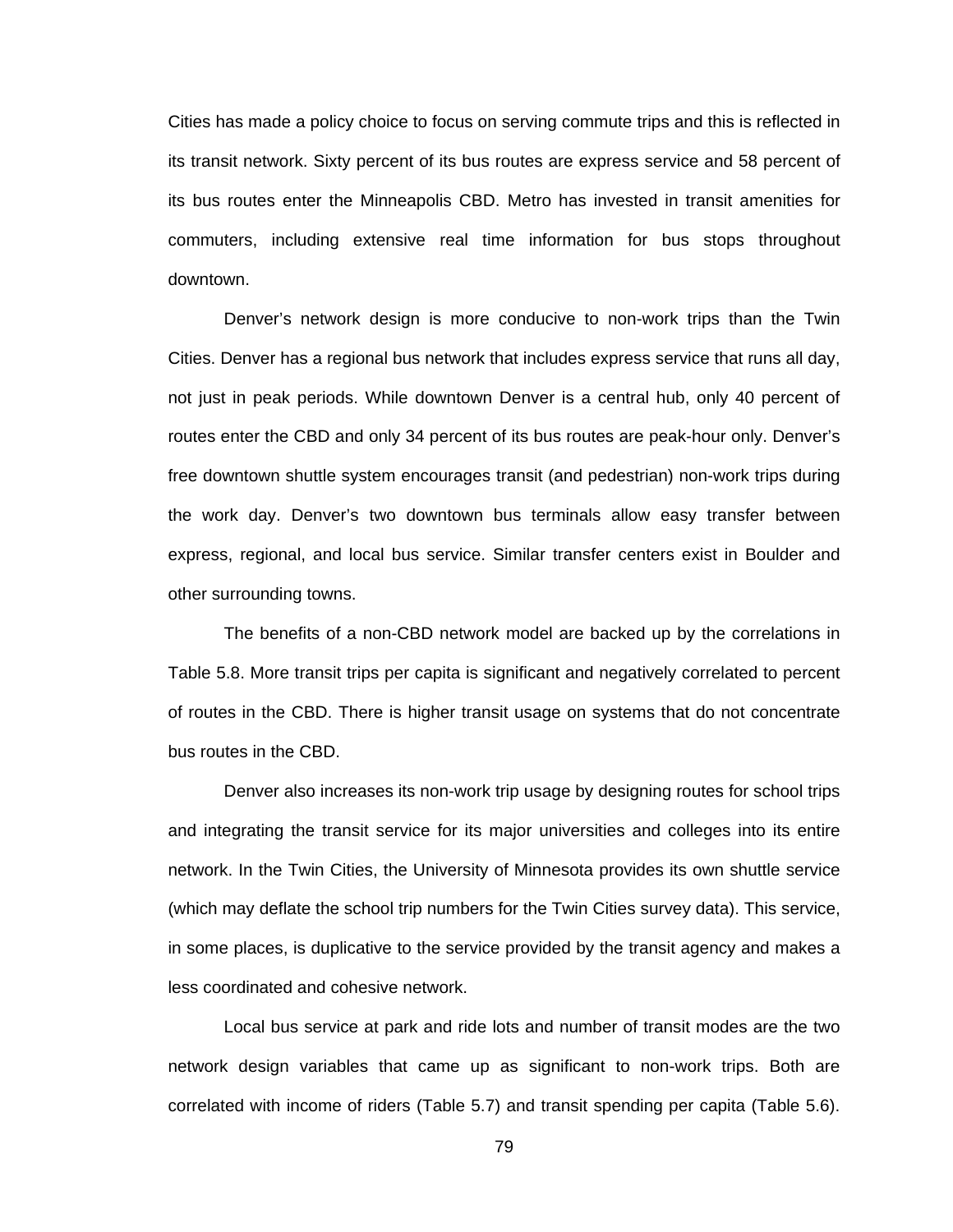Cities has made a policy choice to focus on serving commute trips and this is reflected in its transit network. Sixty percent of its bus routes are express service and 58 percent of its bus routes enter the Minneapolis CBD. Metro has invested in transit amenities for commuters, including extensive real time information for bus stops throughout downtown.

Denver's network design is more conducive to non-work trips than the Twin Cities. Denver has a regional bus network that includes express service that runs all day, not just in peak periods. While downtown Denver is a central hub, only 40 percent of routes enter the CBD and only 34 percent of its bus routes are peak-hour only. Denver's free downtown shuttle system encourages transit (and pedestrian) non-work trips during the work day. Denver's two downtown bus terminals allow easy transfer between express, regional, and local bus service. Similar transfer centers exist in Boulder and other surrounding towns.

The benefits of a non-CBD network model are backed up by the correlations in Table 5.8. More transit trips per capita is significant and negatively correlated to percent of routes in the CBD. There is higher transit usage on systems that do not concentrate bus routes in the CBD.

Denver also increases its non-work trip usage by designing routes for school trips and integrating the transit service for its major universities and colleges into its entire network. In the Twin Cities, the University of Minnesota provides its own shuttle service (which may deflate the school trip numbers for the Twin Cities survey data). This service, in some places, is duplicative to the service provided by the transit agency and makes a less coordinated and cohesive network.

Local bus service at park and ride lots and number of transit modes are the two network design variables that came up as significant to non-work trips. Both are correlated with income of riders (Table 5.7) and transit spending per capita (Table 5.6).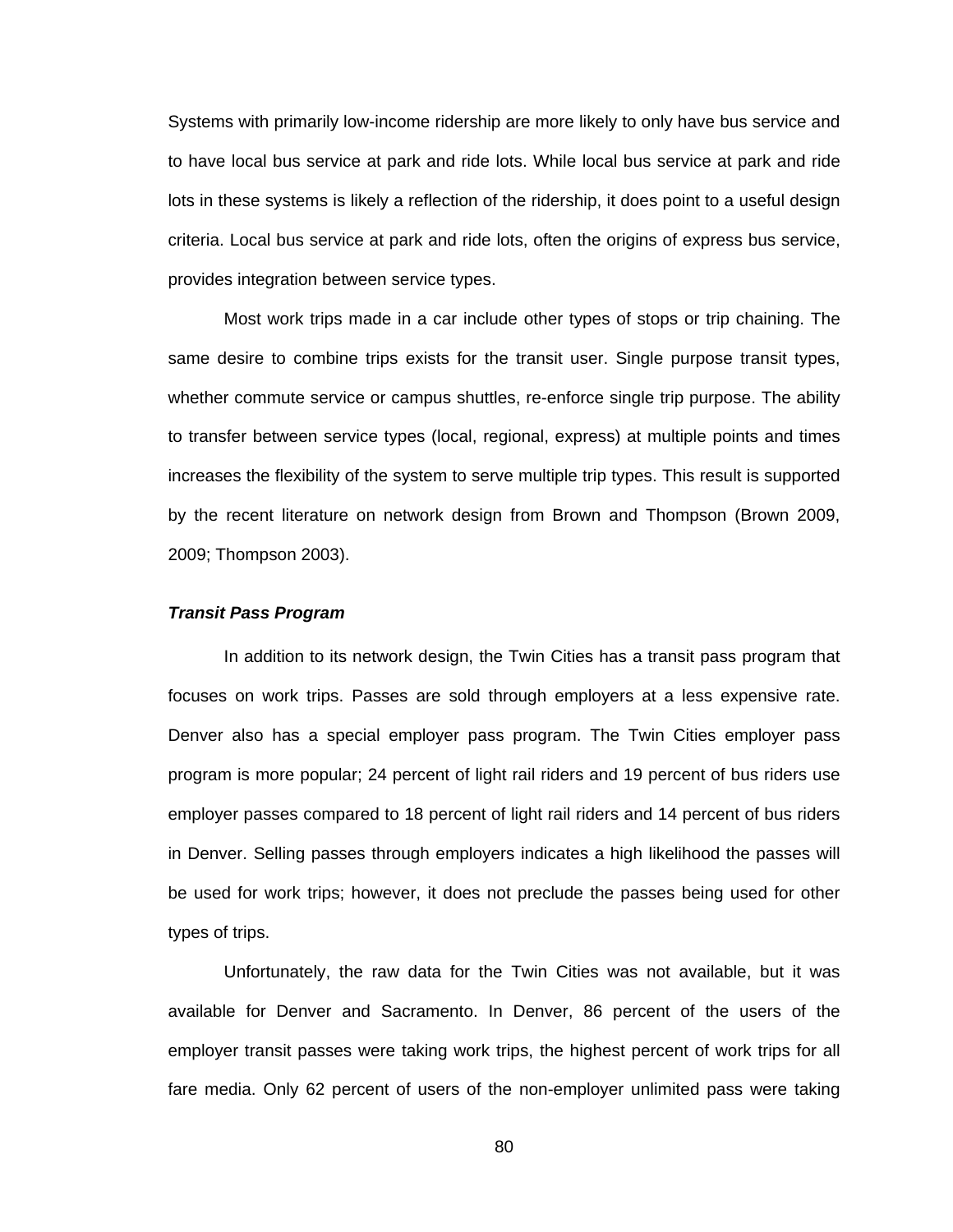Systems with primarily low-income ridership are more likely to only have bus service and to have local bus service at park and ride lots. While local bus service at park and ride lots in these systems is likely a reflection of the ridership, it does point to a useful design criteria. Local bus service at park and ride lots, often the origins of express bus service, provides integration between service types.

Most work trips made in a car include other types of stops or trip chaining. The same desire to combine trips exists for the transit user. Single purpose transit types, whether commute service or campus shuttles, re-enforce single trip purpose. The ability to transfer between service types (local, regional, express) at multiple points and times increases the flexibility of the system to serve multiple trip types. This result is supported by the recent literature on network design from Brown and Thompson (Brown 2009, 2009; Thompson 2003).

#### *Transit Pass Program*

In addition to its network design, the Twin Cities has a transit pass program that focuses on work trips. Passes are sold through employers at a less expensive rate. Denver also has a special employer pass program. The Twin Cities employer pass program is more popular; 24 percent of light rail riders and 19 percent of bus riders use employer passes compared to 18 percent of light rail riders and 14 percent of bus riders in Denver. Selling passes through employers indicates a high likelihood the passes will be used for work trips; however, it does not preclude the passes being used for other types of trips.

Unfortunately, the raw data for the Twin Cities was not available, but it was available for Denver and Sacramento. In Denver, 86 percent of the users of the employer transit passes were taking work trips, the highest percent of work trips for all fare media. Only 62 percent of users of the non-employer unlimited pass were taking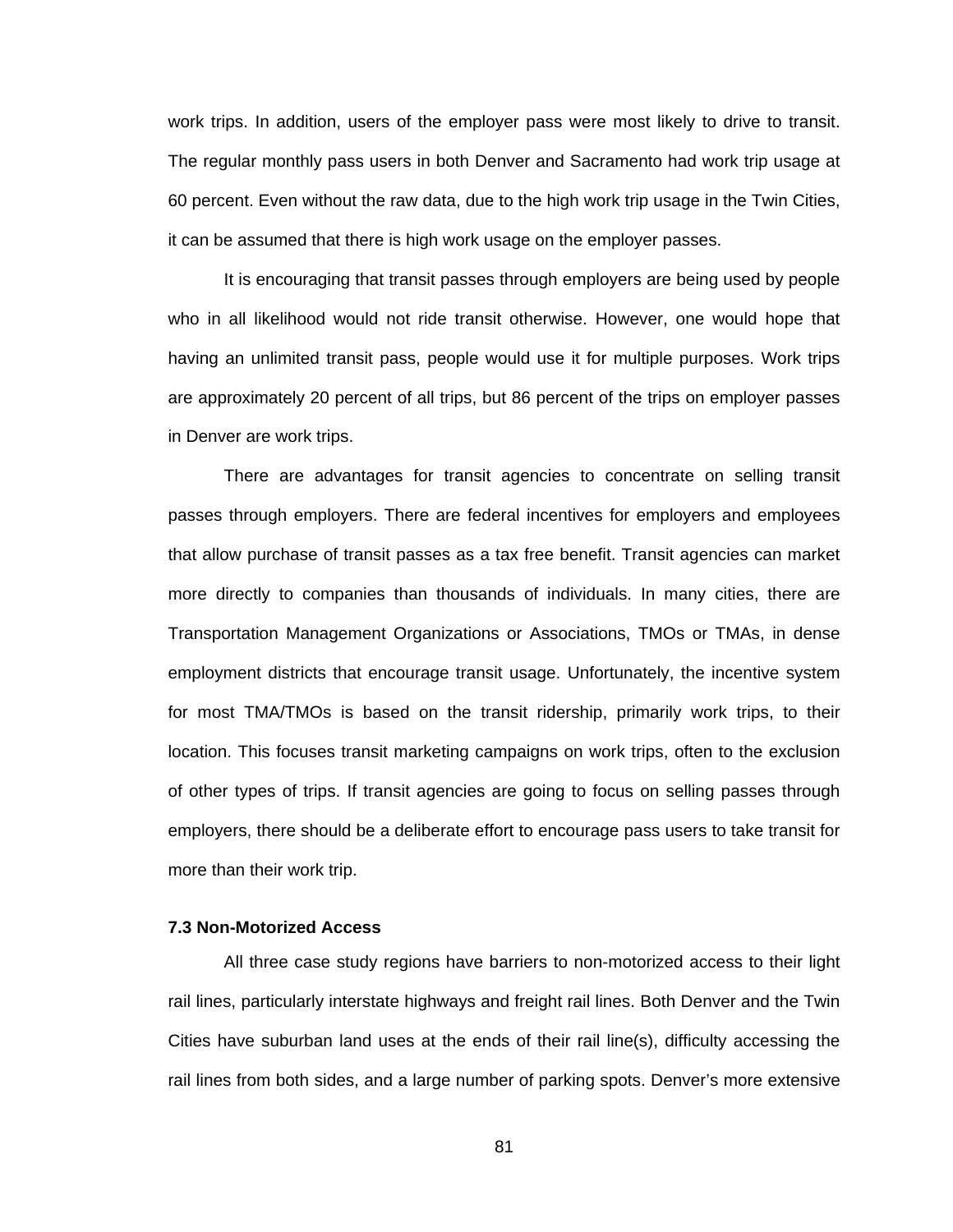work trips. In addition, users of the employer pass were most likely to drive to transit. The regular monthly pass users in both Denver and Sacramento had work trip usage at 60 percent. Even without the raw data, due to the high work trip usage in the Twin Cities, it can be assumed that there is high work usage on the employer passes.

It is encouraging that transit passes through employers are being used by people who in all likelihood would not ride transit otherwise. However, one would hope that having an unlimited transit pass, people would use it for multiple purposes. Work trips are approximately 20 percent of all trips, but 86 percent of the trips on employer passes in Denver are work trips.

There are advantages for transit agencies to concentrate on selling transit passes through employers. There are federal incentives for employers and employees that allow purchase of transit passes as a tax free benefit. Transit agencies can market more directly to companies than thousands of individuals. In many cities, there are Transportation Management Organizations or Associations, TMOs or TMAs, in dense employment districts that encourage transit usage. Unfortunately, the incentive system for most TMA/TMOs is based on the transit ridership, primarily work trips, to their location. This focuses transit marketing campaigns on work trips, often to the exclusion of other types of trips. If transit agencies are going to focus on selling passes through employers, there should be a deliberate effort to encourage pass users to take transit for more than their work trip.

### **7.3 Non-Motorized Access**

All three case study regions have barriers to non-motorized access to their light rail lines, particularly interstate highways and freight rail lines. Both Denver and the Twin Cities have suburban land uses at the ends of their rail line(s), difficulty accessing the rail lines from both sides, and a large number of parking spots. Denver's more extensive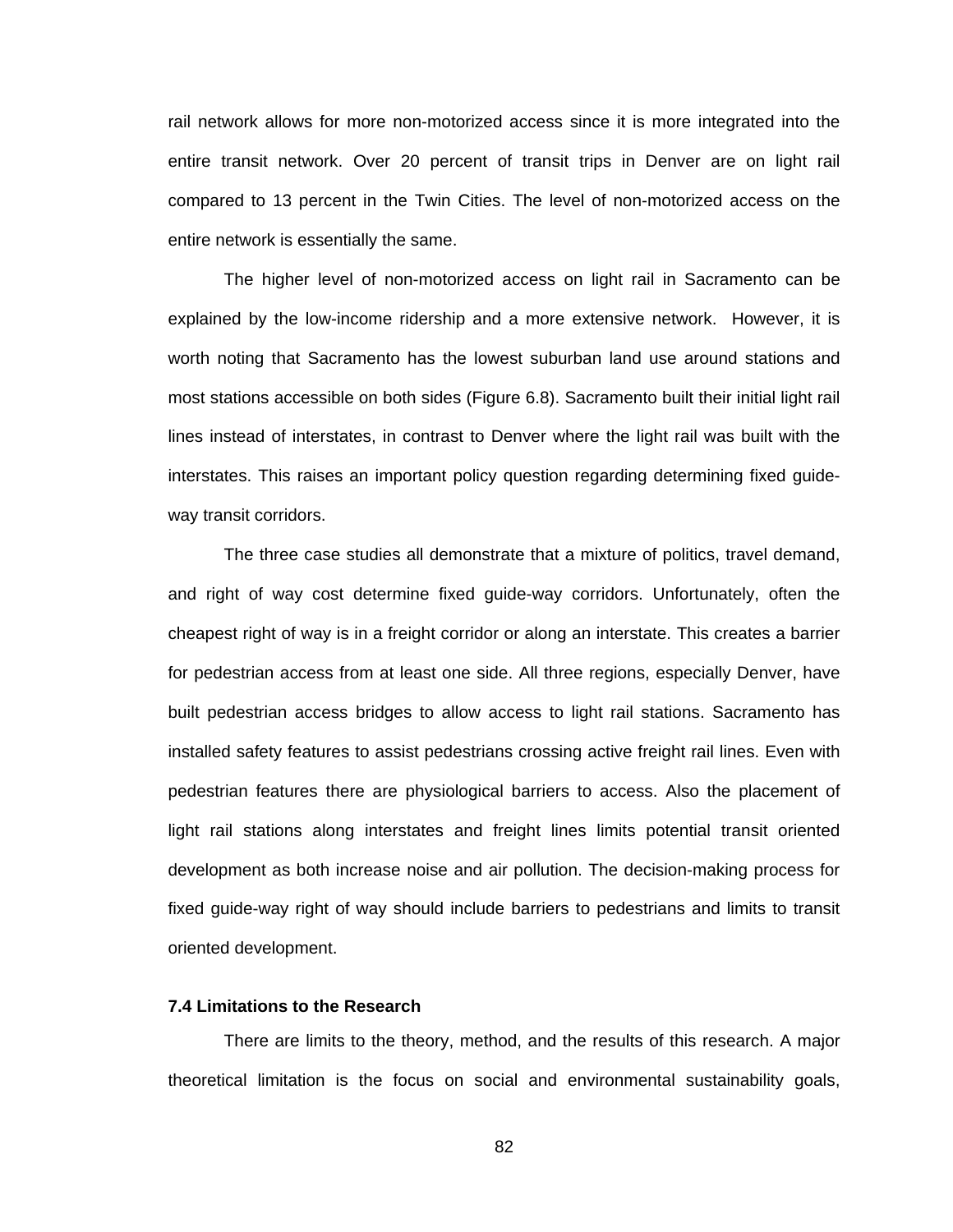rail network allows for more non-motorized access since it is more integrated into the entire transit network. Over 20 percent of transit trips in Denver are on light rail compared to 13 percent in the Twin Cities. The level of non-motorized access on the entire network is essentially the same.

The higher level of non-motorized access on light rail in Sacramento can be explained by the low-income ridership and a more extensive network. However, it is worth noting that Sacramento has the lowest suburban land use around stations and most stations accessible on both sides (Figure 6.8). Sacramento built their initial light rail lines instead of interstates, in contrast to Denver where the light rail was built with the interstates. This raises an important policy question regarding determining fixed guideway transit corridors.

The three case studies all demonstrate that a mixture of politics, travel demand, and right of way cost determine fixed guide-way corridors. Unfortunately, often the cheapest right of way is in a freight corridor or along an interstate. This creates a barrier for pedestrian access from at least one side. All three regions, especially Denver, have built pedestrian access bridges to allow access to light rail stations. Sacramento has installed safety features to assist pedestrians crossing active freight rail lines. Even with pedestrian features there are physiological barriers to access. Also the placement of light rail stations along interstates and freight lines limits potential transit oriented development as both increase noise and air pollution. The decision-making process for fixed guide-way right of way should include barriers to pedestrians and limits to transit oriented development.

#### **7.4 Limitations to the Research**

 There are limits to the theory, method, and the results of this research. A major theoretical limitation is the focus on social and environmental sustainability goals,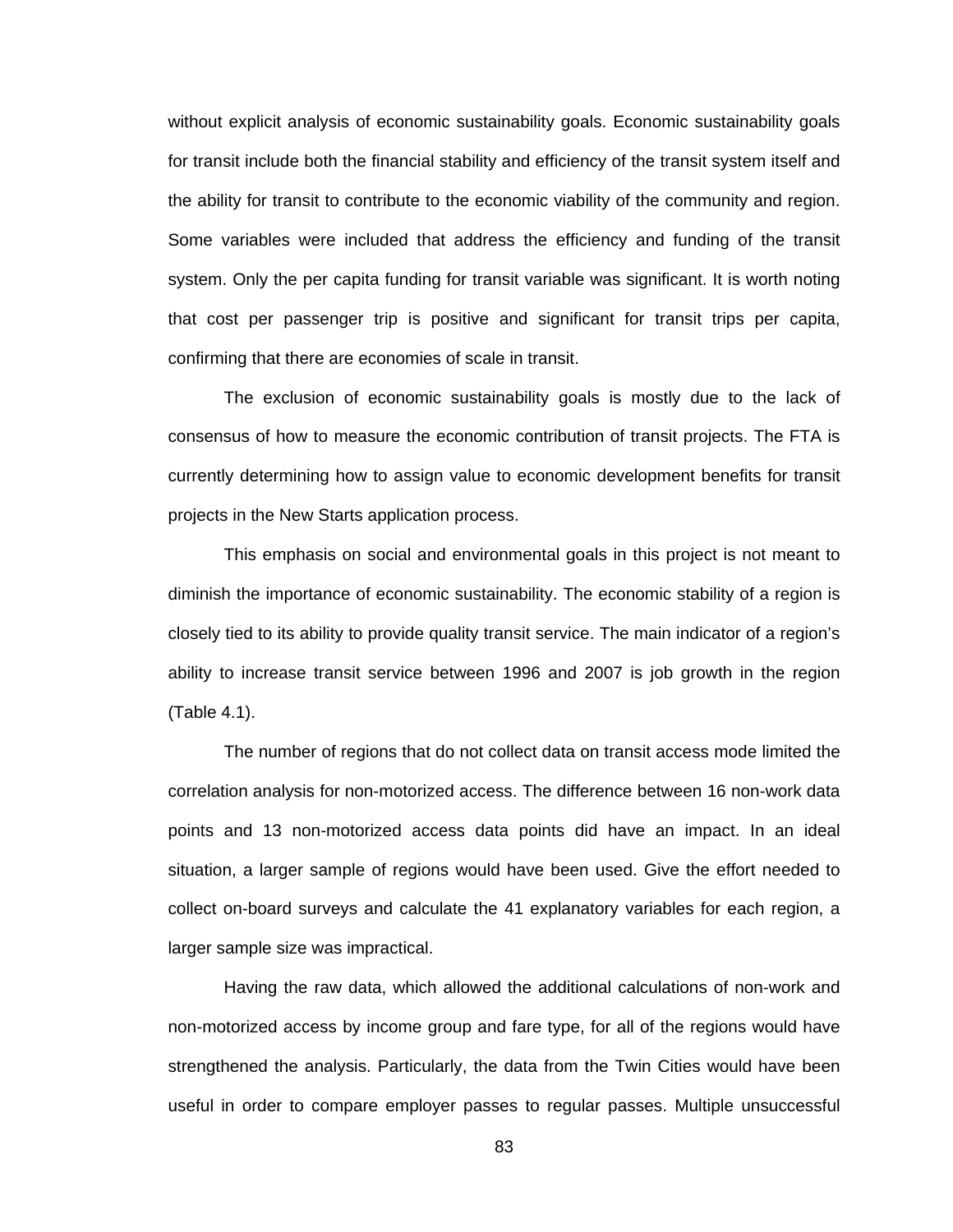without explicit analysis of economic sustainability goals. Economic sustainability goals for transit include both the financial stability and efficiency of the transit system itself and the ability for transit to contribute to the economic viability of the community and region. Some variables were included that address the efficiency and funding of the transit system. Only the per capita funding for transit variable was significant. It is worth noting that cost per passenger trip is positive and significant for transit trips per capita, confirming that there are economies of scale in transit.

The exclusion of economic sustainability goals is mostly due to the lack of consensus of how to measure the economic contribution of transit projects. The FTA is currently determining how to assign value to economic development benefits for transit projects in the New Starts application process.

This emphasis on social and environmental goals in this project is not meant to diminish the importance of economic sustainability. The economic stability of a region is closely tied to its ability to provide quality transit service. The main indicator of a region's ability to increase transit service between 1996 and 2007 is job growth in the region (Table 4.1).

The number of regions that do not collect data on transit access mode limited the correlation analysis for non-motorized access. The difference between 16 non-work data points and 13 non-motorized access data points did have an impact. In an ideal situation, a larger sample of regions would have been used. Give the effort needed to collect on-board surveys and calculate the 41 explanatory variables for each region, a larger sample size was impractical.

Having the raw data, which allowed the additional calculations of non-work and non-motorized access by income group and fare type, for all of the regions would have strengthened the analysis. Particularly, the data from the Twin Cities would have been useful in order to compare employer passes to regular passes. Multiple unsuccessful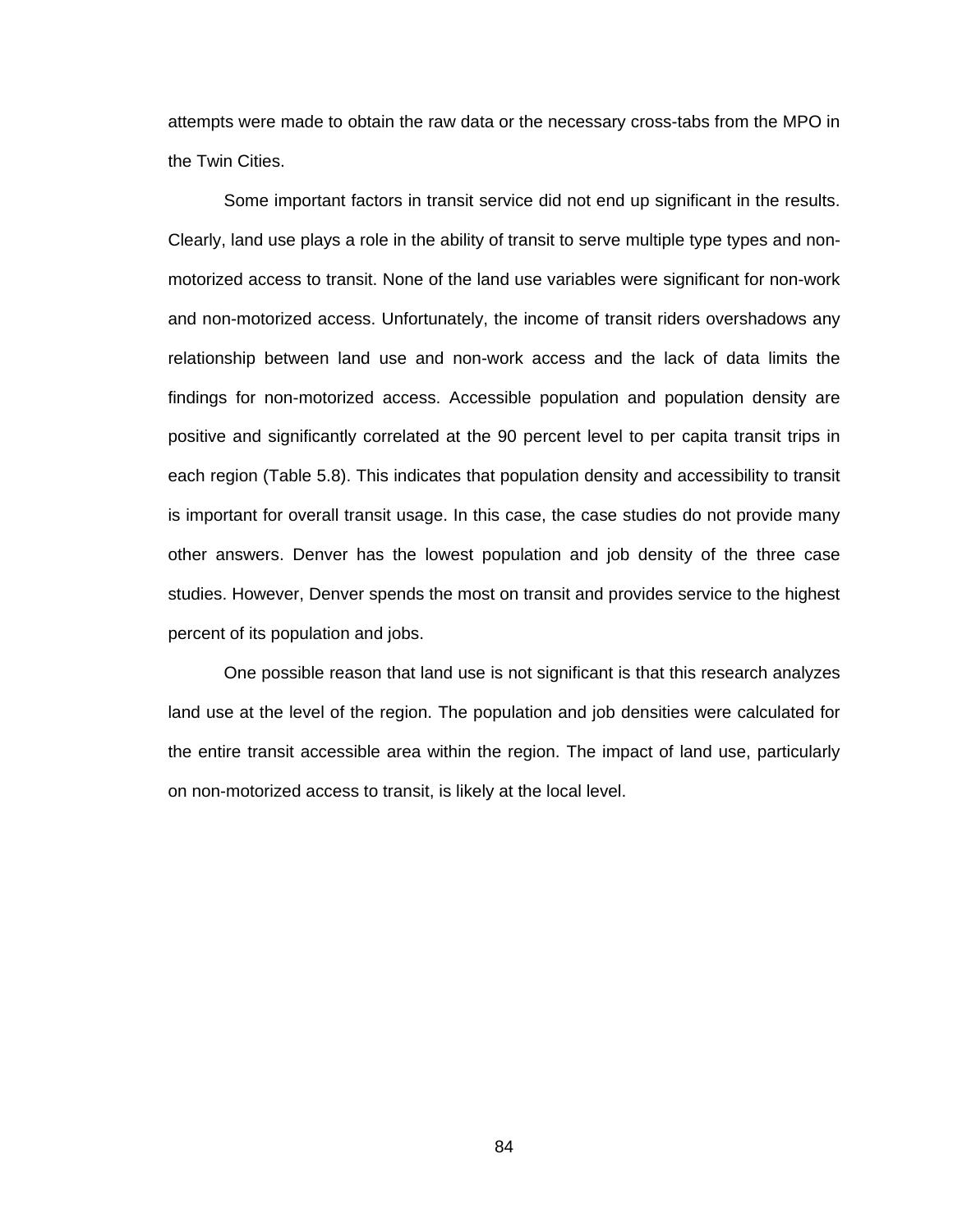attempts were made to obtain the raw data or the necessary cross-tabs from the MPO in the Twin Cities.

Some important factors in transit service did not end up significant in the results. Clearly, land use plays a role in the ability of transit to serve multiple type types and nonmotorized access to transit. None of the land use variables were significant for non-work and non-motorized access. Unfortunately, the income of transit riders overshadows any relationship between land use and non-work access and the lack of data limits the findings for non-motorized access. Accessible population and population density are positive and significantly correlated at the 90 percent level to per capita transit trips in each region (Table 5.8). This indicates that population density and accessibility to transit is important for overall transit usage. In this case, the case studies do not provide many other answers. Denver has the lowest population and job density of the three case studies. However, Denver spends the most on transit and provides service to the highest percent of its population and jobs.

One possible reason that land use is not significant is that this research analyzes land use at the level of the region. The population and job densities were calculated for the entire transit accessible area within the region. The impact of land use, particularly on non-motorized access to transit, is likely at the local level.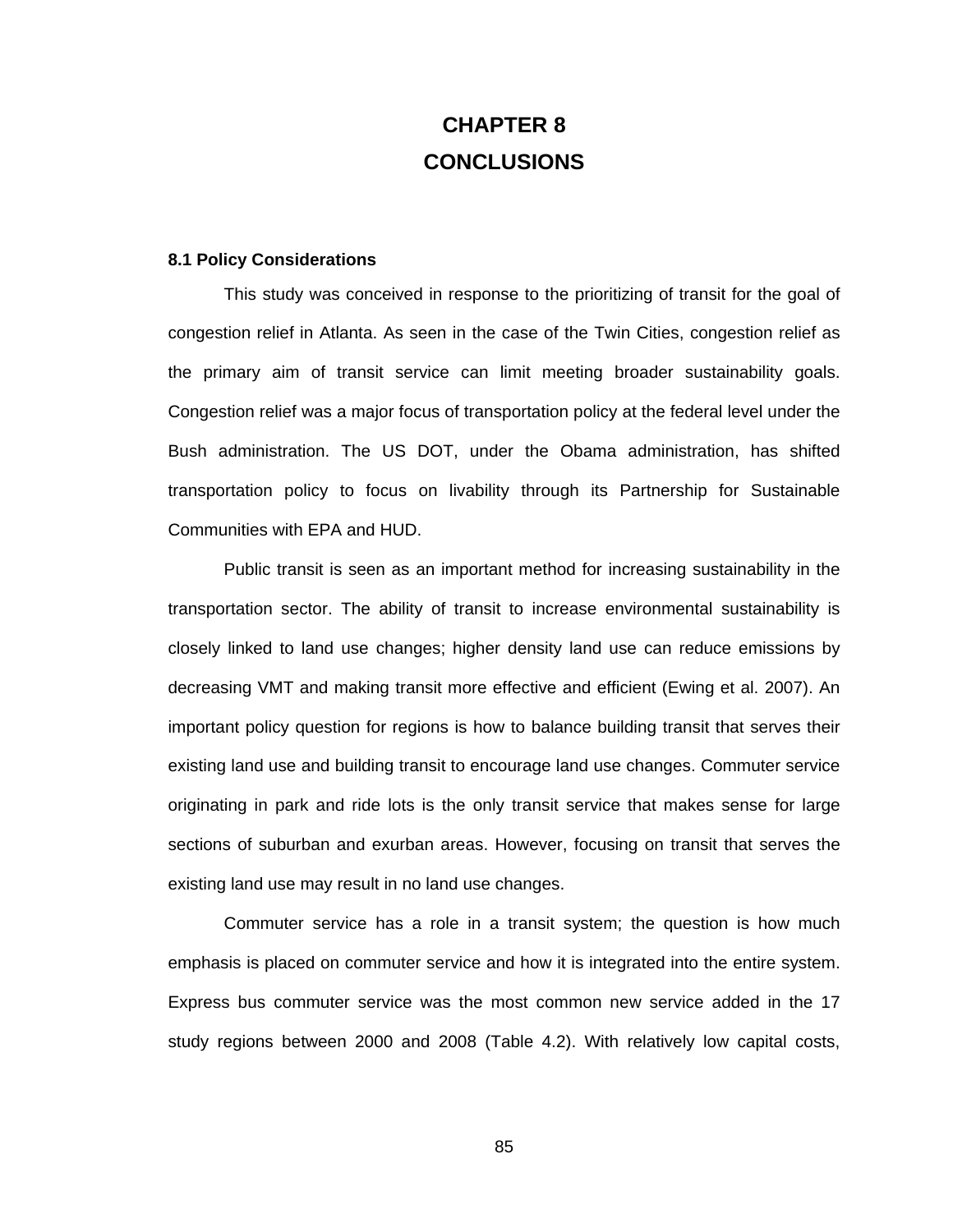## **CHAPTER 8 CONCLUSIONS**

#### **8.1 Policy Considerations**

This study was conceived in response to the prioritizing of transit for the goal of congestion relief in Atlanta. As seen in the case of the Twin Cities, congestion relief as the primary aim of transit service can limit meeting broader sustainability goals. Congestion relief was a major focus of transportation policy at the federal level under the Bush administration. The US DOT, under the Obama administration, has shifted transportation policy to focus on livability through its Partnership for Sustainable Communities with EPA and HUD.

Public transit is seen as an important method for increasing sustainability in the transportation sector. The ability of transit to increase environmental sustainability is closely linked to land use changes; higher density land use can reduce emissions by decreasing VMT and making transit more effective and efficient (Ewing et al. 2007). An important policy question for regions is how to balance building transit that serves their existing land use and building transit to encourage land use changes. Commuter service originating in park and ride lots is the only transit service that makes sense for large sections of suburban and exurban areas. However, focusing on transit that serves the existing land use may result in no land use changes.

Commuter service has a role in a transit system; the question is how much emphasis is placed on commuter service and how it is integrated into the entire system. Express bus commuter service was the most common new service added in the 17 study regions between 2000 and 2008 (Table 4.2). With relatively low capital costs,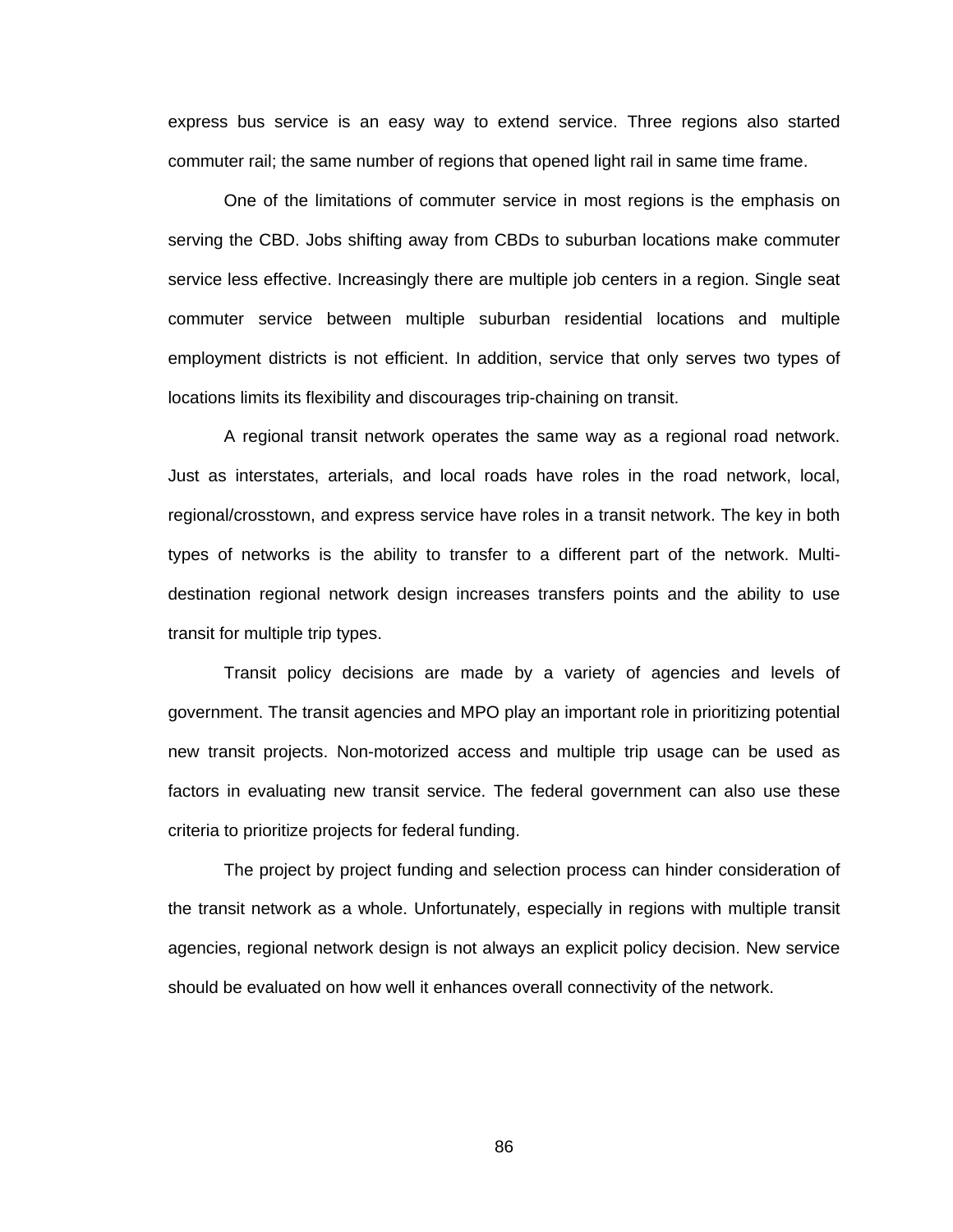express bus service is an easy way to extend service. Three regions also started commuter rail; the same number of regions that opened light rail in same time frame.

One of the limitations of commuter service in most regions is the emphasis on serving the CBD. Jobs shifting away from CBDs to suburban locations make commuter service less effective. Increasingly there are multiple job centers in a region. Single seat commuter service between multiple suburban residential locations and multiple employment districts is not efficient. In addition, service that only serves two types of locations limits its flexibility and discourages trip-chaining on transit.

A regional transit network operates the same way as a regional road network. Just as interstates, arterials, and local roads have roles in the road network, local, regional/crosstown, and express service have roles in a transit network. The key in both types of networks is the ability to transfer to a different part of the network. Multidestination regional network design increases transfers points and the ability to use transit for multiple trip types.

Transit policy decisions are made by a variety of agencies and levels of government. The transit agencies and MPO play an important role in prioritizing potential new transit projects. Non-motorized access and multiple trip usage can be used as factors in evaluating new transit service. The federal government can also use these criteria to prioritize projects for federal funding.

The project by project funding and selection process can hinder consideration of the transit network as a whole. Unfortunately, especially in regions with multiple transit agencies, regional network design is not always an explicit policy decision. New service should be evaluated on how well it enhances overall connectivity of the network.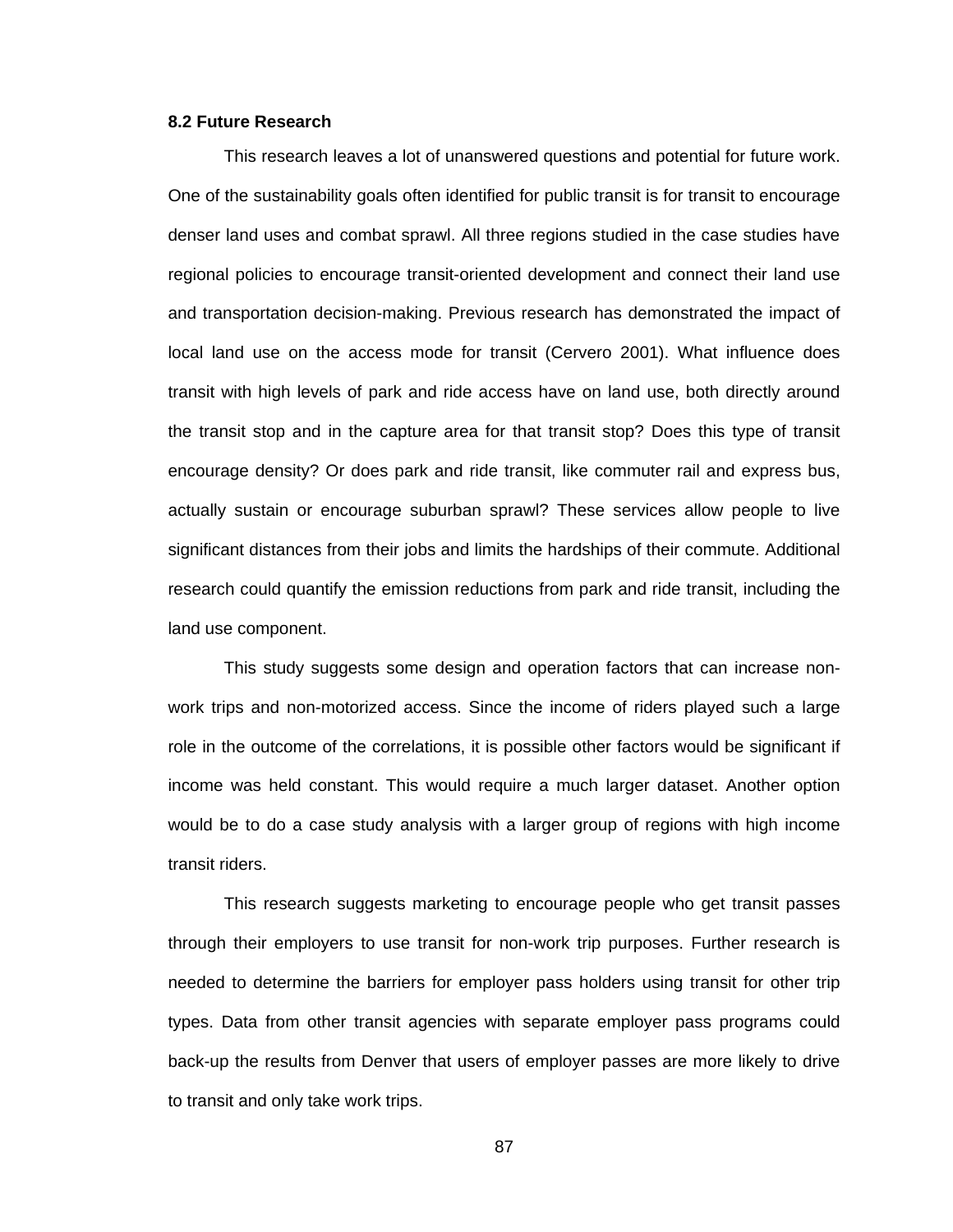#### **8.2 Future Research**

This research leaves a lot of unanswered questions and potential for future work. One of the sustainability goals often identified for public transit is for transit to encourage denser land uses and combat sprawl. All three regions studied in the case studies have regional policies to encourage transit-oriented development and connect their land use and transportation decision-making. Previous research has demonstrated the impact of local land use on the access mode for transit (Cervero 2001). What influence does transit with high levels of park and ride access have on land use, both directly around the transit stop and in the capture area for that transit stop? Does this type of transit encourage density? Or does park and ride transit, like commuter rail and express bus, actually sustain or encourage suburban sprawl? These services allow people to live significant distances from their jobs and limits the hardships of their commute. Additional research could quantify the emission reductions from park and ride transit, including the land use component.

This study suggests some design and operation factors that can increase nonwork trips and non-motorized access. Since the income of riders played such a large role in the outcome of the correlations, it is possible other factors would be significant if income was held constant. This would require a much larger dataset. Another option would be to do a case study analysis with a larger group of regions with high income transit riders.

This research suggests marketing to encourage people who get transit passes through their employers to use transit for non-work trip purposes. Further research is needed to determine the barriers for employer pass holders using transit for other trip types. Data from other transit agencies with separate employer pass programs could back-up the results from Denver that users of employer passes are more likely to drive to transit and only take work trips.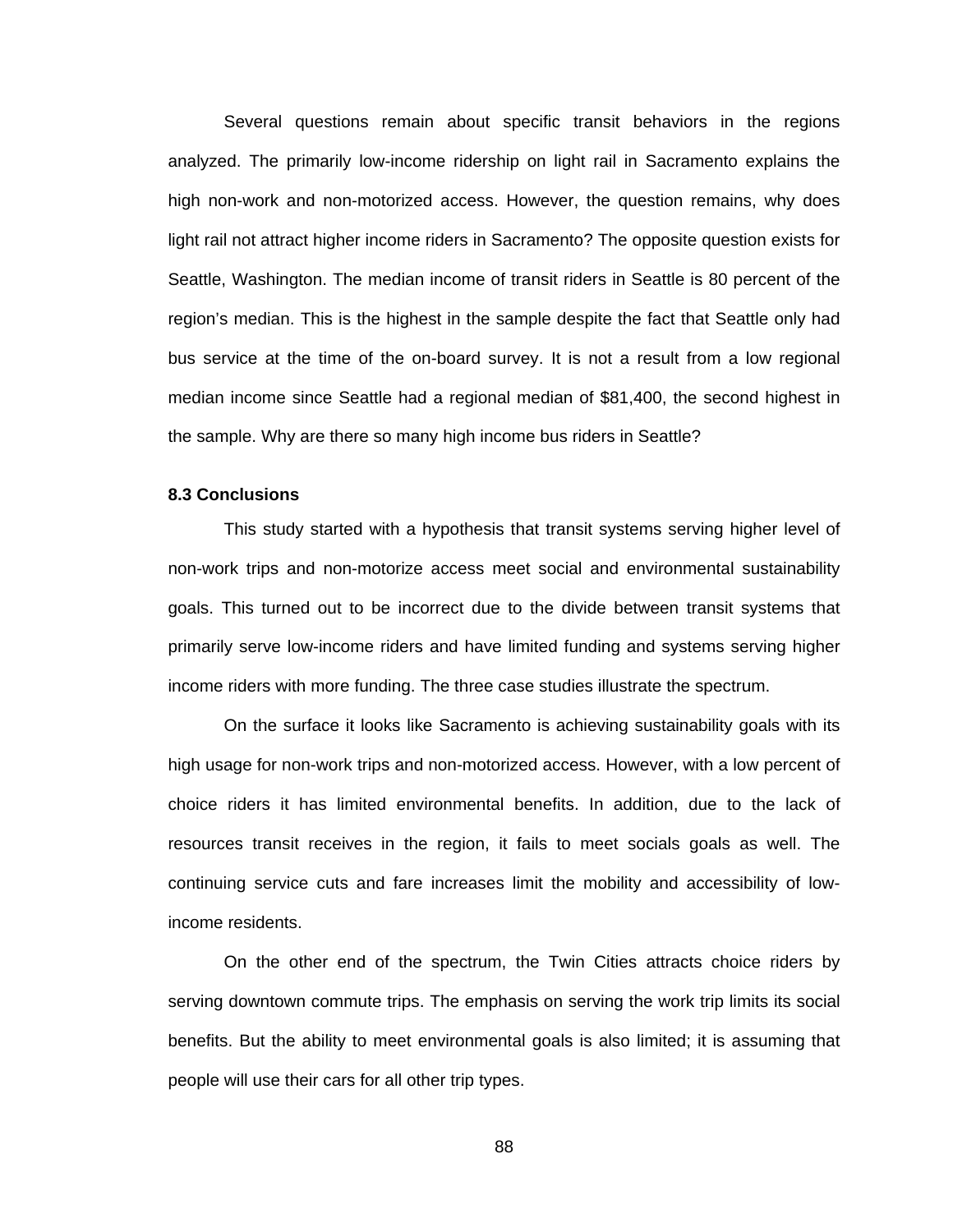Several questions remain about specific transit behaviors in the regions analyzed. The primarily low-income ridership on light rail in Sacramento explains the high non-work and non-motorized access. However, the question remains, why does light rail not attract higher income riders in Sacramento? The opposite question exists for Seattle, Washington. The median income of transit riders in Seattle is 80 percent of the region's median. This is the highest in the sample despite the fact that Seattle only had bus service at the time of the on-board survey. It is not a result from a low regional median income since Seattle had a regional median of \$81,400, the second highest in the sample. Why are there so many high income bus riders in Seattle?

#### **8.3 Conclusions**

This study started with a hypothesis that transit systems serving higher level of non-work trips and non-motorize access meet social and environmental sustainability goals. This turned out to be incorrect due to the divide between transit systems that primarily serve low-income riders and have limited funding and systems serving higher income riders with more funding. The three case studies illustrate the spectrum.

On the surface it looks like Sacramento is achieving sustainability goals with its high usage for non-work trips and non-motorized access. However, with a low percent of choice riders it has limited environmental benefits. In addition, due to the lack of resources transit receives in the region, it fails to meet socials goals as well. The continuing service cuts and fare increases limit the mobility and accessibility of lowincome residents.

On the other end of the spectrum, the Twin Cities attracts choice riders by serving downtown commute trips. The emphasis on serving the work trip limits its social benefits. But the ability to meet environmental goals is also limited; it is assuming that people will use their cars for all other trip types.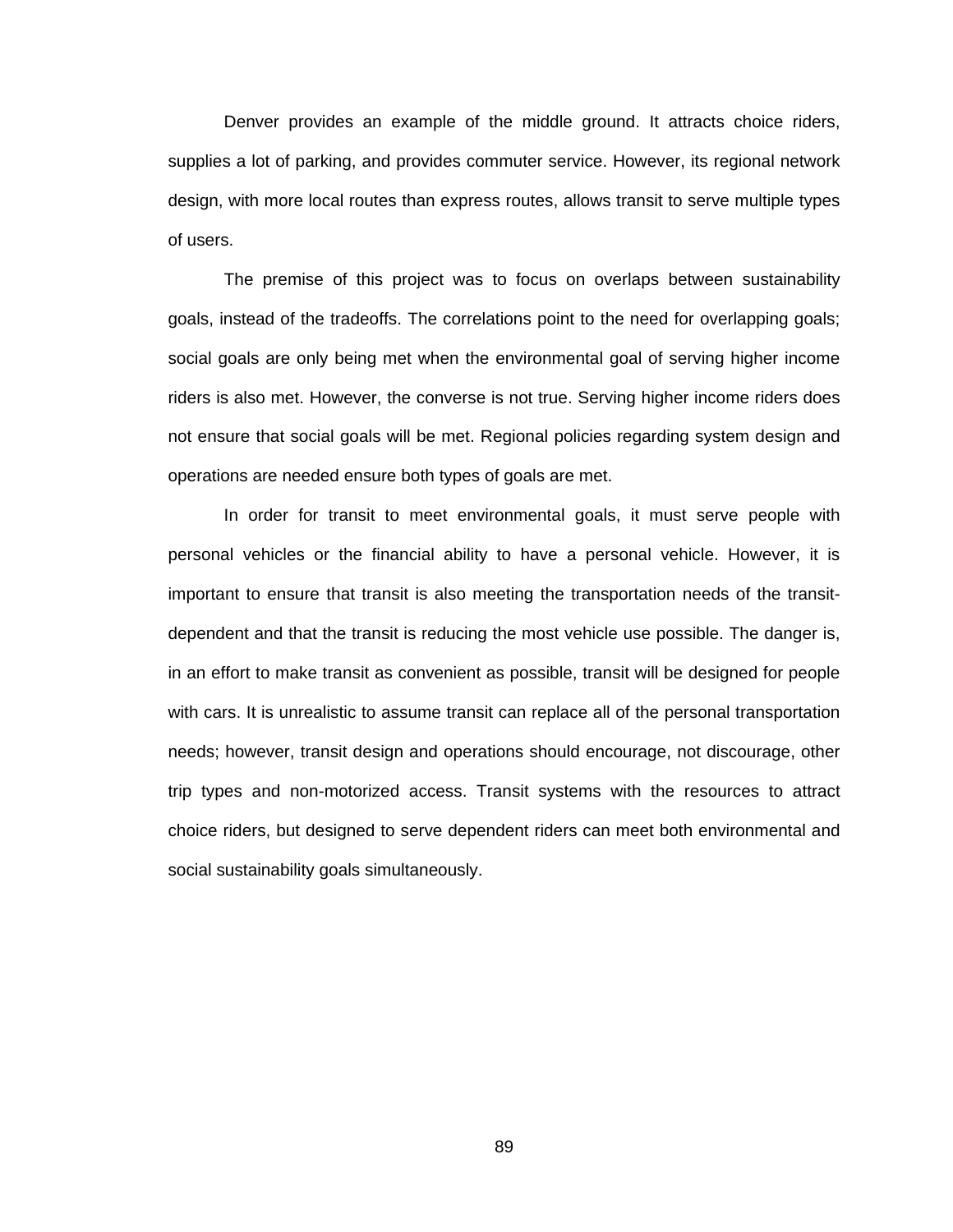Denver provides an example of the middle ground. It attracts choice riders, supplies a lot of parking, and provides commuter service. However, its regional network design, with more local routes than express routes, allows transit to serve multiple types of users.

The premise of this project was to focus on overlaps between sustainability goals, instead of the tradeoffs. The correlations point to the need for overlapping goals; social goals are only being met when the environmental goal of serving higher income riders is also met. However, the converse is not true. Serving higher income riders does not ensure that social goals will be met. Regional policies regarding system design and operations are needed ensure both types of goals are met.

In order for transit to meet environmental goals, it must serve people with personal vehicles or the financial ability to have a personal vehicle. However, it is important to ensure that transit is also meeting the transportation needs of the transitdependent and that the transit is reducing the most vehicle use possible. The danger is, in an effort to make transit as convenient as possible, transit will be designed for people with cars. It is unrealistic to assume transit can replace all of the personal transportation needs; however, transit design and operations should encourage, not discourage, other trip types and non-motorized access. Transit systems with the resources to attract choice riders, but designed to serve dependent riders can meet both environmental and social sustainability goals simultaneously.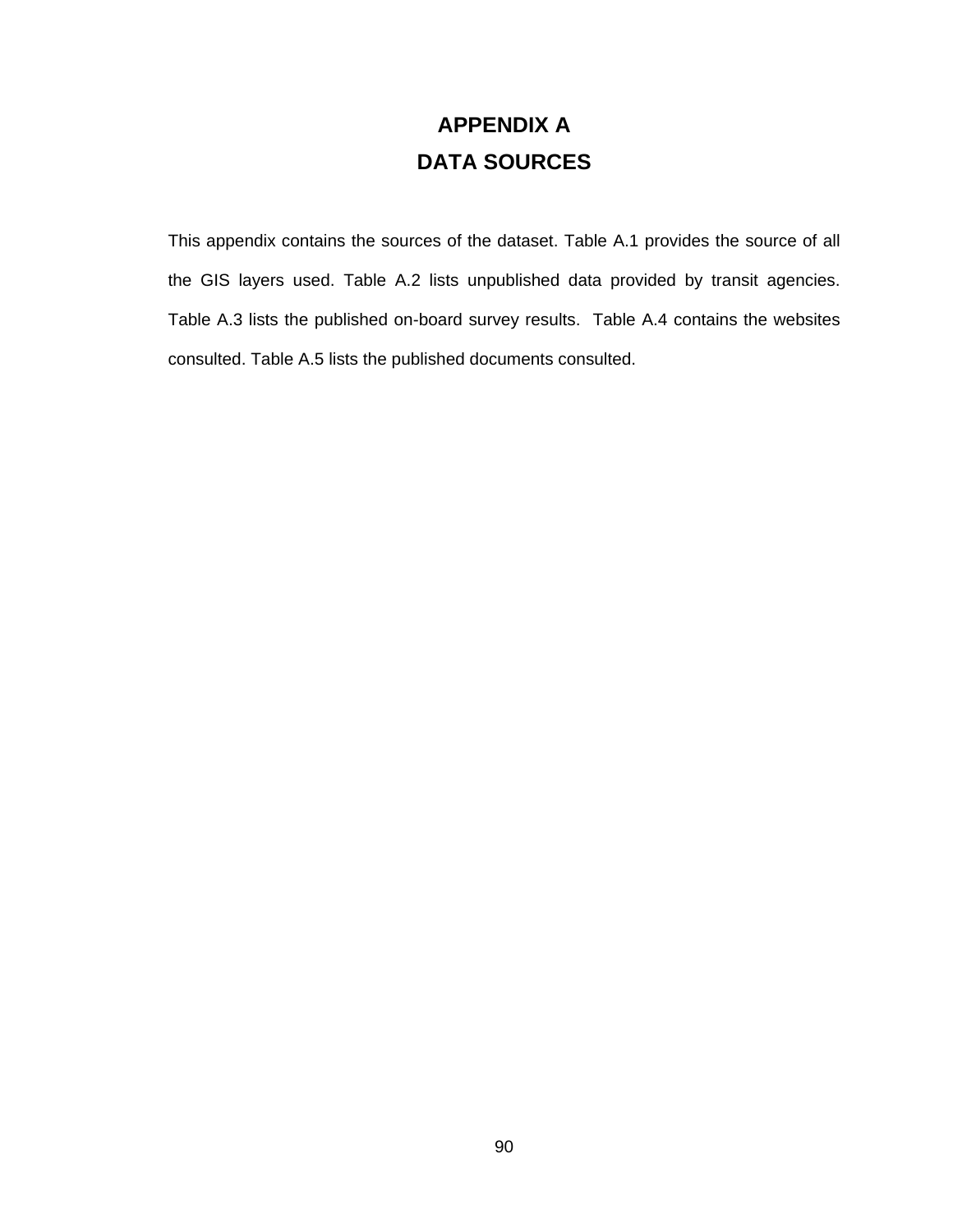# **APPENDIX A DATA SOURCES**

This appendix contains the sources of the dataset. Table A.1 provides the source of all the GIS layers used. Table A.2 lists unpublished data provided by transit agencies. Table A.3 lists the published on-board survey results. Table A.4 contains the websites consulted. Table A.5 lists the published documents consulted.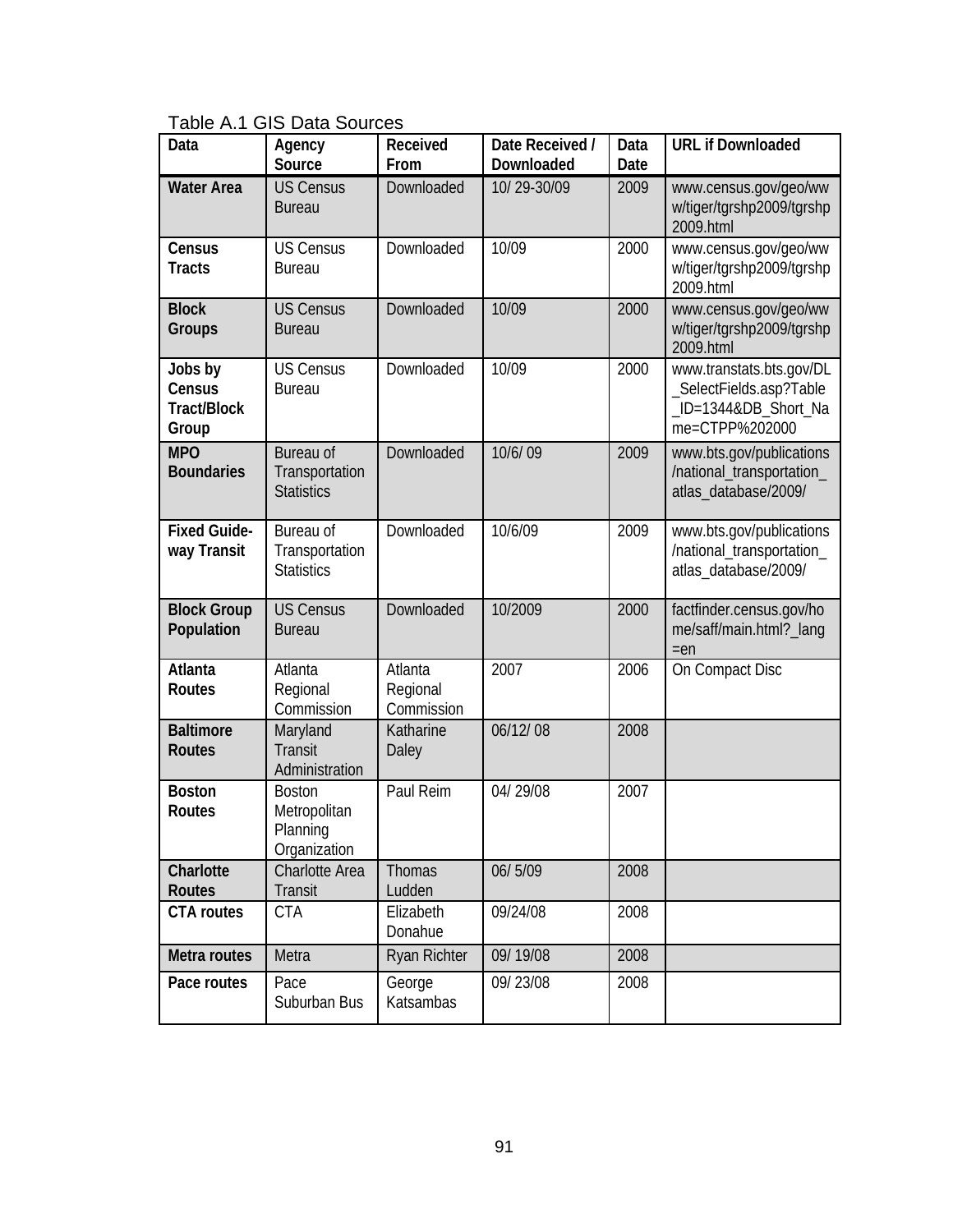Table A.1 GIS Data Sources

| Data                                             | Agency<br>Source                                          | Received<br>From                  | Date Received /<br>Downloaded | Data<br>Date | <b>URL if Downloaded</b>                                                                      |
|--------------------------------------------------|-----------------------------------------------------------|-----------------------------------|-------------------------------|--------------|-----------------------------------------------------------------------------------------------|
| <b>Water Area</b>                                | <b>US Census</b><br><b>Bureau</b>                         | Downloaded                        | 10/29-30/09                   | 2009         | www.census.gov/geo/ww<br>w/tiger/tgrshp2009/tgrshp<br>2009.html                               |
| Census<br><b>Tracts</b>                          | <b>US Census</b><br><b>Bureau</b>                         | Downloaded                        | 10/09                         | 2000         | www.census.gov/geo/ww<br>w/tiger/tgrshp2009/tgrshp<br>2009.html                               |
| <b>Block</b><br><b>Groups</b>                    | <b>US Census</b><br><b>Bureau</b>                         | Downloaded                        | 10/09                         | 2000         | www.census.gov/geo/ww<br>w/tiger/tgrshp2009/tgrshp<br>2009.html                               |
| Jobs by<br>Census<br><b>Tract/Block</b><br>Group | <b>US Census</b><br><b>Bureau</b>                         | Downloaded                        | 10/09                         | 2000         | www.transtats.bts.gov/DL<br>_SelectFields.asp?Table<br>_ID=1344&DB_Short_Na<br>me=CTPP%202000 |
| <b>MPO</b><br><b>Boundaries</b>                  | Bureau of<br>Transportation<br><b>Statistics</b>          | Downloaded                        | 10/6/09                       | 2009         | www.bts.gov/publications<br>/national_transportation_<br>atlas_database/2009/                 |
| <b>Fixed Guide-</b><br>way Transit               | Bureau of<br>Transportation<br><b>Statistics</b>          | Downloaded                        | 10/6/09                       | 2009         | www.bts.gov/publications<br>/national_transportation_<br>atlas_database/2009/                 |
| <b>Block Group</b><br>Population                 | <b>US Census</b><br><b>Bureau</b>                         | Downloaded                        | 10/2009                       | 2000         | factfinder.census.gov/ho<br>me/saff/main.html?_lang<br>$=en$                                  |
| Atlanta<br>Routes                                | Atlanta<br>Regional<br>Commission                         | Atlanta<br>Regional<br>Commission | 2007                          | 2006         | On Compact Disc                                                                               |
| <b>Baltimore</b><br><b>Routes</b>                | Maryland<br><b>Transit</b><br>Administration              | Katharine<br>Daley                | 06/12/08                      | 2008         |                                                                                               |
| <b>Boston</b><br>Routes                          | <b>Boston</b><br>Metropolitan<br>Planning<br>Organization | Paul Reim                         | 04/29/08                      | 2007         |                                                                                               |
| Charlotte<br>Routes                              | <b>Charlotte Area</b><br>Transit                          | <b>Thomas</b><br>Ludden           | 06/5/09                       | 2008         |                                                                                               |
| <b>CTA</b> routes                                | <b>CTA</b>                                                | Elizabeth<br>Donahue              | 09/24/08                      | 2008         |                                                                                               |
| Metra routes                                     | Metra                                                     | <b>Ryan Richter</b>               | 09/19/08                      | 2008         |                                                                                               |
| Pace routes                                      | Pace<br>Suburban Bus                                      | George<br>Katsambas               | 09/23/08                      | 2008         |                                                                                               |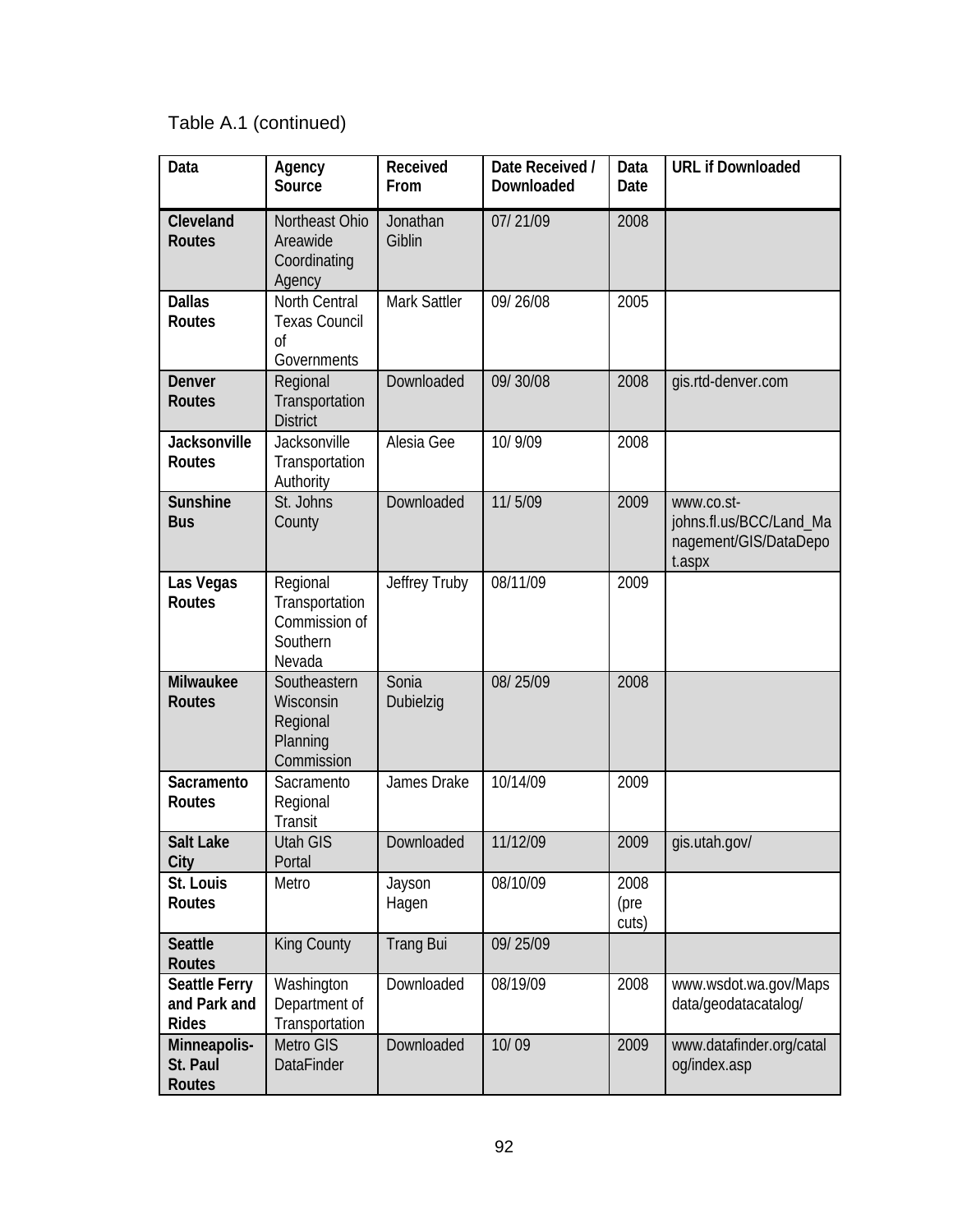## Table A.1 (continued)

| Data                                                 | Agency<br>Source                                                  | Received<br>From   | Date Received /<br>Downloaded | Data<br>Date          | <b>URL if Downloaded</b>                                                 |
|------------------------------------------------------|-------------------------------------------------------------------|--------------------|-------------------------------|-----------------------|--------------------------------------------------------------------------|
| Cleveland<br><b>Routes</b>                           | Northeast Ohio<br>Areawide<br>Coordinating<br>Agency              | Jonathan<br>Giblin | 07/21/09                      | 2008                  |                                                                          |
| <b>Dallas</b><br><b>Routes</b>                       | North Central<br><b>Texas Council</b><br>Οf<br>Governments        | Mark Sattler       | 09/26/08                      | 2005                  |                                                                          |
| Denver<br><b>Routes</b>                              | Regional<br>Transportation<br><b>District</b>                     | Downloaded         | 09/30/08                      | 2008                  | gis.rtd-denver.com                                                       |
| Jacksonville<br><b>Routes</b>                        | Jacksonville<br>Transportation<br>Authority                       | Alesia Gee         | 10/9/09                       | 2008                  |                                                                          |
| Sunshine<br><b>Bus</b>                               | St. Johns<br>County                                               | Downloaded         | 11/5/09                       | 2009                  | www.co.st-<br>johns.fl.us/BCC/Land_Ma<br>nagement/GIS/DataDepo<br>t.aspx |
| Las Vegas<br><b>Routes</b>                           | Regional<br>Transportation<br>Commission of<br>Southern<br>Nevada | Jeffrey Truby      | 08/11/09                      | 2009                  |                                                                          |
| Milwaukee<br><b>Routes</b>                           | Southeastern<br>Wisconsin<br>Regional<br>Planning<br>Commission   | Sonia<br>Dubielzig | 08/25/09                      | 2008                  |                                                                          |
| Sacramento<br><b>Routes</b>                          | Sacramento<br>Regional<br><b>Transit</b>                          | James Drake        | 10/14/09                      | 2009                  |                                                                          |
| <b>Salt Lake</b><br>City                             | <b>Utah GIS</b><br>Portal                                         | Downloaded         | 11/12/09                      | 2009                  | gis.utah.gov/                                                            |
| St. Louis<br>Routes                                  | Metro                                                             | Jayson<br>Hagen    | 08/10/09                      | 2008<br>(pre<br>cuts) |                                                                          |
| <b>Seattle</b><br>Routes                             | King County                                                       | <b>Trang Bui</b>   | 09/25/09                      |                       |                                                                          |
| <b>Seattle Ferry</b><br>and Park and<br><b>Rides</b> | Washington<br>Department of<br>Transportation                     | Downloaded         | 08/19/09                      | 2008                  | www.wsdot.wa.gov/Maps<br>data/geodatacatalog/                            |
| Minneapolis-<br>St. Paul<br>Routes                   | Metro GIS<br><b>DataFinder</b>                                    | Downloaded         | 10/09                         | 2009                  | www.datafinder.org/catal<br>og/index.asp                                 |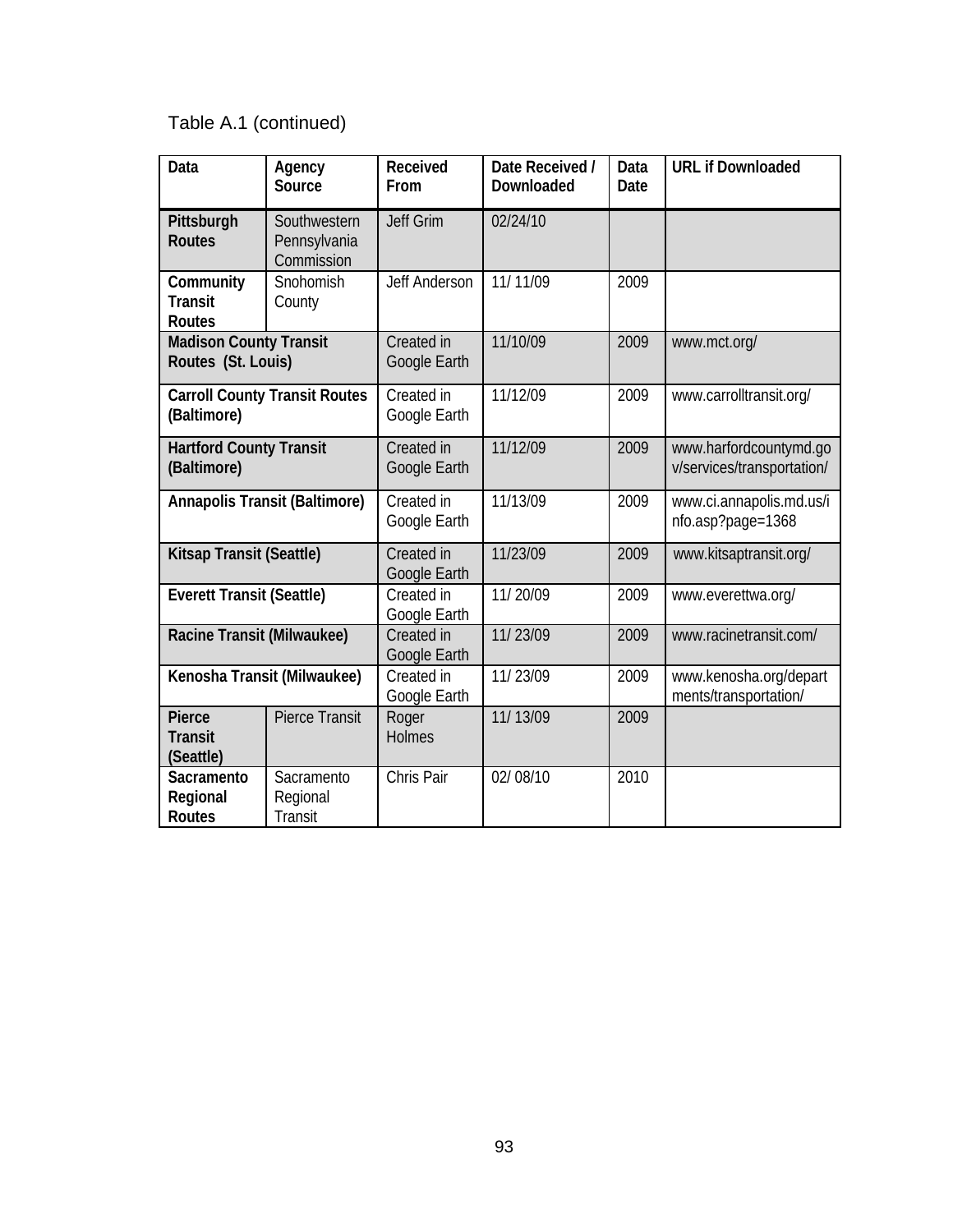## Table A.1 (continued)

| Data                                                | Agency<br>Source                           | Received<br>From           | Date Received /<br>Downloaded | Data<br>Date | <b>URL if Downloaded</b>                             |
|-----------------------------------------------------|--------------------------------------------|----------------------------|-------------------------------|--------------|------------------------------------------------------|
| Pittsburgh<br><b>Routes</b>                         | Southwestern<br>Pennsylvania<br>Commission | <b>Jeff Grim</b>           | 02/24/10                      |              |                                                      |
| Community<br><b>Transit</b><br><b>Routes</b>        | Snohomish<br>County                        | Jeff Anderson              | 11/11/09                      | 2009         |                                                      |
| <b>Madison County Transit</b><br>Routes (St. Louis) |                                            | Created in<br>Google Earth | 11/10/09                      | 2009         | www.mct.org/                                         |
| <b>Carroll County Transit Routes</b><br>(Baltimore) |                                            | Created in<br>Google Earth | 11/12/09                      | 2009         | www.carrolltransit.org/                              |
| <b>Hartford County Transit</b><br>(Baltimore)       |                                            | Created in<br>Google Earth | 11/12/09                      | 2009         | www.harfordcountymd.go<br>v/services/transportation/ |
| <b>Annapolis Transit (Baltimore)</b>                |                                            | Created in<br>Google Earth | 11/13/09                      | 2009         | www.ci.annapolis.md.us/i<br>nfo.asp?page=1368        |
| Kitsap Transit (Seattle)                            |                                            | Created in<br>Google Earth | 11/23/09                      | 2009         | www.kitsaptransit.org/                               |
| <b>Everett Transit (Seattle)</b>                    |                                            | Created in<br>Google Earth | 11/20/09                      | 2009         | www.everettwa.org/                                   |
| Racine Transit (Milwaukee)                          |                                            | Created in<br>Google Earth | 11/23/09                      | 2009         | www.racinetransit.com/                               |
| Kenosha Transit (Milwaukee)                         |                                            | Created in<br>Google Earth | 11/23/09                      | 2009         | www.kenosha.org/depart<br>ments/transportation/      |
| Pierce<br><b>Transit</b><br>(Seattle)               | <b>Pierce Transit</b>                      | Roger<br><b>Holmes</b>     | 11/13/09                      | 2009         |                                                      |
| Sacramento<br>Regional<br>Routes                    | Sacramento<br>Regional<br><b>Transit</b>   | Chris Pair                 | 02/08/10                      | 2010         |                                                      |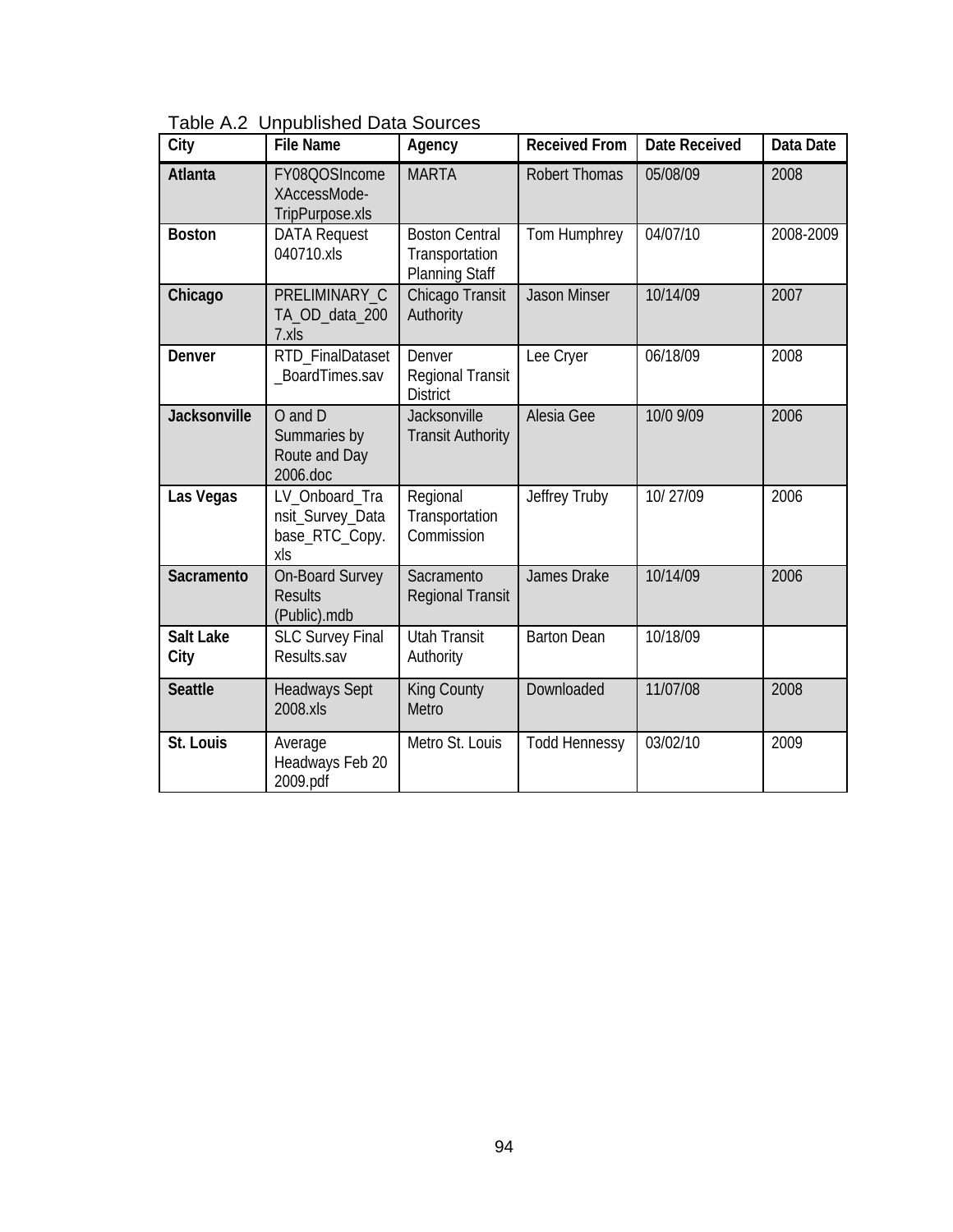| Table A.2 Unpublished Data Sources |
|------------------------------------|
|------------------------------------|

| City                     | <b>File Name</b>                                            | Agency                                                           | <b>Received From</b> | <b>Date Received</b> | Data Date |
|--------------------------|-------------------------------------------------------------|------------------------------------------------------------------|----------------------|----------------------|-----------|
| <b>Atlanta</b>           | FY08QOSIncome<br>XAccessMode-<br>TripPurpose.xls            | <b>MARTA</b>                                                     | <b>Robert Thomas</b> | 05/08/09             | 2008      |
| <b>Boston</b>            | <b>DATA Request</b><br>040710.xls                           | <b>Boston Central</b><br>Transportation<br><b>Planning Staff</b> | Tom Humphrey         | 04/07/10             | 2008-2009 |
| Chicago                  | PRELIMINARY C<br>TA_OD_data_200<br>7.xls                    | Chicago Transit<br>Authority                                     | <b>Jason Minser</b>  | 10/14/09             | 2007      |
| Denver                   | RTD FinalDataset<br>BoardTimes.sav                          | Denver<br>Regional Transit<br><b>District</b>                    | Lee Cryer            | 06/18/09             | 2008      |
| Jacksonville             | O and D<br>Summaries by<br>Route and Day<br>2006.doc        | Jacksonville<br><b>Transit Authority</b>                         | Alesia Gee           | 10/0 9/09            | 2006      |
| Las Vegas                | LV Onboard Tra<br>nsit_Survey_Data<br>base_RTC_Copy.<br>xls | Regional<br>Transportation<br>Commission                         | Jeffrey Truby        | 10/27/09             | 2006      |
| Sacramento               | <b>On-Board Survey</b><br><b>Results</b><br>(Public).mdb    | Sacramento<br><b>Regional Transit</b>                            | James Drake          | 10/14/09             | 2006      |
| <b>Salt Lake</b><br>City | <b>SLC Survey Final</b><br>Results.sav                      | <b>Utah Transit</b><br>Authority                                 | <b>Barton Dean</b>   | 10/18/09             |           |
| <b>Seattle</b>           | <b>Headways Sept</b><br>2008.xls                            | <b>King County</b><br>Metro                                      | Downloaded           | 11/07/08             | 2008      |
| St. Louis                | Average<br>Headways Feb 20<br>2009.pdf                      | Metro St. Louis                                                  | <b>Todd Hennessy</b> | 03/02/10             | 2009      |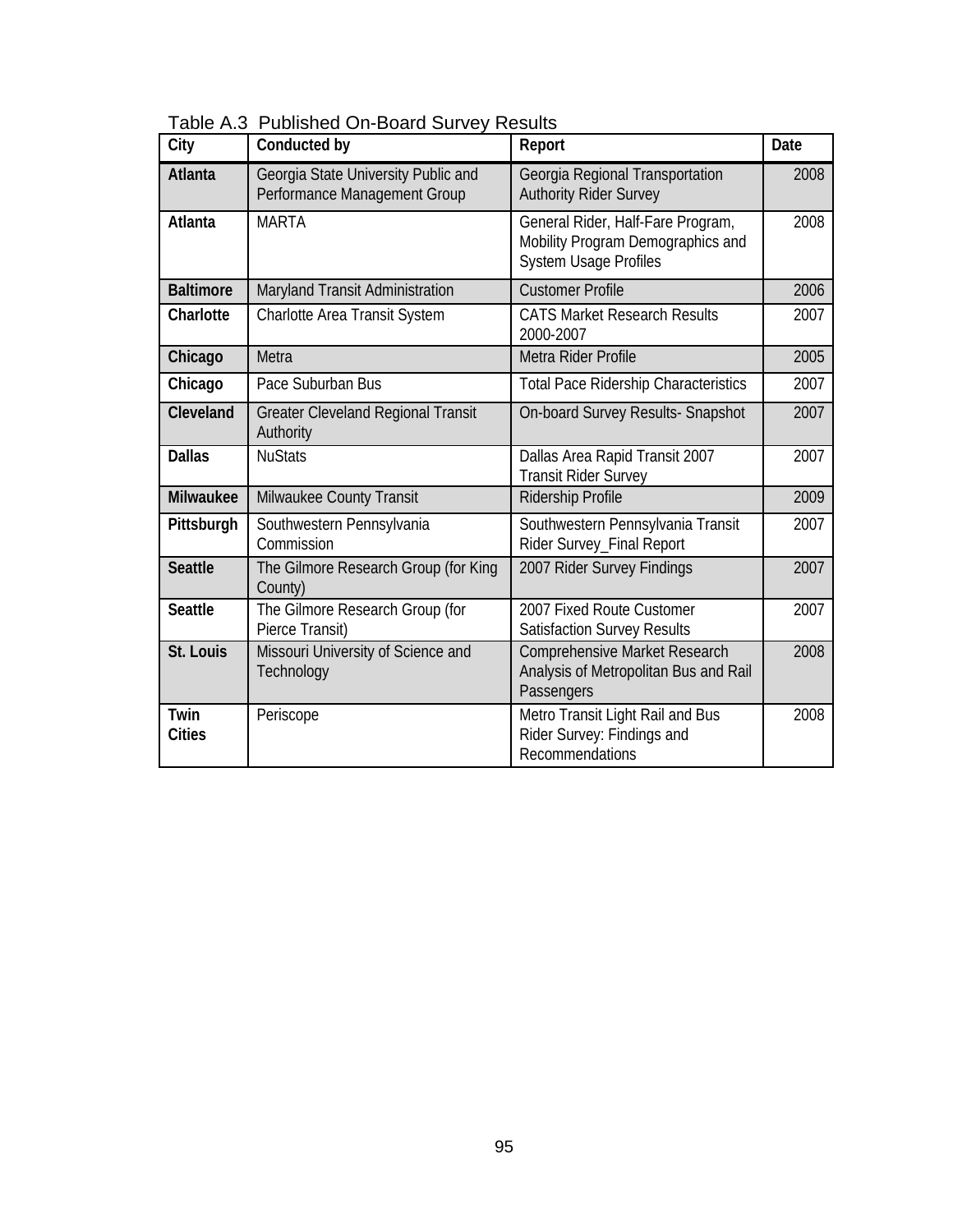| City                  | Conducted by                                                        | Report                                                                                                 | Date |
|-----------------------|---------------------------------------------------------------------|--------------------------------------------------------------------------------------------------------|------|
| <b>Atlanta</b>        | Georgia State University Public and<br>Performance Management Group | Georgia Regional Transportation<br><b>Authority Rider Survey</b>                                       | 2008 |
| Atlanta               | <b>MARTA</b>                                                        | General Rider, Half-Fare Program,<br>Mobility Program Demographics and<br><b>System Usage Profiles</b> | 2008 |
| <b>Baltimore</b>      | Maryland Transit Administration                                     | <b>Customer Profile</b>                                                                                | 2006 |
| Charlotte             | Charlotte Area Transit System                                       | <b>CATS Market Research Results</b><br>2000-2007                                                       | 2007 |
| Chicago               | Metra                                                               | Metra Rider Profile                                                                                    | 2005 |
| Chicago               | Pace Suburban Bus                                                   | <b>Total Pace Ridership Characteristics</b>                                                            | 2007 |
| Cleveland             | <b>Greater Cleveland Regional Transit</b><br>Authority              | On-board Survey Results- Snapshot                                                                      | 2007 |
| <b>Dallas</b>         | <b>NuStats</b>                                                      | Dallas Area Rapid Transit 2007<br><b>Transit Rider Survey</b>                                          | 2007 |
| <b>Milwaukee</b>      | Milwaukee County Transit                                            | Ridership Profile                                                                                      | 2009 |
| Pittsburgh            | Southwestern Pennsylvania<br>Commission                             | Southwestern Pennsylvania Transit<br>Rider Survey_Final Report                                         | 2007 |
| <b>Seattle</b>        | The Gilmore Research Group (for King<br>County)                     | 2007 Rider Survey Findings                                                                             | 2007 |
| <b>Seattle</b>        | The Gilmore Research Group (for<br>Pierce Transit)                  | 2007 Fixed Route Customer<br><b>Satisfaction Survey Results</b>                                        | 2007 |
| St. Louis             | Missouri University of Science and<br>Technology                    | <b>Comprehensive Market Research</b><br>Analysis of Metropolitan Bus and Rail<br>Passengers            | 2008 |
| Twin<br><b>Cities</b> | Periscope                                                           | Metro Transit Light Rail and Bus<br>Rider Survey: Findings and<br>Recommendations                      | 2008 |

Table A.3 Published On-Board Survey Results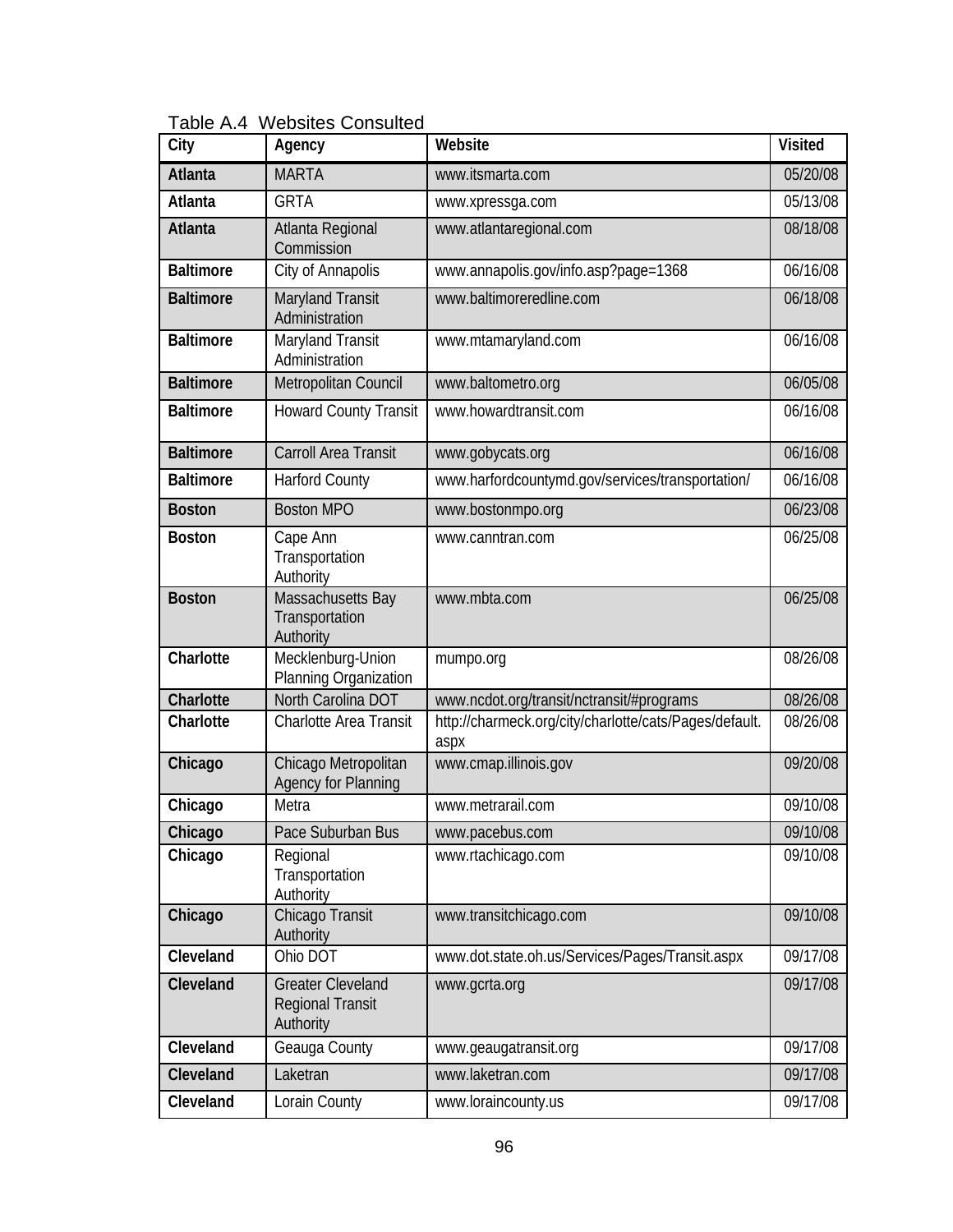Table A.4 Websites Consulted

| City             | Agency                                                           | Website                                                        | <b>Visited</b> |
|------------------|------------------------------------------------------------------|----------------------------------------------------------------|----------------|
| Atlanta          | <b>MARTA</b>                                                     | www.itsmarta.com                                               | 05/20/08       |
| Atlanta          | <b>GRTA</b>                                                      | www.xpressga.com                                               | 05/13/08       |
| Atlanta          | Atlanta Regional<br>Commission                                   | www.atlantaregional.com                                        | 08/18/08       |
| <b>Baltimore</b> | City of Annapolis                                                | www.annapolis.gov/info.asp?page=1368                           | 06/16/08       |
| <b>Baltimore</b> | Maryland Transit<br>Administration                               | www.baltimoreredline.com                                       | 06/18/08       |
| <b>Baltimore</b> | Maryland Transit<br>Administration                               | www.mtamaryland.com                                            | 06/16/08       |
| <b>Baltimore</b> | Metropolitan Council                                             | www.baltometro.org                                             | 06/05/08       |
| <b>Baltimore</b> | <b>Howard County Transit</b>                                     | www.howardtransit.com                                          | 06/16/08       |
| <b>Baltimore</b> | Carroll Area Transit                                             | www.gobycats.org                                               | 06/16/08       |
| <b>Baltimore</b> | <b>Harford County</b>                                            | www.harfordcountymd.gov/services/transportation/               | 06/16/08       |
| <b>Boston</b>    | <b>Boston MPO</b>                                                | www.bostonmpo.org                                              | 06/23/08       |
| <b>Boston</b>    | Cape Ann<br>Transportation<br>Authority                          | www.canntran.com                                               | 06/25/08       |
| <b>Boston</b>    | Massachusetts Bay<br>Transportation<br>Authority                 | www.mbta.com                                                   | 06/25/08       |
| Charlotte        | Mecklenburg-Union<br>Planning Organization                       | mumpo.org                                                      | 08/26/08       |
| Charlotte        | North Carolina DOT                                               | www.ncdot.org/transit/nctransit/#programs                      | 08/26/08       |
| Charlotte        | <b>Charlotte Area Transit</b>                                    | http://charmeck.org/city/charlotte/cats/Pages/default.<br>aspx | 08/26/08       |
| Chicago          | Chicago Metropolitan<br><b>Agency for Planning</b>               | www.cmap.illinois.gov                                          | 09/20/08       |
| Chicago          | Metra                                                            | www.metrarail.com                                              | 09/10/08       |
| Chicago          | Pace Suburban Bus                                                | www.pacebus.com                                                | 09/10/08       |
| Chicago          | Regional<br>Transportation<br>Authority                          | www.rtachicago.com                                             | 09/10/08       |
| Chicago          | Chicago Transit<br>Authority                                     | www.transitchicago.com                                         | 09/10/08       |
| Cleveland        | Ohio DOT                                                         | www.dot.state.oh.us/Services/Pages/Transit.aspx                | 09/17/08       |
| Cleveland        | <b>Greater Cleveland</b><br><b>Regional Transit</b><br>Authority | www.gcrta.org                                                  | 09/17/08       |
| Cleveland        | Geauga County                                                    | www.geaugatransit.org                                          | 09/17/08       |
| Cleveland        | Laketran                                                         | www.laketran.com                                               | 09/17/08       |
| Cleveland        | Lorain County                                                    | www.loraincounty.us                                            | 09/17/08       |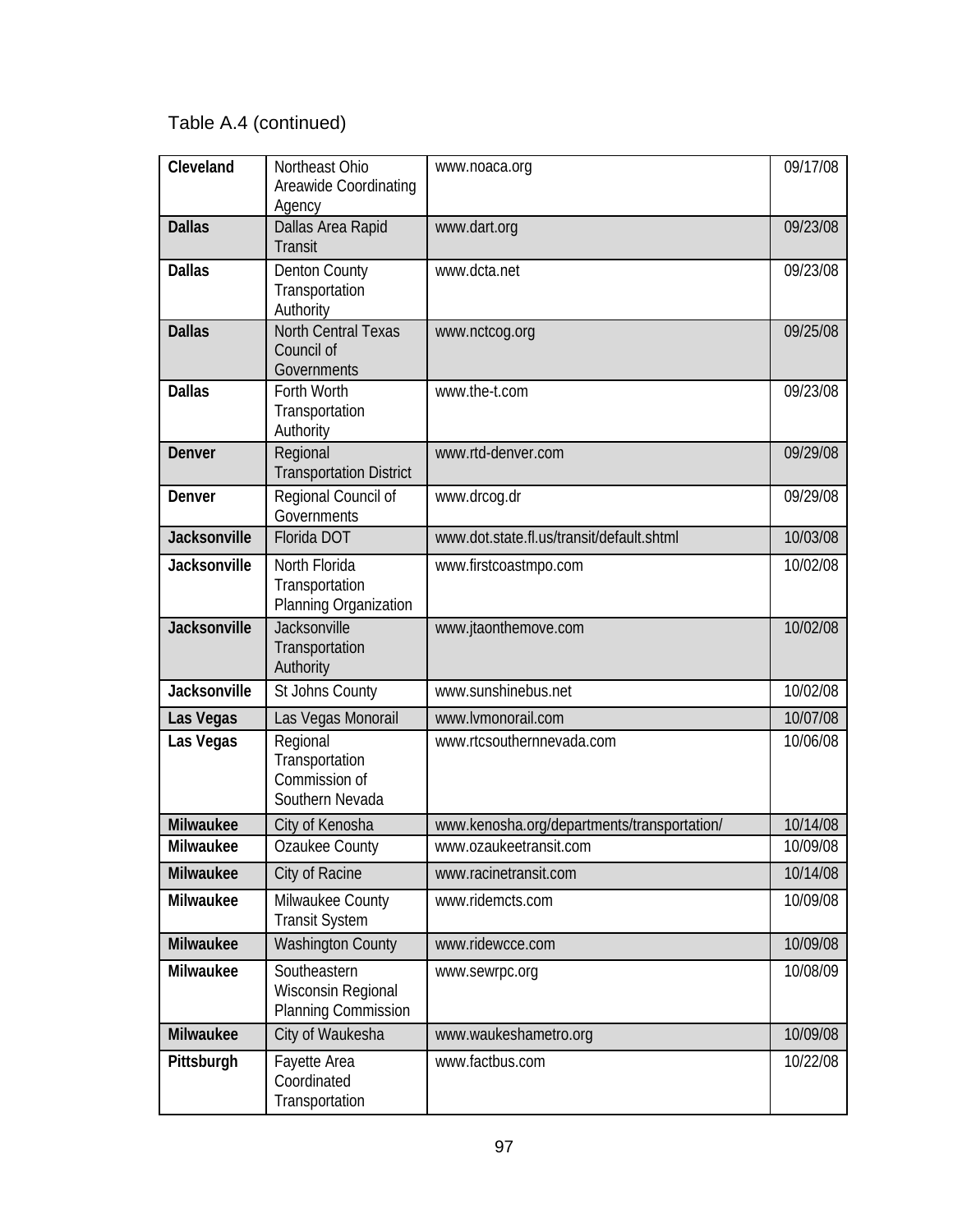| Cleveland           | Northeast Ohio<br>Areawide Coordinating<br>Agency              | www.noaca.org                               | 09/17/08 |
|---------------------|----------------------------------------------------------------|---------------------------------------------|----------|
| <b>Dallas</b>       | Dallas Area Rapid<br><b>Transit</b>                            | www.dart.org                                | 09/23/08 |
| <b>Dallas</b>       | <b>Denton County</b><br>Transportation<br>Authority            | www.dcta.net                                | 09/23/08 |
| <b>Dallas</b>       | <b>North Central Texas</b><br>Council of<br>Governments        | www.nctcog.org                              | 09/25/08 |
| <b>Dallas</b>       | Forth Worth<br>Transportation<br>Authority                     | www.the-t.com                               | 09/23/08 |
| Denver              | Regional<br><b>Transportation District</b>                     | www.rtd-denver.com                          | 09/29/08 |
| Denver              | Regional Council of<br>Governments                             | www.drcog.dr                                | 09/29/08 |
| Jacksonville        | Florida DOT                                                    | www.dot.state.fl.us/transit/default.shtml   | 10/03/08 |
| Jacksonville        | North Florida<br>Transportation<br>Planning Organization       | www.firstcoastmpo.com                       | 10/02/08 |
| <b>Jacksonville</b> | Jacksonville<br>Transportation<br>Authority                    | www.jtaonthemove.com                        | 10/02/08 |
| <b>Jacksonville</b> | St Johns County                                                | www.sunshinebus.net                         | 10/02/08 |
| Las Vegas           | Las Vegas Monorail                                             | www.lvmonorail.com                          | 10/07/08 |
| Las Vegas           | Regional<br>Transportation<br>Commission of<br>Southern Nevada | www.rtcsouthernnevada.com                   | 10/06/08 |
| Milwaukee           | City of Kenosha                                                | www.kenosha.org/departments/transportation/ | 10/14/08 |
| Milwaukee           | Ozaukee County                                                 | www.ozaukeetransit.com                      | 10/09/08 |
| Milwaukee           | City of Racine                                                 | www.racinetransit.com                       | 10/14/08 |
| Milwaukee           | Milwaukee County<br><b>Transit System</b>                      | www.ridemcts.com                            | 10/09/08 |
| Milwaukee           | <b>Washington County</b>                                       | www.ridewcce.com                            | 10/09/08 |
| Milwaukee           | Southeastern<br>Wisconsin Regional<br>Planning Commission      | www.sewrpc.org                              | 10/08/09 |
| Milwaukee           | City of Waukesha                                               | www.waukeshametro.org                       | 10/09/08 |
| Pittsburgh          | Fayette Area<br>Coordinated<br>Transportation                  | www.factbus.com                             | 10/22/08 |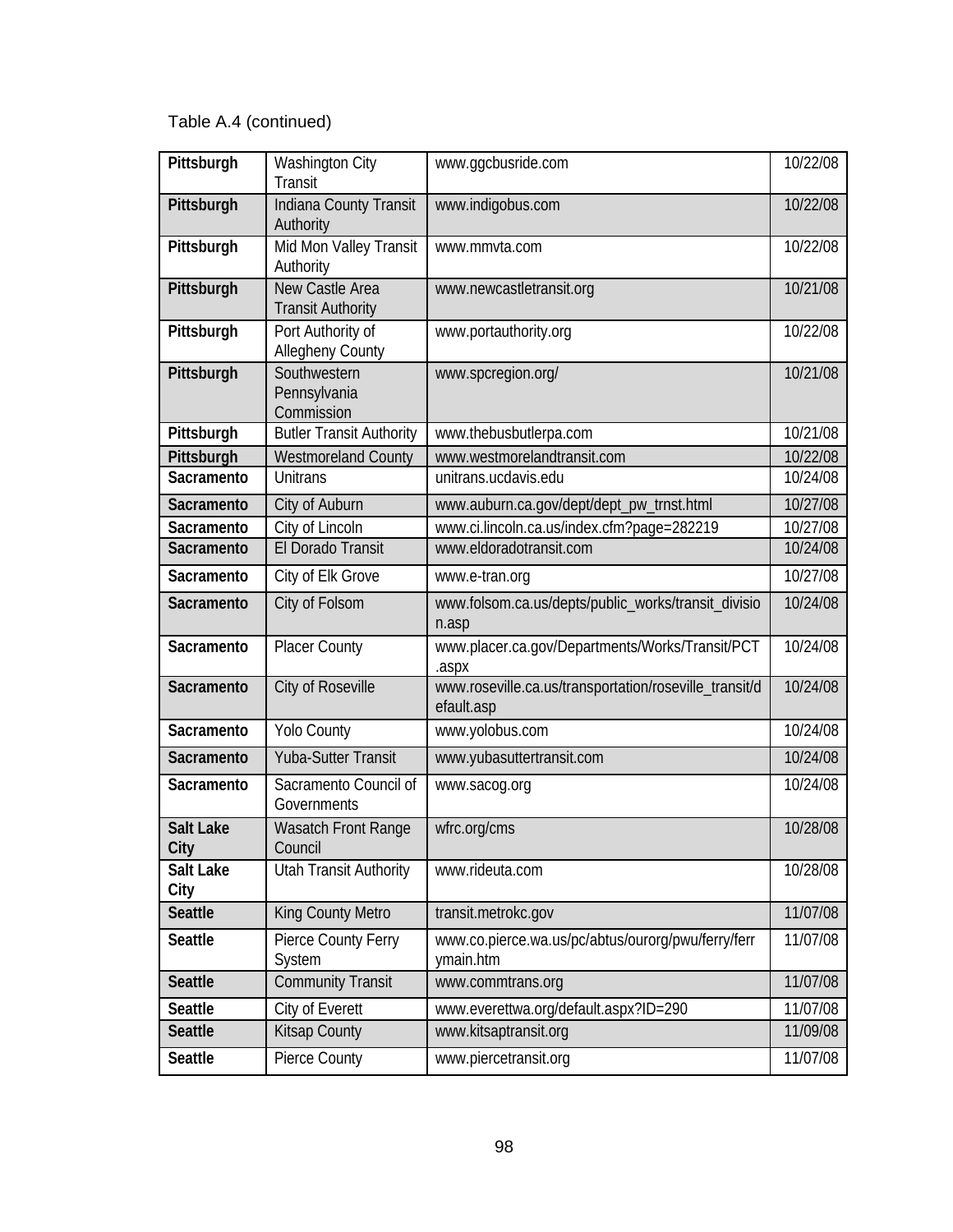| Pittsburgh               | <b>Washington City</b><br><b>Transit</b>     | www.qqcbusride.com                                                   | 10/22/08 |
|--------------------------|----------------------------------------------|----------------------------------------------------------------------|----------|
| Pittsburgh               | Indiana County Transit<br>Authority          | www.indigobus.com                                                    | 10/22/08 |
| Pittsburgh               | Mid Mon Valley Transit<br>Authority          | www.mmvta.com                                                        | 10/22/08 |
| Pittsburgh               | New Castle Area<br><b>Transit Authority</b>  | www.newcastletransit.org                                             | 10/21/08 |
| Pittsburgh               | Port Authority of<br><b>Allegheny County</b> | www.portauthority.org                                                | 10/22/08 |
| Pittsburgh               | Southwestern<br>Pennsylvania<br>Commission   | www.spcregion.org/                                                   | 10/21/08 |
| Pittsburgh               | <b>Butler Transit Authority</b>              | www.thebusbutlerpa.com                                               | 10/21/08 |
| Pittsburgh               | <b>Westmoreland County</b>                   | www.westmorelandtransit.com                                          | 10/22/08 |
| Sacramento               | <b>Unitrans</b>                              | unitrans.ucdavis.edu                                                 | 10/24/08 |
| Sacramento               | City of Auburn                               | www.auburn.ca.gov/dept/dept_pw_trnst.html                            | 10/27/08 |
| Sacramento               | City of Lincoln                              | www.ci.lincoln.ca.us/index.cfm?page=282219                           | 10/27/08 |
| Sacramento               | El Dorado Transit                            | www.eldoradotransit.com                                              | 10/24/08 |
| Sacramento               | City of Elk Grove                            | www.e-tran.org                                                       | 10/27/08 |
| Sacramento               | City of Folsom                               | www.folsom.ca.us/depts/public_works/transit_divisio<br>n.asp         | 10/24/08 |
| Sacramento               | <b>Placer County</b>                         | www.placer.ca.gov/Departments/Works/Transit/PCT<br>.aspx             | 10/24/08 |
| Sacramento               | City of Roseville                            | www.roseville.ca.us/transportation/roseville_transit/d<br>efault.asp | 10/24/08 |
| Sacramento               | <b>Yolo County</b>                           | www.yolobus.com                                                      | 10/24/08 |
| Sacramento               | <b>Yuba-Sutter Transit</b>                   | www.yubasuttertransit.com                                            | 10/24/08 |
| Sacramento               | Sacramento Council of<br>Governments         | www.sacog.org                                                        | 10/24/08 |
| <b>Salt Lake</b><br>City | Wasatch Front Range<br>Council               | wfrc.org/cms                                                         | 10/28/08 |
| Salt Lake<br>City        | <b>Utah Transit Authority</b>                | www.rideuta.com                                                      | 10/28/08 |
| <b>Seattle</b>           | King County Metro                            | transit.metrokc.gov                                                  | 11/07/08 |
| <b>Seattle</b>           | Pierce County Ferry<br>System                | www.co.pierce.wa.us/pc/abtus/ourorg/pwu/ferry/ferr<br>ymain.htm      | 11/07/08 |
| <b>Seattle</b>           | <b>Community Transit</b>                     | www.commtrans.org                                                    | 11/07/08 |
| <b>Seattle</b>           | City of Everett                              | www.everettwa.org/default.aspx?ID=290                                | 11/07/08 |
| <b>Seattle</b>           | <b>Kitsap County</b>                         | www.kitsaptransit.org                                                | 11/09/08 |
| Seattle                  | Pierce County                                | www.piercetransit.org                                                | 11/07/08 |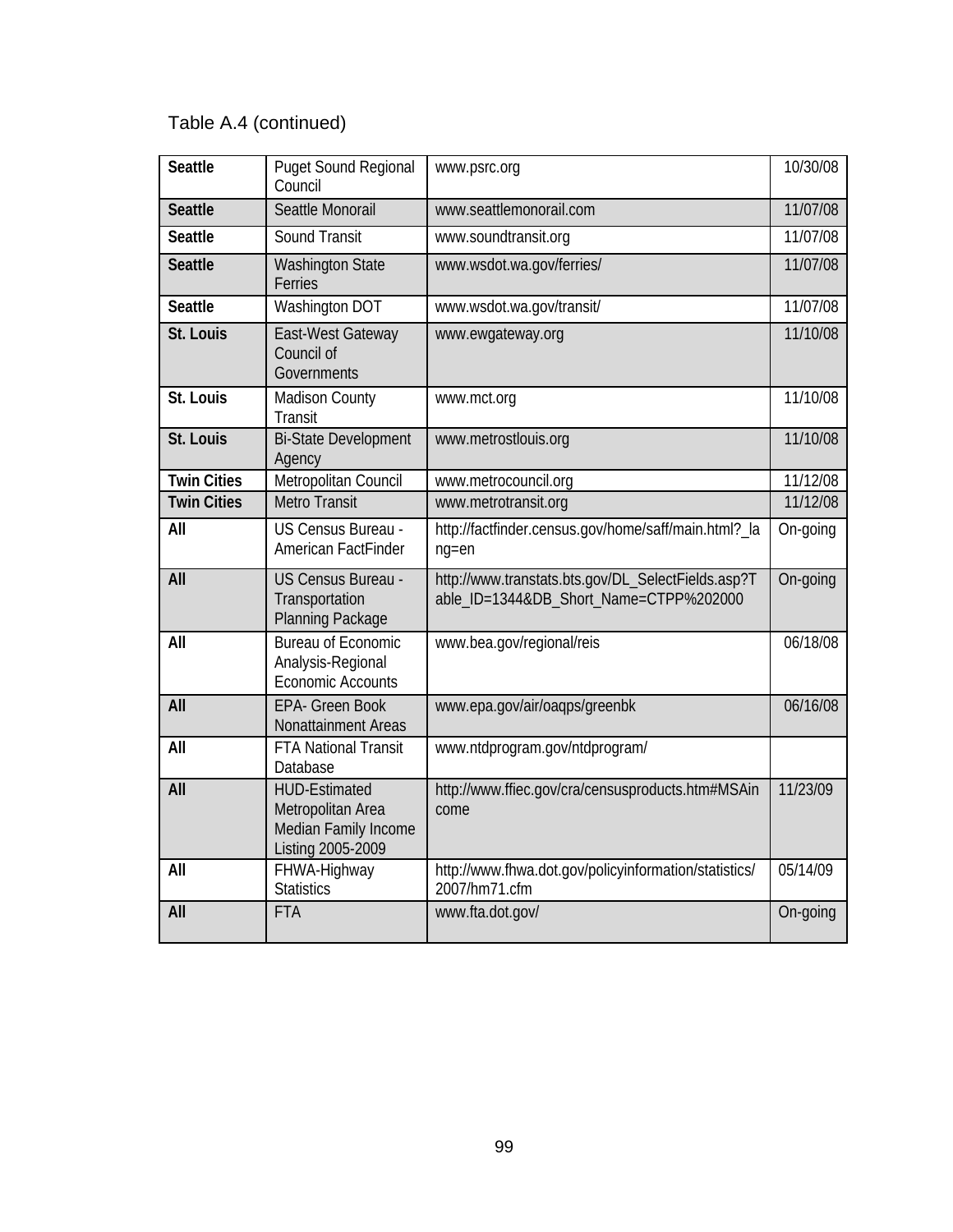| <b>Seattle</b>     | <b>Puget Sound Regional</b><br>Council                                                 | www.psrc.org                                                                                 | 10/30/08 |
|--------------------|----------------------------------------------------------------------------------------|----------------------------------------------------------------------------------------------|----------|
| <b>Seattle</b>     | Seattle Monorail                                                                       | www.seattlemonorail.com                                                                      | 11/07/08 |
| <b>Seattle</b>     | Sound Transit                                                                          | www.soundtransit.org                                                                         | 11/07/08 |
| <b>Seattle</b>     | <b>Washington State</b><br>Ferries                                                     | www.wsdot.wa.gov/ferries/                                                                    | 11/07/08 |
| <b>Seattle</b>     | <b>Washington DOT</b>                                                                  | www.wsdot.wa.gov/transit/                                                                    | 11/07/08 |
| St. Louis          | East-West Gateway<br>Council of<br>Governments                                         | www.ewgateway.org                                                                            | 11/10/08 |
| St. Louis          | <b>Madison County</b><br><b>Transit</b>                                                | www.mct.org                                                                                  | 11/10/08 |
| St. Louis          | <b>Bi-State Development</b><br>Agency                                                  | www.metrostlouis.org                                                                         | 11/10/08 |
| <b>Twin Cities</b> | Metropolitan Council                                                                   | www.metrocouncil.org                                                                         | 11/12/08 |
| <b>Twin Cities</b> | <b>Metro Transit</b>                                                                   | www.metrotransit.org                                                                         | 11/12/08 |
| All                | US Census Bureau -<br>American FactFinder                                              | http://factfinder.census.gov/home/saff/main.html?_la<br>$ng = en$                            | On-going |
| All                | US Census Bureau -<br>Transportation<br>Planning Package                               | http://www.transtats.bts.gov/DL_SelectFields.asp?T<br>able_ID=1344&DB_Short_Name=CTPP%202000 | On-going |
| All                | <b>Bureau of Economic</b><br>Analysis-Regional<br><b>Economic Accounts</b>             | www.bea.gov/regional/reis                                                                    | 06/18/08 |
| All                | <b>EPA- Green Book</b><br>Nonattainment Areas                                          | www.epa.gov/air/oagps/greenbk                                                                | 06/16/08 |
| All                | <b>FTA National Transit</b><br>Database                                                | www.ntdprogram.gov/ntdprogram/                                                               |          |
| All                | <b>HUD-Estimated</b><br>Metropolitan Area<br>Median Family Income<br>Listing 2005-2009 | http://www.ffiec.gov/cra/censusproducts.htm#MSAin<br>come                                    | 11/23/09 |
| All                | FHWA-Highway<br><b>Statistics</b>                                                      | http://www.fhwa.dot.gov/policyinformation/statistics/<br>2007/hm71.cfm                       | 05/14/09 |
| All                | <b>FTA</b>                                                                             | www.fta.dot.gov/                                                                             | On-going |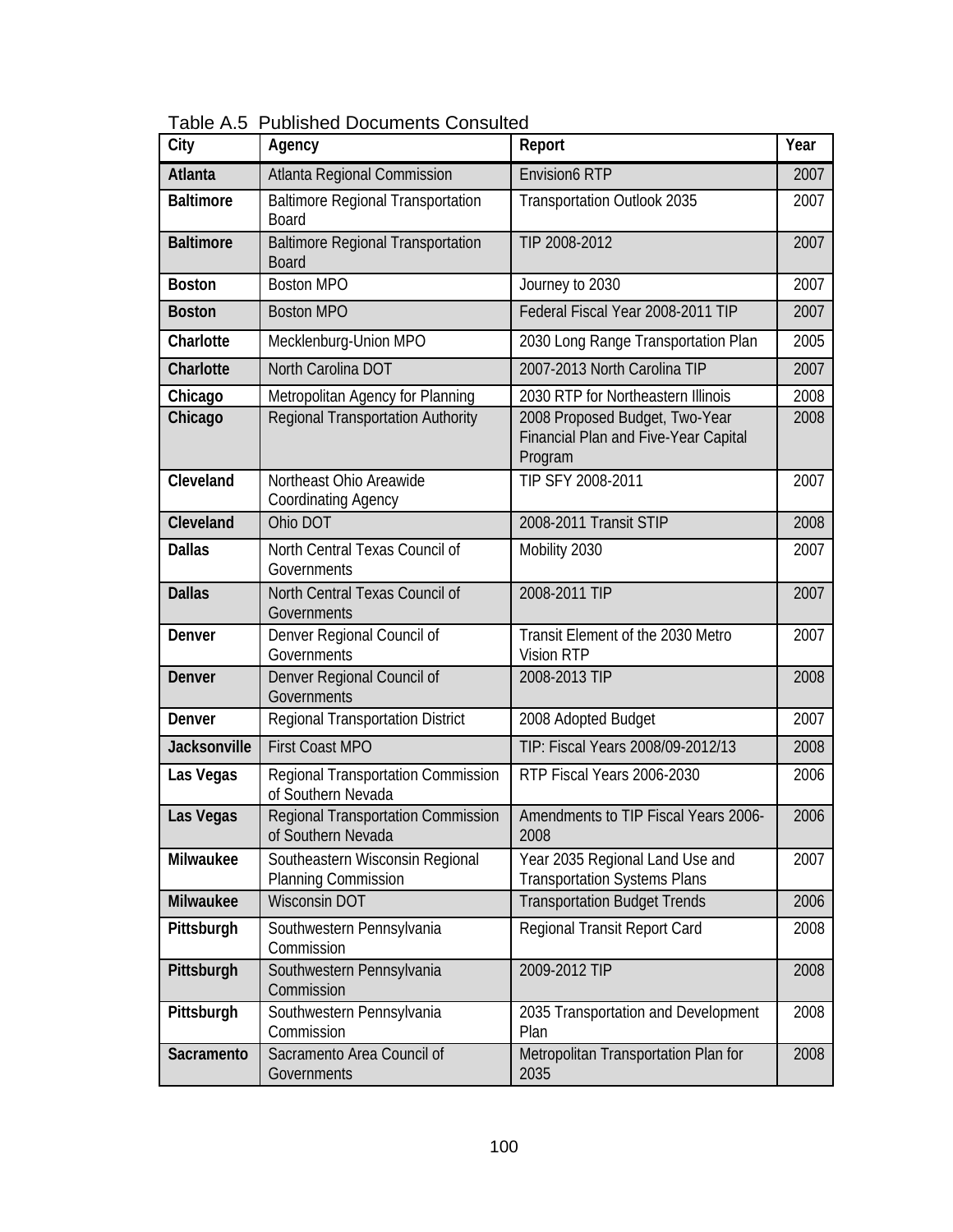| City                | Agency                                                        | Report                                                                            | Year |
|---------------------|---------------------------------------------------------------|-----------------------------------------------------------------------------------|------|
| <b>Atlanta</b>      | Atlanta Regional Commission                                   | <b>Envision6 RTP</b>                                                              | 2007 |
| <b>Baltimore</b>    | <b>Baltimore Regional Transportation</b><br><b>Board</b>      | Transportation Outlook 2035                                                       | 2007 |
| <b>Baltimore</b>    | <b>Baltimore Regional Transportation</b><br><b>Board</b>      | TIP 2008-2012                                                                     | 2007 |
| <b>Boston</b>       | <b>Boston MPO</b>                                             | Journey to 2030                                                                   | 2007 |
| <b>Boston</b>       | <b>Boston MPO</b>                                             | Federal Fiscal Year 2008-2011 TIP                                                 | 2007 |
| Charlotte           | Mecklenburg-Union MPO                                         | 2030 Long Range Transportation Plan                                               | 2005 |
| Charlotte           | North Carolina DOT                                            | 2007-2013 North Carolina TIP                                                      | 2007 |
| Chicago             | Metropolitan Agency for Planning                              | 2030 RTP for Northeastern Illinois                                                | 2008 |
| Chicago             | Regional Transportation Authority                             | 2008 Proposed Budget, Two-Year<br>Financial Plan and Five-Year Capital<br>Program | 2008 |
| Cleveland           | Northeast Ohio Areawide<br><b>Coordinating Agency</b>         | TIP SFY 2008-2011                                                                 | 2007 |
| Cleveland           | Ohio DOT                                                      | 2008-2011 Transit STIP                                                            | 2008 |
| <b>Dallas</b>       | North Central Texas Council of<br>Governments                 | Mobility 2030                                                                     | 2007 |
| <b>Dallas</b>       | North Central Texas Council of<br>Governments                 | 2008-2011 TIP                                                                     | 2007 |
| Denver              | Denver Regional Council of<br>Governments                     | Transit Element of the 2030 Metro<br><b>Vision RTP</b>                            | 2007 |
| Denver              | Denver Regional Council of<br>Governments                     | 2008-2013 TIP                                                                     | 2008 |
| Denver              | <b>Regional Transportation District</b>                       | 2008 Adopted Budget                                                               | 2007 |
| <b>Jacksonville</b> | <b>First Coast MPO</b>                                        | TIP: Fiscal Years 2008/09-2012/13                                                 | 2008 |
| Las Vegas           | Regional Transportation Commission<br>of Southern Nevada      | RTP Fiscal Years 2006-2030                                                        | 2006 |
| Las Vegas           | Regional Transportation Commission<br>of Southern Nevada      | Amendments to TIP Fiscal Years 2006-<br>2008                                      | 2006 |
| Milwaukee           | Southeastern Wisconsin Regional<br><b>Planning Commission</b> | Year 2035 Regional Land Use and<br><b>Transportation Systems Plans</b>            | 2007 |
| Milwaukee           | <b>Wisconsin DOT</b>                                          | <b>Transportation Budget Trends</b>                                               | 2006 |
| Pittsburgh          | Southwestern Pennsylvania<br>Commission                       | Regional Transit Report Card                                                      | 2008 |
| Pittsburgh          | Southwestern Pennsylvania<br>Commission                       | 2009-2012 TIP                                                                     | 2008 |
| Pittsburgh          | Southwestern Pennsylvania<br>Commission                       | 2035 Transportation and Development<br>Plan                                       | 2008 |
| Sacramento          | Sacramento Area Council of<br>Governments                     | Metropolitan Transportation Plan for<br>2035                                      | 2008 |

Table A.5 Published Documents Consulted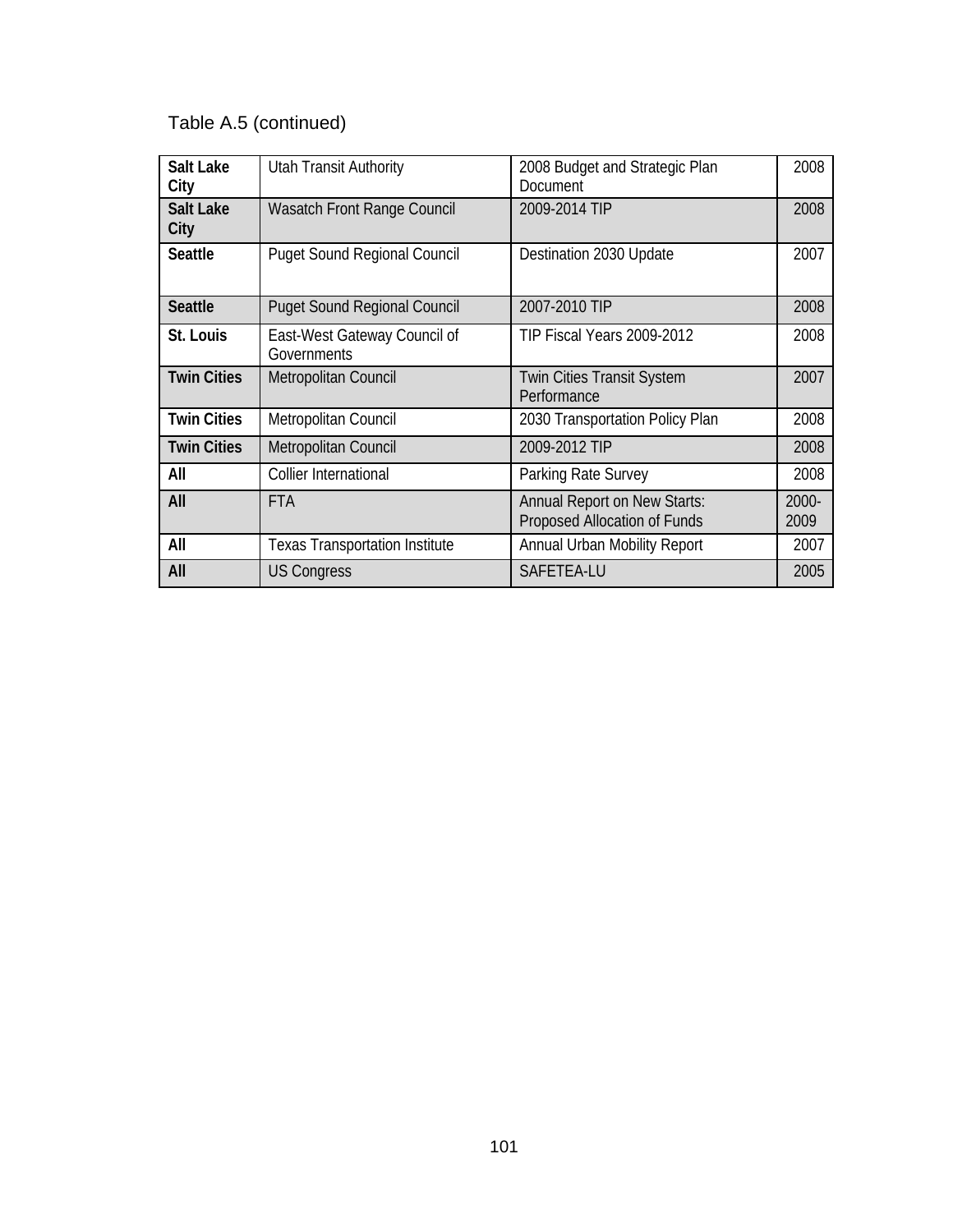| <b>Salt Lake</b><br>City | <b>Utah Transit Authority</b>               | 2008 Budget and Strategic Plan<br>Document                          | 2008          |
|--------------------------|---------------------------------------------|---------------------------------------------------------------------|---------------|
| <b>Salt Lake</b><br>City | <b>Wasatch Front Range Council</b>          | 2009-2014 TIP                                                       | 2008          |
| <b>Seattle</b>           | <b>Puget Sound Regional Council</b>         | Destination 2030 Update                                             | 2007          |
| <b>Seattle</b>           | <b>Puget Sound Regional Council</b>         | 2007-2010 TIP                                                       | 2008          |
| St. Louis                | East-West Gateway Council of<br>Governments | TIP Fiscal Years 2009-2012                                          | 2008          |
| <b>Twin Cities</b>       | Metropolitan Council                        | <b>Twin Cities Transit System</b><br>Performance                    | 2007          |
| <b>Twin Cities</b>       | Metropolitan Council                        | 2030 Transportation Policy Plan                                     | 2008          |
| <b>Twin Cities</b>       | Metropolitan Council                        | 2009-2012 TIP                                                       | 2008          |
| All                      | Collier International                       | Parking Rate Survey                                                 | 2008          |
| All                      | <b>FTA</b>                                  | <b>Annual Report on New Starts:</b><br>Proposed Allocation of Funds | 2000-<br>2009 |
| All                      | <b>Texas Transportation Institute</b>       | Annual Urban Mobility Report                                        | 2007          |
| All                      | <b>US Congress</b>                          | SAFETEA-LU                                                          | 2005          |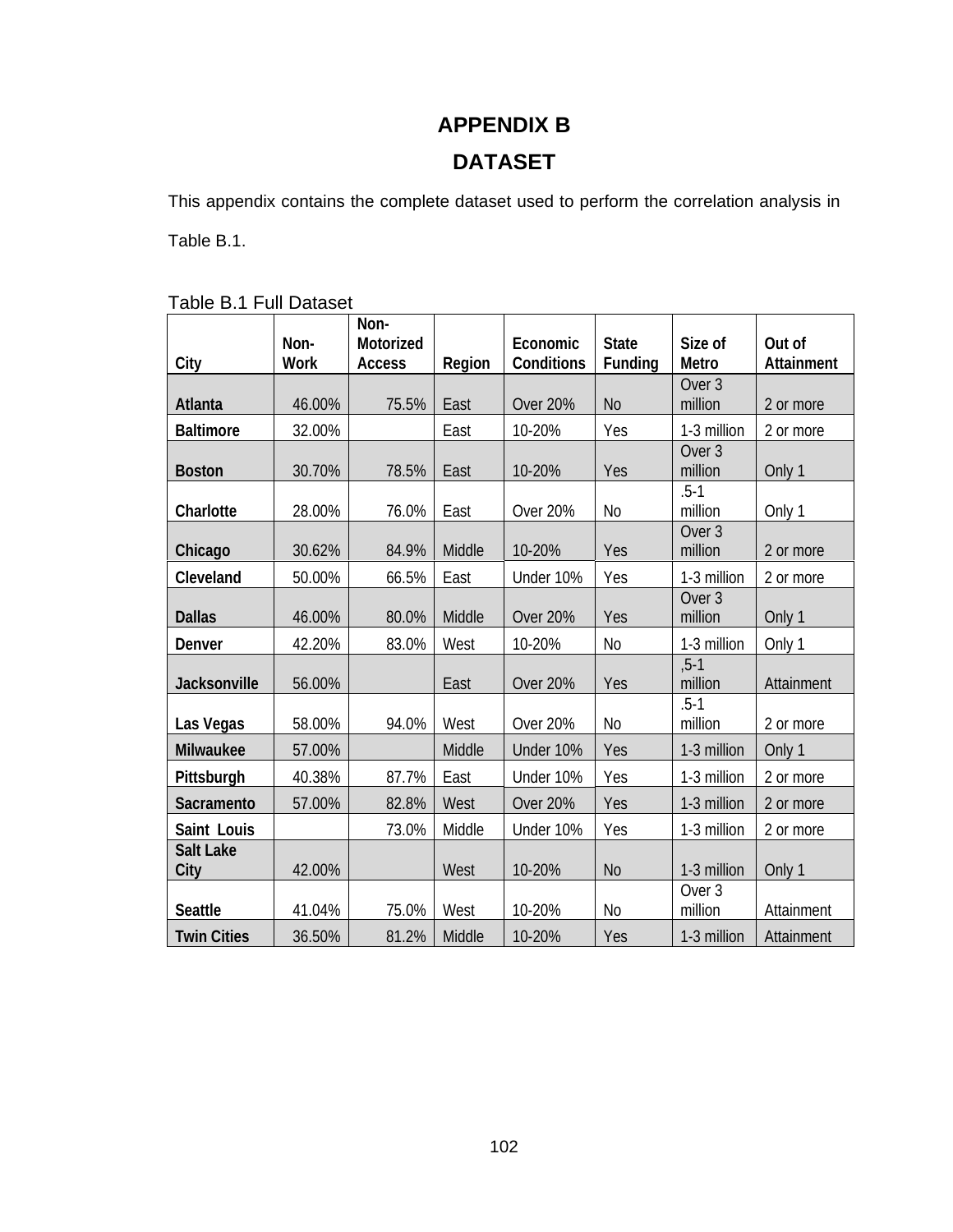### **APPENDIX B**

### **DATASET**

This appendix contains the complete dataset used to perform the correlation analysis in

Table B.1.

#### Table B.1 Full Dataset

|                          | Non-        | Non-<br>Motorized |        | Economic        | <b>State</b>   | Size of                      | Out of     |
|--------------------------|-------------|-------------------|--------|-----------------|----------------|------------------------------|------------|
| City                     | <b>Work</b> | <b>Access</b>     | Region | Conditions      | Funding        | Metro                        | Attainment |
| Atlanta                  | 46.00%      | 75.5%             | East   | <b>Over 20%</b> | N <sub>o</sub> | Over <sub>3</sub><br>million | 2 or more  |
| <b>Baltimore</b>         | 32.00%      |                   | East   | 10-20%          | Yes            | 1-3 million                  | 2 or more  |
| <b>Boston</b>            | 30.70%      | 78.5%             | East   | 10-20%          | Yes            | Over <sub>3</sub><br>million | Only 1     |
| Charlotte                | 28.00%      | 76.0%             | East   | Over 20%        | <b>No</b>      | $.5 - 1$<br>million          | Only 1     |
| Chicago                  | 30.62%      | 84.9%             | Middle | 10-20%          | Yes            | Over <sub>3</sub><br>million | 2 or more  |
| Cleveland                | 50.00%      | 66.5%             | East   | Under 10%       | Yes            | 1-3 million                  | 2 or more  |
| <b>Dallas</b>            | 46.00%      | 80.0%             | Middle | <b>Over 20%</b> | Yes            | Over <sub>3</sub><br>million | Only 1     |
| Denver                   | 42.20%      | 83.0%             | West   | 10-20%          | N <sub>0</sub> | 1-3 million                  | Only 1     |
| Jacksonville             | 56.00%      |                   | East   | <b>Over 20%</b> | Yes            | $, 5 - 1$<br>million         | Attainment |
| Las Vegas                | 58.00%      | 94.0%             | West   | Over 20%        | <b>No</b>      | $.5 - 1$<br>million          | 2 or more  |
| Milwaukee                | 57.00%      |                   | Middle | Under 10%       | Yes            | 1-3 million                  | Only 1     |
| Pittsburgh               | 40.38%      | 87.7%             | East   | Under 10%       | Yes            | 1-3 million                  | 2 or more  |
| Sacramento               | 57.00%      | 82.8%             | West   | <b>Over 20%</b> | Yes            | 1-3 million                  | 2 or more  |
| Saint Louis              |             | 73.0%             | Middle | Under 10%       | Yes            | 1-3 million                  | 2 or more  |
| <b>Salt Lake</b><br>City | 42.00%      |                   | West   | 10-20%          | N <sub>o</sub> | 1-3 million                  | Only 1     |
| <b>Seattle</b>           | 41.04%      | 75.0%             | West   | 10-20%          | N <sub>o</sub> | Over <sub>3</sub><br>million | Attainment |
| <b>Twin Cities</b>       | 36.50%      | 81.2%             | Middle | 10-20%          | Yes            | 1-3 million                  | Attainment |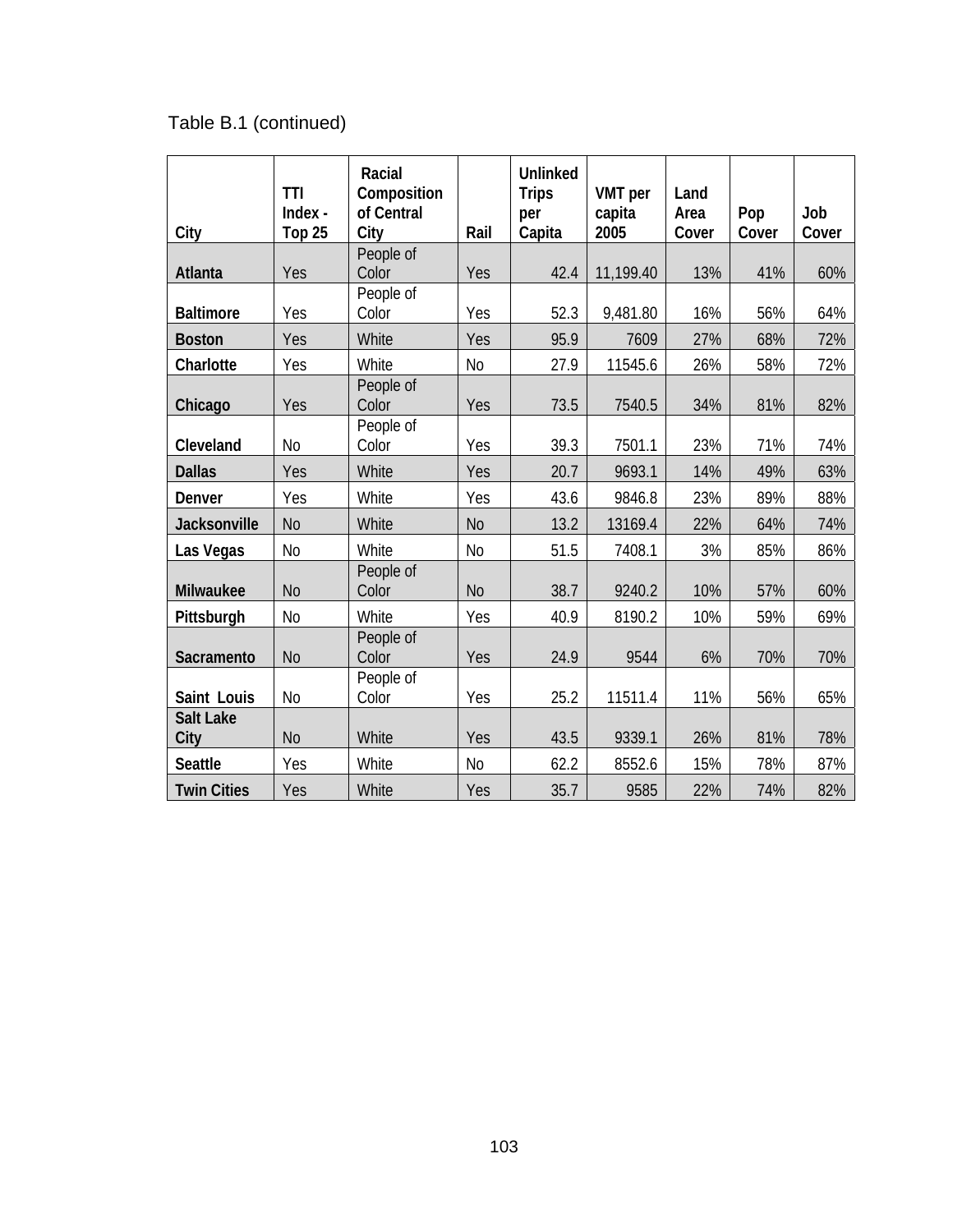| City                     | <b>TTI</b><br>Index -<br>Top <sub>25</sub> | Racial<br>Composition<br>of Central<br>City | Rail           | <b>Unlinked</b><br><b>Trips</b><br>per<br>Capita | <b>VMT</b> per<br>capita<br>2005 | Land<br>Area<br>Cover | Pop<br>Cover | Job<br>Cover |
|--------------------------|--------------------------------------------|---------------------------------------------|----------------|--------------------------------------------------|----------------------------------|-----------------------|--------------|--------------|
|                          |                                            | People of                                   |                |                                                  |                                  |                       |              |              |
| Atlanta                  | Yes                                        | Color                                       | Yes            | 42.4                                             | 11,199.40                        | 13%                   | 41%          | 60%          |
| <b>Baltimore</b>         | Yes                                        | People of<br>Color                          | Yes            | 52.3                                             | 9,481.80                         | 16%                   | 56%          | 64%          |
| <b>Boston</b>            | Yes                                        | White                                       | Yes            | 95.9                                             | 7609                             | 27%                   | 68%          | 72%          |
| Charlotte                | Yes                                        | White                                       | N <sub>0</sub> | 27.9                                             | 11545.6                          | 26%                   | 58%          | 72%          |
| Chicago                  | Yes                                        | People of<br>Color                          | Yes            | 73.5                                             | 7540.5                           | 34%                   | 81%          | 82%          |
| Cleveland                | <b>No</b>                                  | People of<br>Color                          | Yes            | 39.3                                             | 7501.1                           | 23%                   | 71%          | 74%          |
| <b>Dallas</b>            | Yes                                        | White                                       | Yes            | 20.7                                             | 9693.1                           | 14%                   | 49%          | 63%          |
| Denver                   | Yes                                        | White                                       | Yes            | 43.6                                             | 9846.8                           | 23%                   | 89%          | 88%          |
| Jacksonville             | N <sub>o</sub>                             | White                                       | N <sub>o</sub> | 13.2                                             | 13169.4                          | 22%                   | 64%          | 74%          |
| Las Vegas                | N <sub>0</sub>                             | White                                       | N <sub>0</sub> | 51.5                                             | 7408.1                           | 3%                    | 85%          | 86%          |
| Milwaukee                | N <sub>0</sub>                             | People of<br>Color                          | N <sub>0</sub> | 38.7                                             | 9240.2                           | 10%                   | 57%          | 60%          |
| Pittsburgh               | <b>No</b>                                  | White                                       | Yes            | 40.9                                             | 8190.2                           | 10%                   | 59%          | 69%          |
| Sacramento               | N <sub>0</sub>                             | People of<br>Color                          | Yes            | 24.9                                             | 9544                             | 6%                    | 70%          | 70%          |
| Saint Louis              | N <sub>0</sub>                             | People of<br>Color                          | Yes            | 25.2                                             | 11511.4                          | 11%                   | 56%          | 65%          |
| <b>Salt Lake</b><br>City | N <sub>o</sub>                             | White                                       | Yes            | 43.5                                             | 9339.1                           | 26%                   | 81%          | 78%          |
| <b>Seattle</b>           | Yes                                        | White                                       | N <sub>o</sub> | 62.2                                             | 8552.6                           | 15%                   | 78%          | 87%          |
| <b>Twin Cities</b>       | Yes                                        | White                                       | Yes            | 35.7                                             | 9585                             | 22%                   | 74%          | 82%          |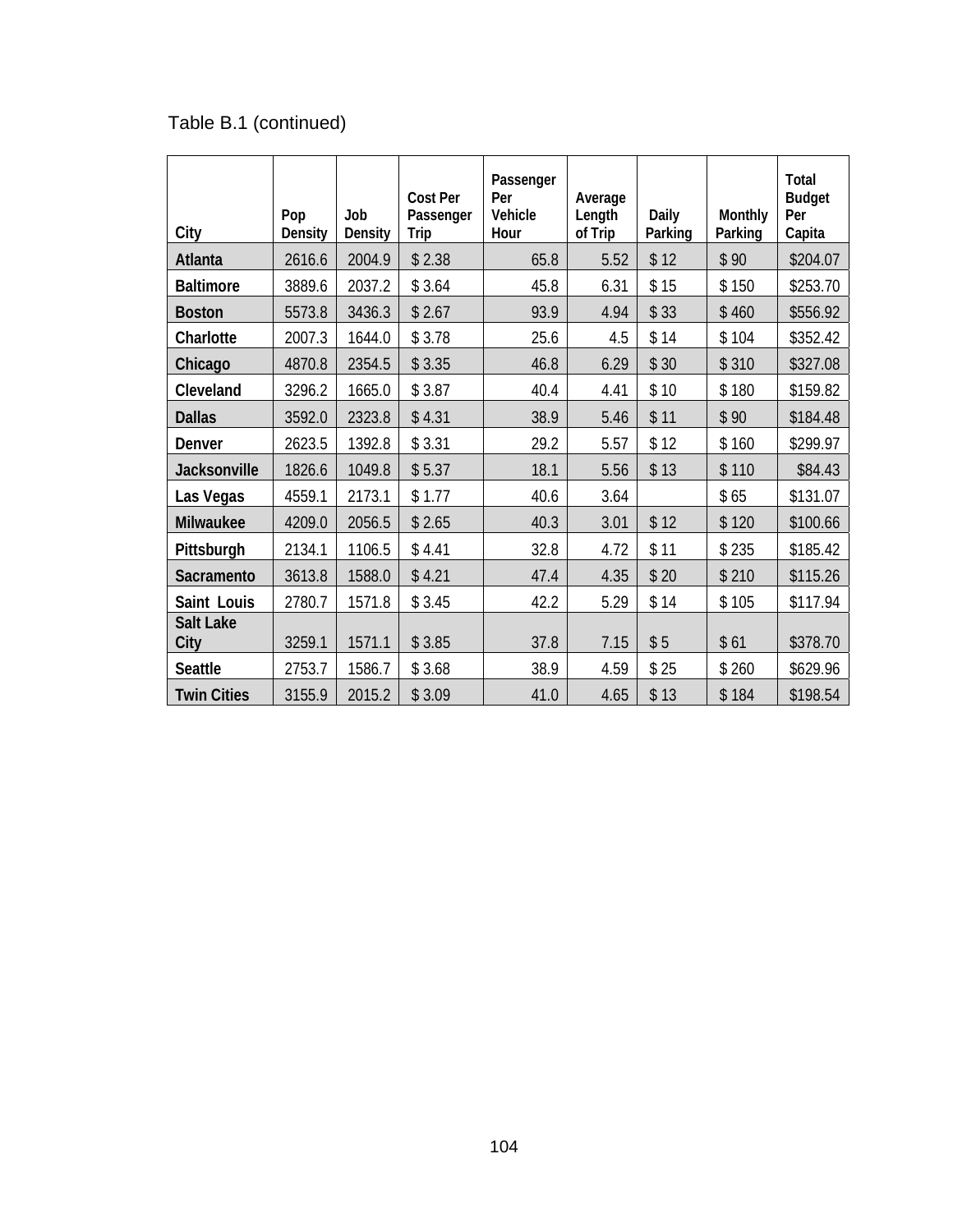| City                     | Pop<br>Density | Job<br>Density | <b>Cost Per</b><br>Passenger<br>Trip | Passenger<br>Per<br>Vehicle<br>Hour | Average<br>Length<br>of Trip | Daily<br>Parking | Monthly<br>Parking | Total<br><b>Budget</b><br>Per<br>Capita |
|--------------------------|----------------|----------------|--------------------------------------|-------------------------------------|------------------------------|------------------|--------------------|-----------------------------------------|
| Atlanta                  | 2616.6         | 2004.9         | \$2.38                               | 65.8                                | 5.52                         | \$12             | \$90               | \$204.07                                |
| <b>Baltimore</b>         | 3889.6         | 2037.2         | \$3.64                               | 45.8                                | 6.31                         | \$15             | \$150              | \$253.70                                |
| <b>Boston</b>            | 5573.8         | 3436.3         | \$2.67                               | 93.9                                | 4.94                         | \$33             | \$460              | \$556.92                                |
| Charlotte                | 2007.3         | 1644.0         | \$3.78                               | 25.6                                | 4.5                          | \$14             | \$104              | \$352.42                                |
| Chicago                  | 4870.8         | 2354.5         | \$3.35                               | 46.8                                | 6.29                         | \$30             | \$310              | \$327.08                                |
| Cleveland                | 3296.2         | 1665.0         | \$3.87                               | 40.4                                | 4.41                         | \$10             | \$180              | \$159.82                                |
| <b>Dallas</b>            | 3592.0         | 2323.8         | \$4.31                               | 38.9                                | 5.46                         | \$11             | \$90               | \$184.48                                |
| Denver                   | 2623.5         | 1392.8         | \$3.31                               | 29.2                                | 5.57                         | \$12             | \$160              | \$299.97                                |
| Jacksonville             | 1826.6         | 1049.8         | \$5.37                               | 18.1                                | 5.56                         | \$13             | \$110              | \$84.43                                 |
| Las Vegas                | 4559.1         | 2173.1         | \$1.77                               | 40.6                                | 3.64                         |                  | \$65               | \$131.07                                |
| Milwaukee                | 4209.0         | 2056.5         | \$2.65                               | 40.3                                | 3.01                         | \$12             | \$120              | \$100.66                                |
| Pittsburgh               | 2134.1         | 1106.5         | \$4.41                               | 32.8                                | 4.72                         | \$11             | \$235              | \$185.42                                |
| Sacramento               | 3613.8         | 1588.0         | \$4.21                               | 47.4                                | 4.35                         | \$20             | \$210              | \$115.26                                |
| Saint Louis              | 2780.7         | 1571.8         | \$3.45                               | 42.2                                | 5.29                         | \$14             | \$105              | \$117.94                                |
| <b>Salt Lake</b><br>City | 3259.1         | 1571.1         | \$3.85                               | 37.8                                | 7.15                         | \$5              | \$61               | \$378.70                                |
| <b>Seattle</b>           | 2753.7         | 1586.7         | \$3.68                               | 38.9                                | 4.59                         | \$25             | \$260              | \$629.96                                |
| <b>Twin Cities</b>       | 3155.9         | 2015.2         | \$3.09                               | 41.0                                | 4.65                         | \$13             | \$184              | \$198.54                                |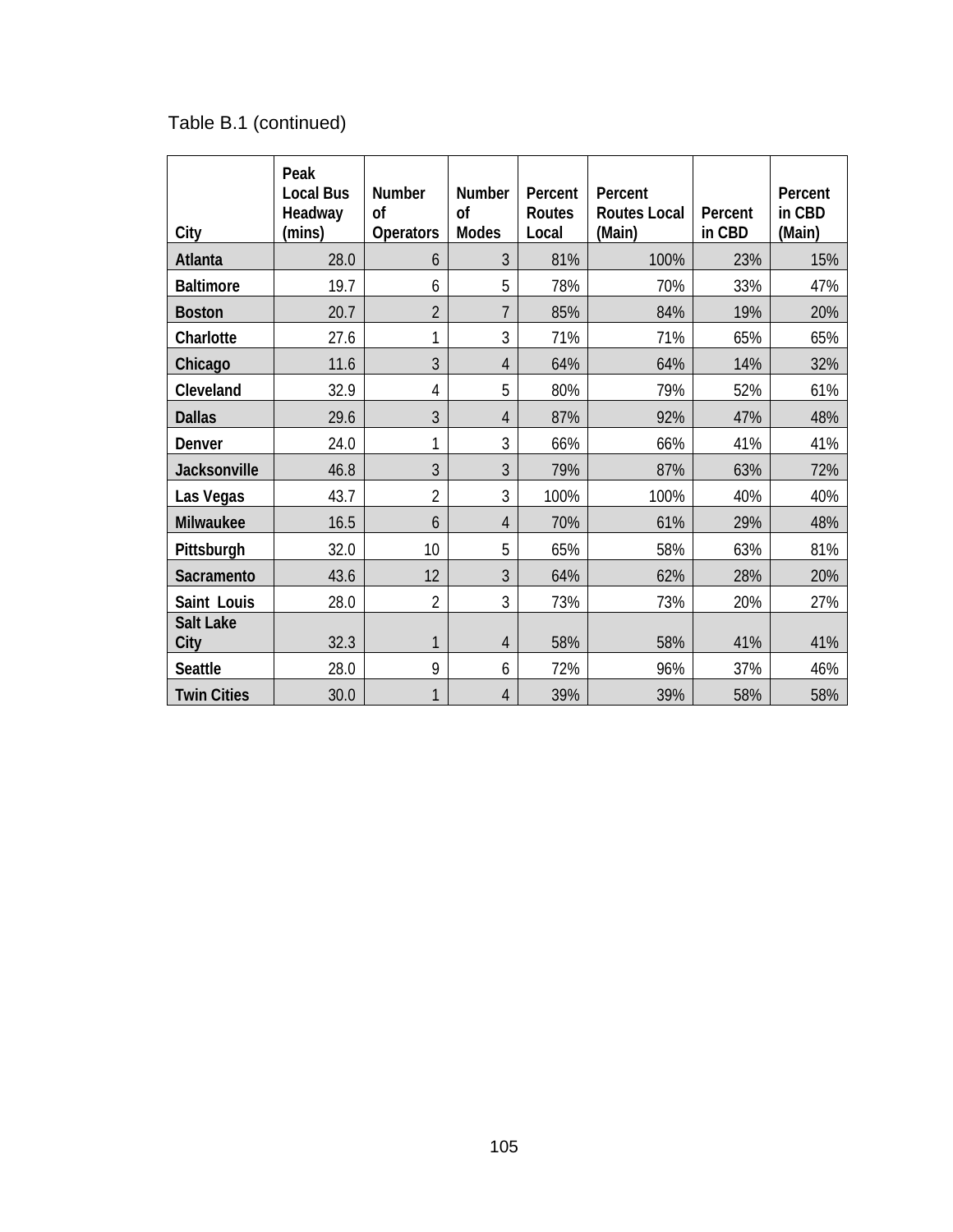| City                     | Peak<br><b>Local Bus</b><br>Headway<br>(mins) | <b>Number</b><br><sub>of</sub><br><b>Operators</b> | <b>Number</b><br>of<br><b>Modes</b> | Percent<br>Routes<br>Local | Percent<br><b>Routes Local</b><br>(Main) | Percent<br>in CBD | Percent<br>in CBD<br>(Main) |
|--------------------------|-----------------------------------------------|----------------------------------------------------|-------------------------------------|----------------------------|------------------------------------------|-------------------|-----------------------------|
| Atlanta                  | 28.0                                          | 6                                                  | 3                                   | 81%                        | 100%                                     | 23%               | 15%                         |
| <b>Baltimore</b>         | 19.7                                          | 6                                                  | 5                                   | 78%                        | 70%                                      | 33%               | 47%                         |
| <b>Boston</b>            | 20.7                                          | $\overline{2}$                                     | $\overline{7}$                      | 85%                        | 84%                                      | 19%               | 20%                         |
| Charlotte                | 27.6                                          | 1                                                  | 3                                   | 71%                        | 71%                                      | 65%               | 65%                         |
| Chicago                  | 11.6                                          | 3                                                  | $\overline{4}$                      | 64%                        | 64%                                      | 14%               | 32%                         |
| Cleveland                | 32.9                                          | 4                                                  | 5                                   | 80%                        | 79%                                      | 52%               | 61%                         |
| <b>Dallas</b>            | 29.6                                          | 3                                                  | 4                                   | 87%                        | 92%                                      | 47%               | 48%                         |
| Denver                   | 24.0                                          | 1                                                  | 3                                   | 66%                        | 66%                                      | 41%               | 41%                         |
| Jacksonville             | 46.8                                          | 3                                                  | 3                                   | 79%                        | 87%                                      | 63%               | 72%                         |
| Las Vegas                | 43.7                                          | $\overline{2}$                                     | 3                                   | 100%                       | 100%                                     | 40%               | 40%                         |
| Milwaukee                | 16.5                                          | 6                                                  | $\overline{4}$                      | 70%                        | 61%                                      | 29%               | 48%                         |
| Pittsburgh               | 32.0                                          | 10                                                 | 5                                   | 65%                        | 58%                                      | 63%               | 81%                         |
| <b>Sacramento</b>        | 43.6                                          | 12                                                 | 3                                   | 64%                        | 62%                                      | 28%               | 20%                         |
| Saint Louis              | 28.0                                          | $\overline{2}$                                     | 3                                   | 73%                        | 73%                                      | 20%               | 27%                         |
| <b>Salt Lake</b><br>City | 32.3                                          | 1                                                  | $\overline{4}$                      | 58%                        | 58%                                      | 41%               | 41%                         |
| <b>Seattle</b>           | 28.0                                          | 9                                                  | 6                                   | 72%                        | 96%                                      | 37%               | 46%                         |
| <b>Twin Cities</b>       | 30.0                                          | 1                                                  | 4                                   | 39%                        | 39%                                      | 58%               | 58%                         |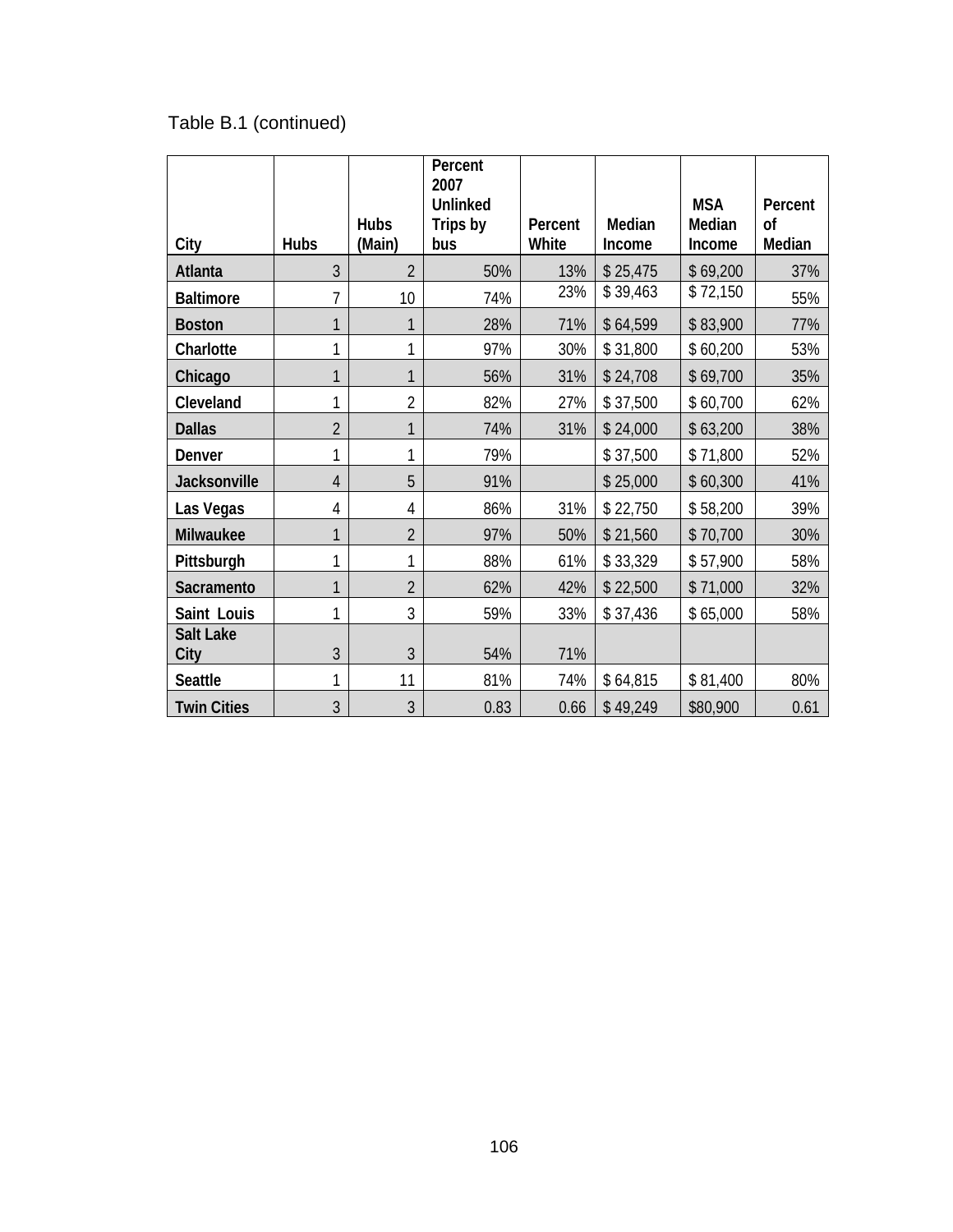|                     |                |                       | Percent<br>2007 |                  |                  |                  |                     |
|---------------------|----------------|-----------------------|-----------------|------------------|------------------|------------------|---------------------|
|                     |                |                       | <b>Unlinked</b> |                  |                  | <b>MSA</b>       | Percent             |
| City                | <b>Hubs</b>    | <b>Hubs</b><br>(Main) | Trips by<br>bus | Percent<br>White | Median<br>Income | Median<br>Income | <b>of</b><br>Median |
| Atlanta             | 3              | $\overline{2}$        | 50%             | 13%              | \$25,475         | \$69,200         | 37%                 |
| <b>Baltimore</b>    | 7              | 10                    | 74%             | 23%              | \$39,463         | \$72,150         | 55%                 |
| <b>Boston</b>       | 1              | 1                     | 28%             | 71%              | \$64,599         | \$83,900         | 77%                 |
| Charlotte           | 1              | 1                     | 97%             | 30%              | \$31,800         | \$60,200         | 53%                 |
| Chicago             | 1              | 1                     | 56%             | 31%              | \$24,708         | \$69,700         | 35%                 |
| Cleveland           | 1              | $\overline{2}$        | 82%             | 27%              | \$37,500         | \$60,700         | 62%                 |
| <b>Dallas</b>       | $\overline{2}$ | 1                     | 74%             | 31%              | \$24,000         | \$63,200         | 38%                 |
| Denver              | 1              | 1                     | 79%             |                  | \$37,500         | \$71,800         | 52%                 |
| <b>Jacksonville</b> | $\overline{4}$ | 5                     | 91%             |                  | \$25,000         | \$60,300         | 41%                 |
| Las Vegas           | 4              | 4                     | 86%             | 31%              | \$22,750         | \$58,200         | 39%                 |
| Milwaukee           | 1              | $\overline{2}$        | 97%             | 50%              | \$21,560         | \$70,700         | 30%                 |
| Pittsburgh          | 1              | 1                     | 88%             | 61%              | \$33,329         | \$57,900         | 58%                 |
| Sacramento          | 1              | $\overline{2}$        | 62%             | 42%              | \$22,500         | \$71,000         | 32%                 |
| Saint Louis         | 1              | 3                     | 59%             | 33%              | \$37,436         | \$65,000         | 58%                 |
| Salt Lake<br>City   | $\overline{3}$ | 3                     | 54%             | 71%              |                  |                  |                     |
| <b>Seattle</b>      | 1              | 11                    | 81%             | 74%              | \$64,815         | \$81,400         | 80%                 |
| <b>Twin Cities</b>  | 3              | 3                     | 0.83            | 0.66             | \$49,249         | \$80,900         | 0.61                |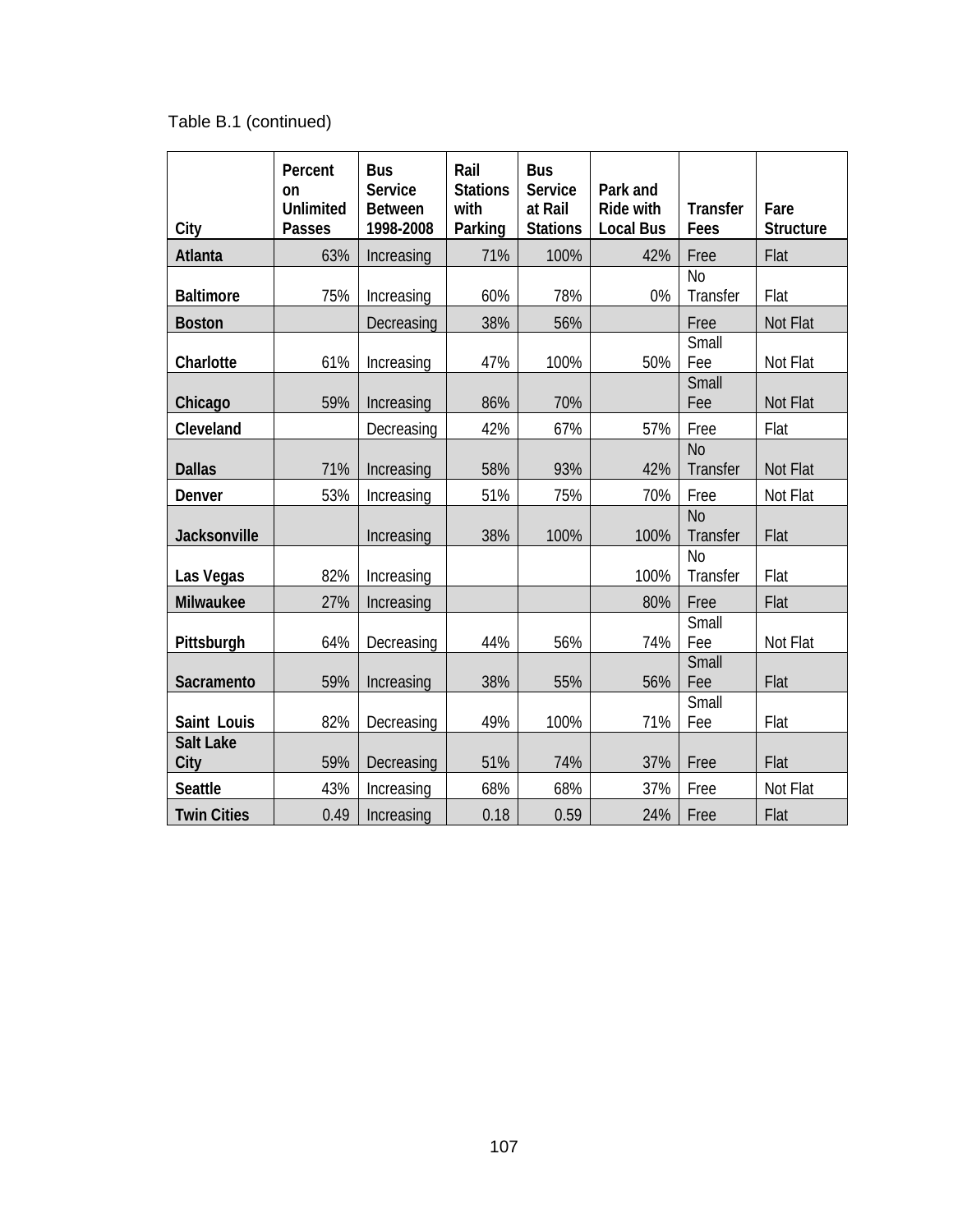Table B.1 (continued)

| City                     | Percent<br>on<br><b>Unlimited</b><br><b>Passes</b> | <b>Bus</b><br>Service<br><b>Between</b><br>1998-2008 | Rail<br><b>Stations</b><br>with<br>Parking | <b>Bus</b><br><b>Service</b><br>at Rail<br><b>Stations</b> | Park and<br><b>Ride with</b><br><b>Local Bus</b> | <b>Transfer</b><br>Fees    | Fare<br><b>Structure</b> |
|--------------------------|----------------------------------------------------|------------------------------------------------------|--------------------------------------------|------------------------------------------------------------|--------------------------------------------------|----------------------------|--------------------------|
| Atlanta                  | 63%                                                | Increasing                                           | 71%                                        | 100%                                                       | 42%                                              | Free                       | Flat                     |
| <b>Baltimore</b>         | 75%                                                | Increasing                                           | 60%                                        | 78%                                                        | 0%                                               | <b>No</b><br>Transfer      | Flat                     |
| <b>Boston</b>            |                                                    | Decreasing                                           | 38%                                        | 56%                                                        |                                                  | Free                       | Not Flat                 |
| Charlotte                | 61%                                                | Increasing                                           | 47%                                        | 100%                                                       | 50%                                              | Small<br>Fee               | Not Flat                 |
| Chicago                  | 59%                                                | Increasing                                           | 86%                                        | 70%                                                        |                                                  | Small<br>Fee               | Not Flat                 |
| Cleveland                |                                                    | Decreasing                                           | 42%                                        | 67%                                                        | 57%                                              | Free                       | Flat                     |
| <b>Dallas</b>            | 71%                                                | Increasing                                           | 58%                                        | 93%                                                        | 42%                                              | N <sub>o</sub><br>Transfer | Not Flat                 |
| Denver                   | 53%                                                | Increasing                                           | 51%                                        | 75%                                                        | 70%                                              | Free                       | Not Flat                 |
| Jacksonville             |                                                    | Increasing                                           | 38%                                        | 100%                                                       | 100%                                             | <b>No</b><br>Transfer      | Flat                     |
| Las Vegas                | 82%                                                | Increasing                                           |                                            |                                                            | 100%                                             | <b>No</b><br>Transfer      | Flat                     |
| Milwaukee                | 27%                                                | Increasing                                           |                                            |                                                            | 80%                                              | Free                       | Flat                     |
| Pittsburgh               | 64%                                                | Decreasing                                           | 44%                                        | 56%                                                        | 74%                                              | Small<br>Fee               | Not Flat                 |
| Sacramento               | 59%                                                | Increasing                                           | 38%                                        | 55%                                                        | 56%                                              | Small<br>Fee               | Flat                     |
| Saint Louis              | 82%                                                | Decreasing                                           | 49%                                        | 100%                                                       | 71%                                              | Small<br>Fee               | Flat                     |
| <b>Salt Lake</b><br>City | 59%                                                | Decreasing                                           | 51%                                        | 74%                                                        | 37%                                              | Free                       | Flat                     |
| <b>Seattle</b>           | 43%                                                | Increasing                                           | 68%                                        | 68%                                                        | 37%                                              | Free                       | Not Flat                 |
| <b>Twin Cities</b>       | 0.49                                               | Increasing                                           | 0.18                                       | 0.59                                                       | 24%                                              | Free                       | Flat                     |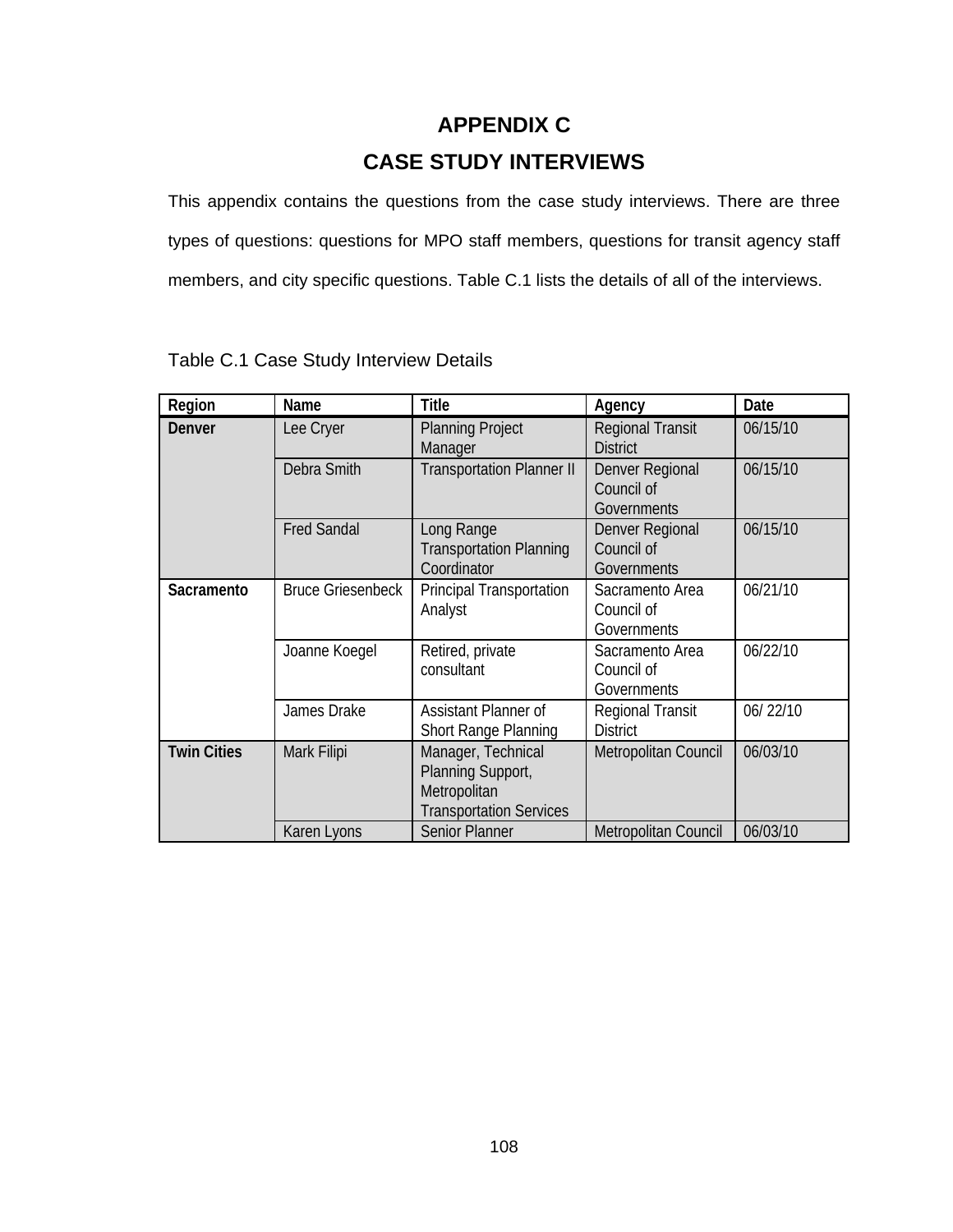# **APPENDIX C CASE STUDY INTERVIEWS**

This appendix contains the questions from the case study interviews. There are three types of questions: questions for MPO staff members, questions for transit agency staff members, and city specific questions. Table C.1 lists the details of all of the interviews.

| Region             | Name                     | <b>Title</b>                                                                              | Agency                                       | Date     |
|--------------------|--------------------------|-------------------------------------------------------------------------------------------|----------------------------------------------|----------|
| Denver             | Lee Cryer                | <b>Planning Project</b><br>Manager                                                        | <b>Regional Transit</b><br><b>District</b>   | 06/15/10 |
|                    | Debra Smith              | <b>Transportation Planner II</b>                                                          | Denver Regional<br>Council of<br>Governments | 06/15/10 |
|                    | <b>Fred Sandal</b>       | Long Range<br><b>Transportation Planning</b><br>Coordinator                               | Denver Regional<br>Council of<br>Governments | 06/15/10 |
| Sacramento         | <b>Bruce Griesenbeck</b> | Principal Transportation<br>Analyst                                                       | Sacramento Area<br>Council of<br>Governments | 06/21/10 |
|                    | Joanne Koegel            | Retired, private<br>consultant                                                            | Sacramento Area<br>Council of<br>Governments | 06/22/10 |
|                    | James Drake              | Assistant Planner of<br><b>Short Range Planning</b>                                       | Regional Transit<br><b>District</b>          | 06/22/10 |
| <b>Twin Cities</b> | Mark Filipi              | Manager, Technical<br>Planning Support,<br>Metropolitan<br><b>Transportation Services</b> | Metropolitan Council                         | 06/03/10 |
|                    | Karen Lyons              | <b>Senior Planner</b>                                                                     | <b>Metropolitan Council</b>                  | 06/03/10 |

Table C.1 Case Study Interview Details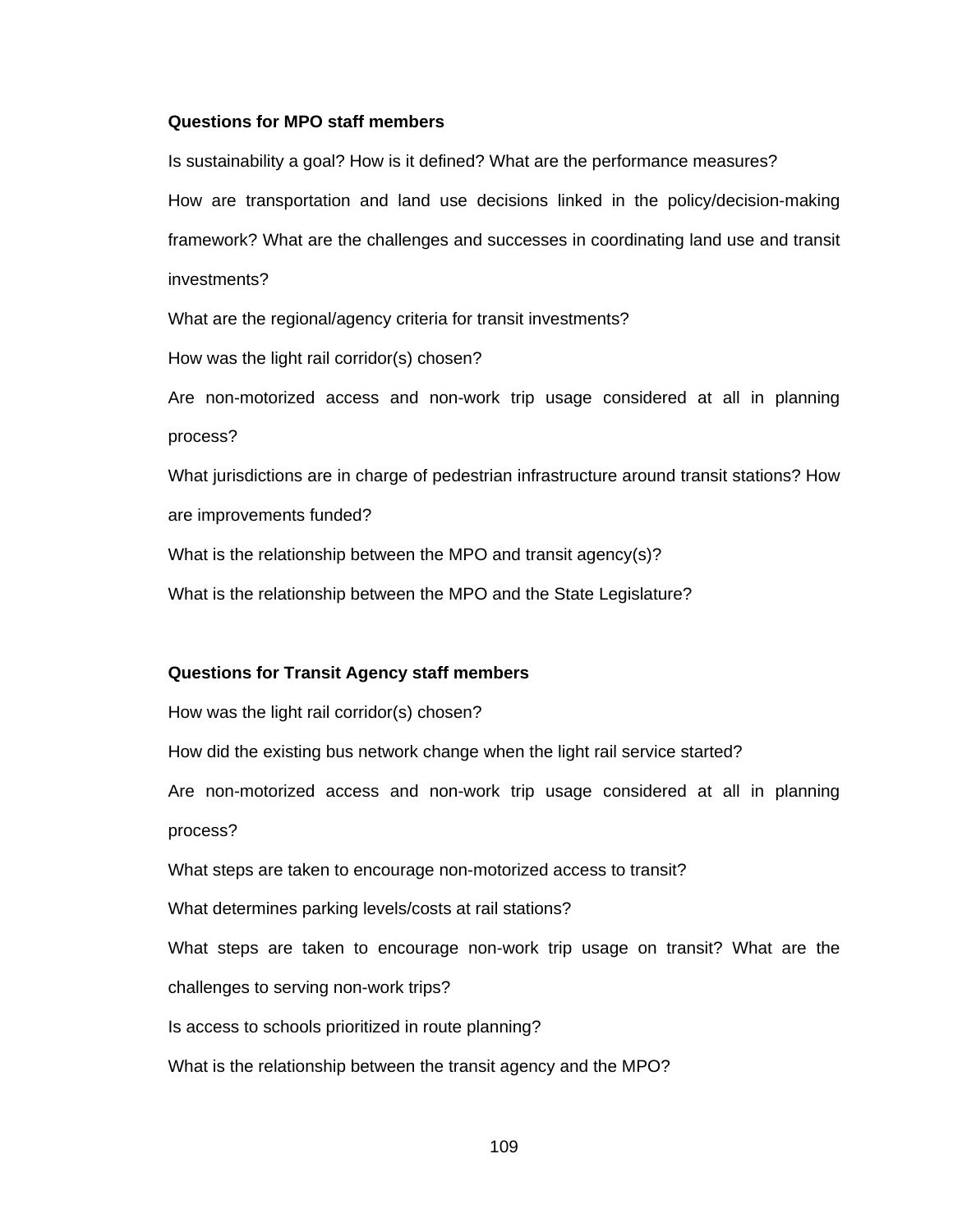#### **Questions for MPO staff members**

Is sustainability a goal? How is it defined? What are the performance measures? How are transportation and land use decisions linked in the policy/decision-making framework? What are the challenges and successes in coordinating land use and transit investments?

What are the regional/agency criteria for transit investments?

How was the light rail corridor(s) chosen?

Are non-motorized access and non-work trip usage considered at all in planning process?

What jurisdictions are in charge of pedestrian infrastructure around transit stations? How are improvements funded?

What is the relationship between the MPO and transit agency(s)?

What is the relationship between the MPO and the State Legislature?

#### **Questions for Transit Agency staff members**

How was the light rail corridor(s) chosen?

How did the existing bus network change when the light rail service started?

Are non-motorized access and non-work trip usage considered at all in planning process?

What steps are taken to encourage non-motorized access to transit?

What determines parking levels/costs at rail stations?

What steps are taken to encourage non-work trip usage on transit? What are the challenges to serving non-work trips?

Is access to schools prioritized in route planning?

What is the relationship between the transit agency and the MPO?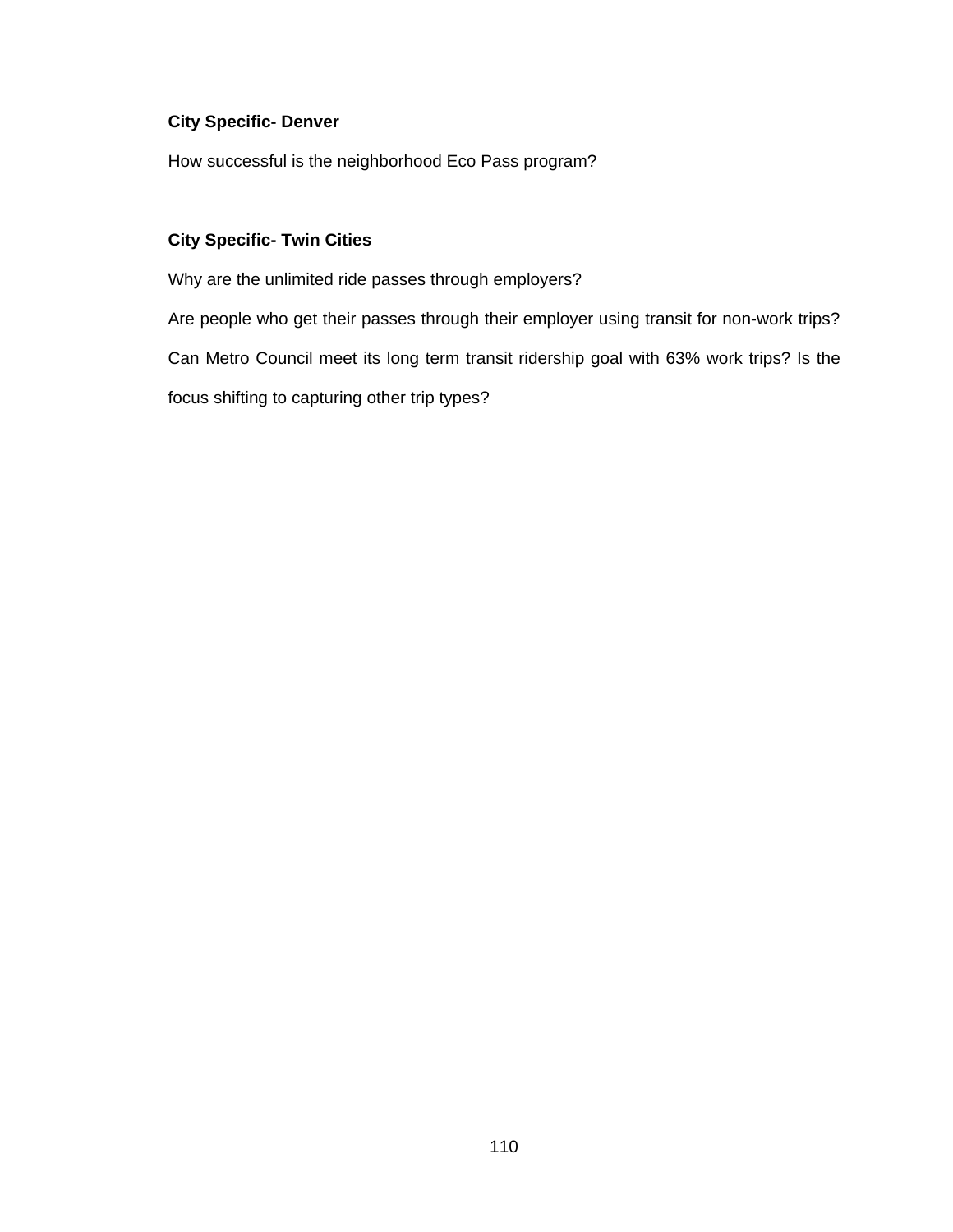#### **City Specific- Denver**

How successful is the neighborhood Eco Pass program?

#### **City Specific- Twin Cities**

Why are the unlimited ride passes through employers?

Are people who get their passes through their employer using transit for non-work trips? Can Metro Council meet its long term transit ridership goal with 63% work trips? Is the focus shifting to capturing other trip types?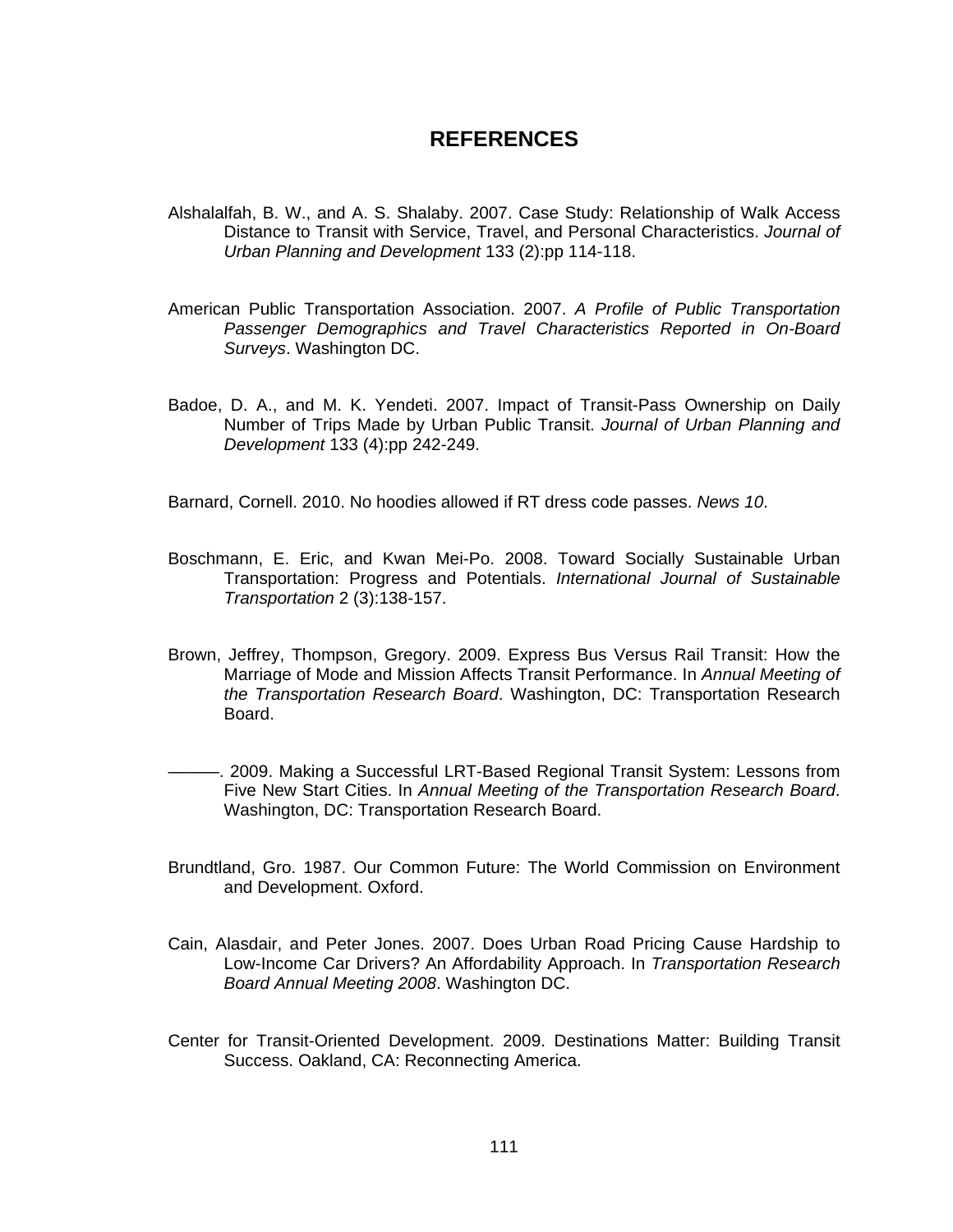#### **REFERENCES**

- Alshalalfah, B. W., and A. S. Shalaby. 2007. Case Study: Relationship of Walk Access Distance to Transit with Service, Travel, and Personal Characteristics. *Journal of Urban Planning and Development* 133 (2):pp 114-118.
- American Public Transportation Association. 2007. *A Profile of Public Transportation Passenger Demographics and Travel Characteristics Reported in On-Board Surveys*. Washington DC.
- Badoe, D. A., and M. K. Yendeti. 2007. Impact of Transit-Pass Ownership on Daily Number of Trips Made by Urban Public Transit. *Journal of Urban Planning and Development* 133 (4):pp 242-249.

Barnard, Cornell. 2010. No hoodies allowed if RT dress code passes. *News 10*.

- Boschmann, E. Eric, and Kwan Mei-Po. 2008. Toward Socially Sustainable Urban Transportation: Progress and Potentials. *International Journal of Sustainable Transportation* 2 (3):138-157.
- Brown, Jeffrey, Thompson, Gregory. 2009. Express Bus Versus Rail Transit: How the Marriage of Mode and Mission Affects Transit Performance. In *Annual Meeting of the Transportation Research Board*. Washington, DC: Transportation Research Board.
- ———. 2009. Making a Successful LRT-Based Regional Transit System: Lessons from Five New Start Cities. In *Annual Meeting of the Transportation Research Board*. Washington, DC: Transportation Research Board.
- Brundtland, Gro. 1987. Our Common Future: The World Commission on Environment and Development. Oxford.
- Cain, Alasdair, and Peter Jones. 2007. Does Urban Road Pricing Cause Hardship to Low-Income Car Drivers? An Affordability Approach. In *Transportation Research Board Annual Meeting 2008*. Washington DC.
- Center for Transit-Oriented Development. 2009. Destinations Matter: Building Transit Success. Oakland, CA: Reconnecting America.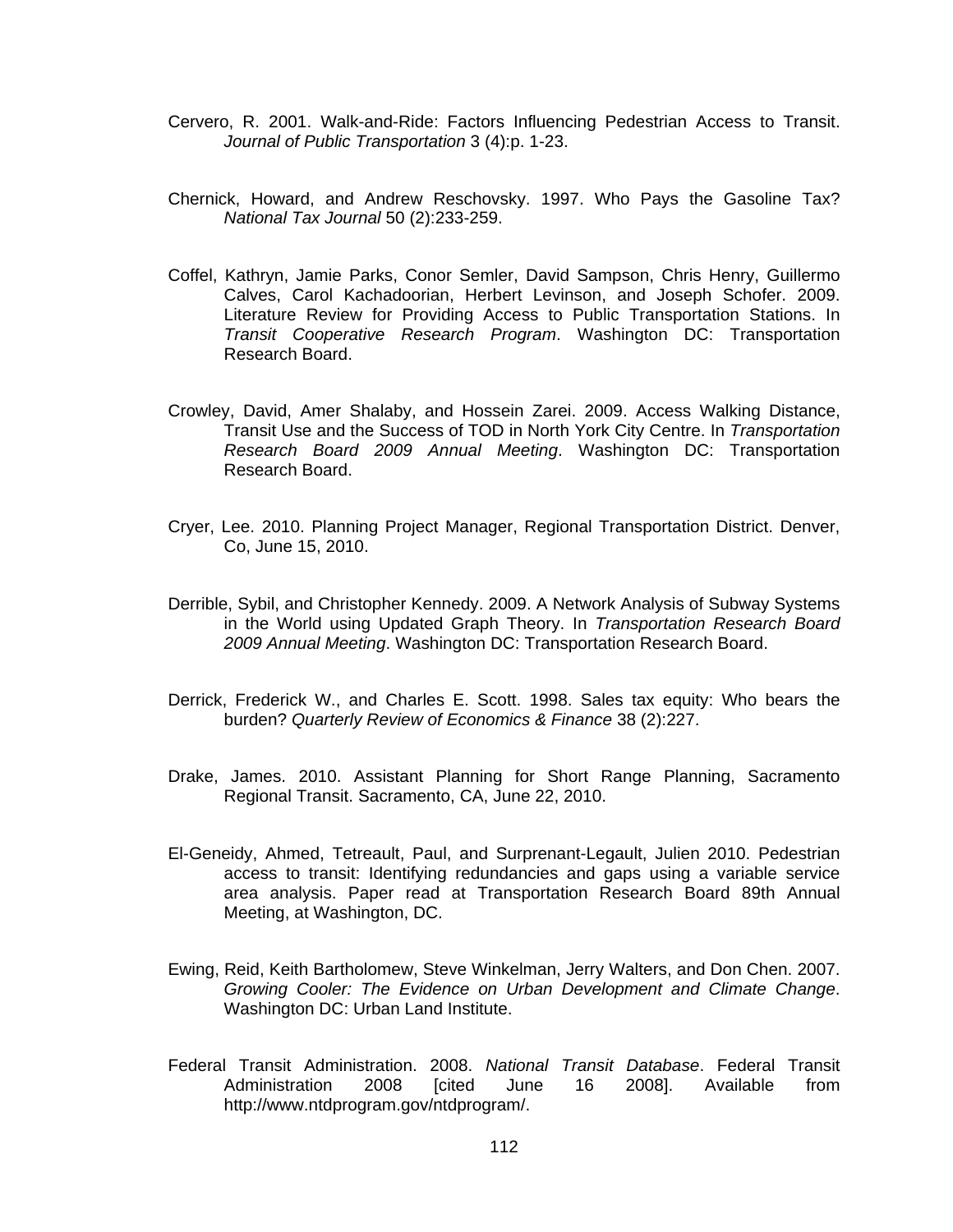- Cervero, R. 2001. Walk-and-Ride: Factors Influencing Pedestrian Access to Transit. *Journal of Public Transportation* 3 (4):p. 1-23.
- Chernick, Howard, and Andrew Reschovsky. 1997. Who Pays the Gasoline Tax? *National Tax Journal* 50 (2):233-259.
- Coffel, Kathryn, Jamie Parks, Conor Semler, David Sampson, Chris Henry, Guillermo Calves, Carol Kachadoorian, Herbert Levinson, and Joseph Schofer. 2009. Literature Review for Providing Access to Public Transportation Stations. In *Transit Cooperative Research Program*. Washington DC: Transportation Research Board.
- Crowley, David, Amer Shalaby, and Hossein Zarei. 2009. Access Walking Distance, Transit Use and the Success of TOD in North York City Centre. In *Transportation Research Board 2009 Annual Meeting*. Washington DC: Transportation Research Board.
- Cryer, Lee. 2010. Planning Project Manager, Regional Transportation District. Denver, Co, June 15, 2010.
- Derrible, Sybil, and Christopher Kennedy. 2009. A Network Analysis of Subway Systems in the World using Updated Graph Theory. In *Transportation Research Board 2009 Annual Meeting*. Washington DC: Transportation Research Board.
- Derrick, Frederick W., and Charles E. Scott. 1998. Sales tax equity: Who bears the burden? *Quarterly Review of Economics & Finance* 38 (2):227.
- Drake, James. 2010. Assistant Planning for Short Range Planning, Sacramento Regional Transit. Sacramento, CA, June 22, 2010.
- El-Geneidy, Ahmed, Tetreault, Paul, and Surprenant-Legault, Julien 2010. Pedestrian access to transit: Identifying redundancies and gaps using a variable service area analysis. Paper read at Transportation Research Board 89th Annual Meeting, at Washington, DC.
- Ewing, Reid, Keith Bartholomew, Steve Winkelman, Jerry Walters, and Don Chen. 2007. *Growing Cooler: The Evidence on Urban Development and Climate Change*. Washington DC: Urban Land Institute.
- Federal Transit Administration. 2008. *National Transit Database*. Federal Transit Administration 2008 [cited June 16 2008]. Available from http://www.ntdprogram.gov/ntdprogram/.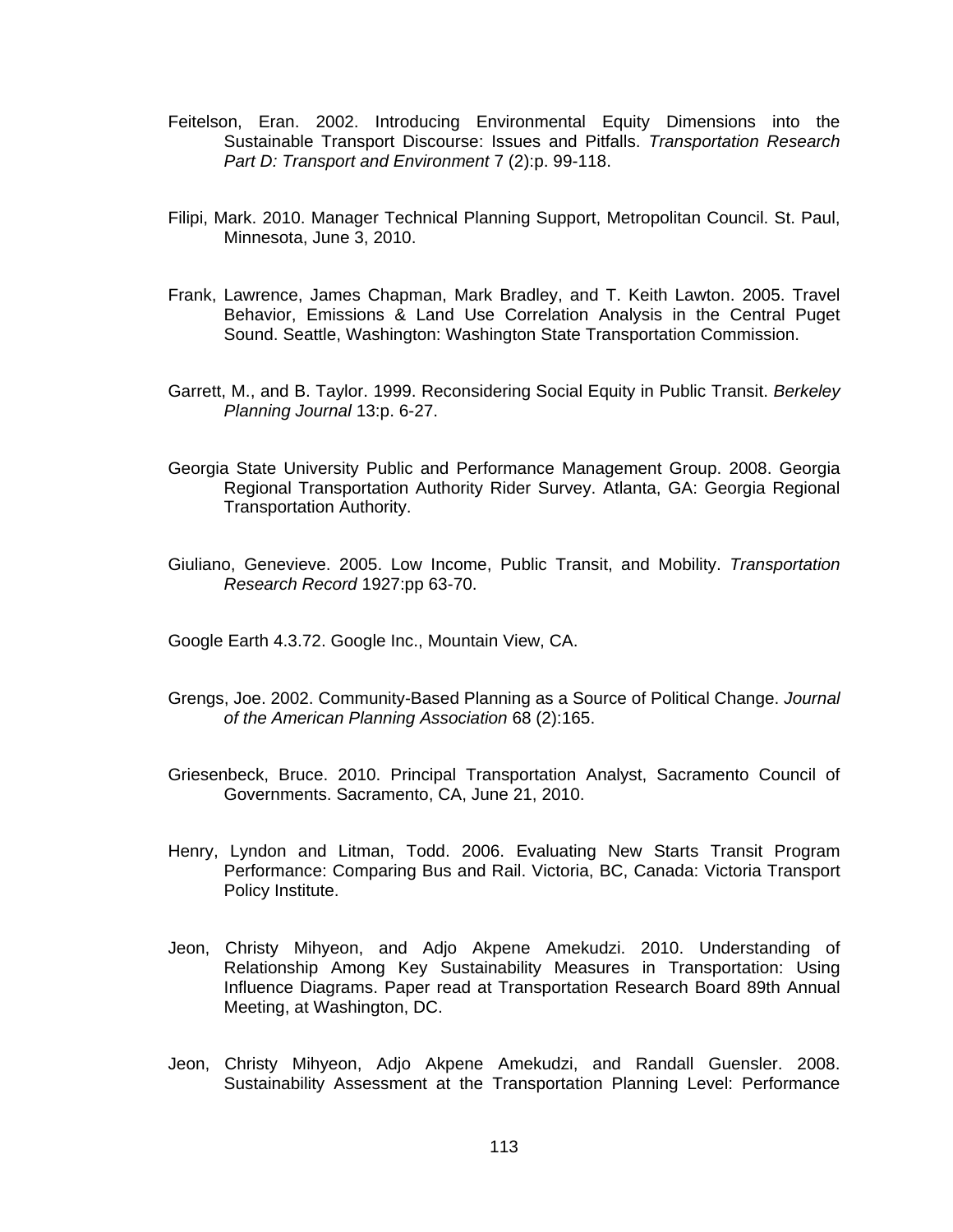- Feitelson, Eran. 2002. Introducing Environmental Equity Dimensions into the Sustainable Transport Discourse: Issues and Pitfalls. *Transportation Research Part D: Transport and Environment* 7 (2):p. 99-118.
- Filipi, Mark. 2010. Manager Technical Planning Support, Metropolitan Council. St. Paul, Minnesota, June 3, 2010.
- Frank, Lawrence, James Chapman, Mark Bradley, and T. Keith Lawton. 2005. Travel Behavior, Emissions & Land Use Correlation Analysis in the Central Puget Sound. Seattle, Washington: Washington State Transportation Commission.
- Garrett, M., and B. Taylor. 1999. Reconsidering Social Equity in Public Transit. *Berkeley Planning Journal* 13:p. 6-27.
- Georgia State University Public and Performance Management Group. 2008. Georgia Regional Transportation Authority Rider Survey. Atlanta, GA: Georgia Regional Transportation Authority.
- Giuliano, Genevieve. 2005. Low Income, Public Transit, and Mobility. *Transportation Research Record* 1927:pp 63-70.
- Google Earth 4.3.72. Google Inc., Mountain View, CA.
- Grengs, Joe. 2002. Community-Based Planning as a Source of Political Change. *Journal of the American Planning Association* 68 (2):165.
- Griesenbeck, Bruce. 2010. Principal Transportation Analyst, Sacramento Council of Governments. Sacramento, CA, June 21, 2010.
- Henry, Lyndon and Litman, Todd. 2006. Evaluating New Starts Transit Program Performance: Comparing Bus and Rail. Victoria, BC, Canada: Victoria Transport Policy Institute.
- Jeon, Christy Mihyeon, and Adjo Akpene Amekudzi. 2010. Understanding of Relationship Among Key Sustainability Measures in Transportation: Using Influence Diagrams. Paper read at Transportation Research Board 89th Annual Meeting, at Washington, DC.
- Jeon, Christy Mihyeon, Adjo Akpene Amekudzi, and Randall Guensler. 2008. Sustainability Assessment at the Transportation Planning Level: Performance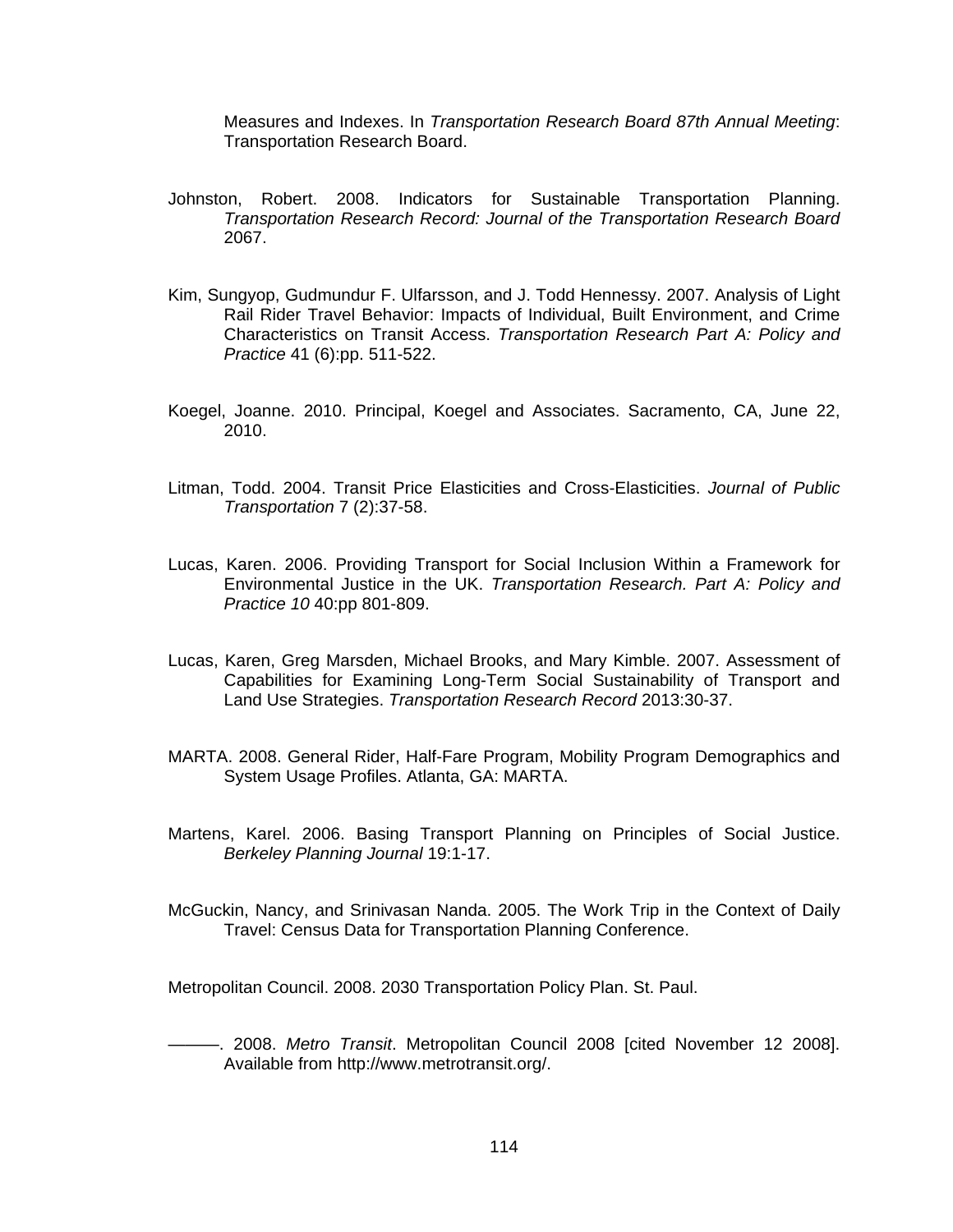Measures and Indexes. In *Transportation Research Board 87th Annual Meeting*: Transportation Research Board.

- Johnston, Robert. 2008. Indicators for Sustainable Transportation Planning. *Transportation Research Record: Journal of the Transportation Research Board* 2067.
- Kim, Sungyop, Gudmundur F. Ulfarsson, and J. Todd Hennessy. 2007. Analysis of Light Rail Rider Travel Behavior: Impacts of Individual, Built Environment, and Crime Characteristics on Transit Access. *Transportation Research Part A: Policy and Practice* 41 (6):pp. 511-522.
- Koegel, Joanne. 2010. Principal, Koegel and Associates. Sacramento, CA, June 22, 2010.
- Litman, Todd. 2004. Transit Price Elasticities and Cross-Elasticities. *Journal of Public Transportation* 7 (2):37-58.
- Lucas, Karen. 2006. Providing Transport for Social Inclusion Within a Framework for Environmental Justice in the UK. *Transportation Research. Part A: Policy and Practice 10* 40:pp 801-809.
- Lucas, Karen, Greg Marsden, Michael Brooks, and Mary Kimble. 2007. Assessment of Capabilities for Examining Long-Term Social Sustainability of Transport and Land Use Strategies. *Transportation Research Record* 2013:30-37.
- MARTA. 2008. General Rider, Half-Fare Program, Mobility Program Demographics and System Usage Profiles. Atlanta, GA: MARTA.
- Martens, Karel. 2006. Basing Transport Planning on Principles of Social Justice. *Berkeley Planning Journal* 19:1-17.
- McGuckin, Nancy, and Srinivasan Nanda. 2005. The Work Trip in the Context of Daily Travel: Census Data for Transportation Planning Conference.

Metropolitan Council. 2008. 2030 Transportation Policy Plan. St. Paul.

———. 2008. *Metro Transit*. Metropolitan Council 2008 [cited November 12 2008]. Available from http://www.metrotransit.org/.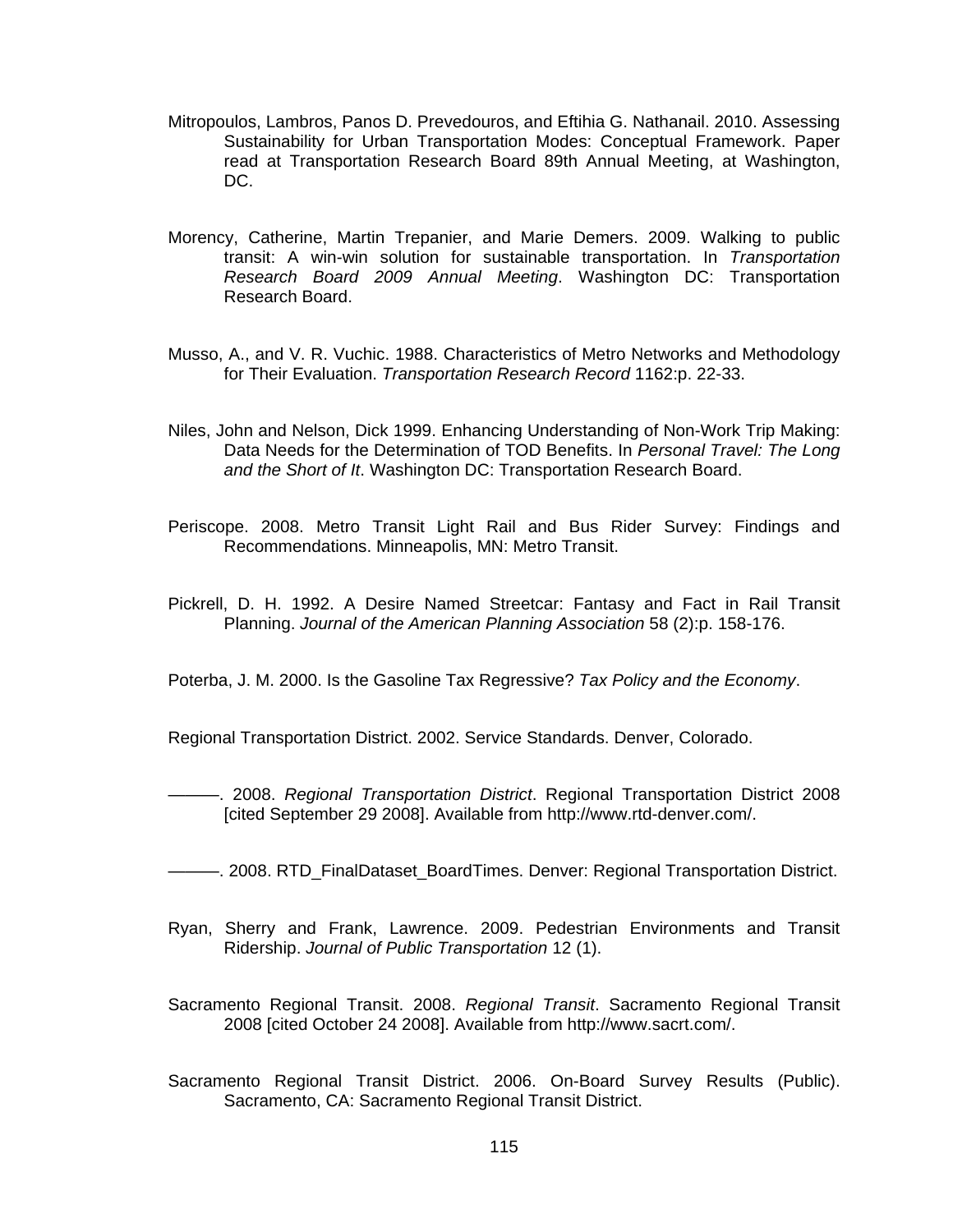- Mitropoulos, Lambros, Panos D. Prevedouros, and Eftihia G. Nathanail. 2010. Assessing Sustainability for Urban Transportation Modes: Conceptual Framework. Paper read at Transportation Research Board 89th Annual Meeting, at Washington, DC.
- Morency, Catherine, Martin Trepanier, and Marie Demers. 2009. Walking to public transit: A win-win solution for sustainable transportation. In *Transportation Research Board 2009 Annual Meeting*. Washington DC: Transportation Research Board.
- Musso, A., and V. R. Vuchic. 1988. Characteristics of Metro Networks and Methodology for Their Evaluation. *Transportation Research Record* 1162:p. 22-33.
- Niles, John and Nelson, Dick 1999. Enhancing Understanding of Non-Work Trip Making: Data Needs for the Determination of TOD Benefits. In *Personal Travel: The Long and the Short of It*. Washington DC: Transportation Research Board.
- Periscope. 2008. Metro Transit Light Rail and Bus Rider Survey: Findings and Recommendations. Minneapolis, MN: Metro Transit.
- Pickrell, D. H. 1992. A Desire Named Streetcar: Fantasy and Fact in Rail Transit Planning. *Journal of the American Planning Association* 58 (2):p. 158-176.

Poterba, J. M. 2000. Is the Gasoline Tax Regressive? *Tax Policy and the Economy*.

Regional Transportation District. 2002. Service Standards. Denver, Colorado.

———. 2008. *Regional Transportation District*. Regional Transportation District 2008 [cited September 29 2008]. Available from http://www.rtd-denver.com/.

- ———. 2008. RTD\_FinalDataset\_BoardTimes. Denver: Regional Transportation District.
- Ryan, Sherry and Frank, Lawrence. 2009. Pedestrian Environments and Transit Ridership. *Journal of Public Transportation* 12 (1).
- Sacramento Regional Transit. 2008. *Regional Transit*. Sacramento Regional Transit 2008 [cited October 24 2008]. Available from http://www.sacrt.com/.
- Sacramento Regional Transit District. 2006. On-Board Survey Results (Public). Sacramento, CA: Sacramento Regional Transit District.